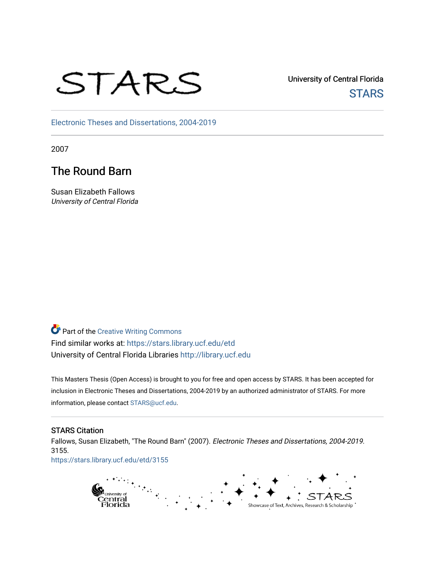# STARS

University of Central Florida **STARS** 

[Electronic Theses and Dissertations, 2004-2019](https://stars.library.ucf.edu/etd) 

2007

# The Round Barn

Susan Elizabeth Fallows University of Central Florida

**Part of the Creative Writing Commons** Find similar works at: <https://stars.library.ucf.edu/etd> University of Central Florida Libraries [http://library.ucf.edu](http://library.ucf.edu/) 

This Masters Thesis (Open Access) is brought to you for free and open access by STARS. It has been accepted for inclusion in Electronic Theses and Dissertations, 2004-2019 by an authorized administrator of STARS. For more information, please contact [STARS@ucf.edu.](mailto:STARS@ucf.edu)

#### STARS Citation

Fallows, Susan Elizabeth, "The Round Barn" (2007). Electronic Theses and Dissertations, 2004-2019. 3155.

[https://stars.library.ucf.edu/etd/3155](https://stars.library.ucf.edu/etd/3155?utm_source=stars.library.ucf.edu%2Fetd%2F3155&utm_medium=PDF&utm_campaign=PDFCoverPages) 

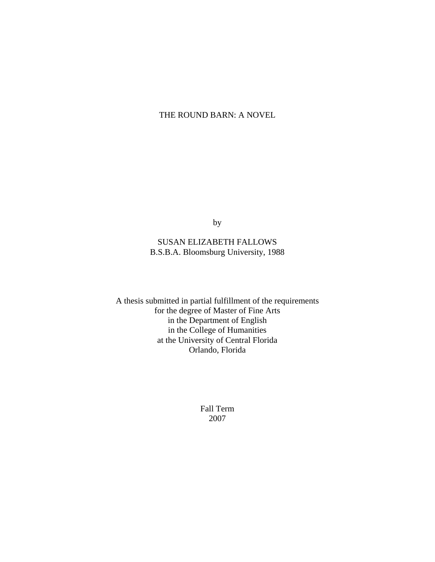## THE ROUND BARN: A NOVEL

by

## SUSAN ELIZABETH FALLOWS B.S.B.A. Bloomsburg University, 1988

A thesis submitted in partial fulfillment of the requirements for the degree of Master of Fine Arts in the Department of English in the College of Humanities at the University of Central Florida Orlando, Florida

> Fall Term 2007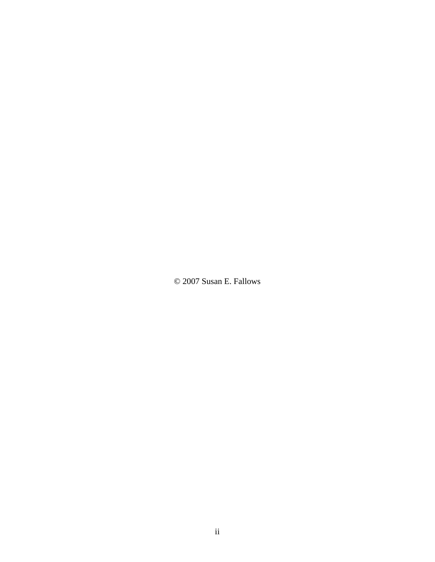© 2007 Susan E. Fallows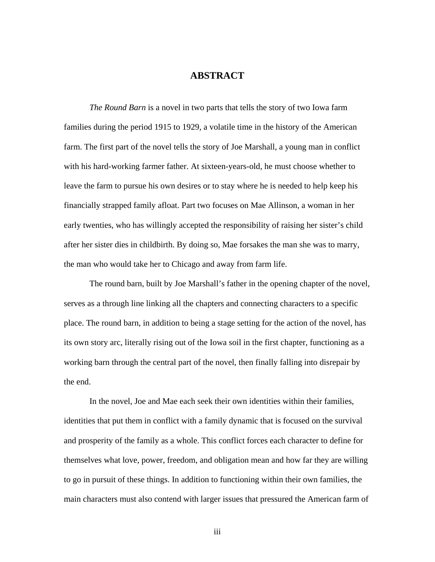## **ABSTRACT**

*The Round Barn* is a novel in two parts that tells the story of two Iowa farm families during the period 1915 to 1929, a volatile time in the history of the American farm. The first part of the novel tells the story of Joe Marshall, a young man in conflict with his hard-working farmer father. At sixteen-years-old, he must choose whether to leave the farm to pursue his own desires or to stay where he is needed to help keep his financially strapped family afloat. Part two focuses on Mae Allinson, a woman in her early twenties, who has willingly accepted the responsibility of raising her sister's child after her sister dies in childbirth. By doing so, Mae forsakes the man she was to marry, the man who would take her to Chicago and away from farm life.

The round barn, built by Joe Marshall's father in the opening chapter of the novel, serves as a through line linking all the chapters and connecting characters to a specific place. The round barn, in addition to being a stage setting for the action of the novel, has its own story arc, literally rising out of the Iowa soil in the first chapter, functioning as a working barn through the central part of the novel, then finally falling into disrepair by the end.

 In the novel, Joe and Mae each seek their own identities within their families, identities that put them in conflict with a family dynamic that is focused on the survival and prosperity of the family as a whole. This conflict forces each character to define for themselves what love, power, freedom, and obligation mean and how far they are willing to go in pursuit of these things. In addition to functioning within their own families, the main characters must also contend with larger issues that pressured the American farm of

iii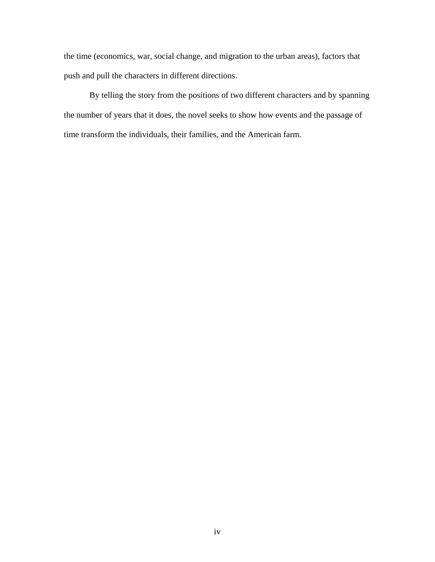the time (economics, war, social change, and migration to the urban areas), factors that push and pull the characters in different directions.

 By telling the story from the positions of two different characters and by spanning the number of years that it does, the novel seeks to show how events and the passage of time transform the individuals, their families, and the American farm.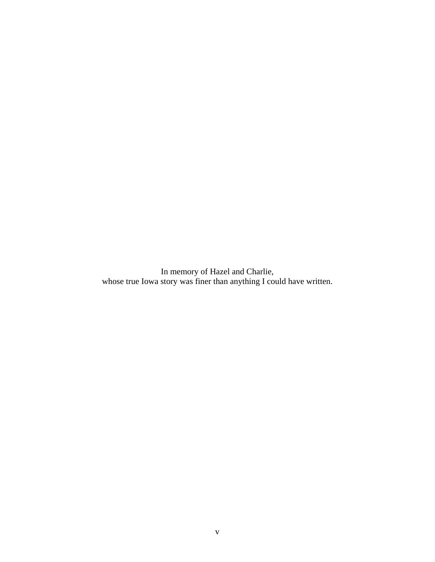In memory of Hazel and Charlie, whose true Iowa story was finer than anything I could have written.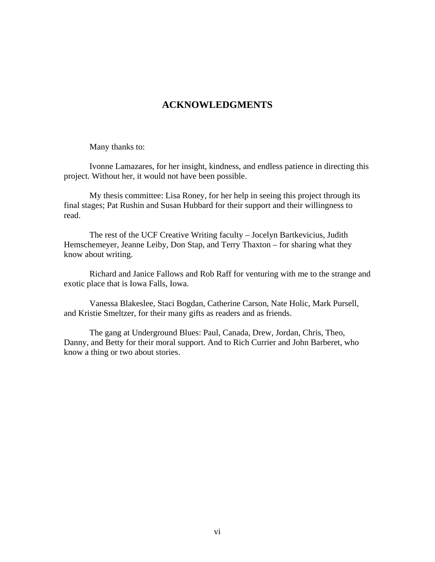# **ACKNOWLEDGMENTS**

Many thanks to:

Ivonne Lamazares, for her insight, kindness, and endless patience in directing this project. Without her, it would not have been possible.

 My thesis committee: Lisa Roney, for her help in seeing this project through its final stages; Pat Rushin and Susan Hubbard for their support and their willingness to read.

 The rest of the UCF Creative Writing faculty – Jocelyn Bartkevicius, Judith Hemschemeyer, Jeanne Leiby, Don Stap, and Terry Thaxton – for sharing what they know about writing.

 Richard and Janice Fallows and Rob Raff for venturing with me to the strange and exotic place that is Iowa Falls, Iowa.

 Vanessa Blakeslee, Staci Bogdan, Catherine Carson, Nate Holic, Mark Pursell, and Kristie Smeltzer, for their many gifts as readers and as friends.

 The gang at Underground Blues: Paul, Canada, Drew, Jordan, Chris, Theo, Danny, and Betty for their moral support. And to Rich Currier and John Barberet, who know a thing or two about stories.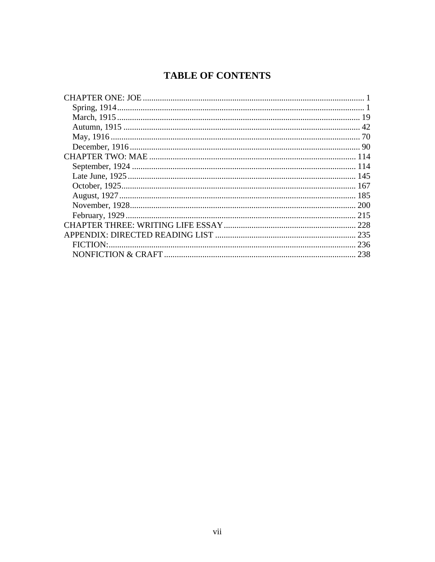# **TABLE OF CONTENTS**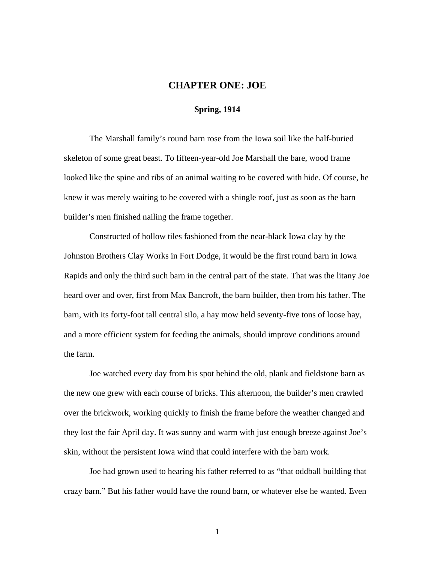#### <span id="page-8-0"></span>**CHAPTER ONE: JOE**

#### <span id="page-8-1"></span>**Spring, 1914**

The Marshall family's round barn rose from the Iowa soil like the half-buried skeleton of some great beast. To fifteen-year-old Joe Marshall the bare, wood frame looked like the spine and ribs of an animal waiting to be covered with hide. Of course, he knew it was merely waiting to be covered with a shingle roof, just as soon as the barn builder's men finished nailing the frame together.

Constructed of hollow tiles fashioned from the near-black Iowa clay by the Johnston Brothers Clay Works in Fort Dodge, it would be the first round barn in Iowa Rapids and only the third such barn in the central part of the state. That was the litany Joe heard over and over, first from Max Bancroft, the barn builder, then from his father. The barn, with its forty-foot tall central silo, a hay mow held seventy-five tons of loose hay, and a more efficient system for feeding the animals, should improve conditions around the farm.

Joe watched every day from his spot behind the old, plank and fieldstone barn as the new one grew with each course of bricks. This afternoon, the builder's men crawled over the brickwork, working quickly to finish the frame before the weather changed and they lost the fair April day. It was sunny and warm with just enough breeze against Joe's skin, without the persistent Iowa wind that could interfere with the barn work.

Joe had grown used to hearing his father referred to as "that oddball building that crazy barn." But his father would have the round barn, or whatever else he wanted. Even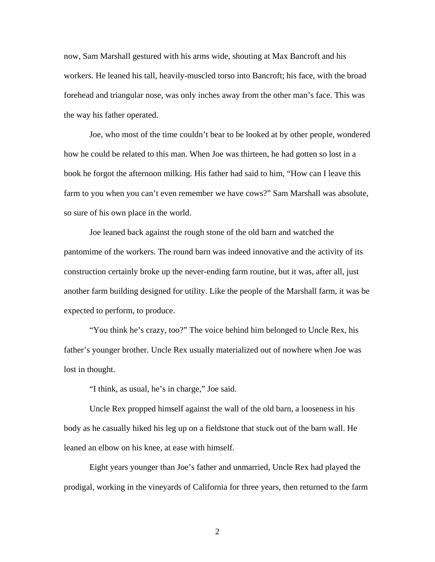now, Sam Marshall gestured with his arms wide, shouting at Max Bancroft and his workers. He leaned his tall, heavily-muscled torso into Bancroft; his face, with the broad forehead and triangular nose, was only inches away from the other man's face. This was the way his father operated.

Joe, who most of the time couldn't bear to be looked at by other people, wondered how he could be related to this man. When Joe was thirteen, he had gotten so lost in a book he forgot the afternoon milking. His father had said to him, "How can I leave this farm to you when you can't even remember we have cows?" Sam Marshall was absolute, so sure of his own place in the world.

Joe leaned back against the rough stone of the old barn and watched the pantomime of the workers. The round barn was indeed innovative and the activity of its construction certainly broke up the never-ending farm routine, but it was, after all, just another farm building designed for utility. Like the people of the Marshall farm, it was be expected to perform, to produce.

"You think he's crazy, too?" The voice behind him belonged to Uncle Rex, his father's younger brother. Uncle Rex usually materialized out of nowhere when Joe was lost in thought.

"I think, as usual, he's in charge," Joe said.

 Uncle Rex propped himself against the wall of the old barn, a looseness in his body as he casually hiked his leg up on a fieldstone that stuck out of the barn wall. He leaned an elbow on his knee, at ease with himself.

Eight years younger than Joe's father and unmarried, Uncle Rex had played the prodigal, working in the vineyards of California for three years, then returned to the farm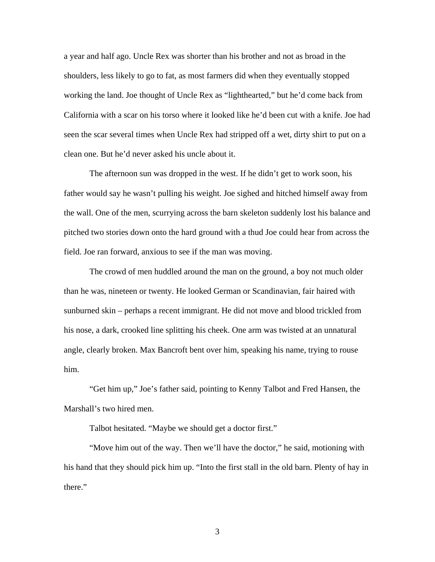a year and half ago. Uncle Rex was shorter than his brother and not as broad in the shoulders, less likely to go to fat, as most farmers did when they eventually stopped working the land. Joe thought of Uncle Rex as "lighthearted," but he'd come back from California with a scar on his torso where it looked like he'd been cut with a knife. Joe had seen the scar several times when Uncle Rex had stripped off a wet, dirty shirt to put on a clean one. But he'd never asked his uncle about it.

The afternoon sun was dropped in the west. If he didn't get to work soon, his father would say he wasn't pulling his weight. Joe sighed and hitched himself away from the wall. One of the men, scurrying across the barn skeleton suddenly lost his balance and pitched two stories down onto the hard ground with a thud Joe could hear from across the field. Joe ran forward, anxious to see if the man was moving.

The crowd of men huddled around the man on the ground, a boy not much older than he was, nineteen or twenty. He looked German or Scandinavian, fair haired with sunburned skin – perhaps a recent immigrant. He did not move and blood trickled from his nose, a dark, crooked line splitting his cheek. One arm was twisted at an unnatural angle, clearly broken. Max Bancroft bent over him, speaking his name, trying to rouse him.

"Get him up," Joe's father said, pointing to Kenny Talbot and Fred Hansen, the Marshall's two hired men.

Talbot hesitated. "Maybe we should get a doctor first."

"Move him out of the way. Then we'll have the doctor," he said, motioning with his hand that they should pick him up. "Into the first stall in the old barn. Plenty of hay in there."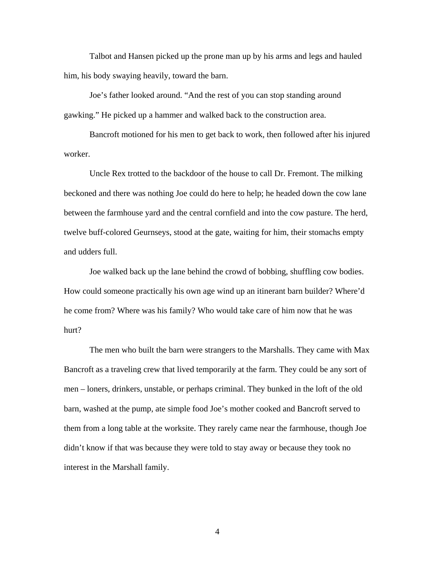Talbot and Hansen picked up the prone man up by his arms and legs and hauled him, his body swaying heavily, toward the barn.

Joe's father looked around. "And the rest of you can stop standing around gawking." He picked up a hammer and walked back to the construction area.

Bancroft motioned for his men to get back to work, then followed after his injured worker.

Uncle Rex trotted to the backdoor of the house to call Dr. Fremont. The milking beckoned and there was nothing Joe could do here to help; he headed down the cow lane between the farmhouse yard and the central cornfield and into the cow pasture. The herd, twelve buff-colored Geurnseys, stood at the gate, waiting for him, their stomachs empty and udders full.

Joe walked back up the lane behind the crowd of bobbing, shuffling cow bodies. How could someone practically his own age wind up an itinerant barn builder? Where'd he come from? Where was his family? Who would take care of him now that he was hurt?

The men who built the barn were strangers to the Marshalls. They came with Max Bancroft as a traveling crew that lived temporarily at the farm. They could be any sort of men – loners, drinkers, unstable, or perhaps criminal. They bunked in the loft of the old barn, washed at the pump, ate simple food Joe's mother cooked and Bancroft served to them from a long table at the worksite. They rarely came near the farmhouse, though Joe didn't know if that was because they were told to stay away or because they took no interest in the Marshall family.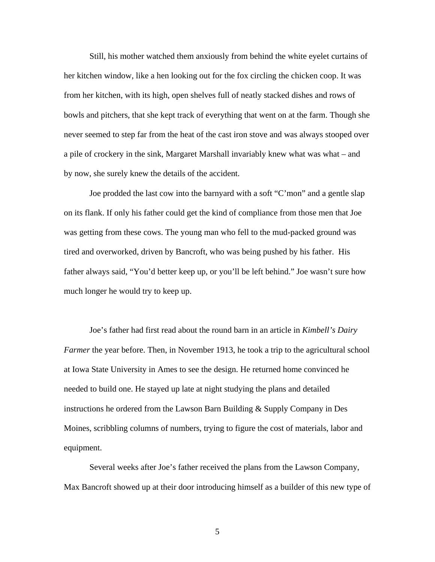Still, his mother watched them anxiously from behind the white eyelet curtains of her kitchen window, like a hen looking out for the fox circling the chicken coop. It was from her kitchen, with its high, open shelves full of neatly stacked dishes and rows of bowls and pitchers, that she kept track of everything that went on at the farm. Though she never seemed to step far from the heat of the cast iron stove and was always stooped over a pile of crockery in the sink, Margaret Marshall invariably knew what was what – and by now, she surely knew the details of the accident.

 Joe prodded the last cow into the barnyard with a soft "C'mon" and a gentle slap on its flank. If only his father could get the kind of compliance from those men that Joe was getting from these cows. The young man who fell to the mud-packed ground was tired and overworked, driven by Bancroft, who was being pushed by his father. His father always said, "You'd better keep up, or you'll be left behind." Joe wasn't sure how much longer he would try to keep up.

Joe's father had first read about the round barn in an article in *Kimbell's Dairy Farmer* the year before. Then, in November 1913, he took a trip to the agricultural school at Iowa State University in Ames to see the design. He returned home convinced he needed to build one. He stayed up late at night studying the plans and detailed instructions he ordered from the Lawson Barn Building & Supply Company in Des Moines, scribbling columns of numbers, trying to figure the cost of materials, labor and equipment.

Several weeks after Joe's father received the plans from the Lawson Company, Max Bancroft showed up at their door introducing himself as a builder of this new type of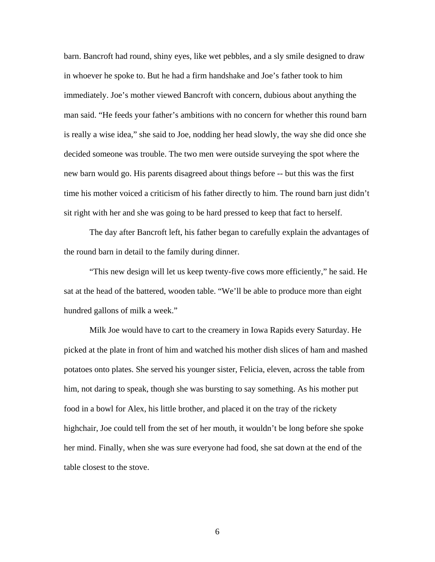barn. Bancroft had round, shiny eyes, like wet pebbles, and a sly smile designed to draw in whoever he spoke to. But he had a firm handshake and Joe's father took to him immediately. Joe's mother viewed Bancroft with concern, dubious about anything the man said. "He feeds your father's ambitions with no concern for whether this round barn is really a wise idea," she said to Joe, nodding her head slowly, the way she did once she decided someone was trouble. The two men were outside surveying the spot where the new barn would go. His parents disagreed about things before -- but this was the first time his mother voiced a criticism of his father directly to him. The round barn just didn't sit right with her and she was going to be hard pressed to keep that fact to herself.

The day after Bancroft left, his father began to carefully explain the advantages of the round barn in detail to the family during dinner.

"This new design will let us keep twenty-five cows more efficiently," he said. He sat at the head of the battered, wooden table. "We'll be able to produce more than eight hundred gallons of milk a week."

Milk Joe would have to cart to the creamery in Iowa Rapids every Saturday. He picked at the plate in front of him and watched his mother dish slices of ham and mashed potatoes onto plates. She served his younger sister, Felicia, eleven, across the table from him, not daring to speak, though she was bursting to say something. As his mother put food in a bowl for Alex, his little brother, and placed it on the tray of the rickety highchair, Joe could tell from the set of her mouth, it wouldn't be long before she spoke her mind. Finally, when she was sure everyone had food, she sat down at the end of the table closest to the stove.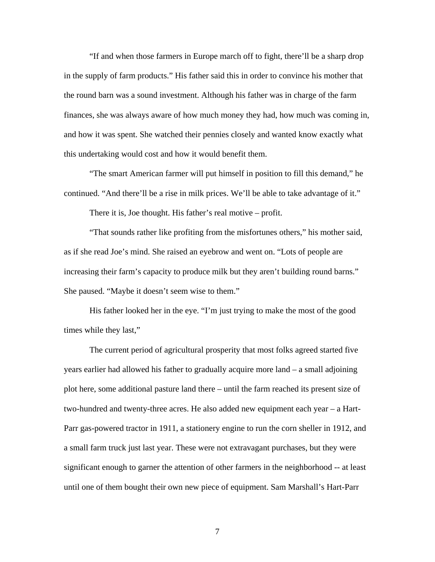"If and when those farmers in Europe march off to fight, there'll be a sharp drop in the supply of farm products." His father said this in order to convince his mother that the round barn was a sound investment. Although his father was in charge of the farm finances, she was always aware of how much money they had, how much was coming in, and how it was spent. She watched their pennies closely and wanted know exactly what this undertaking would cost and how it would benefit them.

"The smart American farmer will put himself in position to fill this demand," he continued. "And there'll be a rise in milk prices. We'll be able to take advantage of it."

There it is, Joe thought. His father's real motive – profit.

"That sounds rather like profiting from the misfortunes others," his mother said, as if she read Joe's mind. She raised an eyebrow and went on. "Lots of people are increasing their farm's capacity to produce milk but they aren't building round barns." She paused. "Maybe it doesn't seem wise to them."

His father looked her in the eye. "I'm just trying to make the most of the good times while they last,"

The current period of agricultural prosperity that most folks agreed started five years earlier had allowed his father to gradually acquire more land – a small adjoining plot here, some additional pasture land there – until the farm reached its present size of two-hundred and twenty-three acres. He also added new equipment each year – a Hart-Parr gas-powered tractor in 1911, a stationery engine to run the corn sheller in 1912, and a small farm truck just last year. These were not extravagant purchases, but they were significant enough to garner the attention of other farmers in the neighborhood -- at least until one of them bought their own new piece of equipment. Sam Marshall's Hart-Parr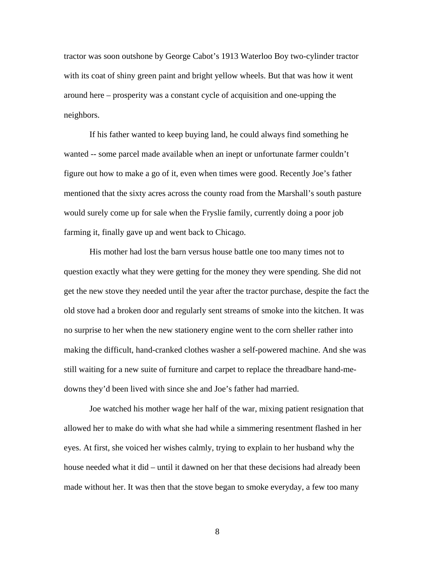tractor was soon outshone by George Cabot's 1913 Waterloo Boy two-cylinder tractor with its coat of shiny green paint and bright yellow wheels. But that was how it went around here – prosperity was a constant cycle of acquisition and one-upping the neighbors.

If his father wanted to keep buying land, he could always find something he wanted -- some parcel made available when an inept or unfortunate farmer couldn't figure out how to make a go of it, even when times were good. Recently Joe's father mentioned that the sixty acres across the county road from the Marshall's south pasture would surely come up for sale when the Fryslie family, currently doing a poor job farming it, finally gave up and went back to Chicago.

His mother had lost the barn versus house battle one too many times not to question exactly what they were getting for the money they were spending. She did not get the new stove they needed until the year after the tractor purchase, despite the fact the old stove had a broken door and regularly sent streams of smoke into the kitchen. It was no surprise to her when the new stationery engine went to the corn sheller rather into making the difficult, hand-cranked clothes washer a self-powered machine. And she was still waiting for a new suite of furniture and carpet to replace the threadbare hand-medowns they'd been lived with since she and Joe's father had married.

Joe watched his mother wage her half of the war, mixing patient resignation that allowed her to make do with what she had while a simmering resentment flashed in her eyes. At first, she voiced her wishes calmly, trying to explain to her husband why the house needed what it did – until it dawned on her that these decisions had already been made without her. It was then that the stove began to smoke everyday, a few too many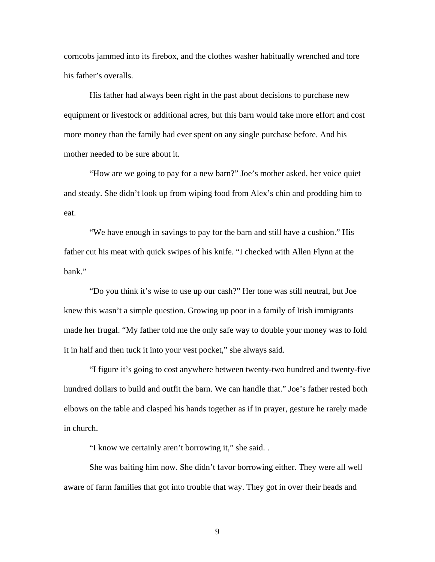corncobs jammed into its firebox, and the clothes washer habitually wrenched and tore his father's overalls.

His father had always been right in the past about decisions to purchase new equipment or livestock or additional acres, but this barn would take more effort and cost more money than the family had ever spent on any single purchase before. And his mother needed to be sure about it.

"How are we going to pay for a new barn?" Joe's mother asked, her voice quiet and steady. She didn't look up from wiping food from Alex's chin and prodding him to eat.

 "We have enough in savings to pay for the barn and still have a cushion." His father cut his meat with quick swipes of his knife. "I checked with Allen Flynn at the bank."

 "Do you think it's wise to use up our cash?" Her tone was still neutral, but Joe knew this wasn't a simple question. Growing up poor in a family of Irish immigrants made her frugal. "My father told me the only safe way to double your money was to fold it in half and then tuck it into your vest pocket," she always said.

 "I figure it's going to cost anywhere between twenty-two hundred and twenty-five hundred dollars to build and outfit the barn. We can handle that." Joe's father rested both elbows on the table and clasped his hands together as if in prayer, gesture he rarely made in church.

"I know we certainly aren't borrowing it," she said. .

She was baiting him now. She didn't favor borrowing either. They were all well aware of farm families that got into trouble that way. They got in over their heads and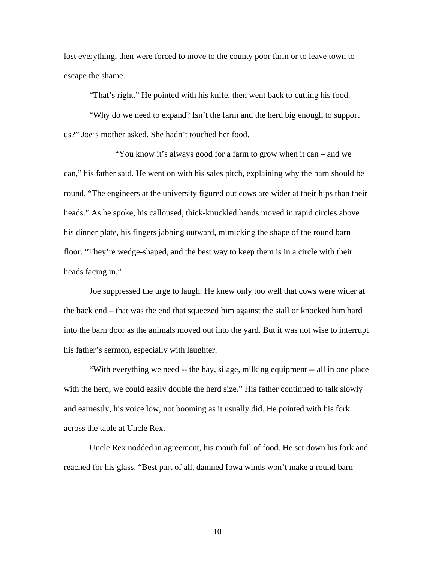lost everything, then were forced to move to the county poor farm or to leave town to escape the shame.

"That's right." He pointed with his knife, then went back to cutting his food.

 "Why do we need to expand? Isn't the farm and the herd big enough to support us?" Joe's mother asked. She hadn't touched her food.

 "You know it's always good for a farm to grow when it can – and we can," his father said. He went on with his sales pitch, explaining why the barn should be round. "The engineers at the university figured out cows are wider at their hips than their heads." As he spoke, his calloused, thick-knuckled hands moved in rapid circles above his dinner plate, his fingers jabbing outward, mimicking the shape of the round barn floor. "They're wedge-shaped, and the best way to keep them is in a circle with their heads facing in."

Joe suppressed the urge to laugh. He knew only too well that cows were wider at the back end – that was the end that squeezed him against the stall or knocked him hard into the barn door as the animals moved out into the yard. But it was not wise to interrupt his father's sermon, especially with laughter.

"With everything we need -- the hay, silage, milking equipment -- all in one place with the herd, we could easily double the herd size." His father continued to talk slowly and earnestly, his voice low, not booming as it usually did. He pointed with his fork across the table at Uncle Rex.

 Uncle Rex nodded in agreement, his mouth full of food. He set down his fork and reached for his glass. "Best part of all, damned Iowa winds won't make a round barn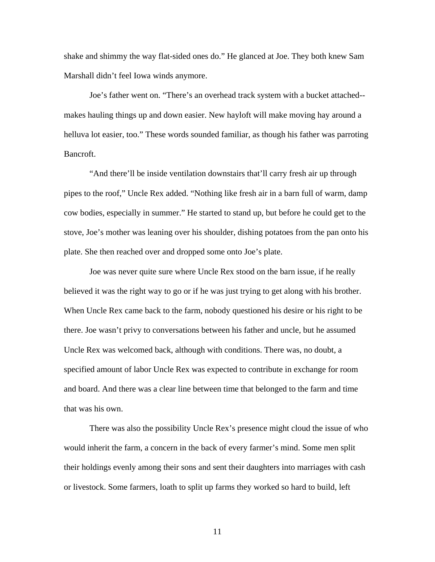shake and shimmy the way flat-sided ones do." He glanced at Joe. They both knew Sam Marshall didn't feel Iowa winds anymore.

Joe's father went on. "There's an overhead track system with a bucket attached- makes hauling things up and down easier. New hayloft will make moving hay around a helluva lot easier, too." These words sounded familiar, as though his father was parroting Bancroft.

"And there'll be inside ventilation downstairs that'll carry fresh air up through pipes to the roof," Uncle Rex added. "Nothing like fresh air in a barn full of warm, damp cow bodies, especially in summer." He started to stand up, but before he could get to the stove, Joe's mother was leaning over his shoulder, dishing potatoes from the pan onto his plate. She then reached over and dropped some onto Joe's plate.

Joe was never quite sure where Uncle Rex stood on the barn issue, if he really believed it was the right way to go or if he was just trying to get along with his brother. When Uncle Rex came back to the farm, nobody questioned his desire or his right to be there. Joe wasn't privy to conversations between his father and uncle, but he assumed Uncle Rex was welcomed back, although with conditions. There was, no doubt, a specified amount of labor Uncle Rex was expected to contribute in exchange for room and board. And there was a clear line between time that belonged to the farm and time that was his own.

There was also the possibility Uncle Rex's presence might cloud the issue of who would inherit the farm, a concern in the back of every farmer's mind. Some men split their holdings evenly among their sons and sent their daughters into marriages with cash or livestock. Some farmers, loath to split up farms they worked so hard to build, left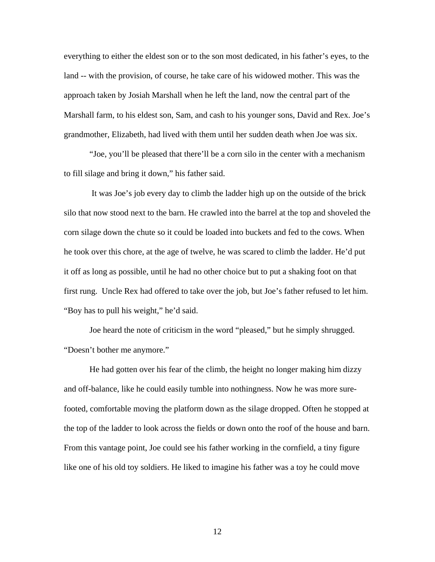everything to either the eldest son or to the son most dedicated, in his father's eyes, to the land -- with the provision, of course, he take care of his widowed mother. This was the approach taken by Josiah Marshall when he left the land, now the central part of the Marshall farm, to his eldest son, Sam, and cash to his younger sons, David and Rex. Joe's grandmother, Elizabeth, had lived with them until her sudden death when Joe was six.

"Joe, you'll be pleased that there'll be a corn silo in the center with a mechanism to fill silage and bring it down," his father said.

 It was Joe's job every day to climb the ladder high up on the outside of the brick silo that now stood next to the barn. He crawled into the barrel at the top and shoveled the corn silage down the chute so it could be loaded into buckets and fed to the cows. When he took over this chore, at the age of twelve, he was scared to climb the ladder. He'd put it off as long as possible, until he had no other choice but to put a shaking foot on that first rung. Uncle Rex had offered to take over the job, but Joe's father refused to let him. "Boy has to pull his weight," he'd said.

Joe heard the note of criticism in the word "pleased," but he simply shrugged. "Doesn't bother me anymore."

He had gotten over his fear of the climb, the height no longer making him dizzy and off-balance, like he could easily tumble into nothingness. Now he was more surefooted, comfortable moving the platform down as the silage dropped. Often he stopped at the top of the ladder to look across the fields or down onto the roof of the house and barn. From this vantage point, Joe could see his father working in the cornfield, a tiny figure like one of his old toy soldiers. He liked to imagine his father was a toy he could move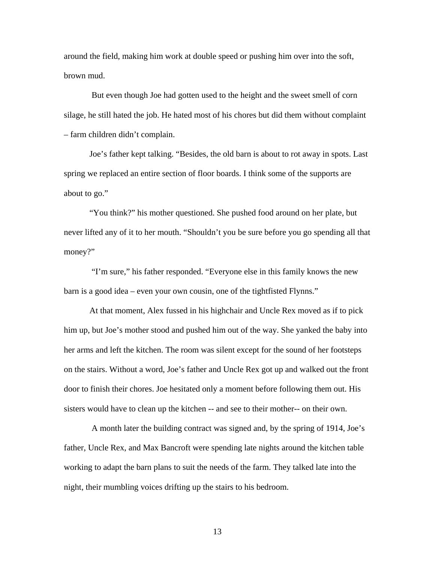around the field, making him work at double speed or pushing him over into the soft, brown mud.

 But even though Joe had gotten used to the height and the sweet smell of corn silage, he still hated the job. He hated most of his chores but did them without complaint – farm children didn't complain.

 Joe's father kept talking. "Besides, the old barn is about to rot away in spots. Last spring we replaced an entire section of floor boards. I think some of the supports are about to go."

 "You think?" his mother questioned. She pushed food around on her plate, but never lifted any of it to her mouth. "Shouldn't you be sure before you go spending all that money?"

 "I'm sure," his father responded. "Everyone else in this family knows the new barn is a good idea – even your own cousin, one of the tightfisted Flynns."

 At that moment, Alex fussed in his highchair and Uncle Rex moved as if to pick him up, but Joe's mother stood and pushed him out of the way. She yanked the baby into her arms and left the kitchen. The room was silent except for the sound of her footsteps on the stairs. Without a word, Joe's father and Uncle Rex got up and walked out the front door to finish their chores. Joe hesitated only a moment before following them out. His sisters would have to clean up the kitchen -- and see to their mother-- on their own.

 A month later the building contract was signed and, by the spring of 1914, Joe's father, Uncle Rex, and Max Bancroft were spending late nights around the kitchen table working to adapt the barn plans to suit the needs of the farm. They talked late into the night, their mumbling voices drifting up the stairs to his bedroom.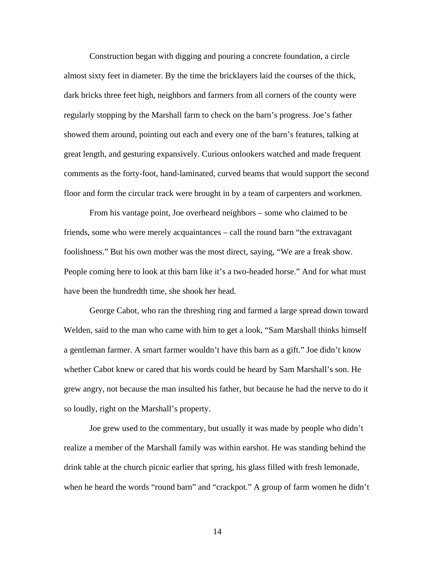Construction began with digging and pouring a concrete foundation, a circle almost sixty feet in diameter. By the time the bricklayers laid the courses of the thick, dark bricks three feet high, neighbors and farmers from all corners of the county were regularly stopping by the Marshall farm to check on the barn's progress. Joe's father showed them around, pointing out each and every one of the barn's features, talking at great length, and gesturing expansively. Curious onlookers watched and made frequent comments as the forty-foot, hand-laminated, curved beams that would support the second floor and form the circular track were brought in by a team of carpenters and workmen.

From his vantage point, Joe overheard neighbors – some who claimed to be friends, some who were merely acquaintances – call the round barn "the extravagant foolishness." But his own mother was the most direct, saying, "We are a freak show. People coming here to look at this barn like it's a two-headed horse." And for what must have been the hundredth time, she shook her head.

George Cabot, who ran the threshing ring and farmed a large spread down toward Welden, said to the man who came with him to get a look, "Sam Marshall thinks himself a gentleman farmer. A smart farmer wouldn't have this barn as a gift." Joe didn't know whether Cabot knew or cared that his words could be heard by Sam Marshall's son. He grew angry, not because the man insulted his father, but because he had the nerve to do it so loudly, right on the Marshall's property.

Joe grew used to the commentary, but usually it was made by people who didn't realize a member of the Marshall family was within earshot. He was standing behind the drink table at the church picnic earlier that spring, his glass filled with fresh lemonade, when he heard the words "round barn" and "crackpot." A group of farm women he didn't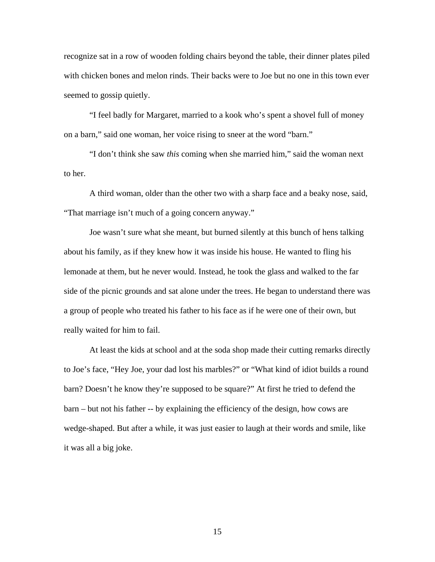recognize sat in a row of wooden folding chairs beyond the table, their dinner plates piled with chicken bones and melon rinds. Their backs were to Joe but no one in this town ever seemed to gossip quietly.

 "I feel badly for Margaret, married to a kook who's spent a shovel full of money on a barn," said one woman, her voice rising to sneer at the word "barn."

 "I don't think she saw *this* coming when she married him," said the woman next to her.

 A third woman, older than the other two with a sharp face and a beaky nose, said, "That marriage isn't much of a going concern anyway."

 Joe wasn't sure what she meant, but burned silently at this bunch of hens talking about his family, as if they knew how it was inside his house. He wanted to fling his lemonade at them, but he never would. Instead, he took the glass and walked to the far side of the picnic grounds and sat alone under the trees. He began to understand there was a group of people who treated his father to his face as if he were one of their own, but really waited for him to fail.

 At least the kids at school and at the soda shop made their cutting remarks directly to Joe's face, "Hey Joe, your dad lost his marbles?" or "What kind of idiot builds a round barn? Doesn't he know they're supposed to be square?" At first he tried to defend the barn – but not his father -- by explaining the efficiency of the design, how cows are wedge-shaped. But after a while, it was just easier to laugh at their words and smile, like it was all a big joke.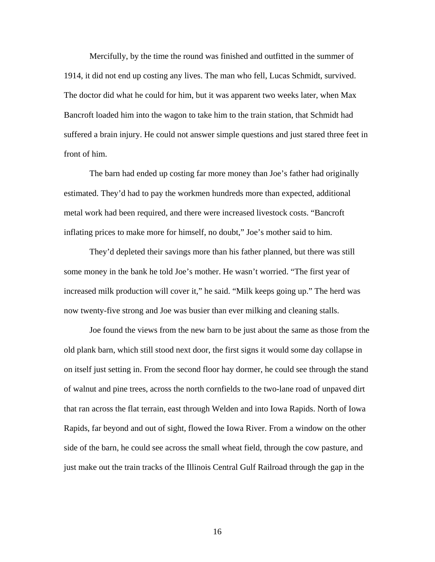Mercifully, by the time the round was finished and outfitted in the summer of 1914, it did not end up costing any lives. The man who fell, Lucas Schmidt, survived. The doctor did what he could for him, but it was apparent two weeks later, when Max Bancroft loaded him into the wagon to take him to the train station, that Schmidt had suffered a brain injury. He could not answer simple questions and just stared three feet in front of him.

The barn had ended up costing far more money than Joe's father had originally estimated. They'd had to pay the workmen hundreds more than expected, additional metal work had been required, and there were increased livestock costs. "Bancroft inflating prices to make more for himself, no doubt," Joe's mother said to him.

They'd depleted their savings more than his father planned, but there was still some money in the bank he told Joe's mother. He wasn't worried. "The first year of increased milk production will cover it," he said. "Milk keeps going up." The herd was now twenty-five strong and Joe was busier than ever milking and cleaning stalls.

Joe found the views from the new barn to be just about the same as those from the old plank barn, which still stood next door, the first signs it would some day collapse in on itself just setting in. From the second floor hay dormer, he could see through the stand of walnut and pine trees, across the north cornfields to the two-lane road of unpaved dirt that ran across the flat terrain, east through Welden and into Iowa Rapids. North of Iowa Rapids, far beyond and out of sight, flowed the Iowa River. From a window on the other side of the barn, he could see across the small wheat field, through the cow pasture, and just make out the train tracks of the Illinois Central Gulf Railroad through the gap in the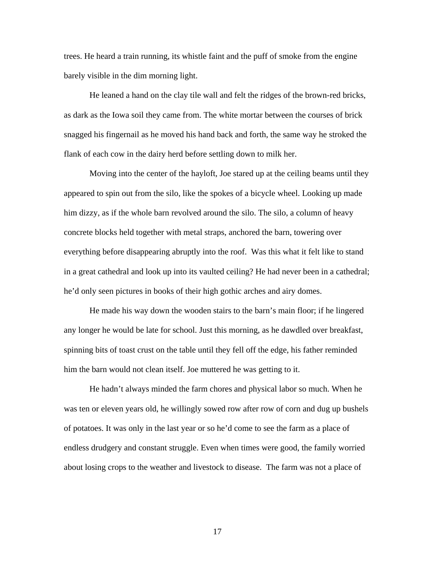trees. He heard a train running, its whistle faint and the puff of smoke from the engine barely visible in the dim morning light.

He leaned a hand on the clay tile wall and felt the ridges of the brown-red bricks, as dark as the Iowa soil they came from. The white mortar between the courses of brick snagged his fingernail as he moved his hand back and forth, the same way he stroked the flank of each cow in the dairy herd before settling down to milk her.

Moving into the center of the hayloft, Joe stared up at the ceiling beams until they appeared to spin out from the silo, like the spokes of a bicycle wheel. Looking up made him dizzy, as if the whole barn revolved around the silo. The silo, a column of heavy concrete blocks held together with metal straps, anchored the barn, towering over everything before disappearing abruptly into the roof. Was this what it felt like to stand in a great cathedral and look up into its vaulted ceiling? He had never been in a cathedral; he'd only seen pictures in books of their high gothic arches and airy domes.

He made his way down the wooden stairs to the barn's main floor; if he lingered any longer he would be late for school. Just this morning, as he dawdled over breakfast, spinning bits of toast crust on the table until they fell off the edge, his father reminded him the barn would not clean itself. Joe muttered he was getting to it.

He hadn't always minded the farm chores and physical labor so much. When he was ten or eleven years old, he willingly sowed row after row of corn and dug up bushels of potatoes. It was only in the last year or so he'd come to see the farm as a place of endless drudgery and constant struggle. Even when times were good, the family worried about losing crops to the weather and livestock to disease. The farm was not a place of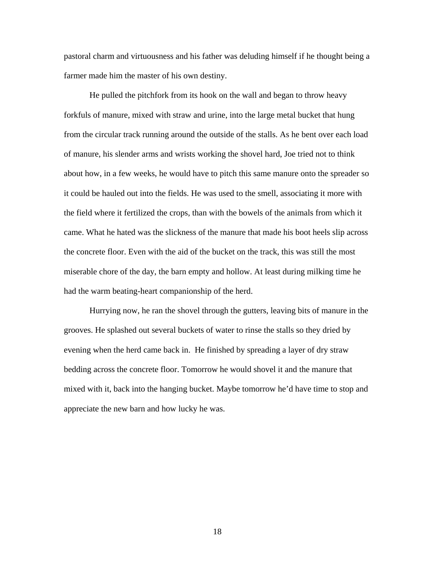pastoral charm and virtuousness and his father was deluding himself if he thought being a farmer made him the master of his own destiny.

He pulled the pitchfork from its hook on the wall and began to throw heavy forkfuls of manure, mixed with straw and urine, into the large metal bucket that hung from the circular track running around the outside of the stalls. As he bent over each load of manure, his slender arms and wrists working the shovel hard, Joe tried not to think about how, in a few weeks, he would have to pitch this same manure onto the spreader so it could be hauled out into the fields. He was used to the smell, associating it more with the field where it fertilized the crops, than with the bowels of the animals from which it came. What he hated was the slickness of the manure that made his boot heels slip across the concrete floor. Even with the aid of the bucket on the track, this was still the most miserable chore of the day, the barn empty and hollow. At least during milking time he had the warm beating-heart companionship of the herd.

Hurrying now, he ran the shovel through the gutters, leaving bits of manure in the grooves. He splashed out several buckets of water to rinse the stalls so they dried by evening when the herd came back in. He finished by spreading a layer of dry straw bedding across the concrete floor. Tomorrow he would shovel it and the manure that mixed with it, back into the hanging bucket. Maybe tomorrow he'd have time to stop and appreciate the new barn and how lucky he was.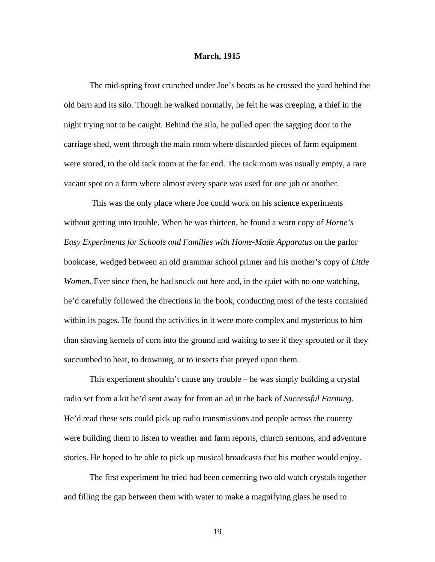#### <span id="page-26-0"></span>**March, 1915**

 The mid-spring frost crunched under Joe's boots as he crossed the yard behind the old barn and its silo. Though he walked normally, he felt he was creeping, a thief in the night trying not to be caught. Behind the silo, he pulled open the sagging door to the carriage shed, went through the main room where discarded pieces of farm equipment were stored, to the old tack room at the far end. The tack room was usually empty, a rare vacant spot on a farm where almost every space was used for one job or another.

 This was the only place where Joe could work on his science experiments without getting into trouble. When he was thirteen, he found a worn copy of *Horne's Easy Experiments for Schools and Families with Home-Made Apparatus* on the parlor bookcase, wedged between an old grammar school primer and his mother's copy of *Little Women*. Ever since then, he had snuck out here and, in the quiet with no one watching, he'd carefully followed the directions in the book, conducting most of the tests contained within its pages. He found the activities in it were more complex and mysterious to him than shoving kernels of corn into the ground and waiting to see if they sprouted or if they succumbed to heat, to drowning, or to insects that preyed upon them.

This experiment shouldn't cause any trouble – he was simply building a crystal radio set from a kit he'd sent away for from an ad in the back of *Successful Farming*. He'd read these sets could pick up radio transmissions and people across the country were building them to listen to weather and farm reports, church sermons, and adventure stories. He hoped to be able to pick up musical broadcasts that his mother would enjoy.

 The first experiment he tried had been cementing two old watch crystals together and filling the gap between them with water to make a magnifying glass he used to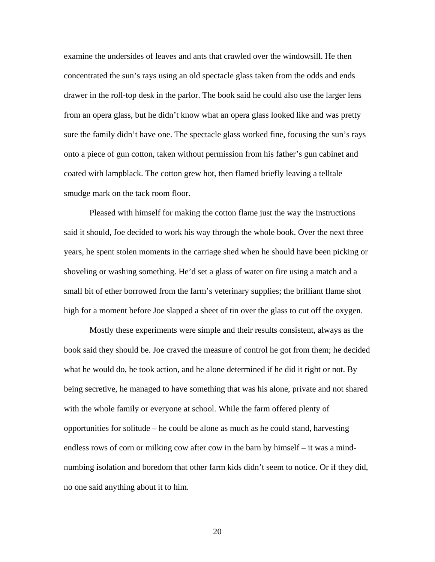examine the undersides of leaves and ants that crawled over the windowsill. He then concentrated the sun's rays using an old spectacle glass taken from the odds and ends drawer in the roll-top desk in the parlor. The book said he could also use the larger lens from an opera glass, but he didn't know what an opera glass looked like and was pretty sure the family didn't have one. The spectacle glass worked fine, focusing the sun's rays onto a piece of gun cotton, taken without permission from his father's gun cabinet and coated with lampblack. The cotton grew hot, then flamed briefly leaving a telltale smudge mark on the tack room floor.

Pleased with himself for making the cotton flame just the way the instructions said it should, Joe decided to work his way through the whole book. Over the next three years, he spent stolen moments in the carriage shed when he should have been picking or shoveling or washing something. He'd set a glass of water on fire using a match and a small bit of ether borrowed from the farm's veterinary supplies; the brilliant flame shot high for a moment before Joe slapped a sheet of tin over the glass to cut off the oxygen.

Mostly these experiments were simple and their results consistent, always as the book said they should be. Joe craved the measure of control he got from them; he decided what he would do, he took action, and he alone determined if he did it right or not. By being secretive, he managed to have something that was his alone, private and not shared with the whole family or everyone at school. While the farm offered plenty of opportunities for solitude – he could be alone as much as he could stand, harvesting endless rows of corn or milking cow after cow in the barn by himself – it was a mindnumbing isolation and boredom that other farm kids didn't seem to notice. Or if they did, no one said anything about it to him.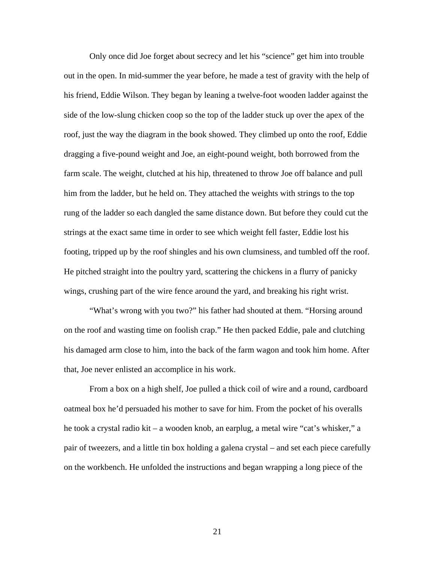Only once did Joe forget about secrecy and let his "science" get him into trouble out in the open. In mid-summer the year before, he made a test of gravity with the help of his friend, Eddie Wilson. They began by leaning a twelve-foot wooden ladder against the side of the low-slung chicken coop so the top of the ladder stuck up over the apex of the roof, just the way the diagram in the book showed. They climbed up onto the roof, Eddie dragging a five-pound weight and Joe, an eight-pound weight, both borrowed from the farm scale. The weight, clutched at his hip, threatened to throw Joe off balance and pull him from the ladder, but he held on. They attached the weights with strings to the top rung of the ladder so each dangled the same distance down. But before they could cut the strings at the exact same time in order to see which weight fell faster, Eddie lost his footing, tripped up by the roof shingles and his own clumsiness, and tumbled off the roof. He pitched straight into the poultry yard, scattering the chickens in a flurry of panicky wings, crushing part of the wire fence around the yard, and breaking his right wrist.

"What's wrong with you two?" his father had shouted at them. "Horsing around on the roof and wasting time on foolish crap." He then packed Eddie, pale and clutching his damaged arm close to him, into the back of the farm wagon and took him home. After that, Joe never enlisted an accomplice in his work.

From a box on a high shelf, Joe pulled a thick coil of wire and a round, cardboard oatmeal box he'd persuaded his mother to save for him. From the pocket of his overalls he took a crystal radio kit – a wooden knob, an earplug, a metal wire "cat's whisker," a pair of tweezers, and a little tin box holding a galena crystal – and set each piece carefully on the workbench. He unfolded the instructions and began wrapping a long piece of the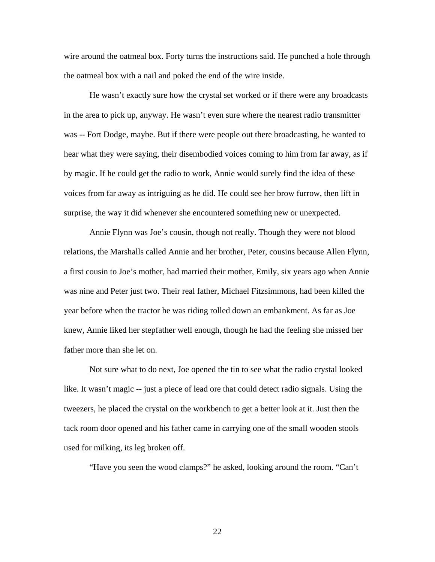wire around the oatmeal box. Forty turns the instructions said. He punched a hole through the oatmeal box with a nail and poked the end of the wire inside.

He wasn't exactly sure how the crystal set worked or if there were any broadcasts in the area to pick up, anyway. He wasn't even sure where the nearest radio transmitter was -- Fort Dodge, maybe. But if there were people out there broadcasting, he wanted to hear what they were saying, their disembodied voices coming to him from far away, as if by magic. If he could get the radio to work, Annie would surely find the idea of these voices from far away as intriguing as he did. He could see her brow furrow, then lift in surprise, the way it did whenever she encountered something new or unexpected.

Annie Flynn was Joe's cousin, though not really. Though they were not blood relations, the Marshalls called Annie and her brother, Peter, cousins because Allen Flynn, a first cousin to Joe's mother, had married their mother, Emily, six years ago when Annie was nine and Peter just two. Their real father, Michael Fitzsimmons, had been killed the year before when the tractor he was riding rolled down an embankment. As far as Joe knew, Annie liked her stepfather well enough, though he had the feeling she missed her father more than she let on.

Not sure what to do next, Joe opened the tin to see what the radio crystal looked like. It wasn't magic -- just a piece of lead ore that could detect radio signals. Using the tweezers, he placed the crystal on the workbench to get a better look at it. Just then the tack room door opened and his father came in carrying one of the small wooden stools used for milking, its leg broken off.

"Have you seen the wood clamps?" he asked, looking around the room. "Can't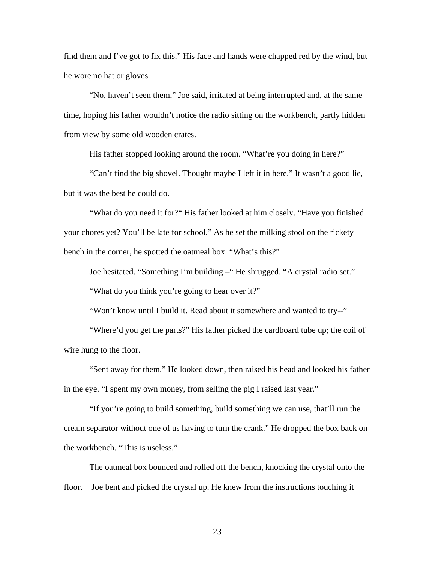find them and I've got to fix this." His face and hands were chapped red by the wind, but he wore no hat or gloves.

 "No, haven't seen them," Joe said, irritated at being interrupted and, at the same time, hoping his father wouldn't notice the radio sitting on the workbench, partly hidden from view by some old wooden crates.

His father stopped looking around the room. "What're you doing in here?"

 "Can't find the big shovel. Thought maybe I left it in here." It wasn't a good lie, but it was the best he could do.

 "What do you need it for?" His father looked at him closely. "Have you finished your chores yet? You'll be late for school." As he set the milking stool on the rickety bench in the corner, he spotted the oatmeal box. "What's this?"

 Joe hesitated. "Something I'm building –" He shrugged. "A crystal radio set." "What do you think you're going to hear over it?"

"Won't know until I build it. Read about it somewhere and wanted to try--"

 "Where'd you get the parts?" His father picked the cardboard tube up; the coil of wire hung to the floor.

 "Sent away for them." He looked down, then raised his head and looked his father in the eye. "I spent my own money, from selling the pig I raised last year."

 "If you're going to build something, build something we can use, that'll run the cream separator without one of us having to turn the crank." He dropped the box back on the workbench. "This is useless."

The oatmeal box bounced and rolled off the bench, knocking the crystal onto the floor. Joe bent and picked the crystal up. He knew from the instructions touching it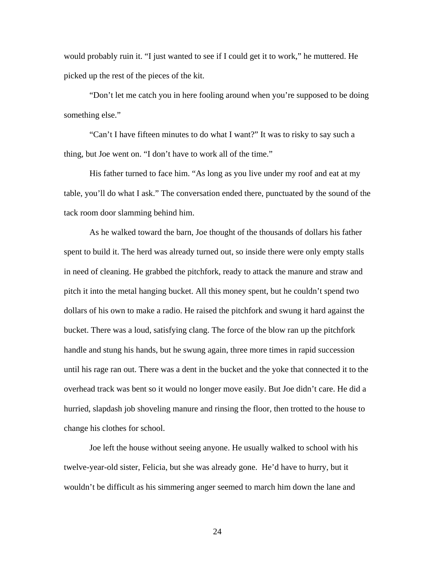would probably ruin it. "I just wanted to see if I could get it to work," he muttered. He picked up the rest of the pieces of the kit.

 "Don't let me catch you in here fooling around when you're supposed to be doing something else."

 "Can't I have fifteen minutes to do what I want?" It was to risky to say such a thing, but Joe went on. "I don't have to work all of the time."

His father turned to face him. "As long as you live under my roof and eat at my table, you'll do what I ask." The conversation ended there, punctuated by the sound of the tack room door slamming behind him.

 As he walked toward the barn, Joe thought of the thousands of dollars his father spent to build it. The herd was already turned out, so inside there were only empty stalls in need of cleaning. He grabbed the pitchfork, ready to attack the manure and straw and pitch it into the metal hanging bucket. All this money spent, but he couldn't spend two dollars of his own to make a radio. He raised the pitchfork and swung it hard against the bucket. There was a loud, satisfying clang. The force of the blow ran up the pitchfork handle and stung his hands, but he swung again, three more times in rapid succession until his rage ran out. There was a dent in the bucket and the yoke that connected it to the overhead track was bent so it would no longer move easily. But Joe didn't care. He did a hurried, slapdash job shoveling manure and rinsing the floor, then trotted to the house to change his clothes for school.

Joe left the house without seeing anyone. He usually walked to school with his twelve-year-old sister, Felicia, but she was already gone. He'd have to hurry, but it wouldn't be difficult as his simmering anger seemed to march him down the lane and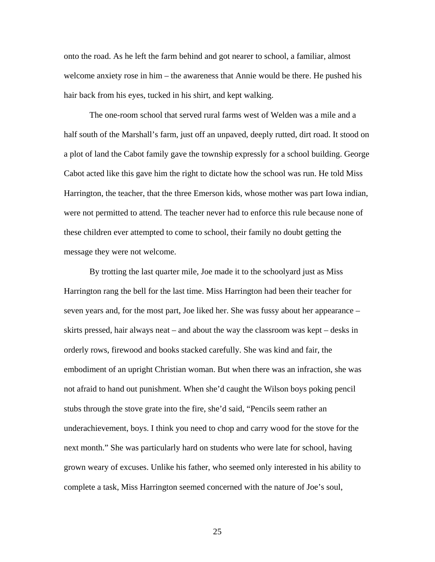onto the road. As he left the farm behind and got nearer to school, a familiar, almost welcome anxiety rose in him – the awareness that Annie would be there. He pushed his hair back from his eyes, tucked in his shirt, and kept walking.

The one-room school that served rural farms west of Welden was a mile and a half south of the Marshall's farm, just off an unpaved, deeply rutted, dirt road. It stood on a plot of land the Cabot family gave the township expressly for a school building. George Cabot acted like this gave him the right to dictate how the school was run. He told Miss Harrington, the teacher, that the three Emerson kids, whose mother was part Iowa indian, were not permitted to attend. The teacher never had to enforce this rule because none of these children ever attempted to come to school, their family no doubt getting the message they were not welcome.

By trotting the last quarter mile, Joe made it to the schoolyard just as Miss Harrington rang the bell for the last time. Miss Harrington had been their teacher for seven years and, for the most part, Joe liked her. She was fussy about her appearance – skirts pressed, hair always neat – and about the way the classroom was kept – desks in orderly rows, firewood and books stacked carefully. She was kind and fair, the embodiment of an upright Christian woman. But when there was an infraction, she was not afraid to hand out punishment. When she'd caught the Wilson boys poking pencil stubs through the stove grate into the fire, she'd said, "Pencils seem rather an underachievement, boys. I think you need to chop and carry wood for the stove for the next month." She was particularly hard on students who were late for school, having grown weary of excuses. Unlike his father, who seemed only interested in his ability to complete a task, Miss Harrington seemed concerned with the nature of Joe's soul,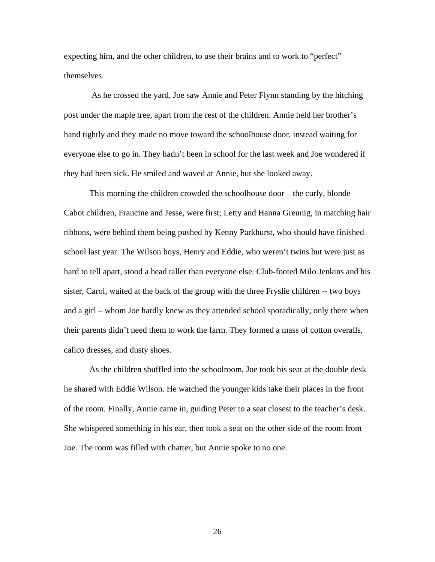expecting him, and the other children, to use their brains and to work to "perfect" themselves.

 As he crossed the yard, Joe saw Annie and Peter Flynn standing by the hitching post under the maple tree, apart from the rest of the children. Annie held her brother's hand tightly and they made no move toward the schoolhouse door, instead waiting for everyone else to go in. They hadn't been in school for the last week and Joe wondered if they had been sick. He smiled and waved at Annie, but she looked away.

This morning the children crowded the schoolhouse door – the curly, blonde Cabot children, Francine and Jesse, were first; Letty and Hanna Greunig, in matching hair ribbons, were behind them being pushed by Kenny Parkhurst, who should have finished school last year. The Wilson boys, Henry and Eddie, who weren't twins but were just as hard to tell apart, stood a head taller than everyone else. Club-footed Milo Jenkins and his sister, Carol, waited at the back of the group with the three Fryslie children -- two boys and a girl – whom Joe hardly knew as they attended school sporadically, only there when their parents didn't need them to work the farm. They formed a mass of cotton overalls, calico dresses, and dusty shoes.

As the children shuffled into the schoolroom, Joe took his seat at the double desk he shared with Eddie Wilson. He watched the younger kids take their places in the front of the room. Finally, Annie came in, guiding Peter to a seat closest to the teacher's desk. She whispered something in his ear, then took a seat on the other side of the room from Joe. The room was filled with chatter, but Annie spoke to no one.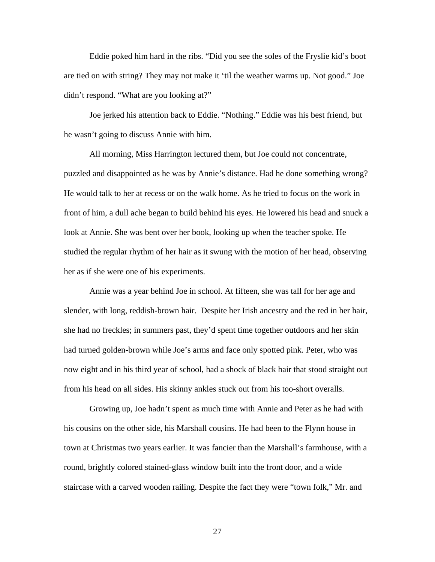Eddie poked him hard in the ribs. "Did you see the soles of the Fryslie kid's boot are tied on with string? They may not make it 'til the weather warms up. Not good." Joe didn't respond. "What are you looking at?"

Joe jerked his attention back to Eddie. "Nothing." Eddie was his best friend, but he wasn't going to discuss Annie with him.

All morning, Miss Harrington lectured them, but Joe could not concentrate, puzzled and disappointed as he was by Annie's distance. Had he done something wrong? He would talk to her at recess or on the walk home. As he tried to focus on the work in front of him, a dull ache began to build behind his eyes. He lowered his head and snuck a look at Annie. She was bent over her book, looking up when the teacher spoke. He studied the regular rhythm of her hair as it swung with the motion of her head, observing her as if she were one of his experiments.

Annie was a year behind Joe in school. At fifteen, she was tall for her age and slender, with long, reddish-brown hair. Despite her Irish ancestry and the red in her hair, she had no freckles; in summers past, they'd spent time together outdoors and her skin had turned golden-brown while Joe's arms and face only spotted pink. Peter, who was now eight and in his third year of school, had a shock of black hair that stood straight out from his head on all sides. His skinny ankles stuck out from his too-short overalls.

 Growing up, Joe hadn't spent as much time with Annie and Peter as he had with his cousins on the other side, his Marshall cousins. He had been to the Flynn house in town at Christmas two years earlier. It was fancier than the Marshall's farmhouse, with a round, brightly colored stained-glass window built into the front door, and a wide staircase with a carved wooden railing. Despite the fact they were "town folk," Mr. and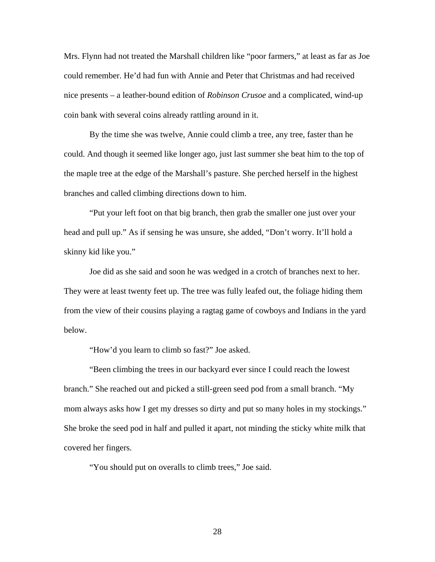Mrs. Flynn had not treated the Marshall children like "poor farmers," at least as far as Joe could remember. He'd had fun with Annie and Peter that Christmas and had received nice presents – a leather-bound edition of *Robinson Crusoe* and a complicated, wind-up coin bank with several coins already rattling around in it.

By the time she was twelve, Annie could climb a tree, any tree, faster than he could. And though it seemed like longer ago, just last summer she beat him to the top of the maple tree at the edge of the Marshall's pasture. She perched herself in the highest branches and called climbing directions down to him.

 "Put your left foot on that big branch, then grab the smaller one just over your head and pull up." As if sensing he was unsure, she added, "Don't worry. It'll hold a skinny kid like you."

 Joe did as she said and soon he was wedged in a crotch of branches next to her. They were at least twenty feet up. The tree was fully leafed out, the foliage hiding them from the view of their cousins playing a ragtag game of cowboys and Indians in the yard below.

"How'd you learn to climb so fast?" Joe asked.

 "Been climbing the trees in our backyard ever since I could reach the lowest branch." She reached out and picked a still-green seed pod from a small branch. "My mom always asks how I get my dresses so dirty and put so many holes in my stockings." She broke the seed pod in half and pulled it apart, not minding the sticky white milk that covered her fingers.

"You should put on overalls to climb trees," Joe said.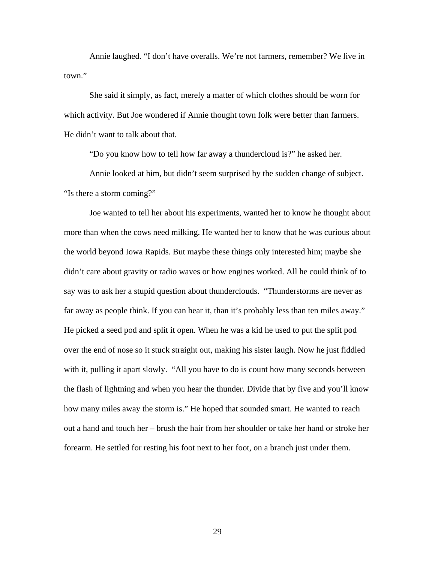Annie laughed. "I don't have overalls. We're not farmers, remember? We live in town."

 She said it simply, as fact, merely a matter of which clothes should be worn for which activity. But Joe wondered if Annie thought town folk were better than farmers. He didn't want to talk about that.

"Do you know how to tell how far away a thundercloud is?" he asked her.

 Annie looked at him, but didn't seem surprised by the sudden change of subject. "Is there a storm coming?"

 Joe wanted to tell her about his experiments, wanted her to know he thought about more than when the cows need milking. He wanted her to know that he was curious about the world beyond Iowa Rapids. But maybe these things only interested him; maybe she didn't care about gravity or radio waves or how engines worked. All he could think of to say was to ask her a stupid question about thunderclouds. "Thunderstorms are never as far away as people think. If you can hear it, than it's probably less than ten miles away." He picked a seed pod and split it open. When he was a kid he used to put the split pod over the end of nose so it stuck straight out, making his sister laugh. Now he just fiddled with it, pulling it apart slowly. "All you have to do is count how many seconds between the flash of lightning and when you hear the thunder. Divide that by five and you'll know how many miles away the storm is." He hoped that sounded smart. He wanted to reach out a hand and touch her – brush the hair from her shoulder or take her hand or stroke her forearm. He settled for resting his foot next to her foot, on a branch just under them.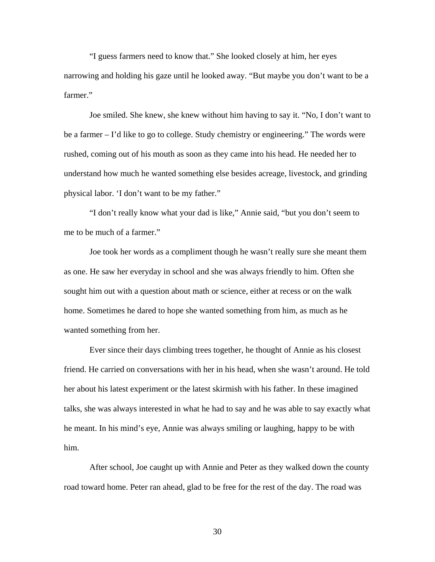"I guess farmers need to know that." She looked closely at him, her eyes narrowing and holding his gaze until he looked away. "But maybe you don't want to be a farmer."

Joe smiled. She knew, she knew without him having to say it. "No, I don't want to be a farmer – I'd like to go to college. Study chemistry or engineering." The words were rushed, coming out of his mouth as soon as they came into his head. He needed her to understand how much he wanted something else besides acreage, livestock, and grinding physical labor. 'I don't want to be my father."

"I don't really know what your dad is like," Annie said, "but you don't seem to me to be much of a farmer."

Joe took her words as a compliment though he wasn't really sure she meant them as one. He saw her everyday in school and she was always friendly to him. Often she sought him out with a question about math or science, either at recess or on the walk home. Sometimes he dared to hope she wanted something from him, as much as he wanted something from her.

Ever since their days climbing trees together, he thought of Annie as his closest friend. He carried on conversations with her in his head, when she wasn't around. He told her about his latest experiment or the latest skirmish with his father. In these imagined talks, she was always interested in what he had to say and he was able to say exactly what he meant. In his mind's eye, Annie was always smiling or laughing, happy to be with him.

 After school, Joe caught up with Annie and Peter as they walked down the county road toward home. Peter ran ahead, glad to be free for the rest of the day. The road was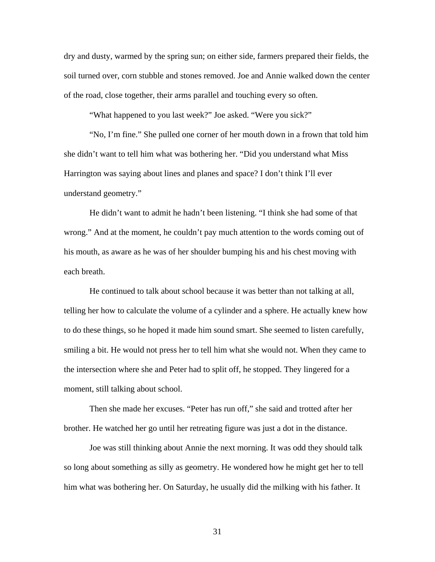dry and dusty, warmed by the spring sun; on either side, farmers prepared their fields, the soil turned over, corn stubble and stones removed. Joe and Annie walked down the center of the road, close together, their arms parallel and touching every so often.

"What happened to you last week?" Joe asked. "Were you sick?"

"No, I'm fine." She pulled one corner of her mouth down in a frown that told him she didn't want to tell him what was bothering her. "Did you understand what Miss Harrington was saying about lines and planes and space? I don't think I'll ever understand geometry."

He didn't want to admit he hadn't been listening. "I think she had some of that wrong." And at the moment, he couldn't pay much attention to the words coming out of his mouth, as aware as he was of her shoulder bumping his and his chest moving with each breath.

He continued to talk about school because it was better than not talking at all, telling her how to calculate the volume of a cylinder and a sphere. He actually knew how to do these things, so he hoped it made him sound smart. She seemed to listen carefully, smiling a bit. He would not press her to tell him what she would not. When they came to the intersection where she and Peter had to split off, he stopped. They lingered for a moment, still talking about school.

Then she made her excuses. "Peter has run off," she said and trotted after her brother. He watched her go until her retreating figure was just a dot in the distance.

 Joe was still thinking about Annie the next morning. It was odd they should talk so long about something as silly as geometry. He wondered how he might get her to tell him what was bothering her. On Saturday, he usually did the milking with his father. It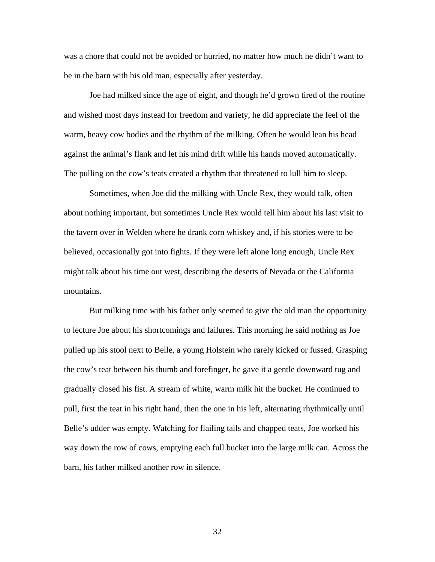was a chore that could not be avoided or hurried, no matter how much he didn't want to be in the barn with his old man, especially after yesterday.

Joe had milked since the age of eight, and though he'd grown tired of the routine and wished most days instead for freedom and variety, he did appreciate the feel of the warm, heavy cow bodies and the rhythm of the milking. Often he would lean his head against the animal's flank and let his mind drift while his hands moved automatically. The pulling on the cow's teats created a rhythm that threatened to lull him to sleep.

 Sometimes, when Joe did the milking with Uncle Rex, they would talk, often about nothing important, but sometimes Uncle Rex would tell him about his last visit to the tavern over in Welden where he drank corn whiskey and, if his stories were to be believed, occasionally got into fights. If they were left alone long enough, Uncle Rex might talk about his time out west, describing the deserts of Nevada or the California mountains.

But milking time with his father only seemed to give the old man the opportunity to lecture Joe about his shortcomings and failures. This morning he said nothing as Joe pulled up his stool next to Belle, a young Holstein who rarely kicked or fussed. Grasping the cow's teat between his thumb and forefinger, he gave it a gentle downward tug and gradually closed his fist. A stream of white, warm milk hit the bucket. He continued to pull, first the teat in his right hand, then the one in his left, alternating rhythmically until Belle's udder was empty. Watching for flailing tails and chapped teats, Joe worked his way down the row of cows, emptying each full bucket into the large milk can. Across the barn, his father milked another row in silence.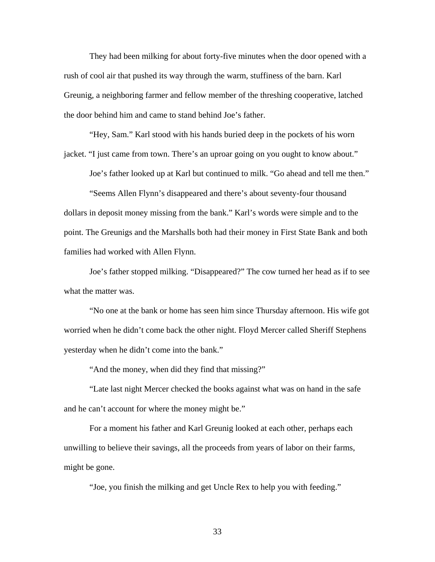They had been milking for about forty-five minutes when the door opened with a rush of cool air that pushed its way through the warm, stuffiness of the barn. Karl Greunig, a neighboring farmer and fellow member of the threshing cooperative, latched the door behind him and came to stand behind Joe's father.

 "Hey, Sam." Karl stood with his hands buried deep in the pockets of his worn jacket. "I just came from town. There's an uproar going on you ought to know about."

Joe's father looked up at Karl but continued to milk. "Go ahead and tell me then."

 "Seems Allen Flynn's disappeared and there's about seventy-four thousand dollars in deposit money missing from the bank." Karl's words were simple and to the point. The Greunigs and the Marshalls both had their money in First State Bank and both families had worked with Allen Flynn.

 Joe's father stopped milking. "Disappeared?" The cow turned her head as if to see what the matter was.

 "No one at the bank or home has seen him since Thursday afternoon. His wife got worried when he didn't come back the other night. Floyd Mercer called Sheriff Stephens yesterday when he didn't come into the bank."

"And the money, when did they find that missing?"

 "Late last night Mercer checked the books against what was on hand in the safe and he can't account for where the money might be."

 For a moment his father and Karl Greunig looked at each other, perhaps each unwilling to believe their savings, all the proceeds from years of labor on their farms, might be gone.

"Joe, you finish the milking and get Uncle Rex to help you with feeding."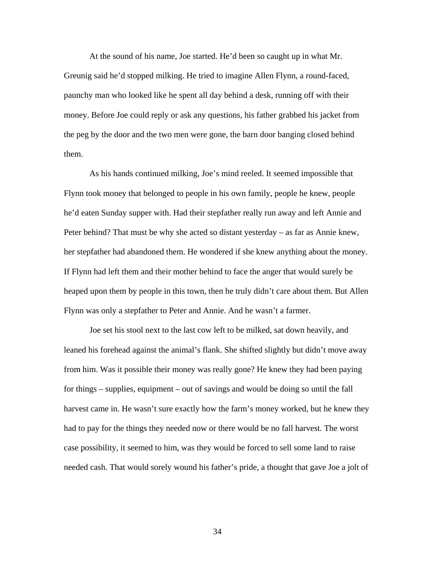At the sound of his name, Joe started. He'd been so caught up in what Mr. Greunig said he'd stopped milking. He tried to imagine Allen Flynn, a round-faced, paunchy man who looked like he spent all day behind a desk, running off with their money. Before Joe could reply or ask any questions, his father grabbed his jacket from the peg by the door and the two men were gone, the barn door banging closed behind them.

 As his hands continued milking, Joe's mind reeled. It seemed impossible that Flynn took money that belonged to people in his own family, people he knew, people he'd eaten Sunday supper with. Had their stepfather really run away and left Annie and Peter behind? That must be why she acted so distant yesterday – as far as Annie knew, her stepfather had abandoned them. He wondered if she knew anything about the money. If Flynn had left them and their mother behind to face the anger that would surely be heaped upon them by people in this town, then he truly didn't care about them. But Allen Flynn was only a stepfather to Peter and Annie. And he wasn't a farmer.

Joe set his stool next to the last cow left to be milked, sat down heavily, and leaned his forehead against the animal's flank. She shifted slightly but didn't move away from him. Was it possible their money was really gone? He knew they had been paying for things – supplies, equipment – out of savings and would be doing so until the fall harvest came in. He wasn't sure exactly how the farm's money worked, but he knew they had to pay for the things they needed now or there would be no fall harvest. The worst case possibility, it seemed to him, was they would be forced to sell some land to raise needed cash. That would sorely wound his father's pride, a thought that gave Joe a jolt of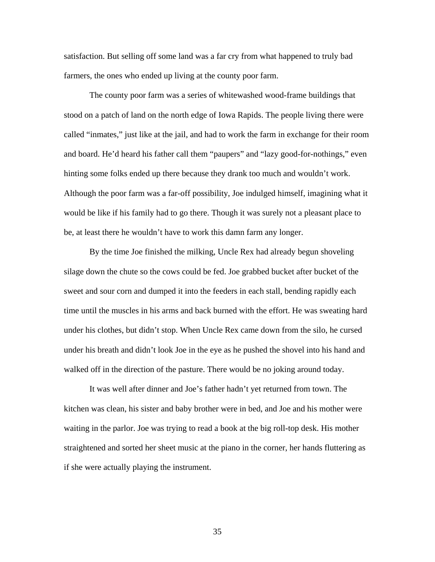satisfaction. But selling off some land was a far cry from what happened to truly bad farmers, the ones who ended up living at the county poor farm.

The county poor farm was a series of whitewashed wood-frame buildings that stood on a patch of land on the north edge of Iowa Rapids. The people living there were called "inmates," just like at the jail, and had to work the farm in exchange for their room and board. He'd heard his father call them "paupers" and "lazy good-for-nothings," even hinting some folks ended up there because they drank too much and wouldn't work. Although the poor farm was a far-off possibility, Joe indulged himself, imagining what it would be like if his family had to go there. Though it was surely not a pleasant place to be, at least there he wouldn't have to work this damn farm any longer.

By the time Joe finished the milking, Uncle Rex had already begun shoveling silage down the chute so the cows could be fed. Joe grabbed bucket after bucket of the sweet and sour corn and dumped it into the feeders in each stall, bending rapidly each time until the muscles in his arms and back burned with the effort. He was sweating hard under his clothes, but didn't stop. When Uncle Rex came down from the silo, he cursed under his breath and didn't look Joe in the eye as he pushed the shovel into his hand and walked off in the direction of the pasture. There would be no joking around today.

It was well after dinner and Joe's father hadn't yet returned from town. The kitchen was clean, his sister and baby brother were in bed, and Joe and his mother were waiting in the parlor. Joe was trying to read a book at the big roll-top desk. His mother straightened and sorted her sheet music at the piano in the corner, her hands fluttering as if she were actually playing the instrument.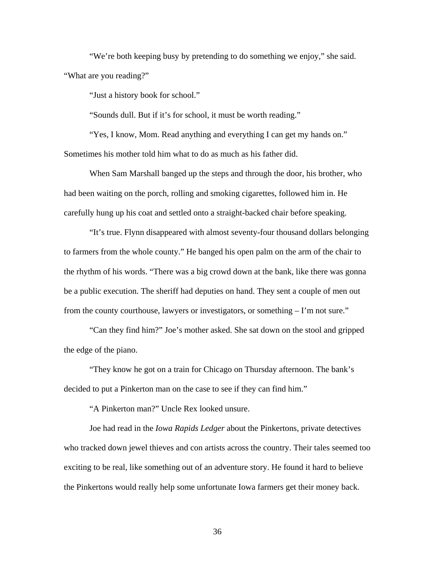"We're both keeping busy by pretending to do something we enjoy," she said. "What are you reading?"

"Just a history book for school."

"Sounds dull. But if it's for school, it must be worth reading."

"Yes, I know, Mom. Read anything and everything I can get my hands on." Sometimes his mother told him what to do as much as his father did.

When Sam Marshall banged up the steps and through the door, his brother, who had been waiting on the porch, rolling and smoking cigarettes, followed him in. He carefully hung up his coat and settled onto a straight-backed chair before speaking.

"It's true. Flynn disappeared with almost seventy-four thousand dollars belonging to farmers from the whole county." He banged his open palm on the arm of the chair to the rhythm of his words. "There was a big crowd down at the bank, like there was gonna be a public execution. The sheriff had deputies on hand. They sent a couple of men out from the county courthouse, lawyers or investigators, or something – I'm not sure."

"Can they find him?" Joe's mother asked. She sat down on the stool and gripped the edge of the piano.

"They know he got on a train for Chicago on Thursday afternoon. The bank's decided to put a Pinkerton man on the case to see if they can find him."

"A Pinkerton man?" Uncle Rex looked unsure.

Joe had read in the *Iowa Rapids Ledger* about the Pinkertons, private detectives who tracked down jewel thieves and con artists across the country. Their tales seemed too exciting to be real, like something out of an adventure story. He found it hard to believe the Pinkertons would really help some unfortunate Iowa farmers get their money back.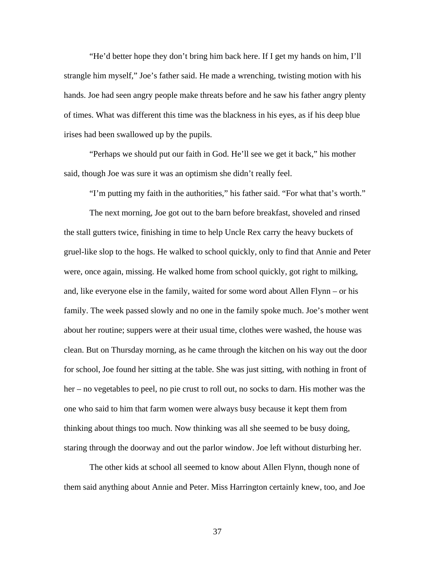"He'd better hope they don't bring him back here. If I get my hands on him, I'll strangle him myself," Joe's father said. He made a wrenching, twisting motion with his hands. Joe had seen angry people make threats before and he saw his father angry plenty of times. What was different this time was the blackness in his eyes, as if his deep blue irises had been swallowed up by the pupils.

"Perhaps we should put our faith in God. He'll see we get it back," his mother said, though Joe was sure it was an optimism she didn't really feel.

"I'm putting my faith in the authorities," his father said. "For what that's worth."

 The next morning, Joe got out to the barn before breakfast, shoveled and rinsed the stall gutters twice, finishing in time to help Uncle Rex carry the heavy buckets of gruel-like slop to the hogs. He walked to school quickly, only to find that Annie and Peter were, once again, missing. He walked home from school quickly, got right to milking, and, like everyone else in the family, waited for some word about Allen Flynn – or his family. The week passed slowly and no one in the family spoke much. Joe's mother went about her routine; suppers were at their usual time, clothes were washed, the house was clean. But on Thursday morning, as he came through the kitchen on his way out the door for school, Joe found her sitting at the table. She was just sitting, with nothing in front of her – no vegetables to peel, no pie crust to roll out, no socks to darn. His mother was the one who said to him that farm women were always busy because it kept them from thinking about things too much. Now thinking was all she seemed to be busy doing, staring through the doorway and out the parlor window. Joe left without disturbing her.

 The other kids at school all seemed to know about Allen Flynn, though none of them said anything about Annie and Peter. Miss Harrington certainly knew, too, and Joe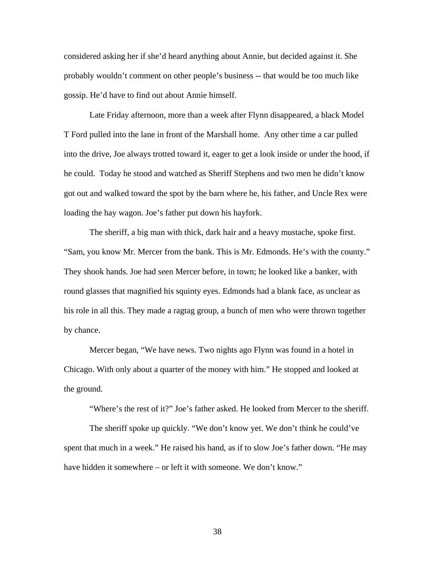considered asking her if she'd heard anything about Annie, but decided against it. She probably wouldn't comment on other people's business -- that would be too much like gossip. He'd have to find out about Annie himself.

 Late Friday afternoon, more than a week after Flynn disappeared, a black Model T Ford pulled into the lane in front of the Marshall home. Any other time a car pulled into the drive, Joe always trotted toward it, eager to get a look inside or under the hood, if he could. Today he stood and watched as Sheriff Stephens and two men he didn't know got out and walked toward the spot by the barn where he, his father, and Uncle Rex were loading the hay wagon. Joe's father put down his hayfork.

 The sheriff, a big man with thick, dark hair and a heavy mustache, spoke first. "Sam, you know Mr. Mercer from the bank. This is Mr. Edmonds. He's with the county." They shook hands. Joe had seen Mercer before, in town; he looked like a banker, with round glasses that magnified his squinty eyes. Edmonds had a blank face, as unclear as his role in all this. They made a ragtag group, a bunch of men who were thrown together by chance.

 Mercer began, "We have news. Two nights ago Flynn was found in a hotel in Chicago. With only about a quarter of the money with him." He stopped and looked at the ground.

"Where's the rest of it?" Joe's father asked. He looked from Mercer to the sheriff.

 The sheriff spoke up quickly. "We don't know yet. We don't think he could've spent that much in a week." He raised his hand, as if to slow Joe's father down. "He may have hidden it somewhere – or left it with someone. We don't know."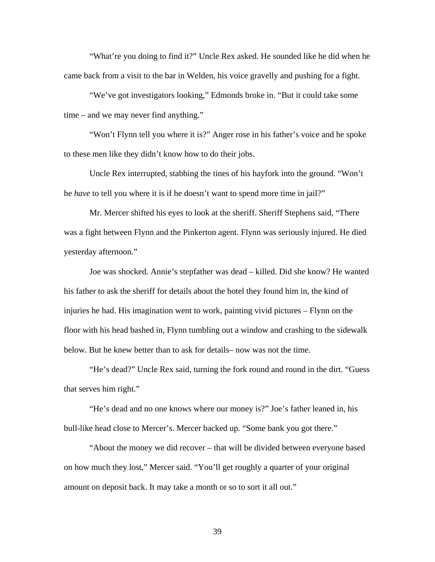"What're you doing to find it?" Uncle Rex asked. He sounded like he did when he came back from a visit to the bar in Welden, his voice gravelly and pushing for a fight.

 "We've got investigators looking," Edmonds broke in. "But it could take some time – and we may never find anything."

 "Won't Flynn tell you where it is?" Anger rose in his father's voice and he spoke to these men like they didn't know how to do their jobs.

 Uncle Rex interrupted, stabbing the tines of his hayfork into the ground. "Won't he *have* to tell you where it is if he doesn't want to spend more time in jail?"

 Mr. Mercer shifted his eyes to look at the sheriff. Sheriff Stephens said, "There was a fight between Flynn and the Pinkerton agent. Flynn was seriously injured. He died yesterday afternoon."

Joe was shocked. Annie's stepfather was dead – killed. Did she know? He wanted his father to ask the sheriff for details about the hotel they found him in, the kind of injuries he had. His imagination went to work, painting vivid pictures – Flynn on the floor with his head bashed in, Flynn tumbling out a window and crashing to the sidewalk below. But he knew better than to ask for details– now was not the time.

"He's dead?" Uncle Rex said, turning the fork round and round in the dirt. "Guess that serves him right."

"He's dead and no one knows where our money is?" Joe's father leaned in, his bull-like head close to Mercer's. Mercer backed up. "Some bank you got there."

"About the money we did recover – that will be divided between everyone based on how much they lost," Mercer said. "You'll get roughly a quarter of your original amount on deposit back. It may take a month or so to sort it all out."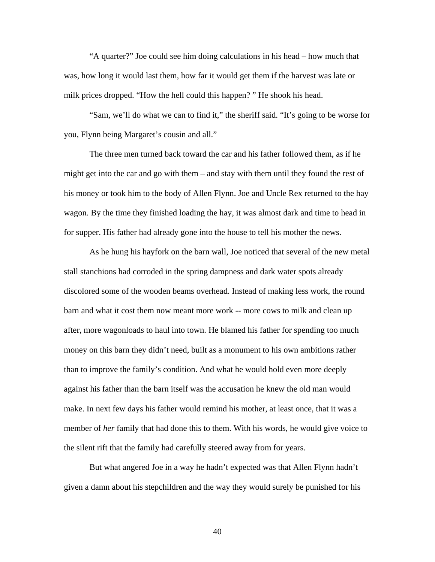"A quarter?" Joe could see him doing calculations in his head – how much that was, how long it would last them, how far it would get them if the harvest was late or milk prices dropped. "How the hell could this happen? " He shook his head.

"Sam, we'll do what we can to find it," the sheriff said. "It's going to be worse for you, Flynn being Margaret's cousin and all."

The three men turned back toward the car and his father followed them, as if he might get into the car and go with them – and stay with them until they found the rest of his money or took him to the body of Allen Flynn. Joe and Uncle Rex returned to the hay wagon. By the time they finished loading the hay, it was almost dark and time to head in for supper. His father had already gone into the house to tell his mother the news.

As he hung his hayfork on the barn wall, Joe noticed that several of the new metal stall stanchions had corroded in the spring dampness and dark water spots already discolored some of the wooden beams overhead. Instead of making less work, the round barn and what it cost them now meant more work -- more cows to milk and clean up after, more wagonloads to haul into town. He blamed his father for spending too much money on this barn they didn't need, built as a monument to his own ambitions rather than to improve the family's condition. And what he would hold even more deeply against his father than the barn itself was the accusation he knew the old man would make. In next few days his father would remind his mother, at least once, that it was a member of *her* family that had done this to them. With his words, he would give voice to the silent rift that the family had carefully steered away from for years.

But what angered Joe in a way he hadn't expected was that Allen Flynn hadn't given a damn about his stepchildren and the way they would surely be punished for his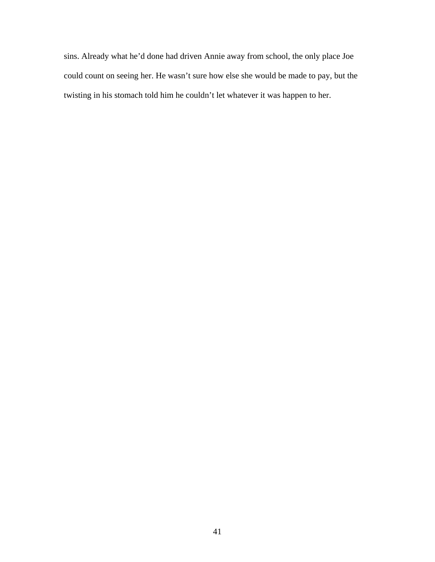sins. Already what he'd done had driven Annie away from school, the only place Joe could count on seeing her. He wasn't sure how else she would be made to pay, but the twisting in his stomach told him he couldn't let whatever it was happen to her.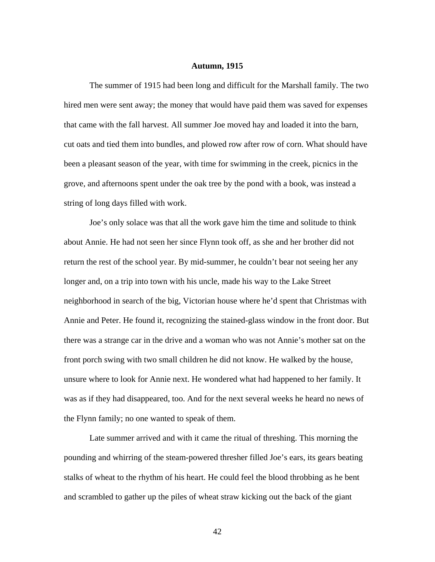## **Autumn, 1915**

The summer of 1915 had been long and difficult for the Marshall family. The two hired men were sent away; the money that would have paid them was saved for expenses that came with the fall harvest. All summer Joe moved hay and loaded it into the barn, cut oats and tied them into bundles, and plowed row after row of corn. What should have been a pleasant season of the year, with time for swimming in the creek, picnics in the grove, and afternoons spent under the oak tree by the pond with a book, was instead a string of long days filled with work.

Joe's only solace was that all the work gave him the time and solitude to think about Annie. He had not seen her since Flynn took off, as she and her brother did not return the rest of the school year. By mid-summer, he couldn't bear not seeing her any longer and, on a trip into town with his uncle, made his way to the Lake Street neighborhood in search of the big, Victorian house where he'd spent that Christmas with Annie and Peter. He found it, recognizing the stained-glass window in the front door. But there was a strange car in the drive and a woman who was not Annie's mother sat on the front porch swing with two small children he did not know. He walked by the house, unsure where to look for Annie next. He wondered what had happened to her family. It was as if they had disappeared, too. And for the next several weeks he heard no news of the Flynn family; no one wanted to speak of them.

Late summer arrived and with it came the ritual of threshing. This morning the pounding and whirring of the steam-powered thresher filled Joe's ears, its gears beating stalks of wheat to the rhythm of his heart. He could feel the blood throbbing as he bent and scrambled to gather up the piles of wheat straw kicking out the back of the giant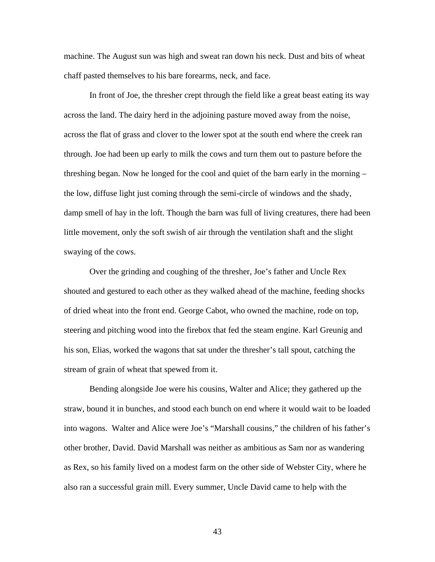machine. The August sun was high and sweat ran down his neck. Dust and bits of wheat chaff pasted themselves to his bare forearms, neck, and face.

In front of Joe, the thresher crept through the field like a great beast eating its way across the land. The dairy herd in the adjoining pasture moved away from the noise, across the flat of grass and clover to the lower spot at the south end where the creek ran through. Joe had been up early to milk the cows and turn them out to pasture before the threshing began. Now he longed for the cool and quiet of the barn early in the morning – the low, diffuse light just coming through the semi-circle of windows and the shady, damp smell of hay in the loft. Though the barn was full of living creatures, there had been little movement, only the soft swish of air through the ventilation shaft and the slight swaying of the cows.

Over the grinding and coughing of the thresher, Joe's father and Uncle Rex shouted and gestured to each other as they walked ahead of the machine, feeding shocks of dried wheat into the front end. George Cabot, who owned the machine, rode on top, steering and pitching wood into the firebox that fed the steam engine. Karl Greunig and his son, Elias, worked the wagons that sat under the thresher's tall spout, catching the stream of grain of wheat that spewed from it.

 Bending alongside Joe were his cousins, Walter and Alice; they gathered up the straw, bound it in bunches, and stood each bunch on end where it would wait to be loaded into wagons. Walter and Alice were Joe's "Marshall cousins," the children of his father's other brother, David. David Marshall was neither as ambitious as Sam nor as wandering as Rex, so his family lived on a modest farm on the other side of Webster City, where he also ran a successful grain mill. Every summer, Uncle David came to help with the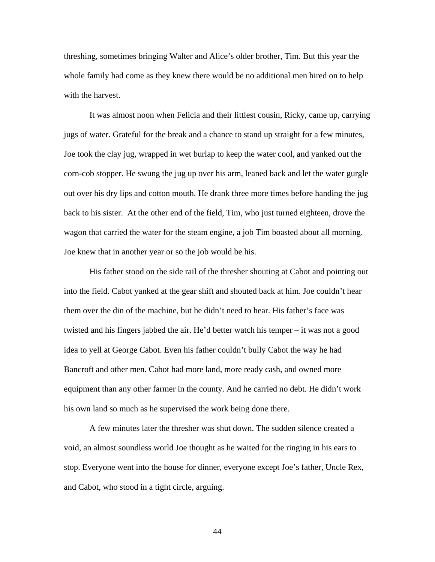threshing, sometimes bringing Walter and Alice's older brother, Tim. But this year the whole family had come as they knew there would be no additional men hired on to help with the harvest.

It was almost noon when Felicia and their littlest cousin, Ricky, came up, carrying jugs of water. Grateful for the break and a chance to stand up straight for a few minutes, Joe took the clay jug, wrapped in wet burlap to keep the water cool, and yanked out the corn-cob stopper. He swung the jug up over his arm, leaned back and let the water gurgle out over his dry lips and cotton mouth. He drank three more times before handing the jug back to his sister. At the other end of the field, Tim, who just turned eighteen, drove the wagon that carried the water for the steam engine, a job Tim boasted about all morning. Joe knew that in another year or so the job would be his.

His father stood on the side rail of the thresher shouting at Cabot and pointing out into the field. Cabot yanked at the gear shift and shouted back at him. Joe couldn't hear them over the din of the machine, but he didn't need to hear. His father's face was twisted and his fingers jabbed the air. He'd better watch his temper – it was not a good idea to yell at George Cabot. Even his father couldn't bully Cabot the way he had Bancroft and other men. Cabot had more land, more ready cash, and owned more equipment than any other farmer in the county. And he carried no debt. He didn't work his own land so much as he supervised the work being done there.

A few minutes later the thresher was shut down. The sudden silence created a void, an almost soundless world Joe thought as he waited for the ringing in his ears to stop. Everyone went into the house for dinner, everyone except Joe's father, Uncle Rex, and Cabot, who stood in a tight circle, arguing.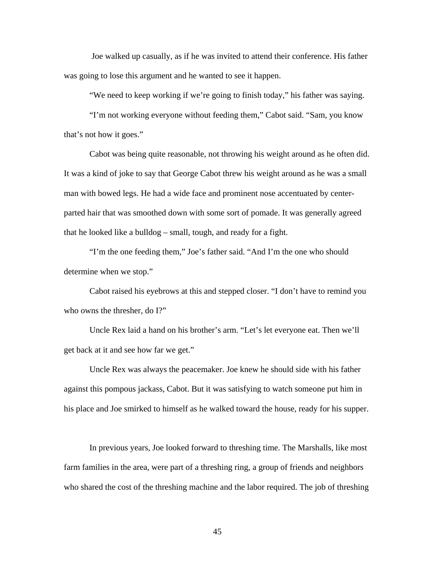Joe walked up casually, as if he was invited to attend their conference. His father was going to lose this argument and he wanted to see it happen.

"We need to keep working if we're going to finish today," his father was saying.

"I'm not working everyone without feeding them," Cabot said. "Sam, you know that's not how it goes."

Cabot was being quite reasonable, not throwing his weight around as he often did. It was a kind of joke to say that George Cabot threw his weight around as he was a small man with bowed legs. He had a wide face and prominent nose accentuated by centerparted hair that was smoothed down with some sort of pomade. It was generally agreed that he looked like a bulldog – small, tough, and ready for a fight.

"I'm the one feeding them," Joe's father said. "And I'm the one who should determine when we stop."

Cabot raised his eyebrows at this and stepped closer. "I don't have to remind you who owns the thresher, do I?"

Uncle Rex laid a hand on his brother's arm. "Let's let everyone eat. Then we'll get back at it and see how far we get."

Uncle Rex was always the peacemaker. Joe knew he should side with his father against this pompous jackass, Cabot. But it was satisfying to watch someone put him in his place and Joe smirked to himself as he walked toward the house, ready for his supper.

 In previous years, Joe looked forward to threshing time. The Marshalls, like most farm families in the area, were part of a threshing ring, a group of friends and neighbors who shared the cost of the threshing machine and the labor required. The job of threshing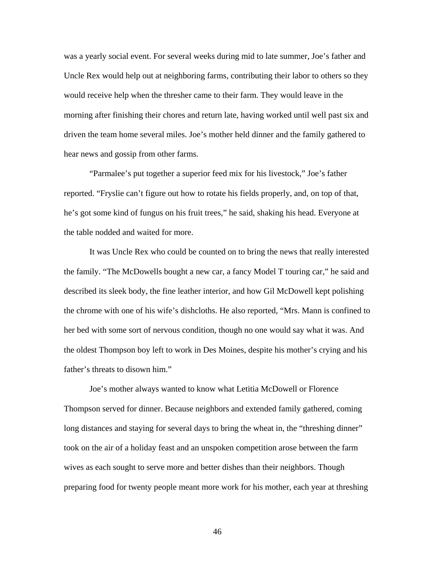was a yearly social event. For several weeks during mid to late summer, Joe's father and Uncle Rex would help out at neighboring farms, contributing their labor to others so they would receive help when the thresher came to their farm. They would leave in the morning after finishing their chores and return late, having worked until well past six and driven the team home several miles. Joe's mother held dinner and the family gathered to hear news and gossip from other farms.

"Parmalee's put together a superior feed mix for his livestock," Joe's father reported. "Fryslie can't figure out how to rotate his fields properly, and, on top of that, he's got some kind of fungus on his fruit trees," he said, shaking his head. Everyone at the table nodded and waited for more.

It was Uncle Rex who could be counted on to bring the news that really interested the family. "The McDowells bought a new car, a fancy Model T touring car," he said and described its sleek body, the fine leather interior, and how Gil McDowell kept polishing the chrome with one of his wife's dishcloths. He also reported, "Mrs. Mann is confined to her bed with some sort of nervous condition, though no one would say what it was. And the oldest Thompson boy left to work in Des Moines, despite his mother's crying and his father's threats to disown him."

Joe's mother always wanted to know what Letitia McDowell or Florence Thompson served for dinner. Because neighbors and extended family gathered, coming long distances and staying for several days to bring the wheat in, the "threshing dinner" took on the air of a holiday feast and an unspoken competition arose between the farm wives as each sought to serve more and better dishes than their neighbors. Though preparing food for twenty people meant more work for his mother, each year at threshing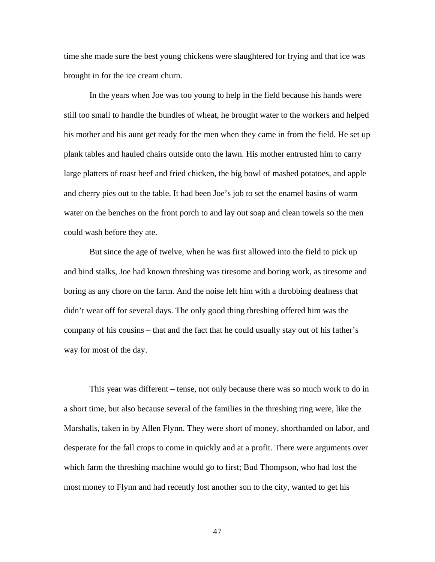time she made sure the best young chickens were slaughtered for frying and that ice was brought in for the ice cream churn.

In the years when Joe was too young to help in the field because his hands were still too small to handle the bundles of wheat, he brought water to the workers and helped his mother and his aunt get ready for the men when they came in from the field. He set up plank tables and hauled chairs outside onto the lawn. His mother entrusted him to carry large platters of roast beef and fried chicken, the big bowl of mashed potatoes, and apple and cherry pies out to the table. It had been Joe's job to set the enamel basins of warm water on the benches on the front porch to and lay out soap and clean towels so the men could wash before they ate.

 But since the age of twelve, when he was first allowed into the field to pick up and bind stalks, Joe had known threshing was tiresome and boring work, as tiresome and boring as any chore on the farm. And the noise left him with a throbbing deafness that didn't wear off for several days. The only good thing threshing offered him was the company of his cousins – that and the fact that he could usually stay out of his father's way for most of the day.

 This year was different – tense, not only because there was so much work to do in a short time, but also because several of the families in the threshing ring were, like the Marshalls, taken in by Allen Flynn. They were short of money, shorthanded on labor, and desperate for the fall crops to come in quickly and at a profit. There were arguments over which farm the threshing machine would go to first; Bud Thompson, who had lost the most money to Flynn and had recently lost another son to the city, wanted to get his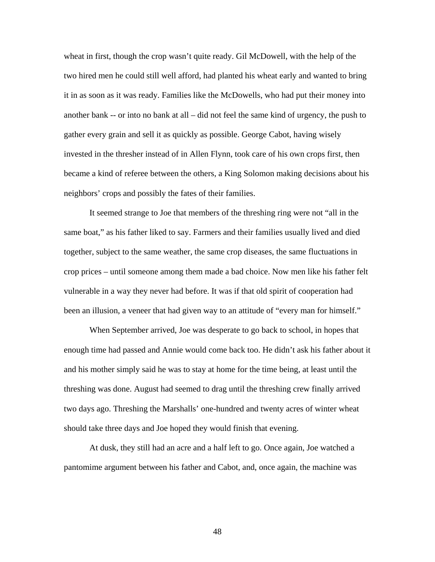wheat in first, though the crop wasn't quite ready. Gil McDowell, with the help of the two hired men he could still well afford, had planted his wheat early and wanted to bring it in as soon as it was ready. Families like the McDowells, who had put their money into another bank -- or into no bank at all – did not feel the same kind of urgency, the push to gather every grain and sell it as quickly as possible. George Cabot, having wisely invested in the thresher instead of in Allen Flynn, took care of his own crops first, then became a kind of referee between the others, a King Solomon making decisions about his neighbors' crops and possibly the fates of their families.

It seemed strange to Joe that members of the threshing ring were not "all in the same boat," as his father liked to say. Farmers and their families usually lived and died together, subject to the same weather, the same crop diseases, the same fluctuations in crop prices – until someone among them made a bad choice. Now men like his father felt vulnerable in a way they never had before. It was if that old spirit of cooperation had been an illusion, a veneer that had given way to an attitude of "every man for himself."

 When September arrived, Joe was desperate to go back to school, in hopes that enough time had passed and Annie would come back too. He didn't ask his father about it and his mother simply said he was to stay at home for the time being, at least until the threshing was done. August had seemed to drag until the threshing crew finally arrived two days ago. Threshing the Marshalls' one-hundred and twenty acres of winter wheat should take three days and Joe hoped they would finish that evening.

At dusk, they still had an acre and a half left to go. Once again, Joe watched a pantomime argument between his father and Cabot, and, once again, the machine was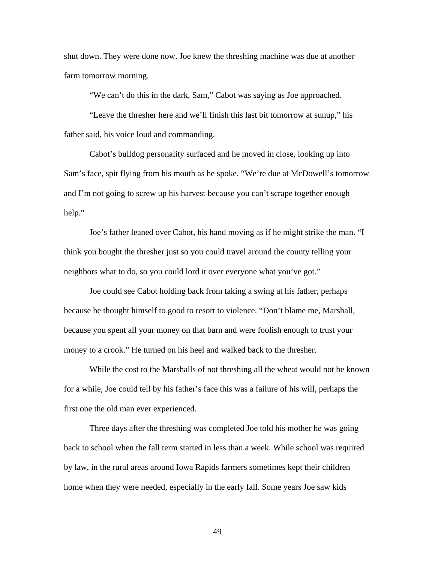shut down. They were done now. Joe knew the threshing machine was due at another farm tomorrow morning.

"We can't do this in the dark, Sam," Cabot was saying as Joe approached.

"Leave the thresher here and we'll finish this last bit tomorrow at sunup," his father said, his voice loud and commanding.

Cabot's bulldog personality surfaced and he moved in close, looking up into Sam's face, spit flying from his mouth as he spoke. "We're due at McDowell's tomorrow and I'm not going to screw up his harvest because you can't scrape together enough help."

Joe's father leaned over Cabot, his hand moving as if he might strike the man. "I think you bought the thresher just so you could travel around the county telling your neighbors what to do, so you could lord it over everyone what you've got."

Joe could see Cabot holding back from taking a swing at his father, perhaps because he thought himself to good to resort to violence. "Don't blame me, Marshall, because you spent all your money on that barn and were foolish enough to trust your money to a crook." He turned on his heel and walked back to the thresher.

While the cost to the Marshalls of not threshing all the wheat would not be known for a while, Joe could tell by his father's face this was a failure of his will, perhaps the first one the old man ever experienced.

 Three days after the threshing was completed Joe told his mother he was going back to school when the fall term started in less than a week. While school was required by law, in the rural areas around Iowa Rapids farmers sometimes kept their children home when they were needed, especially in the early fall. Some years Joe saw kids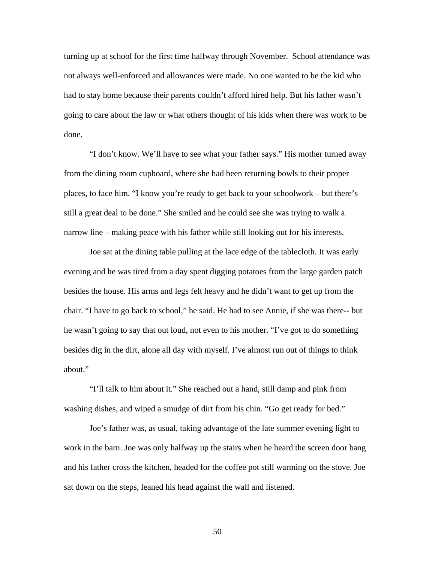turning up at school for the first time halfway through November. School attendance was not always well-enforced and allowances were made. No one wanted to be the kid who had to stay home because their parents couldn't afford hired help. But his father wasn't going to care about the law or what others thought of his kids when there was work to be done.

 "I don't know. We'll have to see what your father says." His mother turned away from the dining room cupboard, where she had been returning bowls to their proper places, to face him. "I know you're ready to get back to your schoolwork – but there's still a great deal to be done." She smiled and he could see she was trying to walk a narrow line – making peace with his father while still looking out for his interests.

 Joe sat at the dining table pulling at the lace edge of the tablecloth. It was early evening and he was tired from a day spent digging potatoes from the large garden patch besides the house. His arms and legs felt heavy and he didn't want to get up from the chair. "I have to go back to school," he said. He had to see Annie, if she was there-- but he wasn't going to say that out loud, not even to his mother. "I've got to do something besides dig in the dirt, alone all day with myself. I've almost run out of things to think about."

 "I'll talk to him about it." She reached out a hand, still damp and pink from washing dishes, and wiped a smudge of dirt from his chin. "Go get ready for bed."

 Joe's father was, as usual, taking advantage of the late summer evening light to work in the barn. Joe was only halfway up the stairs when he heard the screen door bang and his father cross the kitchen, headed for the coffee pot still warming on the stove. Joe sat down on the steps, leaned his head against the wall and listened.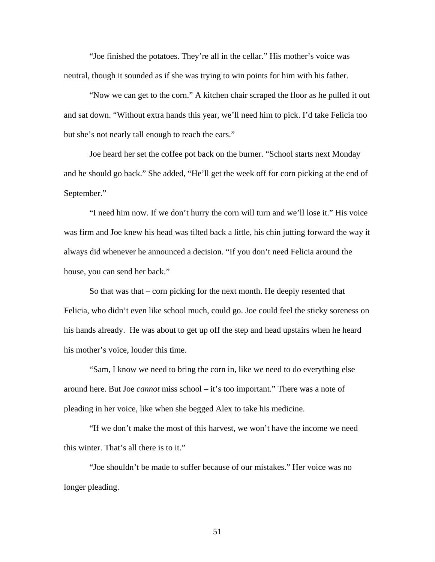"Joe finished the potatoes. They're all in the cellar." His mother's voice was neutral, though it sounded as if she was trying to win points for him with his father.

 "Now we can get to the corn." A kitchen chair scraped the floor as he pulled it out and sat down. "Without extra hands this year, we'll need him to pick. I'd take Felicia too but she's not nearly tall enough to reach the ears."

 Joe heard her set the coffee pot back on the burner. "School starts next Monday and he should go back." She added, "He'll get the week off for corn picking at the end of September."

 "I need him now. If we don't hurry the corn will turn and we'll lose it." His voice was firm and Joe knew his head was tilted back a little, his chin jutting forward the way it always did whenever he announced a decision. "If you don't need Felicia around the house, you can send her back."

 So that was that – corn picking for the next month. He deeply resented that Felicia, who didn't even like school much, could go. Joe could feel the sticky soreness on his hands already. He was about to get up off the step and head upstairs when he heard his mother's voice, louder this time.

 "Sam, I know we need to bring the corn in, like we need to do everything else around here. But Joe *cannot* miss school – it's too important." There was a note of pleading in her voice, like when she begged Alex to take his medicine.

 "If we don't make the most of this harvest, we won't have the income we need this winter. That's all there is to it."

 "Joe shouldn't be made to suffer because of our mistakes." Her voice was no longer pleading.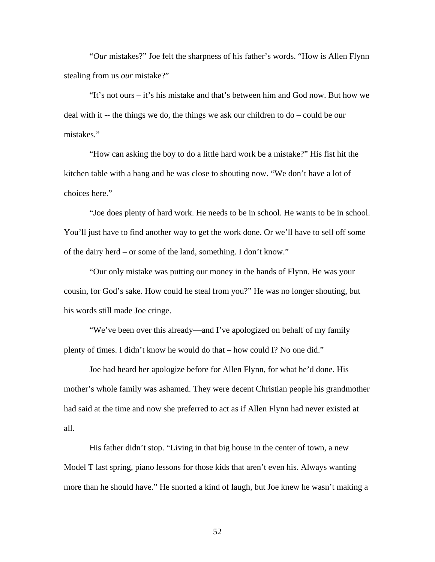"*Our* mistakes?" Joe felt the sharpness of his father's words. "How is Allen Flynn stealing from us *our* mistake?"

 "It's not ours – it's his mistake and that's between him and God now. But how we deal with it -- the things we do, the things we ask our children to do – could be our mistakes."

 "How can asking the boy to do a little hard work be a mistake?" His fist hit the kitchen table with a bang and he was close to shouting now. "We don't have a lot of choices here."

 "Joe does plenty of hard work. He needs to be in school. He wants to be in school. You'll just have to find another way to get the work done. Or we'll have to sell off some of the dairy herd – or some of the land, something. I don't know."

 "Our only mistake was putting our money in the hands of Flynn. He was your cousin, for God's sake. How could he steal from you?" He was no longer shouting, but his words still made Joe cringe.

 "We've been over this already—and I've apologized on behalf of my family plenty of times. I didn't know he would do that – how could I? No one did."

 Joe had heard her apologize before for Allen Flynn, for what he'd done. His mother's whole family was ashamed. They were decent Christian people his grandmother had said at the time and now she preferred to act as if Allen Flynn had never existed at all.

 His father didn't stop. "Living in that big house in the center of town, a new Model T last spring, piano lessons for those kids that aren't even his. Always wanting more than he should have." He snorted a kind of laugh, but Joe knew he wasn't making a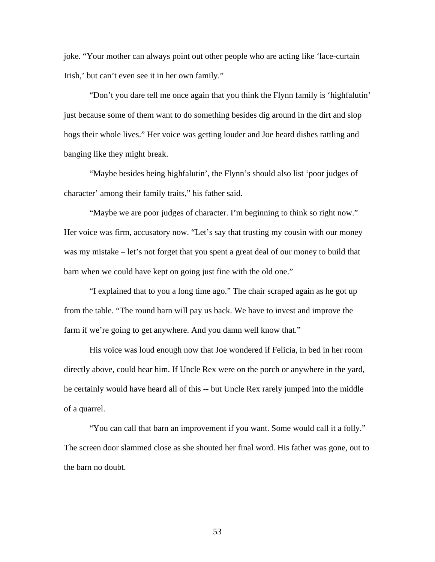joke. "Your mother can always point out other people who are acting like 'lace-curtain Irish,' but can't even see it in her own family."

 "Don't you dare tell me once again that you think the Flynn family is 'highfalutin' just because some of them want to do something besides dig around in the dirt and slop hogs their whole lives." Her voice was getting louder and Joe heard dishes rattling and banging like they might break.

 "Maybe besides being highfalutin', the Flynn's should also list 'poor judges of character' among their family traits," his father said.

 "Maybe we are poor judges of character. I'm beginning to think so right now." Her voice was firm, accusatory now. "Let's say that trusting my cousin with our money was my mistake – let's not forget that you spent a great deal of our money to build that barn when we could have kept on going just fine with the old one."

 "I explained that to you a long time ago." The chair scraped again as he got up from the table. "The round barn will pay us back. We have to invest and improve the farm if we're going to get anywhere. And you damn well know that."

 His voice was loud enough now that Joe wondered if Felicia, in bed in her room directly above, could hear him. If Uncle Rex were on the porch or anywhere in the yard, he certainly would have heard all of this -- but Uncle Rex rarely jumped into the middle of a quarrel.

 "You can call that barn an improvement if you want. Some would call it a folly." The screen door slammed close as she shouted her final word. His father was gone, out to the barn no doubt.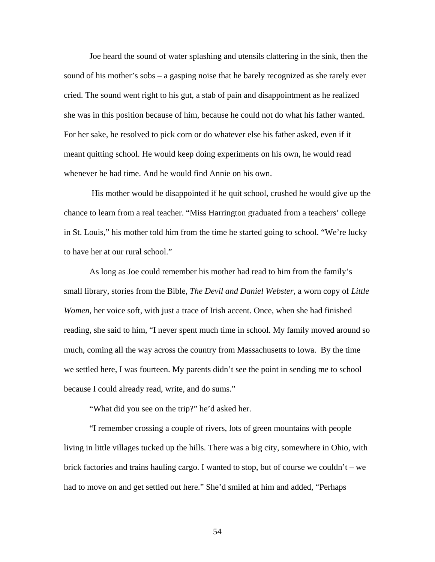Joe heard the sound of water splashing and utensils clattering in the sink, then the sound of his mother's sobs – a gasping noise that he barely recognized as she rarely ever cried. The sound went right to his gut, a stab of pain and disappointment as he realized she was in this position because of him, because he could not do what his father wanted. For her sake, he resolved to pick corn or do whatever else his father asked, even if it meant quitting school. He would keep doing experiments on his own, he would read whenever he had time. And he would find Annie on his own.

 His mother would be disappointed if he quit school, crushed he would give up the chance to learn from a real teacher. "Miss Harrington graduated from a teachers' college in St. Louis," his mother told him from the time he started going to school. "We're lucky to have her at our rural school."

As long as Joe could remember his mother had read to him from the family's small library, stories from the Bible, *The Devil and Daniel Webster,* a worn copy of *Little Women,* her voice soft, with just a trace of Irish accent. Once, when she had finished reading, she said to him, "I never spent much time in school. My family moved around so much, coming all the way across the country from Massachusetts to Iowa. By the time we settled here, I was fourteen. My parents didn't see the point in sending me to school because I could already read, write, and do sums."

"What did you see on the trip?" he'd asked her.

"I remember crossing a couple of rivers, lots of green mountains with people living in little villages tucked up the hills. There was a big city, somewhere in Ohio, with brick factories and trains hauling cargo. I wanted to stop, but of course we couldn't – we had to move on and get settled out here." She'd smiled at him and added, "Perhaps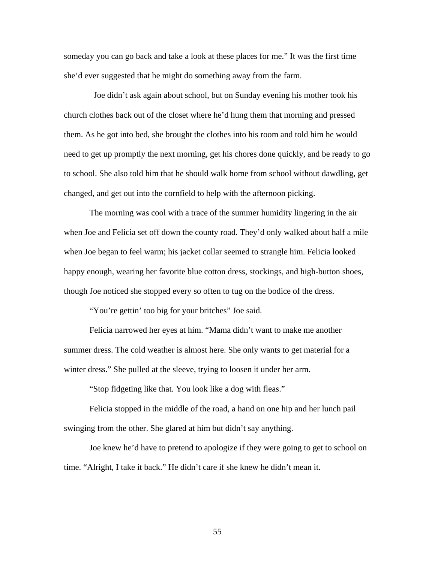someday you can go back and take a look at these places for me." It was the first time she'd ever suggested that he might do something away from the farm.

 Joe didn't ask again about school, but on Sunday evening his mother took his church clothes back out of the closet where he'd hung them that morning and pressed them. As he got into bed, she brought the clothes into his room and told him he would need to get up promptly the next morning, get his chores done quickly, and be ready to go to school. She also told him that he should walk home from school without dawdling, get changed, and get out into the cornfield to help with the afternoon picking.

 The morning was cool with a trace of the summer humidity lingering in the air when Joe and Felicia set off down the county road. They'd only walked about half a mile when Joe began to feel warm; his jacket collar seemed to strangle him. Felicia looked happy enough, wearing her favorite blue cotton dress, stockings, and high-button shoes, though Joe noticed she stopped every so often to tug on the bodice of the dress.

"You're gettin' too big for your britches" Joe said.

 Felicia narrowed her eyes at him. "Mama didn't want to make me another summer dress. The cold weather is almost here. She only wants to get material for a winter dress." She pulled at the sleeve, trying to loosen it under her arm.

"Stop fidgeting like that. You look like a dog with fleas."

 Felicia stopped in the middle of the road, a hand on one hip and her lunch pail swinging from the other. She glared at him but didn't say anything.

 Joe knew he'd have to pretend to apologize if they were going to get to school on time. "Alright, I take it back." He didn't care if she knew he didn't mean it.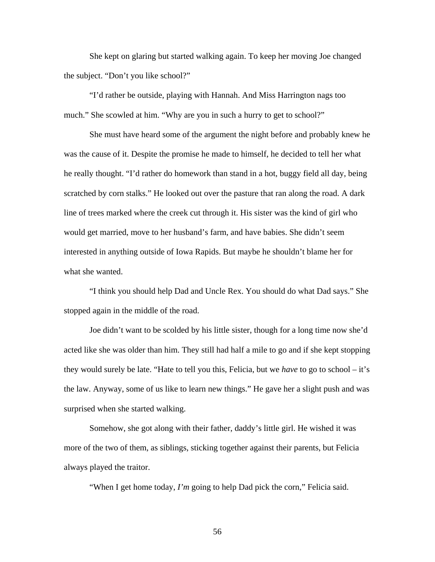She kept on glaring but started walking again. To keep her moving Joe changed the subject. "Don't you like school?"

 "I'd rather be outside, playing with Hannah. And Miss Harrington nags too much." She scowled at him. "Why are you in such a hurry to get to school?"

She must have heard some of the argument the night before and probably knew he was the cause of it. Despite the promise he made to himself, he decided to tell her what he really thought. "I'd rather do homework than stand in a hot, buggy field all day, being scratched by corn stalks." He looked out over the pasture that ran along the road. A dark line of trees marked where the creek cut through it. His sister was the kind of girl who would get married, move to her husband's farm, and have babies. She didn't seem interested in anything outside of Iowa Rapids. But maybe he shouldn't blame her for what she wanted.

 "I think you should help Dad and Uncle Rex. You should do what Dad says." She stopped again in the middle of the road.

 Joe didn't want to be scolded by his little sister, though for a long time now she'd acted like she was older than him. They still had half a mile to go and if she kept stopping they would surely be late. "Hate to tell you this, Felicia, but we *have* to go to school – it's the law. Anyway, some of us like to learn new things." He gave her a slight push and was surprised when she started walking.

Somehow, she got along with their father, daddy's little girl. He wished it was more of the two of them, as siblings, sticking together against their parents, but Felicia always played the traitor.

"When I get home today, *I'm* going to help Dad pick the corn," Felicia said.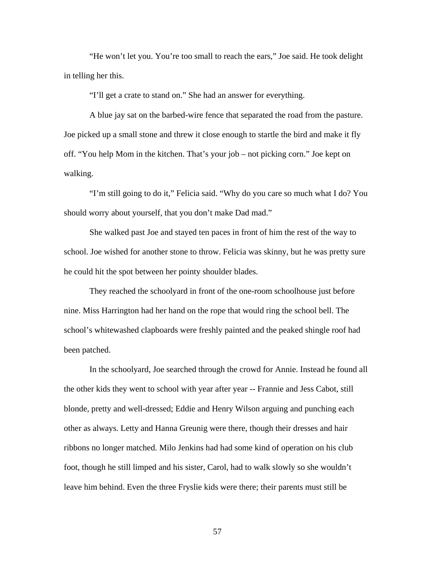"He won't let you. You're too small to reach the ears," Joe said. He took delight in telling her this.

"I'll get a crate to stand on." She had an answer for everything.

 A blue jay sat on the barbed-wire fence that separated the road from the pasture. Joe picked up a small stone and threw it close enough to startle the bird and make it fly off. "You help Mom in the kitchen. That's your job – not picking corn." Joe kept on walking.

 "I'm still going to do it," Felicia said. "Why do you care so much what I do? You should worry about yourself, that you don't make Dad mad."

 She walked past Joe and stayed ten paces in front of him the rest of the way to school. Joe wished for another stone to throw. Felicia was skinny, but he was pretty sure he could hit the spot between her pointy shoulder blades.

 They reached the schoolyard in front of the one-room schoolhouse just before nine. Miss Harrington had her hand on the rope that would ring the school bell. The school's whitewashed clapboards were freshly painted and the peaked shingle roof had been patched.

 In the schoolyard, Joe searched through the crowd for Annie. Instead he found all the other kids they went to school with year after year -- Frannie and Jess Cabot, still blonde, pretty and well-dressed; Eddie and Henry Wilson arguing and punching each other as always. Letty and Hanna Greunig were there, though their dresses and hair ribbons no longer matched. Milo Jenkins had had some kind of operation on his club foot, though he still limped and his sister, Carol, had to walk slowly so she wouldn't leave him behind. Even the three Fryslie kids were there; their parents must still be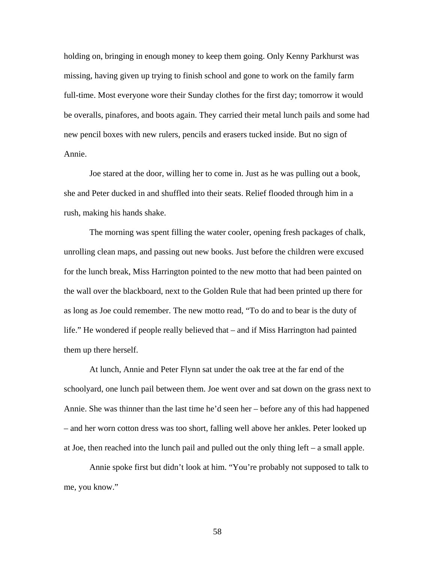holding on, bringing in enough money to keep them going. Only Kenny Parkhurst was missing, having given up trying to finish school and gone to work on the family farm full-time. Most everyone wore their Sunday clothes for the first day; tomorrow it would be overalls, pinafores, and boots again. They carried their metal lunch pails and some had new pencil boxes with new rulers, pencils and erasers tucked inside. But no sign of Annie.

 Joe stared at the door, willing her to come in. Just as he was pulling out a book, she and Peter ducked in and shuffled into their seats. Relief flooded through him in a rush, making his hands shake.

 The morning was spent filling the water cooler, opening fresh packages of chalk, unrolling clean maps, and passing out new books. Just before the children were excused for the lunch break, Miss Harrington pointed to the new motto that had been painted on the wall over the blackboard, next to the Golden Rule that had been printed up there for as long as Joe could remember. The new motto read, "To do and to bear is the duty of life." He wondered if people really believed that – and if Miss Harrington had painted them up there herself.

 At lunch, Annie and Peter Flynn sat under the oak tree at the far end of the schoolyard, one lunch pail between them. Joe went over and sat down on the grass next to Annie. She was thinner than the last time he'd seen her – before any of this had happened – and her worn cotton dress was too short, falling well above her ankles. Peter looked up at Joe, then reached into the lunch pail and pulled out the only thing left – a small apple.

 Annie spoke first but didn't look at him. "You're probably not supposed to talk to me, you know."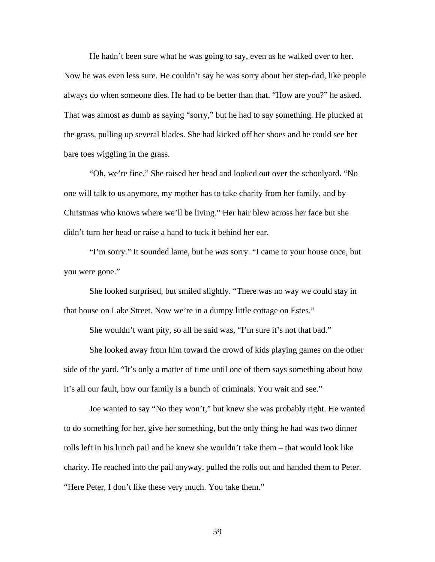He hadn't been sure what he was going to say, even as he walked over to her. Now he was even less sure. He couldn't say he was sorry about her step-dad, like people always do when someone dies. He had to be better than that. "How are you?" he asked. That was almost as dumb as saying "sorry," but he had to say something. He plucked at the grass, pulling up several blades. She had kicked off her shoes and he could see her bare toes wiggling in the grass.

 "Oh, we're fine." She raised her head and looked out over the schoolyard. "No one will talk to us anymore, my mother has to take charity from her family, and by Christmas who knows where we'll be living." Her hair blew across her face but she didn't turn her head or raise a hand to tuck it behind her ear.

 "I'm sorry." It sounded lame, but he *was* sorry. "I came to your house once, but you were gone."

 She looked surprised, but smiled slightly. "There was no way we could stay in that house on Lake Street. Now we're in a dumpy little cottage on Estes."

She wouldn't want pity, so all he said was, "I'm sure it's not that bad."

She looked away from him toward the crowd of kids playing games on the other side of the yard. "It's only a matter of time until one of them says something about how it's all our fault, how our family is a bunch of criminals. You wait and see."

 Joe wanted to say "No they won't," but knew she was probably right. He wanted to do something for her, give her something, but the only thing he had was two dinner rolls left in his lunch pail and he knew she wouldn't take them – that would look like charity. He reached into the pail anyway, pulled the rolls out and handed them to Peter. "Here Peter, I don't like these very much. You take them."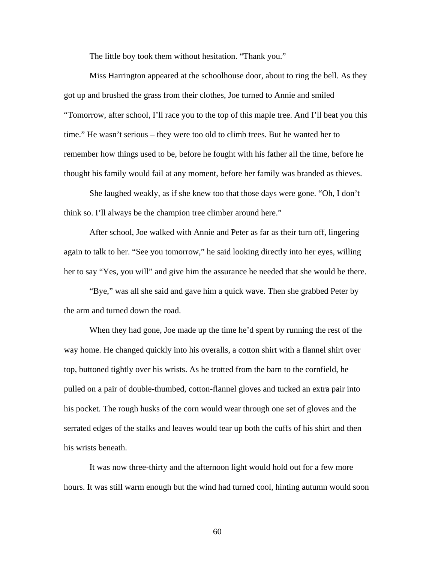The little boy took them without hesitation. "Thank you."

 Miss Harrington appeared at the schoolhouse door, about to ring the bell. As they got up and brushed the grass from their clothes, Joe turned to Annie and smiled "Tomorrow, after school, I'll race you to the top of this maple tree. And I'll beat you this time." He wasn't serious – they were too old to climb trees. But he wanted her to remember how things used to be, before he fought with his father all the time, before he thought his family would fail at any moment, before her family was branded as thieves.

 She laughed weakly, as if she knew too that those days were gone. "Oh, I don't think so. I'll always be the champion tree climber around here."

After school, Joe walked with Annie and Peter as far as their turn off, lingering again to talk to her. "See you tomorrow," he said looking directly into her eyes, willing her to say "Yes, you will" and give him the assurance he needed that she would be there.

"Bye," was all she said and gave him a quick wave. Then she grabbed Peter by the arm and turned down the road.

When they had gone, Joe made up the time he'd spent by running the rest of the way home. He changed quickly into his overalls, a cotton shirt with a flannel shirt over top, buttoned tightly over his wrists. As he trotted from the barn to the cornfield, he pulled on a pair of double-thumbed, cotton-flannel gloves and tucked an extra pair into his pocket. The rough husks of the corn would wear through one set of gloves and the serrated edges of the stalks and leaves would tear up both the cuffs of his shirt and then his wrists beneath.

It was now three-thirty and the afternoon light would hold out for a few more hours. It was still warm enough but the wind had turned cool, hinting autumn would soon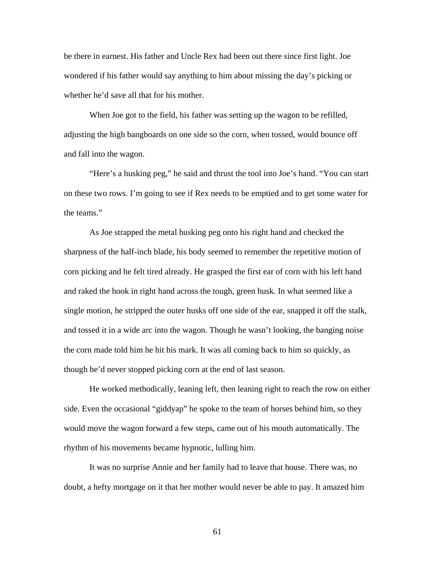be there in earnest. His father and Uncle Rex had been out there since first light. Joe wondered if his father would say anything to him about missing the day's picking or whether he'd save all that for his mother.

When Joe got to the field, his father was setting up the wagon to be refilled, adjusting the high bangboards on one side so the corn, when tossed, would bounce off and fall into the wagon.

"Here's a husking peg," he said and thrust the tool into Joe's hand. "You can start on these two rows. I'm going to see if Rex needs to be emptied and to get some water for the teams."

As Joe strapped the metal husking peg onto his right hand and checked the sharpness of the half-inch blade, his body seemed to remember the repetitive motion of corn picking and he felt tired already. He grasped the first ear of corn with his left hand and raked the hook in right hand across the tough, green husk. In what seemed like a single motion, he stripped the outer husks off one side of the ear, snapped it off the stalk, and tossed it in a wide arc into the wagon. Though he wasn't looking, the banging noise the corn made told him he hit his mark. It was all coming back to him so quickly, as though he'd never stopped picking corn at the end of last season.

He worked methodically, leaning left, then leaning right to reach the row on either side. Even the occasional "giddyap" he spoke to the team of horses behind him, so they would move the wagon forward a few steps, came out of his mouth automatically. The rhythm of his movements became hypnotic, lulling him.

It was no surprise Annie and her family had to leave that house. There was, no doubt, a hefty mortgage on it that her mother would never be able to pay. It amazed him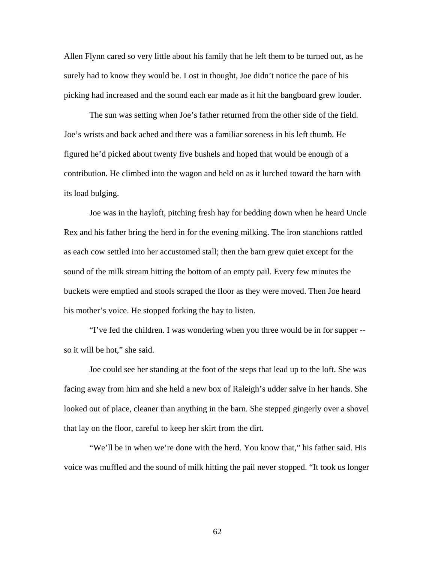Allen Flynn cared so very little about his family that he left them to be turned out, as he surely had to know they would be. Lost in thought, Joe didn't notice the pace of his picking had increased and the sound each ear made as it hit the bangboard grew louder.

The sun was setting when Joe's father returned from the other side of the field. Joe's wrists and back ached and there was a familiar soreness in his left thumb. He figured he'd picked about twenty five bushels and hoped that would be enough of a contribution. He climbed into the wagon and held on as it lurched toward the barn with its load bulging.

Joe was in the hayloft, pitching fresh hay for bedding down when he heard Uncle Rex and his father bring the herd in for the evening milking. The iron stanchions rattled as each cow settled into her accustomed stall; then the barn grew quiet except for the sound of the milk stream hitting the bottom of an empty pail. Every few minutes the buckets were emptied and stools scraped the floor as they were moved. Then Joe heard his mother's voice. He stopped forking the hay to listen.

"I've fed the children. I was wondering when you three would be in for supper - so it will be hot," she said.

Joe could see her standing at the foot of the steps that lead up to the loft. She was facing away from him and she held a new box of Raleigh's udder salve in her hands. She looked out of place, cleaner than anything in the barn. She stepped gingerly over a shovel that lay on the floor, careful to keep her skirt from the dirt.

"We'll be in when we're done with the herd. You know that," his father said. His voice was muffled and the sound of milk hitting the pail never stopped. "It took us longer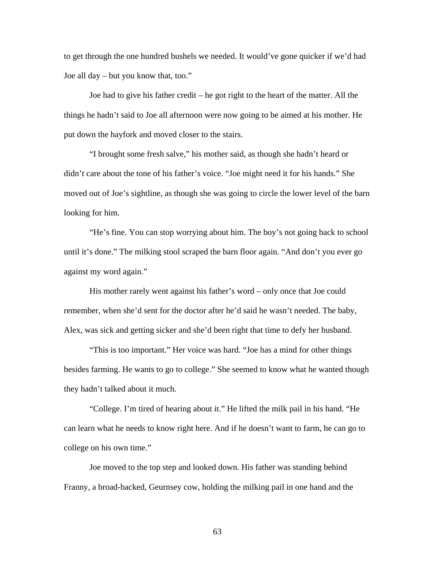to get through the one hundred bushels we needed. It would've gone quicker if we'd had Joe all day – but you know that, too."

Joe had to give his father credit – he got right to the heart of the matter. All the things he hadn't said to Joe all afternoon were now going to be aimed at his mother. He put down the hayfork and moved closer to the stairs.

"I brought some fresh salve," his mother said, as though she hadn't heard or didn't care about the tone of his father's voice. "Joe might need it for his hands." She moved out of Joe's sightline, as though she was going to circle the lower level of the barn looking for him.

"He's fine. You can stop worrying about him. The boy's not going back to school until it's done." The milking stool scraped the barn floor again. "And don't you ever go against my word again."

His mother rarely went against his father's word – only once that Joe could remember, when she'd sent for the doctor after he'd said he wasn't needed. The baby, Alex, was sick and getting sicker and she'd been right that time to defy her husband.

"This is too important." Her voice was hard. "Joe has a mind for other things besides farming. He wants to go to college." She seemed to know what he wanted though they hadn't talked about it much.

"College. I'm tired of hearing about it." He lifted the milk pail in his hand. "He can learn what he needs to know right here. And if he doesn't want to farm, he can go to college on his own time."

Joe moved to the top step and looked down. His father was standing behind Franny, a broad-backed, Geurnsey cow, holding the milking pail in one hand and the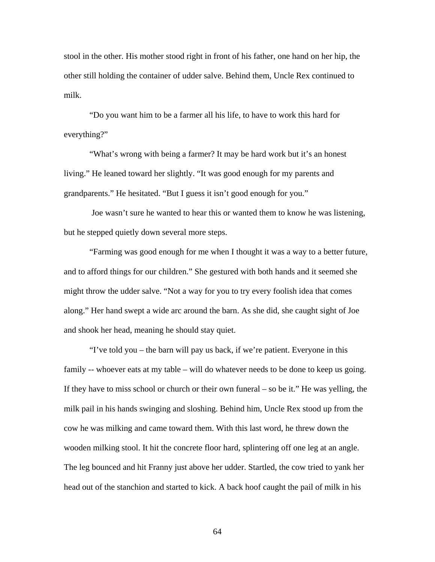stool in the other. His mother stood right in front of his father, one hand on her hip, the other still holding the container of udder salve. Behind them, Uncle Rex continued to milk.

"Do you want him to be a farmer all his life, to have to work this hard for everything?"

"What's wrong with being a farmer? It may be hard work but it's an honest living." He leaned toward her slightly. "It was good enough for my parents and grandparents." He hesitated. "But I guess it isn't good enough for you."

 Joe wasn't sure he wanted to hear this or wanted them to know he was listening, but he stepped quietly down several more steps.

"Farming was good enough for me when I thought it was a way to a better future, and to afford things for our children." She gestured with both hands and it seemed she might throw the udder salve. "Not a way for you to try every foolish idea that comes along." Her hand swept a wide arc around the barn. As she did, she caught sight of Joe and shook her head, meaning he should stay quiet.

"I've told you – the barn will pay us back, if we're patient. Everyone in this family -- whoever eats at my table – will do whatever needs to be done to keep us going. If they have to miss school or church or their own funeral – so be it." He was yelling, the milk pail in his hands swinging and sloshing. Behind him, Uncle Rex stood up from the cow he was milking and came toward them. With this last word, he threw down the wooden milking stool. It hit the concrete floor hard, splintering off one leg at an angle. The leg bounced and hit Franny just above her udder. Startled, the cow tried to yank her head out of the stanchion and started to kick. A back hoof caught the pail of milk in his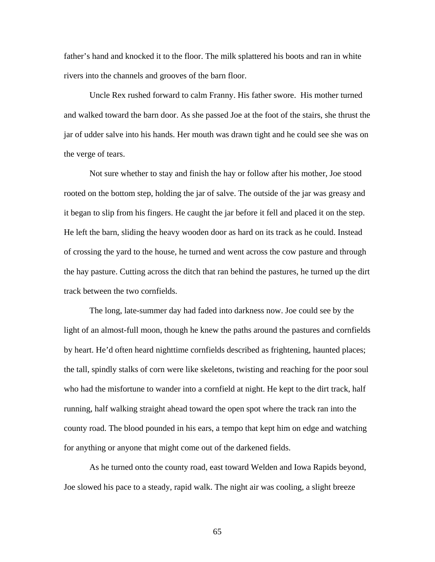father's hand and knocked it to the floor. The milk splattered his boots and ran in white rivers into the channels and grooves of the barn floor.

Uncle Rex rushed forward to calm Franny. His father swore. His mother turned and walked toward the barn door. As she passed Joe at the foot of the stairs, she thrust the jar of udder salve into his hands. Her mouth was drawn tight and he could see she was on the verge of tears.

Not sure whether to stay and finish the hay or follow after his mother, Joe stood rooted on the bottom step, holding the jar of salve. The outside of the jar was greasy and it began to slip from his fingers. He caught the jar before it fell and placed it on the step. He left the barn, sliding the heavy wooden door as hard on its track as he could. Instead of crossing the yard to the house, he turned and went across the cow pasture and through the hay pasture. Cutting across the ditch that ran behind the pastures, he turned up the dirt track between the two cornfields.

The long, late-summer day had faded into darkness now. Joe could see by the light of an almost-full moon, though he knew the paths around the pastures and cornfields by heart. He'd often heard nighttime cornfields described as frightening, haunted places; the tall, spindly stalks of corn were like skeletons, twisting and reaching for the poor soul who had the misfortune to wander into a cornfield at night. He kept to the dirt track, half running, half walking straight ahead toward the open spot where the track ran into the county road. The blood pounded in his ears, a tempo that kept him on edge and watching for anything or anyone that might come out of the darkened fields.

As he turned onto the county road, east toward Welden and Iowa Rapids beyond, Joe slowed his pace to a steady, rapid walk. The night air was cooling, a slight breeze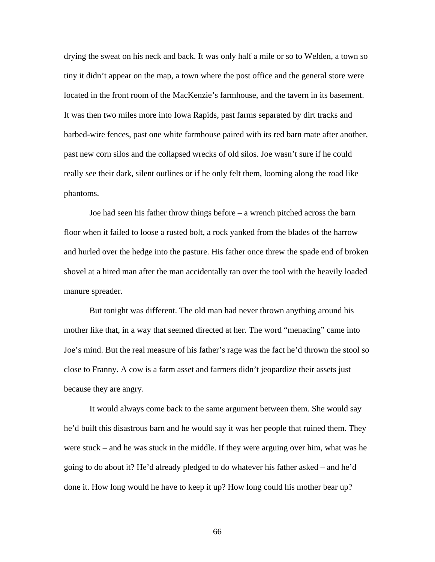drying the sweat on his neck and back. It was only half a mile or so to Welden, a town so tiny it didn't appear on the map, a town where the post office and the general store were located in the front room of the MacKenzie's farmhouse, and the tavern in its basement. It was then two miles more into Iowa Rapids, past farms separated by dirt tracks and barbed-wire fences, past one white farmhouse paired with its red barn mate after another, past new corn silos and the collapsed wrecks of old silos. Joe wasn't sure if he could really see their dark, silent outlines or if he only felt them, looming along the road like phantoms.

Joe had seen his father throw things before – a wrench pitched across the barn floor when it failed to loose a rusted bolt, a rock yanked from the blades of the harrow and hurled over the hedge into the pasture. His father once threw the spade end of broken shovel at a hired man after the man accidentally ran over the tool with the heavily loaded manure spreader.

But tonight was different. The old man had never thrown anything around his mother like that, in a way that seemed directed at her. The word "menacing" came into Joe's mind. But the real measure of his father's rage was the fact he'd thrown the stool so close to Franny. A cow is a farm asset and farmers didn't jeopardize their assets just because they are angry.

It would always come back to the same argument between them. She would say he'd built this disastrous barn and he would say it was her people that ruined them. They were stuck – and he was stuck in the middle. If they were arguing over him, what was he going to do about it? He'd already pledged to do whatever his father asked – and he'd done it. How long would he have to keep it up? How long could his mother bear up?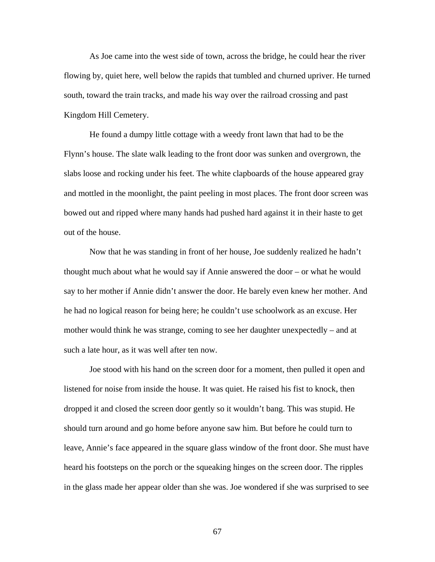As Joe came into the west side of town, across the bridge, he could hear the river flowing by, quiet here, well below the rapids that tumbled and churned upriver. He turned south, toward the train tracks, and made his way over the railroad crossing and past Kingdom Hill Cemetery.

He found a dumpy little cottage with a weedy front lawn that had to be the Flynn's house. The slate walk leading to the front door was sunken and overgrown, the slabs loose and rocking under his feet. The white clapboards of the house appeared gray and mottled in the moonlight, the paint peeling in most places. The front door screen was bowed out and ripped where many hands had pushed hard against it in their haste to get out of the house.

Now that he was standing in front of her house, Joe suddenly realized he hadn't thought much about what he would say if Annie answered the door – or what he would say to her mother if Annie didn't answer the door. He barely even knew her mother. And he had no logical reason for being here; he couldn't use schoolwork as an excuse. Her mother would think he was strange, coming to see her daughter unexpectedly – and at such a late hour, as it was well after ten now.

Joe stood with his hand on the screen door for a moment, then pulled it open and listened for noise from inside the house. It was quiet. He raised his fist to knock, then dropped it and closed the screen door gently so it wouldn't bang. This was stupid. He should turn around and go home before anyone saw him. But before he could turn to leave, Annie's face appeared in the square glass window of the front door. She must have heard his footsteps on the porch or the squeaking hinges on the screen door. The ripples in the glass made her appear older than she was. Joe wondered if she was surprised to see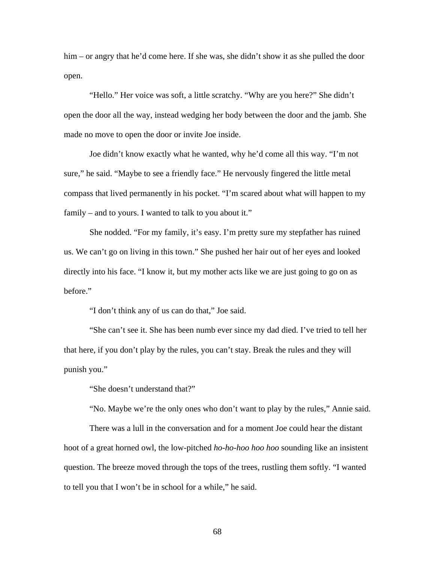him – or angry that he'd come here. If she was, she didn't show it as she pulled the door open.

"Hello." Her voice was soft, a little scratchy. "Why are you here?" She didn't open the door all the way, instead wedging her body between the door and the jamb. She made no move to open the door or invite Joe inside.

Joe didn't know exactly what he wanted, why he'd come all this way. "I'm not sure," he said. "Maybe to see a friendly face." He nervously fingered the little metal compass that lived permanently in his pocket. "I'm scared about what will happen to my family – and to yours. I wanted to talk to you about it."

She nodded. "For my family, it's easy. I'm pretty sure my stepfather has ruined us. We can't go on living in this town." She pushed her hair out of her eyes and looked directly into his face. "I know it, but my mother acts like we are just going to go on as before."

"I don't think any of us can do that," Joe said.

"She can't see it. She has been numb ever since my dad died. I've tried to tell her that here, if you don't play by the rules, you can't stay. Break the rules and they will punish you."

"She doesn't understand that?"

"No. Maybe we're the only ones who don't want to play by the rules," Annie said.

 There was a lull in the conversation and for a moment Joe could hear the distant hoot of a great horned owl, the low-pitched *ho-ho-hoo hoo hoo* sounding like an insistent question. The breeze moved through the tops of the trees, rustling them softly. "I wanted to tell you that I won't be in school for a while," he said.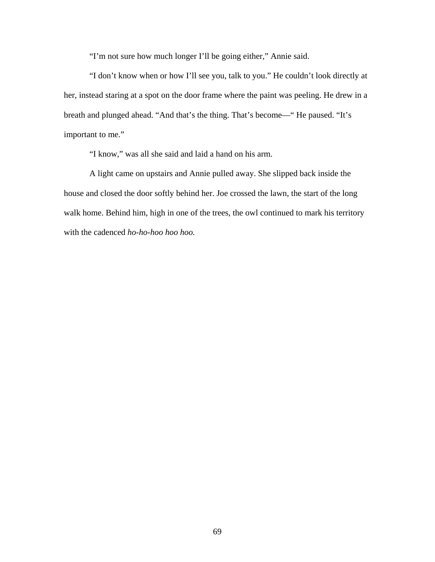"I'm not sure how much longer I'll be going either," Annie said.

 "I don't know when or how I'll see you, talk to you." He couldn't look directly at her, instead staring at a spot on the door frame where the paint was peeling. He drew in a breath and plunged ahead. "And that's the thing. That's become—" He paused. "It's important to me."

"I know," was all she said and laid a hand on his arm.

A light came on upstairs and Annie pulled away. She slipped back inside the house and closed the door softly behind her. Joe crossed the lawn, the start of the long walk home. Behind him, high in one of the trees, the owl continued to mark his territory with the cadenced *ho-ho-hoo hoo hoo.*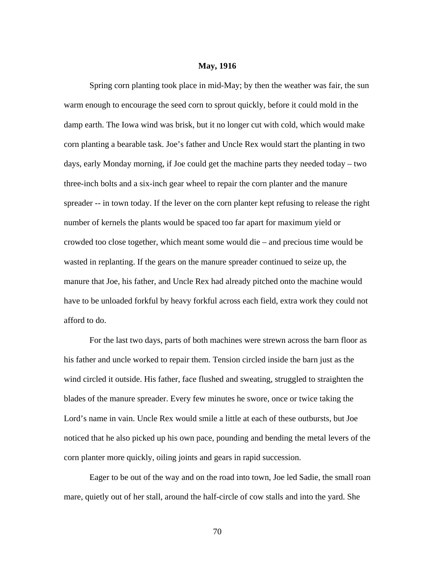## **May, 1916**

 Spring corn planting took place in mid-May; by then the weather was fair, the sun warm enough to encourage the seed corn to sprout quickly, before it could mold in the damp earth. The Iowa wind was brisk, but it no longer cut with cold, which would make corn planting a bearable task. Joe's father and Uncle Rex would start the planting in two days, early Monday morning, if Joe could get the machine parts they needed today – two three-inch bolts and a six-inch gear wheel to repair the corn planter and the manure spreader -- in town today. If the lever on the corn planter kept refusing to release the right number of kernels the plants would be spaced too far apart for maximum yield or crowded too close together, which meant some would die – and precious time would be wasted in replanting. If the gears on the manure spreader continued to seize up, the manure that Joe, his father, and Uncle Rex had already pitched onto the machine would have to be unloaded forkful by heavy forkful across each field, extra work they could not afford to do.

 For the last two days, parts of both machines were strewn across the barn floor as his father and uncle worked to repair them. Tension circled inside the barn just as the wind circled it outside. His father, face flushed and sweating, struggled to straighten the blades of the manure spreader. Every few minutes he swore, once or twice taking the Lord's name in vain. Uncle Rex would smile a little at each of these outbursts, but Joe noticed that he also picked up his own pace, pounding and bending the metal levers of the corn planter more quickly, oiling joints and gears in rapid succession.

Eager to be out of the way and on the road into town, Joe led Sadie, the small roan mare, quietly out of her stall, around the half-circle of cow stalls and into the yard. She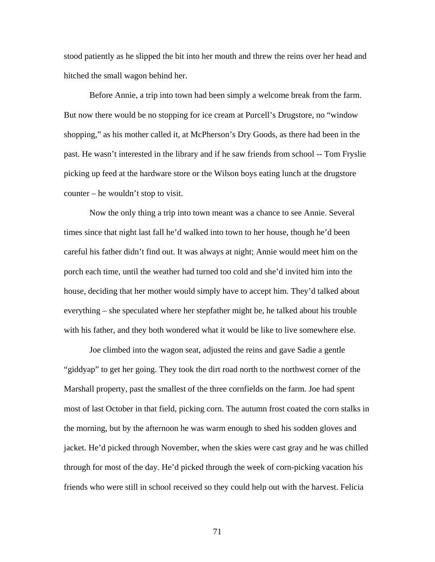stood patiently as he slipped the bit into her mouth and threw the reins over her head and hitched the small wagon behind her.

Before Annie, a trip into town had been simply a welcome break from the farm. But now there would be no stopping for ice cream at Purcell's Drugstore, no "window shopping," as his mother called it, at McPherson's Dry Goods, as there had been in the past. He wasn't interested in the library and if he saw friends from school -- Tom Fryslie picking up feed at the hardware store or the Wilson boys eating lunch at the drugstore counter – he wouldn't stop to visit.

Now the only thing a trip into town meant was a chance to see Annie. Several times since that night last fall he'd walked into town to her house, though he'd been careful his father didn't find out. It was always at night; Annie would meet him on the porch each time, until the weather had turned too cold and she'd invited him into the house, deciding that her mother would simply have to accept him. They'd talked about everything – she speculated where her stepfather might be, he talked about his trouble with his father, and they both wondered what it would be like to live somewhere else.

 Joe climbed into the wagon seat, adjusted the reins and gave Sadie a gentle "giddyap" to get her going. They took the dirt road north to the northwest corner of the Marshall property, past the smallest of the three cornfields on the farm. Joe had spent most of last October in that field, picking corn. The autumn frost coated the corn stalks in the morning, but by the afternoon he was warm enough to shed his sodden gloves and jacket. He'd picked through November, when the skies were cast gray and he was chilled through for most of the day. He'd picked through the week of corn-picking vacation his friends who were still in school received so they could help out with the harvest. Felicia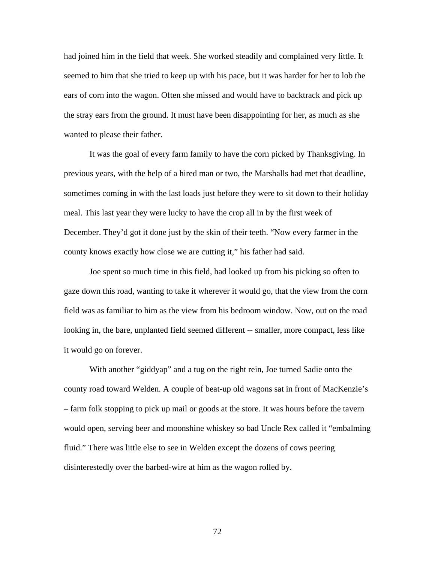had joined him in the field that week. She worked steadily and complained very little. It seemed to him that she tried to keep up with his pace, but it was harder for her to lob the ears of corn into the wagon. Often she missed and would have to backtrack and pick up the stray ears from the ground. It must have been disappointing for her, as much as she wanted to please their father.

It was the goal of every farm family to have the corn picked by Thanksgiving. In previous years, with the help of a hired man or two, the Marshalls had met that deadline, sometimes coming in with the last loads just before they were to sit down to their holiday meal. This last year they were lucky to have the crop all in by the first week of December. They'd got it done just by the skin of their teeth. "Now every farmer in the county knows exactly how close we are cutting it," his father had said.

 Joe spent so much time in this field, had looked up from his picking so often to gaze down this road, wanting to take it wherever it would go, that the view from the corn field was as familiar to him as the view from his bedroom window. Now, out on the road looking in, the bare, unplanted field seemed different -- smaller, more compact, less like it would go on forever.

With another "giddyap" and a tug on the right rein, Joe turned Sadie onto the county road toward Welden. A couple of beat-up old wagons sat in front of MacKenzie's – farm folk stopping to pick up mail or goods at the store. It was hours before the tavern would open, serving beer and moonshine whiskey so bad Uncle Rex called it "embalming fluid." There was little else to see in Welden except the dozens of cows peering disinterestedly over the barbed-wire at him as the wagon rolled by.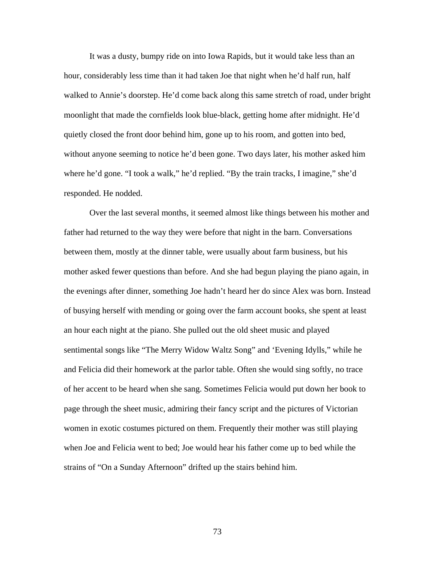It was a dusty, bumpy ride on into Iowa Rapids, but it would take less than an hour, considerably less time than it had taken Joe that night when he'd half run, half walked to Annie's doorstep. He'd come back along this same stretch of road, under bright moonlight that made the cornfields look blue-black, getting home after midnight. He'd quietly closed the front door behind him, gone up to his room, and gotten into bed, without anyone seeming to notice he'd been gone. Two days later, his mother asked him where he'd gone. "I took a walk," he'd replied. "By the train tracks, I imagine," she'd responded. He nodded.

Over the last several months, it seemed almost like things between his mother and father had returned to the way they were before that night in the barn. Conversations between them, mostly at the dinner table, were usually about farm business, but his mother asked fewer questions than before. And she had begun playing the piano again, in the evenings after dinner, something Joe hadn't heard her do since Alex was born. Instead of busying herself with mending or going over the farm account books, she spent at least an hour each night at the piano. She pulled out the old sheet music and played sentimental songs like "The Merry Widow Waltz Song" and 'Evening Idylls," while he and Felicia did their homework at the parlor table. Often she would sing softly, no trace of her accent to be heard when she sang. Sometimes Felicia would put down her book to page through the sheet music, admiring their fancy script and the pictures of Victorian women in exotic costumes pictured on them. Frequently their mother was still playing when Joe and Felicia went to bed; Joe would hear his father come up to bed while the strains of "On a Sunday Afternoon" drifted up the stairs behind him.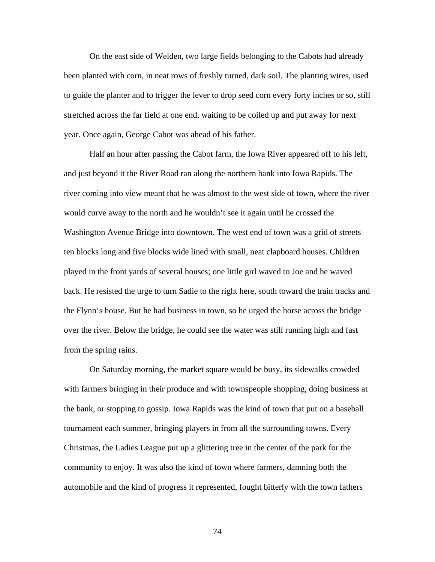On the east side of Welden, two large fields belonging to the Cabots had already been planted with corn, in neat rows of freshly turned, dark soil. The planting wires, used to guide the planter and to trigger the lever to drop seed corn every forty inches or so, still stretched across the far field at one end, waiting to be coiled up and put away for next year. Once again, George Cabot was ahead of his father.

Half an hour after passing the Cabot farm, the Iowa River appeared off to his left, and just beyond it the River Road ran along the northern bank into Iowa Rapids. The river coming into view meant that he was almost to the west side of town, where the river would curve away to the north and he wouldn't see it again until he crossed the Washington Avenue Bridge into downtown. The west end of town was a grid of streets ten blocks long and five blocks wide lined with small, neat clapboard houses. Children played in the front yards of several houses; one little girl waved to Joe and he waved back. He resisted the urge to turn Sadie to the right here, south toward the train tracks and the Flynn's house. But he had business in town, so he urged the horse across the bridge over the river. Below the bridge, he could see the water was still running high and fast from the spring rains.

On Saturday morning, the market square would be busy, its sidewalks crowded with farmers bringing in their produce and with townspeople shopping, doing business at the bank, or stopping to gossip. Iowa Rapids was the kind of town that put on a baseball tournament each summer, bringing players in from all the surrounding towns. Every Christmas, the Ladies League put up a glittering tree in the center of the park for the community to enjoy. It was also the kind of town where farmers, damning both the automobile and the kind of progress it represented, fought bitterly with the town fathers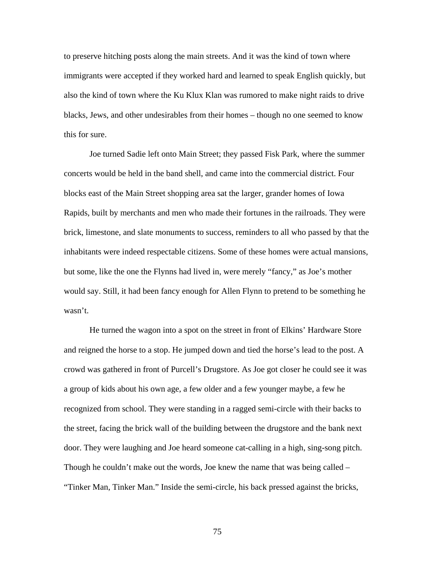to preserve hitching posts along the main streets. And it was the kind of town where immigrants were accepted if they worked hard and learned to speak English quickly, but also the kind of town where the Ku Klux Klan was rumored to make night raids to drive blacks, Jews, and other undesirables from their homes – though no one seemed to know this for sure.

 Joe turned Sadie left onto Main Street; they passed Fisk Park, where the summer concerts would be held in the band shell, and came into the commercial district. Four blocks east of the Main Street shopping area sat the larger, grander homes of Iowa Rapids, built by merchants and men who made their fortunes in the railroads. They were brick, limestone, and slate monuments to success, reminders to all who passed by that the inhabitants were indeed respectable citizens. Some of these homes were actual mansions, but some, like the one the Flynns had lived in, were merely "fancy," as Joe's mother would say. Still, it had been fancy enough for Allen Flynn to pretend to be something he wasn't.

He turned the wagon into a spot on the street in front of Elkins' Hardware Store and reigned the horse to a stop. He jumped down and tied the horse's lead to the post. A crowd was gathered in front of Purcell's Drugstore. As Joe got closer he could see it was a group of kids about his own age, a few older and a few younger maybe, a few he recognized from school. They were standing in a ragged semi-circle with their backs to the street, facing the brick wall of the building between the drugstore and the bank next door. They were laughing and Joe heard someone cat-calling in a high, sing-song pitch. Though he couldn't make out the words, Joe knew the name that was being called – "Tinker Man, Tinker Man." Inside the semi-circle, his back pressed against the bricks,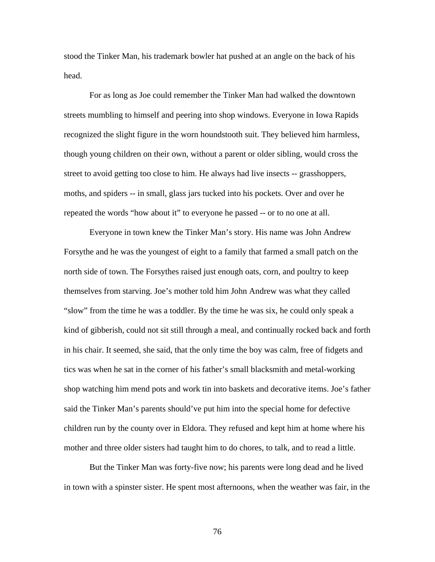stood the Tinker Man, his trademark bowler hat pushed at an angle on the back of his head.

For as long as Joe could remember the Tinker Man had walked the downtown streets mumbling to himself and peering into shop windows. Everyone in Iowa Rapids recognized the slight figure in the worn houndstooth suit. They believed him harmless, though young children on their own, without a parent or older sibling, would cross the street to avoid getting too close to him. He always had live insects -- grasshoppers, moths, and spiders -- in small, glass jars tucked into his pockets. Over and over he repeated the words "how about it" to everyone he passed -- or to no one at all.

Everyone in town knew the Tinker Man's story. His name was John Andrew Forsythe and he was the youngest of eight to a family that farmed a small patch on the north side of town. The Forsythes raised just enough oats, corn, and poultry to keep themselves from starving. Joe's mother told him John Andrew was what they called "slow" from the time he was a toddler. By the time he was six, he could only speak a kind of gibberish, could not sit still through a meal, and continually rocked back and forth in his chair. It seemed, she said, that the only time the boy was calm, free of fidgets and tics was when he sat in the corner of his father's small blacksmith and metal-working shop watching him mend pots and work tin into baskets and decorative items. Joe's father said the Tinker Man's parents should've put him into the special home for defective children run by the county over in Eldora. They refused and kept him at home where his mother and three older sisters had taught him to do chores, to talk, and to read a little.

 But the Tinker Man was forty-five now; his parents were long dead and he lived in town with a spinster sister. He spent most afternoons, when the weather was fair, in the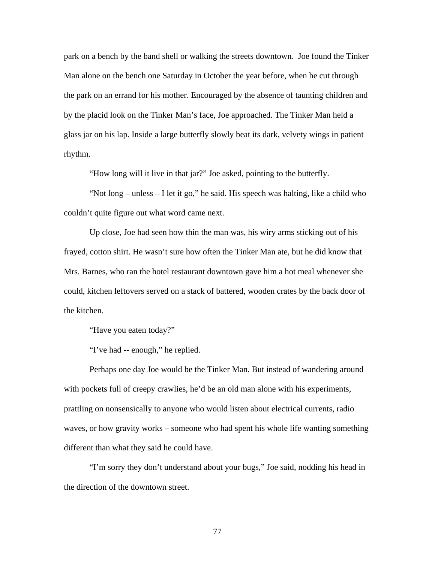park on a bench by the band shell or walking the streets downtown. Joe found the Tinker Man alone on the bench one Saturday in October the year before, when he cut through the park on an errand for his mother. Encouraged by the absence of taunting children and by the placid look on the Tinker Man's face, Joe approached. The Tinker Man held a glass jar on his lap. Inside a large butterfly slowly beat its dark, velvety wings in patient rhythm.

"How long will it live in that jar?" Joe asked, pointing to the butterfly.

"Not long – unless – I let it go," he said. His speech was halting, like a child who couldn't quite figure out what word came next.

Up close, Joe had seen how thin the man was, his wiry arms sticking out of his frayed, cotton shirt. He wasn't sure how often the Tinker Man ate, but he did know that Mrs. Barnes, who ran the hotel restaurant downtown gave him a hot meal whenever she could, kitchen leftovers served on a stack of battered, wooden crates by the back door of the kitchen.

"Have you eaten today?"

"I've had -- enough," he replied.

Perhaps one day Joe would be the Tinker Man. But instead of wandering around with pockets full of creepy crawlies, he'd be an old man alone with his experiments, prattling on nonsensically to anyone who would listen about electrical currents, radio waves, or how gravity works – someone who had spent his whole life wanting something different than what they said he could have.

"I'm sorry they don't understand about your bugs," Joe said, nodding his head in the direction of the downtown street.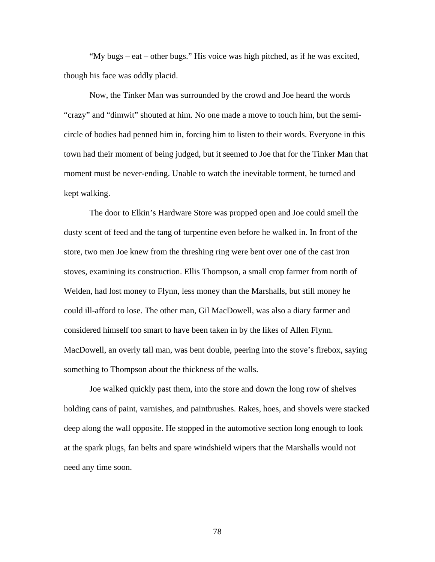"My bugs – eat – other bugs." His voice was high pitched, as if he was excited, though his face was oddly placid.

 Now, the Tinker Man was surrounded by the crowd and Joe heard the words "crazy" and "dimwit" shouted at him. No one made a move to touch him, but the semicircle of bodies had penned him in, forcing him to listen to their words. Everyone in this town had their moment of being judged, but it seemed to Joe that for the Tinker Man that moment must be never-ending. Unable to watch the inevitable torment, he turned and kept walking.

The door to Elkin's Hardware Store was propped open and Joe could smell the dusty scent of feed and the tang of turpentine even before he walked in. In front of the store, two men Joe knew from the threshing ring were bent over one of the cast iron stoves, examining its construction. Ellis Thompson, a small crop farmer from north of Welden, had lost money to Flynn, less money than the Marshalls, but still money he could ill-afford to lose. The other man, Gil MacDowell, was also a diary farmer and considered himself too smart to have been taken in by the likes of Allen Flynn. MacDowell, an overly tall man, was bent double, peering into the stove's firebox, saying something to Thompson about the thickness of the walls.

Joe walked quickly past them, into the store and down the long row of shelves holding cans of paint, varnishes, and paintbrushes. Rakes, hoes, and shovels were stacked deep along the wall opposite. He stopped in the automotive section long enough to look at the spark plugs, fan belts and spare windshield wipers that the Marshalls would not need any time soon.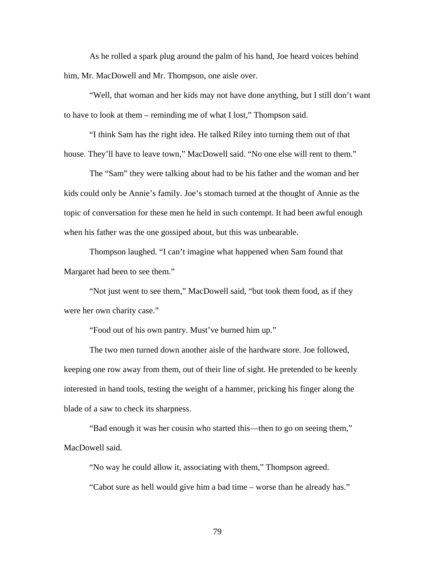As he rolled a spark plug around the palm of his hand, Joe heard voices behind him, Mr. MacDowell and Mr. Thompson, one aisle over.

 "Well, that woman and her kids may not have done anything, but I still don't want to have to look at them – reminding me of what I lost," Thompson said.

 "I think Sam has the right idea. He talked Riley into turning them out of that house. They'll have to leave town," MacDowell said. "No one else will rent to them."

 The "Sam" they were talking about had to be his father and the woman and her kids could only be Annie's family. Joe's stomach turned at the thought of Annie as the topic of conversation for these men he held in such contempt. It had been awful enough when his father was the one gossiped about, but this was unbearable.

 Thompson laughed. "I can't imagine what happened when Sam found that Margaret had been to see them."

 "Not just went to see them," MacDowell said, "but took them food, as if they were her own charity case."

"Food out of his own pantry. Must've burned him up."

The two men turned down another aisle of the hardware store. Joe followed, keeping one row away from them, out of their line of sight. He pretended to be keenly interested in hand tools, testing the weight of a hammer, pricking his finger along the blade of a saw to check its sharpness.

 "Bad enough it was her cousin who started this—then to go on seeing them," MacDowell said.

 "No way he could allow it, associating with them," Thompson agreed. "Cabot sure as hell would give him a bad time – worse than he already has."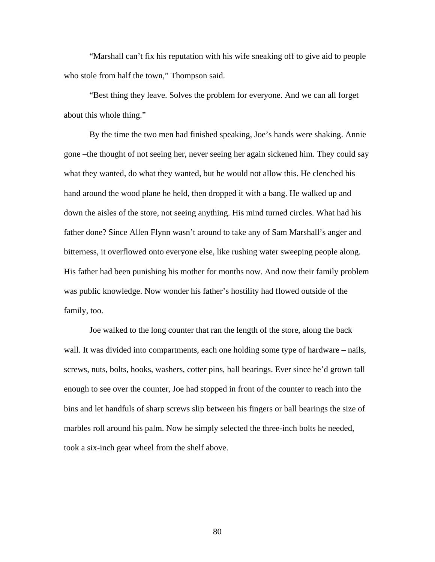"Marshall can't fix his reputation with his wife sneaking off to give aid to people who stole from half the town," Thompson said.

 "Best thing they leave. Solves the problem for everyone. And we can all forget about this whole thing."

 By the time the two men had finished speaking, Joe's hands were shaking. Annie gone –the thought of not seeing her, never seeing her again sickened him. They could say what they wanted, do what they wanted, but he would not allow this. He clenched his hand around the wood plane he held, then dropped it with a bang. He walked up and down the aisles of the store, not seeing anything. His mind turned circles. What had his father done? Since Allen Flynn wasn't around to take any of Sam Marshall's anger and bitterness, it overflowed onto everyone else, like rushing water sweeping people along. His father had been punishing his mother for months now. And now their family problem was public knowledge. Now wonder his father's hostility had flowed outside of the family, too.

 Joe walked to the long counter that ran the length of the store, along the back wall. It was divided into compartments, each one holding some type of hardware – nails, screws, nuts, bolts, hooks, washers, cotter pins, ball bearings. Ever since he'd grown tall enough to see over the counter, Joe had stopped in front of the counter to reach into the bins and let handfuls of sharp screws slip between his fingers or ball bearings the size of marbles roll around his palm. Now he simply selected the three-inch bolts he needed, took a six-inch gear wheel from the shelf above.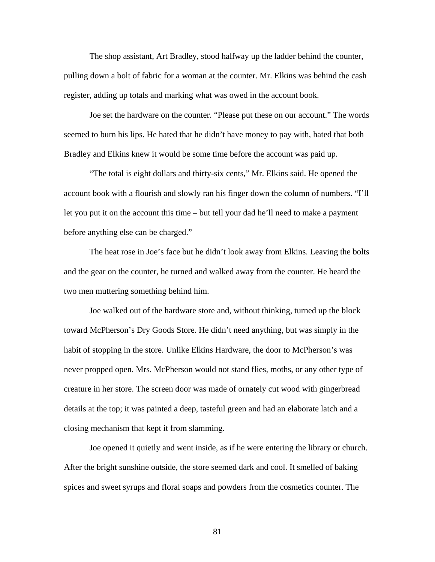The shop assistant, Art Bradley, stood halfway up the ladder behind the counter, pulling down a bolt of fabric for a woman at the counter. Mr. Elkins was behind the cash register, adding up totals and marking what was owed in the account book.

Joe set the hardware on the counter. "Please put these on our account." The words seemed to burn his lips. He hated that he didn't have money to pay with, hated that both Bradley and Elkins knew it would be some time before the account was paid up.

 "The total is eight dollars and thirty-six cents," Mr. Elkins said. He opened the account book with a flourish and slowly ran his finger down the column of numbers. "I'll let you put it on the account this time – but tell your dad he'll need to make a payment before anything else can be charged."

 The heat rose in Joe's face but he didn't look away from Elkins. Leaving the bolts and the gear on the counter, he turned and walked away from the counter. He heard the two men muttering something behind him.

Joe walked out of the hardware store and, without thinking, turned up the block toward McPherson's Dry Goods Store. He didn't need anything, but was simply in the habit of stopping in the store. Unlike Elkins Hardware, the door to McPherson's was never propped open. Mrs. McPherson would not stand flies, moths, or any other type of creature in her store. The screen door was made of ornately cut wood with gingerbread details at the top; it was painted a deep, tasteful green and had an elaborate latch and a closing mechanism that kept it from slamming.

Joe opened it quietly and went inside, as if he were entering the library or church. After the bright sunshine outside, the store seemed dark and cool. It smelled of baking spices and sweet syrups and floral soaps and powders from the cosmetics counter. The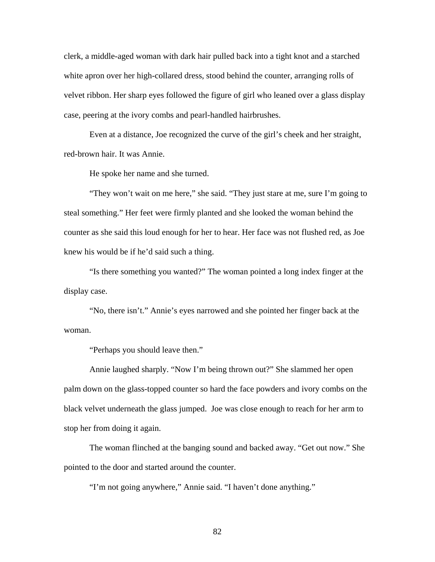clerk, a middle-aged woman with dark hair pulled back into a tight knot and a starched white apron over her high-collared dress, stood behind the counter, arranging rolls of velvet ribbon. Her sharp eyes followed the figure of girl who leaned over a glass display case, peering at the ivory combs and pearl-handled hairbrushes.

Even at a distance, Joe recognized the curve of the girl's cheek and her straight, red-brown hair. It was Annie.

He spoke her name and she turned.

"They won't wait on me here," she said. "They just stare at me, sure I'm going to steal something." Her feet were firmly planted and she looked the woman behind the counter as she said this loud enough for her to hear. Her face was not flushed red, as Joe knew his would be if he'd said such a thing.

"Is there something you wanted?" The woman pointed a long index finger at the display case.

"No, there isn't." Annie's eyes narrowed and she pointed her finger back at the woman.

"Perhaps you should leave then."

Annie laughed sharply. "Now I'm being thrown out?" She slammed her open palm down on the glass-topped counter so hard the face powders and ivory combs on the black velvet underneath the glass jumped. Joe was close enough to reach for her arm to stop her from doing it again.

The woman flinched at the banging sound and backed away. "Get out now." She pointed to the door and started around the counter.

"I'm not going anywhere," Annie said. "I haven't done anything."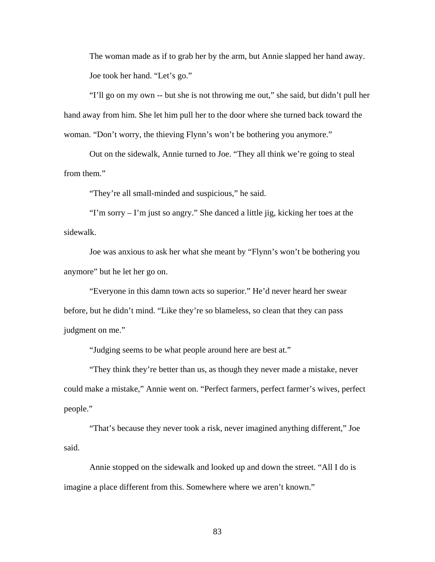The woman made as if to grab her by the arm, but Annie slapped her hand away. Joe took her hand. "Let's go."

"I'll go on my own -- but she is not throwing me out," she said, but didn't pull her hand away from him. She let him pull her to the door where she turned back toward the woman. "Don't worry, the thieving Flynn's won't be bothering you anymore."

Out on the sidewalk, Annie turned to Joe. "They all think we're going to steal from them."

"They're all small-minded and suspicious," he said.

"I'm sorry – I'm just so angry." She danced a little jig, kicking her toes at the sidewalk.

Joe was anxious to ask her what she meant by "Flynn's won't be bothering you anymore" but he let her go on.

"Everyone in this damn town acts so superior." He'd never heard her swear before, but he didn't mind. "Like they're so blameless, so clean that they can pass judgment on me."

"Judging seems to be what people around here are best at."

"They think they're better than us, as though they never made a mistake, never could make a mistake," Annie went on. "Perfect farmers, perfect farmer's wives, perfect people."

"That's because they never took a risk, never imagined anything different," Joe said.

Annie stopped on the sidewalk and looked up and down the street. "All I do is imagine a place different from this. Somewhere where we aren't known."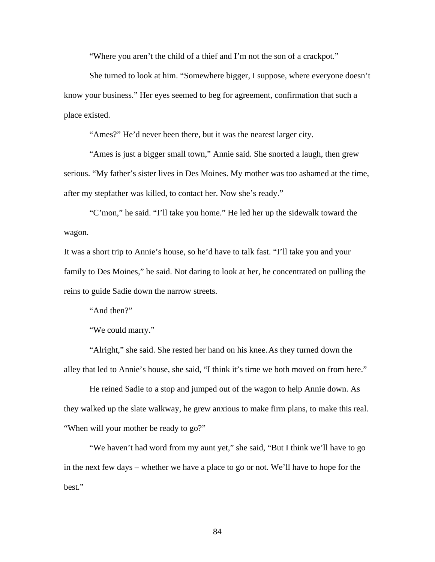"Where you aren't the child of a thief and I'm not the son of a crackpot."

She turned to look at him. "Somewhere bigger, I suppose, where everyone doesn't know your business." Her eyes seemed to beg for agreement, confirmation that such a place existed.

"Ames?" He'd never been there, but it was the nearest larger city.

"Ames is just a bigger small town," Annie said. She snorted a laugh, then grew serious. "My father's sister lives in Des Moines. My mother was too ashamed at the time, after my stepfather was killed, to contact her. Now she's ready."

 "C'mon," he said. "I'll take you home." He led her up the sidewalk toward the wagon.

It was a short trip to Annie's house, so he'd have to talk fast. "I'll take you and your family to Des Moines," he said. Not daring to look at her, he concentrated on pulling the reins to guide Sadie down the narrow streets.

"And then?"

"We could marry."

 "Alright," she said. She rested her hand on his knee. As they turned down the alley that led to Annie's house, she said, "I think it's time we both moved on from here."

 He reined Sadie to a stop and jumped out of the wagon to help Annie down. As they walked up the slate walkway, he grew anxious to make firm plans, to make this real. "When will your mother be ready to go?"

 "We haven't had word from my aunt yet," she said, "But I think we'll have to go in the next few days – whether we have a place to go or not. We'll have to hope for the best."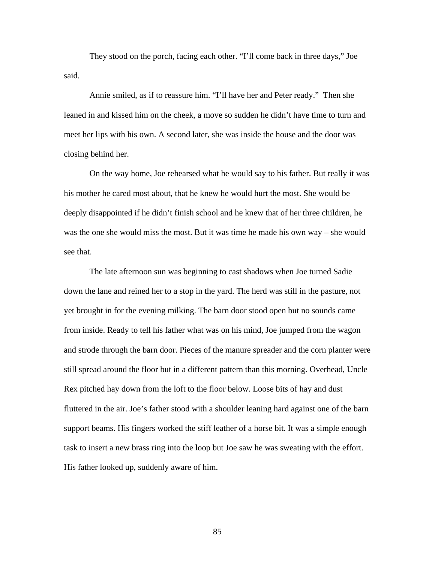They stood on the porch, facing each other. "I'll come back in three days," Joe said.

 Annie smiled, as if to reassure him. "I'll have her and Peter ready." Then she leaned in and kissed him on the cheek, a move so sudden he didn't have time to turn and meet her lips with his own. A second later, she was inside the house and the door was closing behind her.

 On the way home, Joe rehearsed what he would say to his father. But really it was his mother he cared most about, that he knew he would hurt the most. She would be deeply disappointed if he didn't finish school and he knew that of her three children, he was the one she would miss the most. But it was time he made his own way – she would see that.

The late afternoon sun was beginning to cast shadows when Joe turned Sadie down the lane and reined her to a stop in the yard. The herd was still in the pasture, not yet brought in for the evening milking. The barn door stood open but no sounds came from inside. Ready to tell his father what was on his mind, Joe jumped from the wagon and strode through the barn door. Pieces of the manure spreader and the corn planter were still spread around the floor but in a different pattern than this morning. Overhead, Uncle Rex pitched hay down from the loft to the floor below. Loose bits of hay and dust fluttered in the air. Joe's father stood with a shoulder leaning hard against one of the barn support beams. His fingers worked the stiff leather of a horse bit. It was a simple enough task to insert a new brass ring into the loop but Joe saw he was sweating with the effort. His father looked up, suddenly aware of him.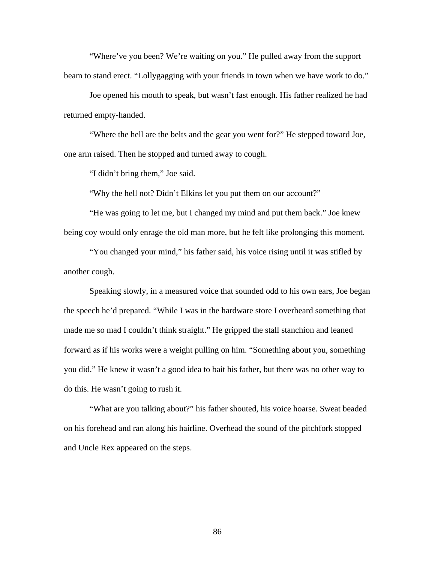"Where've you been? We're waiting on you." He pulled away from the support beam to stand erect. "Lollygagging with your friends in town when we have work to do."

Joe opened his mouth to speak, but wasn't fast enough. His father realized he had returned empty-handed.

"Where the hell are the belts and the gear you went for?" He stepped toward Joe, one arm raised. Then he stopped and turned away to cough.

"I didn't bring them," Joe said.

"Why the hell not? Didn't Elkins let you put them on our account?"

"He was going to let me, but I changed my mind and put them back." Joe knew being coy would only enrage the old man more, but he felt like prolonging this moment.

"You changed your mind," his father said, his voice rising until it was stifled by another cough.

Speaking slowly, in a measured voice that sounded odd to his own ears, Joe began the speech he'd prepared. "While I was in the hardware store I overheard something that made me so mad I couldn't think straight." He gripped the stall stanchion and leaned forward as if his works were a weight pulling on him. "Something about you, something you did." He knew it wasn't a good idea to bait his father, but there was no other way to do this. He wasn't going to rush it.

"What are you talking about?" his father shouted, his voice hoarse. Sweat beaded on his forehead and ran along his hairline. Overhead the sound of the pitchfork stopped and Uncle Rex appeared on the steps.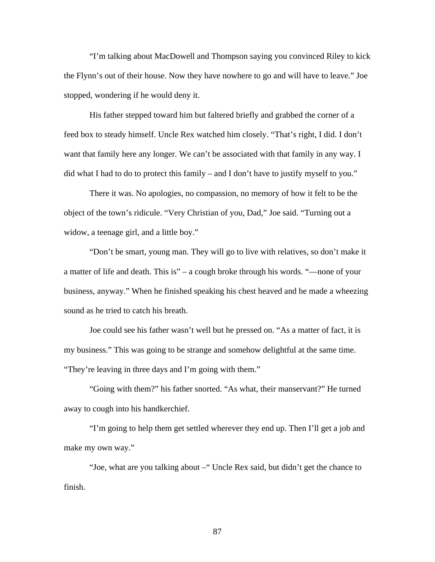"I'm talking about MacDowell and Thompson saying you convinced Riley to kick the Flynn's out of their house. Now they have nowhere to go and will have to leave." Joe stopped, wondering if he would deny it.

His father stepped toward him but faltered briefly and grabbed the corner of a feed box to steady himself. Uncle Rex watched him closely. "That's right, I did. I don't want that family here any longer. We can't be associated with that family in any way. I did what I had to do to protect this family – and I don't have to justify myself to you."

There it was. No apologies, no compassion, no memory of how it felt to be the object of the town's ridicule. "Very Christian of you, Dad," Joe said. "Turning out a widow, a teenage girl, and a little boy."

"Don't be smart, young man. They will go to live with relatives, so don't make it a matter of life and death. This is" – a cough broke through his words. "—none of your business, anyway." When he finished speaking his chest heaved and he made a wheezing sound as he tried to catch his breath.

Joe could see his father wasn't well but he pressed on. "As a matter of fact, it is my business." This was going to be strange and somehow delightful at the same time. "They're leaving in three days and I'm going with them."

"Going with them?" his father snorted. "As what, their manservant?" He turned away to cough into his handkerchief.

"I'm going to help them get settled wherever they end up. Then I'll get a job and make my own way."

"Joe, what are you talking about –" Uncle Rex said, but didn't get the chance to finish.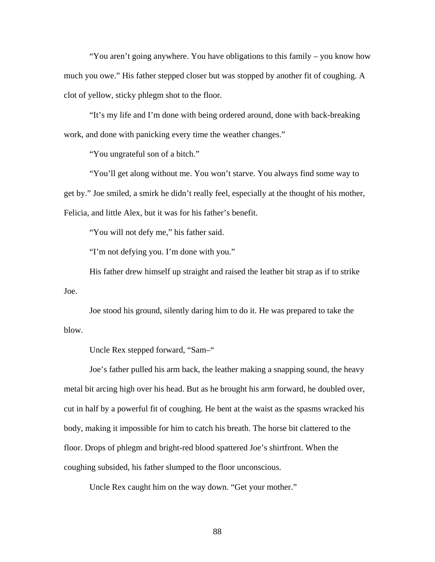"You aren't going anywhere. You have obligations to this family – you know how much you owe." His father stepped closer but was stopped by another fit of coughing. A clot of yellow, sticky phlegm shot to the floor.

"It's my life and I'm done with being ordered around, done with back-breaking work, and done with panicking every time the weather changes."

"You ungrateful son of a bitch."

"You'll get along without me. You won't starve. You always find some way to get by." Joe smiled, a smirk he didn't really feel, especially at the thought of his mother, Felicia, and little Alex, but it was for his father's benefit.

"You will not defy me," his father said.

"I'm not defying you. I'm done with you."

His father drew himself up straight and raised the leather bit strap as if to strike Joe.

Joe stood his ground, silently daring him to do it. He was prepared to take the blow.

Uncle Rex stepped forward, "Sam–"

Joe's father pulled his arm back, the leather making a snapping sound, the heavy metal bit arcing high over his head. But as he brought his arm forward, he doubled over, cut in half by a powerful fit of coughing. He bent at the waist as the spasms wracked his body, making it impossible for him to catch his breath. The horse bit clattered to the floor. Drops of phlegm and bright-red blood spattered Joe's shirtfront. When the coughing subsided, his father slumped to the floor unconscious.

Uncle Rex caught him on the way down. "Get your mother."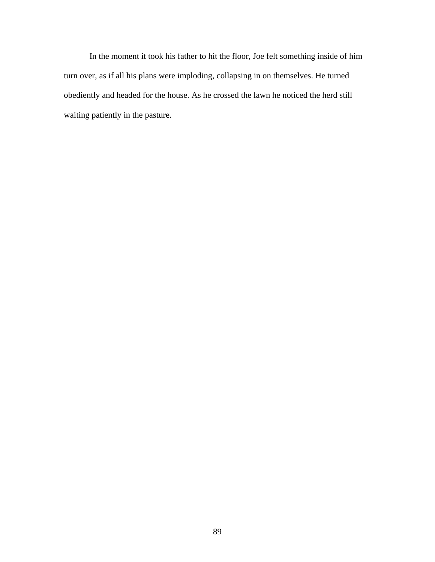In the moment it took his father to hit the floor, Joe felt something inside of him turn over, as if all his plans were imploding, collapsing in on themselves. He turned obediently and headed for the house. As he crossed the lawn he noticed the herd still waiting patiently in the pasture.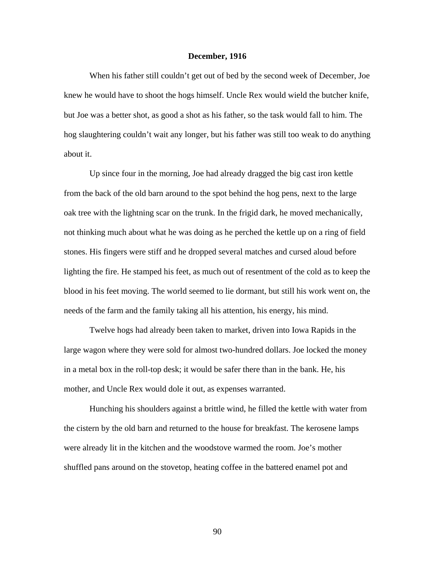## **December, 1916**

 When his father still couldn't get out of bed by the second week of December, Joe knew he would have to shoot the hogs himself. Uncle Rex would wield the butcher knife, but Joe was a better shot, as good a shot as his father, so the task would fall to him. The hog slaughtering couldn't wait any longer, but his father was still too weak to do anything about it.

Up since four in the morning, Joe had already dragged the big cast iron kettle from the back of the old barn around to the spot behind the hog pens, next to the large oak tree with the lightning scar on the trunk. In the frigid dark, he moved mechanically, not thinking much about what he was doing as he perched the kettle up on a ring of field stones. His fingers were stiff and he dropped several matches and cursed aloud before lighting the fire. He stamped his feet, as much out of resentment of the cold as to keep the blood in his feet moving. The world seemed to lie dormant, but still his work went on, the needs of the farm and the family taking all his attention, his energy, his mind.

Twelve hogs had already been taken to market, driven into Iowa Rapids in the large wagon where they were sold for almost two-hundred dollars. Joe locked the money in a metal box in the roll-top desk; it would be safer there than in the bank. He, his mother, and Uncle Rex would dole it out, as expenses warranted.

 Hunching his shoulders against a brittle wind, he filled the kettle with water from the cistern by the old barn and returned to the house for breakfast. The kerosene lamps were already lit in the kitchen and the woodstove warmed the room. Joe's mother shuffled pans around on the stovetop, heating coffee in the battered enamel pot and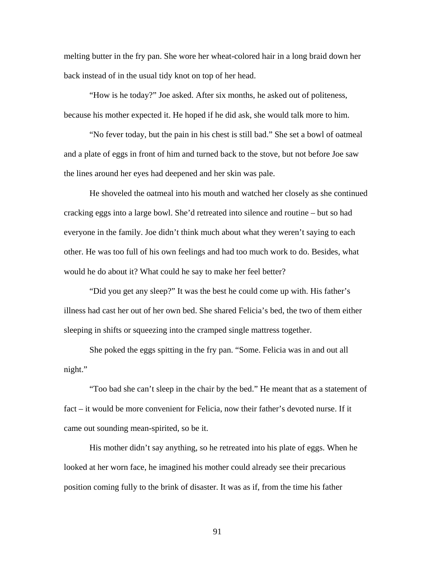melting butter in the fry pan. She wore her wheat-colored hair in a long braid down her back instead of in the usual tidy knot on top of her head.

 "How is he today?" Joe asked. After six months, he asked out of politeness, because his mother expected it. He hoped if he did ask, she would talk more to him.

 "No fever today, but the pain in his chest is still bad." She set a bowl of oatmeal and a plate of eggs in front of him and turned back to the stove, but not before Joe saw the lines around her eyes had deepened and her skin was pale.

 He shoveled the oatmeal into his mouth and watched her closely as she continued cracking eggs into a large bowl. She'd retreated into silence and routine – but so had everyone in the family. Joe didn't think much about what they weren't saying to each other. He was too full of his own feelings and had too much work to do. Besides, what would he do about it? What could he say to make her feel better?

"Did you get any sleep?" It was the best he could come up with. His father's illness had cast her out of her own bed. She shared Felicia's bed, the two of them either sleeping in shifts or squeezing into the cramped single mattress together.

She poked the eggs spitting in the fry pan. "Some. Felicia was in and out all night."

"Too bad she can't sleep in the chair by the bed." He meant that as a statement of fact – it would be more convenient for Felicia, now their father's devoted nurse. If it came out sounding mean-spirited, so be it.

His mother didn't say anything, so he retreated into his plate of eggs. When he looked at her worn face, he imagined his mother could already see their precarious position coming fully to the brink of disaster. It was as if, from the time his father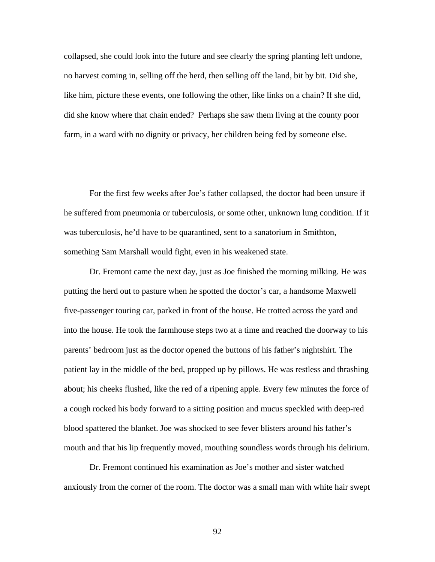collapsed, she could look into the future and see clearly the spring planting left undone, no harvest coming in, selling off the herd, then selling off the land, bit by bit. Did she, like him, picture these events, one following the other, like links on a chain? If she did, did she know where that chain ended? Perhaps she saw them living at the county poor farm, in a ward with no dignity or privacy, her children being fed by someone else.

 For the first few weeks after Joe's father collapsed, the doctor had been unsure if he suffered from pneumonia or tuberculosis, or some other, unknown lung condition. If it was tuberculosis, he'd have to be quarantined, sent to a sanatorium in Smithton, something Sam Marshall would fight, even in his weakened state.

 Dr. Fremont came the next day, just as Joe finished the morning milking. He was putting the herd out to pasture when he spotted the doctor's car, a handsome Maxwell five-passenger touring car, parked in front of the house. He trotted across the yard and into the house. He took the farmhouse steps two at a time and reached the doorway to his parents' bedroom just as the doctor opened the buttons of his father's nightshirt. The patient lay in the middle of the bed, propped up by pillows. He was restless and thrashing about; his cheeks flushed, like the red of a ripening apple. Every few minutes the force of a cough rocked his body forward to a sitting position and mucus speckled with deep-red blood spattered the blanket. Joe was shocked to see fever blisters around his father's mouth and that his lip frequently moved, mouthing soundless words through his delirium.

 Dr. Fremont continued his examination as Joe's mother and sister watched anxiously from the corner of the room. The doctor was a small man with white hair swept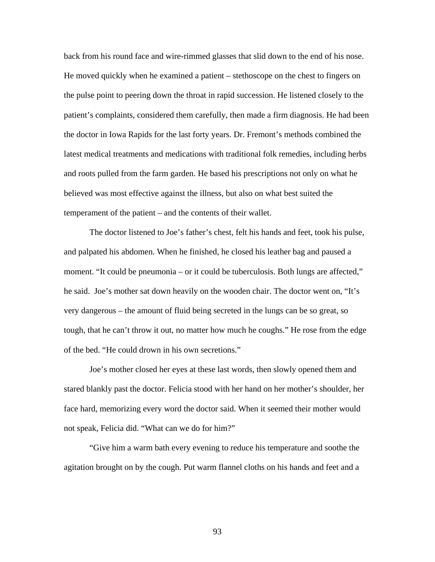back from his round face and wire-rimmed glasses that slid down to the end of his nose. He moved quickly when he examined a patient – stethoscope on the chest to fingers on the pulse point to peering down the throat in rapid succession. He listened closely to the patient's complaints, considered them carefully, then made a firm diagnosis. He had been the doctor in Iowa Rapids for the last forty years. Dr. Fremont's methods combined the latest medical treatments and medications with traditional folk remedies, including herbs and roots pulled from the farm garden. He based his prescriptions not only on what he believed was most effective against the illness, but also on what best suited the temperament of the patient – and the contents of their wallet.

 The doctor listened to Joe's father's chest, felt his hands and feet, took his pulse, and palpated his abdomen. When he finished, he closed his leather bag and paused a moment. "It could be pneumonia – or it could be tuberculosis. Both lungs are affected," he said. Joe's mother sat down heavily on the wooden chair. The doctor went on, "It's very dangerous – the amount of fluid being secreted in the lungs can be so great, so tough, that he can't throw it out, no matter how much he coughs." He rose from the edge of the bed. "He could drown in his own secretions."

 Joe's mother closed her eyes at these last words, then slowly opened them and stared blankly past the doctor. Felicia stood with her hand on her mother's shoulder, her face hard, memorizing every word the doctor said. When it seemed their mother would not speak, Felicia did. "What can we do for him?"

 "Give him a warm bath every evening to reduce his temperature and soothe the agitation brought on by the cough. Put warm flannel cloths on his hands and feet and a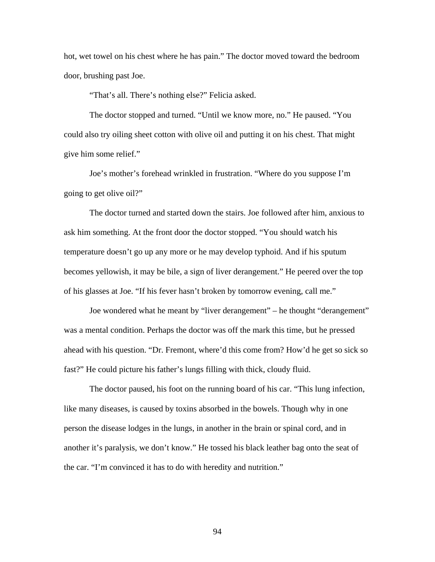hot, wet towel on his chest where he has pain." The doctor moved toward the bedroom door, brushing past Joe.

"That's all. There's nothing else?" Felicia asked.

 The doctor stopped and turned. "Until we know more, no." He paused. "You could also try oiling sheet cotton with olive oil and putting it on his chest. That might give him some relief."

 Joe's mother's forehead wrinkled in frustration. "Where do you suppose I'm going to get olive oil?"

 The doctor turned and started down the stairs. Joe followed after him, anxious to ask him something. At the front door the doctor stopped. "You should watch his temperature doesn't go up any more or he may develop typhoid. And if his sputum becomes yellowish, it may be bile, a sign of liver derangement." He peered over the top of his glasses at Joe. "If his fever hasn't broken by tomorrow evening, call me."

 Joe wondered what he meant by "liver derangement" – he thought "derangement" was a mental condition. Perhaps the doctor was off the mark this time, but he pressed ahead with his question. "Dr. Fremont, where'd this come from? How'd he get so sick so fast?" He could picture his father's lungs filling with thick, cloudy fluid.

 The doctor paused, his foot on the running board of his car. "This lung infection, like many diseases, is caused by toxins absorbed in the bowels. Though why in one person the disease lodges in the lungs, in another in the brain or spinal cord, and in another it's paralysis, we don't know." He tossed his black leather bag onto the seat of the car. "I'm convinced it has to do with heredity and nutrition."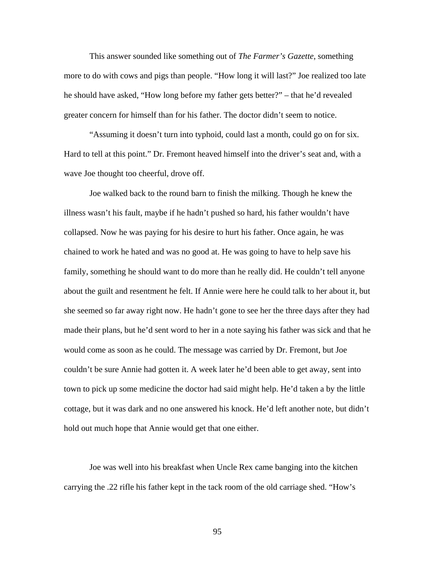This answer sounded like something out of *The Farmer's Gazette*, something more to do with cows and pigs than people. "How long it will last?" Joe realized too late he should have asked, "How long before my father gets better?" – that he'd revealed greater concern for himself than for his father. The doctor didn't seem to notice.

 "Assuming it doesn't turn into typhoid, could last a month, could go on for six. Hard to tell at this point." Dr. Fremont heaved himself into the driver's seat and, with a wave Joe thought too cheerful, drove off.

Joe walked back to the round barn to finish the milking. Though he knew the illness wasn't his fault, maybe if he hadn't pushed so hard, his father wouldn't have collapsed. Now he was paying for his desire to hurt his father. Once again, he was chained to work he hated and was no good at. He was going to have to help save his family, something he should want to do more than he really did. He couldn't tell anyone about the guilt and resentment he felt. If Annie were here he could talk to her about it, but she seemed so far away right now. He hadn't gone to see her the three days after they had made their plans, but he'd sent word to her in a note saying his father was sick and that he would come as soon as he could. The message was carried by Dr. Fremont, but Joe couldn't be sure Annie had gotten it. A week later he'd been able to get away, sent into town to pick up some medicine the doctor had said might help. He'd taken a by the little cottage, but it was dark and no one answered his knock. He'd left another note, but didn't hold out much hope that Annie would get that one either.

 Joe was well into his breakfast when Uncle Rex came banging into the kitchen carrying the .22 rifle his father kept in the tack room of the old carriage shed. "How's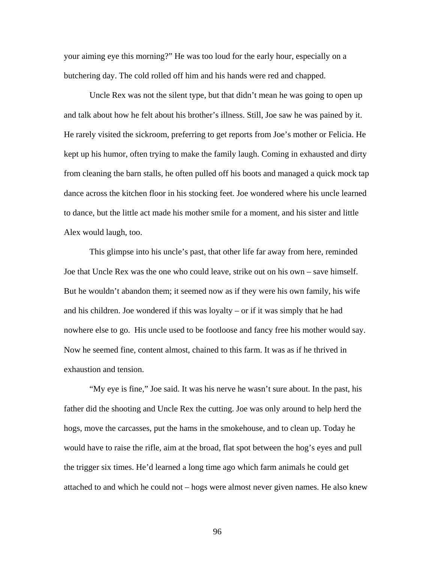your aiming eye this morning?" He was too loud for the early hour, especially on a butchering day. The cold rolled off him and his hands were red and chapped.

 Uncle Rex was not the silent type, but that didn't mean he was going to open up and talk about how he felt about his brother's illness. Still, Joe saw he was pained by it. He rarely visited the sickroom, preferring to get reports from Joe's mother or Felicia. He kept up his humor, often trying to make the family laugh. Coming in exhausted and dirty from cleaning the barn stalls, he often pulled off his boots and managed a quick mock tap dance across the kitchen floor in his stocking feet. Joe wondered where his uncle learned to dance, but the little act made his mother smile for a moment, and his sister and little Alex would laugh, too.

This glimpse into his uncle's past, that other life far away from here, reminded Joe that Uncle Rex was the one who could leave, strike out on his own – save himself. But he wouldn't abandon them; it seemed now as if they were his own family, his wife and his children. Joe wondered if this was loyalty – or if it was simply that he had nowhere else to go. His uncle used to be footloose and fancy free his mother would say. Now he seemed fine, content almost, chained to this farm. It was as if he thrived in exhaustion and tension.

 "My eye is fine," Joe said. It was his nerve he wasn't sure about. In the past, his father did the shooting and Uncle Rex the cutting. Joe was only around to help herd the hogs, move the carcasses, put the hams in the smokehouse, and to clean up. Today he would have to raise the rifle, aim at the broad, flat spot between the hog's eyes and pull the trigger six times. He'd learned a long time ago which farm animals he could get attached to and which he could not – hogs were almost never given names. He also knew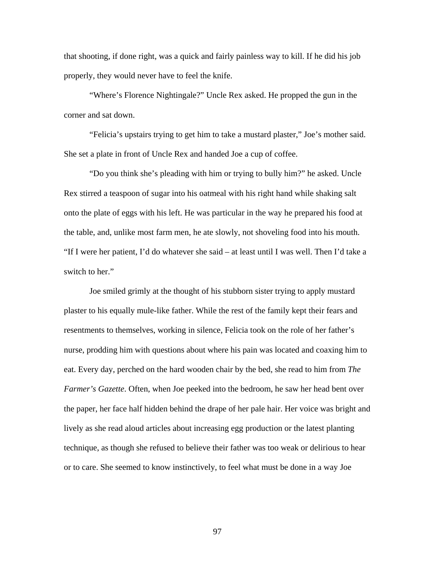that shooting, if done right, was a quick and fairly painless way to kill. If he did his job properly, they would never have to feel the knife.

 "Where's Florence Nightingale?" Uncle Rex asked. He propped the gun in the corner and sat down.

 "Felicia's upstairs trying to get him to take a mustard plaster," Joe's mother said. She set a plate in front of Uncle Rex and handed Joe a cup of coffee.

 "Do you think she's pleading with him or trying to bully him?" he asked. Uncle Rex stirred a teaspoon of sugar into his oatmeal with his right hand while shaking salt onto the plate of eggs with his left. He was particular in the way he prepared his food at the table, and, unlike most farm men, he ate slowly, not shoveling food into his mouth. "If I were her patient, I'd do whatever she said – at least until I was well. Then I'd take a switch to her."

 Joe smiled grimly at the thought of his stubborn sister trying to apply mustard plaster to his equally mule-like father. While the rest of the family kept their fears and resentments to themselves, working in silence, Felicia took on the role of her father's nurse, prodding him with questions about where his pain was located and coaxing him to eat. Every day, perched on the hard wooden chair by the bed, she read to him from *The Farmer's Gazette*. Often, when Joe peeked into the bedroom, he saw her head bent over the paper, her face half hidden behind the drape of her pale hair. Her voice was bright and lively as she read aloud articles about increasing egg production or the latest planting technique, as though she refused to believe their father was too weak or delirious to hear or to care. She seemed to know instinctively, to feel what must be done in a way Joe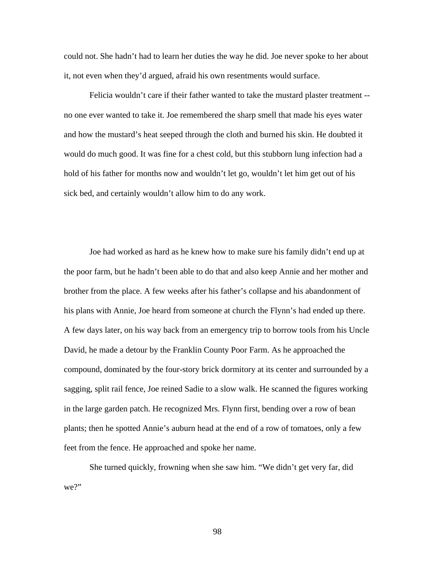could not. She hadn't had to learn her duties the way he did. Joe never spoke to her about it, not even when they'd argued, afraid his own resentments would surface.

Felicia wouldn't care if their father wanted to take the mustard plaster treatment - no one ever wanted to take it. Joe remembered the sharp smell that made his eyes water and how the mustard's heat seeped through the cloth and burned his skin. He doubted it would do much good. It was fine for a chest cold, but this stubborn lung infection had a hold of his father for months now and wouldn't let go, wouldn't let him get out of his sick bed, and certainly wouldn't allow him to do any work.

Joe had worked as hard as he knew how to make sure his family didn't end up at the poor farm, but he hadn't been able to do that and also keep Annie and her mother and brother from the place. A few weeks after his father's collapse and his abandonment of his plans with Annie, Joe heard from someone at church the Flynn's had ended up there. A few days later, on his way back from an emergency trip to borrow tools from his Uncle David, he made a detour by the Franklin County Poor Farm. As he approached the compound, dominated by the four-story brick dormitory at its center and surrounded by a sagging, split rail fence, Joe reined Sadie to a slow walk. He scanned the figures working in the large garden patch. He recognized Mrs. Flynn first, bending over a row of bean plants; then he spotted Annie's auburn head at the end of a row of tomatoes, only a few feet from the fence. He approached and spoke her name.

She turned quickly, frowning when she saw him. "We didn't get very far, did we?"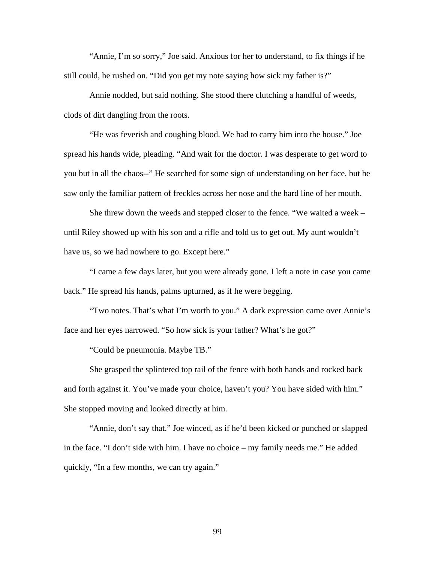"Annie, I'm so sorry," Joe said. Anxious for her to understand, to fix things if he still could, he rushed on. "Did you get my note saying how sick my father is?"

Annie nodded, but said nothing. She stood there clutching a handful of weeds, clods of dirt dangling from the roots.

"He was feverish and coughing blood. We had to carry him into the house." Joe spread his hands wide, pleading. "And wait for the doctor. I was desperate to get word to you but in all the chaos--" He searched for some sign of understanding on her face, but he saw only the familiar pattern of freckles across her nose and the hard line of her mouth.

She threw down the weeds and stepped closer to the fence. "We waited a week – until Riley showed up with his son and a rifle and told us to get out. My aunt wouldn't have us, so we had nowhere to go. Except here."

"I came a few days later, but you were already gone. I left a note in case you came back." He spread his hands, palms upturned, as if he were begging.

"Two notes. That's what I'm worth to you." A dark expression came over Annie's face and her eyes narrowed. "So how sick is your father? What's he got?"

"Could be pneumonia. Maybe TB."

She grasped the splintered top rail of the fence with both hands and rocked back and forth against it. You've made your choice, haven't you? You have sided with him." She stopped moving and looked directly at him.

"Annie, don't say that." Joe winced, as if he'd been kicked or punched or slapped in the face. "I don't side with him. I have no choice – my family needs me." He added quickly, "In a few months, we can try again."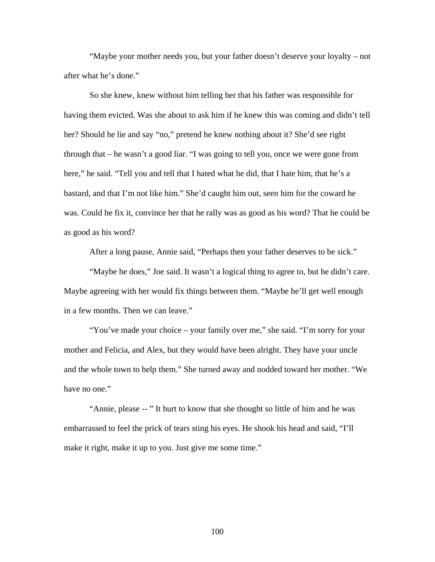"Maybe your mother needs you, but your father doesn't deserve your loyalty – not after what he's done."

So she knew, knew without him telling her that his father was responsible for having them evicted. Was she about to ask him if he knew this was coming and didn't tell her? Should he lie and say "no," pretend he knew nothing about it? She'd see right through that – he wasn't a good liar. "I was going to tell you, once we were gone from here," he said. "Tell you and tell that I hated what he did, that I hate him, that he's a bastard, and that I'm not like him." She'd caught him out, seen him for the coward he was. Could he fix it, convince her that he rally was as good as his word? That he could be as good as his word?

After a long pause, Annie said, "Perhaps then your father deserves to be sick."

"Maybe he does," Joe said. It wasn't a logical thing to agree to, but he didn't care. Maybe agreeing with her would fix things between them. "Maybe he'll get well enough in a few months. Then we can leave."

"You've made your choice – your family over me," she said. "I'm sorry for your mother and Felicia, and Alex, but they would have been alright. They have your uncle and the whole town to help them." She turned away and nodded toward her mother. "We have no one."

"Annie, please -- " It hurt to know that she thought so little of him and he was embarrassed to feel the prick of tears sting his eyes. He shook his head and said, "I'll make it right, make it up to you. Just give me some time."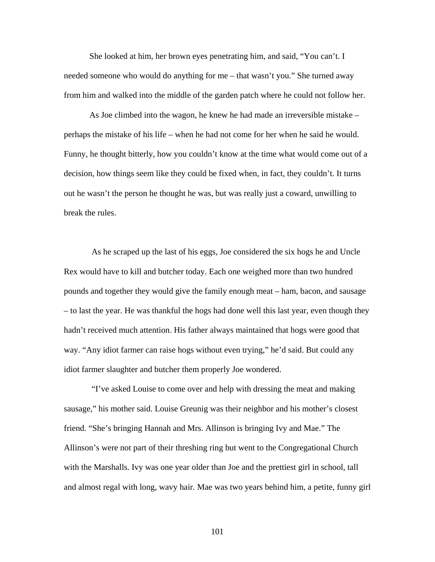She looked at him, her brown eyes penetrating him, and said, "You can't. I needed someone who would do anything for me – that wasn't you." She turned away from him and walked into the middle of the garden patch where he could not follow her.

As Joe climbed into the wagon, he knew he had made an irreversible mistake – perhaps the mistake of his life – when he had not come for her when he said he would. Funny, he thought bitterly, how you couldn't know at the time what would come out of a decision, how things seem like they could be fixed when, in fact, they couldn't. It turns out he wasn't the person he thought he was, but was really just a coward, unwilling to break the rules.

 As he scraped up the last of his eggs, Joe considered the six hogs he and Uncle Rex would have to kill and butcher today. Each one weighed more than two hundred pounds and together they would give the family enough meat – ham, bacon, and sausage – to last the year. He was thankful the hogs had done well this last year, even though they hadn't received much attention. His father always maintained that hogs were good that way. "Any idiot farmer can raise hogs without even trying," he'd said. But could any idiot farmer slaughter and butcher them properly Joe wondered.

 "I've asked Louise to come over and help with dressing the meat and making sausage," his mother said. Louise Greunig was their neighbor and his mother's closest friend. "She's bringing Hannah and Mrs. Allinson is bringing Ivy and Mae." The Allinson's were not part of their threshing ring but went to the Congregational Church with the Marshalls. Ivy was one year older than Joe and the prettiest girl in school, tall and almost regal with long, wavy hair. Mae was two years behind him, a petite, funny girl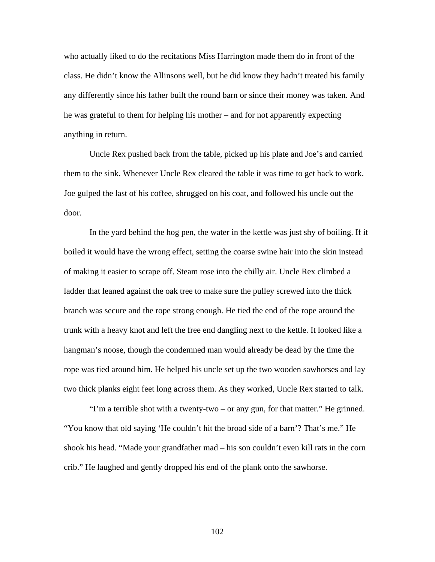who actually liked to do the recitations Miss Harrington made them do in front of the class. He didn't know the Allinsons well, but he did know they hadn't treated his family any differently since his father built the round barn or since their money was taken. And he was grateful to them for helping his mother – and for not apparently expecting anything in return.

 Uncle Rex pushed back from the table, picked up his plate and Joe's and carried them to the sink. Whenever Uncle Rex cleared the table it was time to get back to work. Joe gulped the last of his coffee, shrugged on his coat, and followed his uncle out the door.

 In the yard behind the hog pen, the water in the kettle was just shy of boiling. If it boiled it would have the wrong effect, setting the coarse swine hair into the skin instead of making it easier to scrape off. Steam rose into the chilly air. Uncle Rex climbed a ladder that leaned against the oak tree to make sure the pulley screwed into the thick branch was secure and the rope strong enough. He tied the end of the rope around the trunk with a heavy knot and left the free end dangling next to the kettle. It looked like a hangman's noose, though the condemned man would already be dead by the time the rope was tied around him. He helped his uncle set up the two wooden sawhorses and lay two thick planks eight feet long across them. As they worked, Uncle Rex started to talk.

 "I'm a terrible shot with a twenty-two – or any gun, for that matter." He grinned. "You know that old saying 'He couldn't hit the broad side of a barn'? That's me." He shook his head. "Made your grandfather mad – his son couldn't even kill rats in the corn crib." He laughed and gently dropped his end of the plank onto the sawhorse.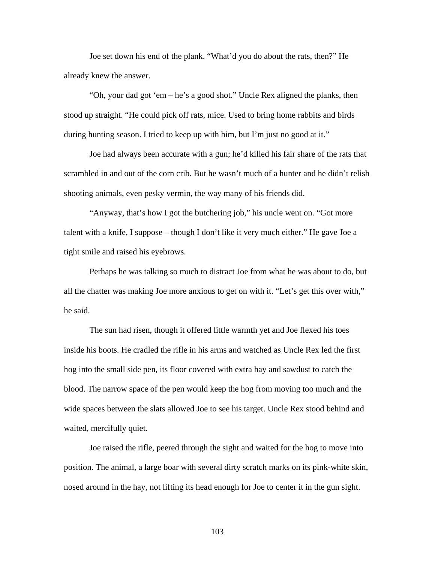Joe set down his end of the plank. "What'd you do about the rats, then?" He already knew the answer.

 "Oh, your dad got 'em – he's a good shot." Uncle Rex aligned the planks, then stood up straight. "He could pick off rats, mice. Used to bring home rabbits and birds during hunting season. I tried to keep up with him, but I'm just no good at it."

 Joe had always been accurate with a gun; he'd killed his fair share of the rats that scrambled in and out of the corn crib. But he wasn't much of a hunter and he didn't relish shooting animals, even pesky vermin, the way many of his friends did.

 "Anyway, that's how I got the butchering job," his uncle went on. "Got more talent with a knife, I suppose – though I don't like it very much either." He gave Joe a tight smile and raised his eyebrows.

 Perhaps he was talking so much to distract Joe from what he was about to do, but all the chatter was making Joe more anxious to get on with it. "Let's get this over with," he said.

 The sun had risen, though it offered little warmth yet and Joe flexed his toes inside his boots. He cradled the rifle in his arms and watched as Uncle Rex led the first hog into the small side pen, its floor covered with extra hay and sawdust to catch the blood. The narrow space of the pen would keep the hog from moving too much and the wide spaces between the slats allowed Joe to see his target. Uncle Rex stood behind and waited, mercifully quiet.

 Joe raised the rifle, peered through the sight and waited for the hog to move into position. The animal, a large boar with several dirty scratch marks on its pink-white skin, nosed around in the hay, not lifting its head enough for Joe to center it in the gun sight.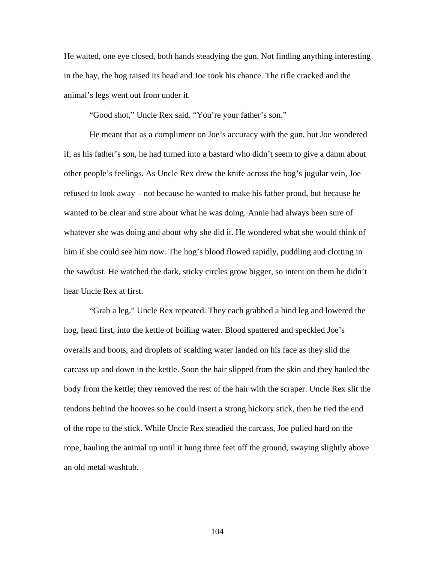He waited, one eye closed, both hands steadying the gun. Not finding anything interesting in the hay, the hog raised its head and Joe took his chance. The rifle cracked and the animal's legs went out from under it.

"Good shot," Uncle Rex said. "You're your father's son."

 He meant that as a compliment on Joe's accuracy with the gun, but Joe wondered if, as his father's son, he had turned into a bastard who didn't seem to give a damn about other people's feelings. As Uncle Rex drew the knife across the hog's jugular vein, Joe refused to look away – not because he wanted to make his father proud, but because he wanted to be clear and sure about what he was doing. Annie had always been sure of whatever she was doing and about why she did it. He wondered what she would think of him if she could see him now. The hog's blood flowed rapidly, puddling and clotting in the sawdust. He watched the dark, sticky circles grow bigger, so intent on them he didn't hear Uncle Rex at first.

 "Grab a leg," Uncle Rex repeated. They each grabbed a hind leg and lowered the hog, head first, into the kettle of boiling water. Blood spattered and speckled Joe's overalls and boots, and droplets of scalding water landed on his face as they slid the carcass up and down in the kettle. Soon the hair slipped from the skin and they hauled the body from the kettle; they removed the rest of the hair with the scraper. Uncle Rex slit the tendons behind the hooves so he could insert a strong hickory stick, then he tied the end of the rope to the stick. While Uncle Rex steadied the carcass, Joe pulled hard on the rope, hauling the animal up until it hung three feet off the ground, swaying slightly above an old metal washtub.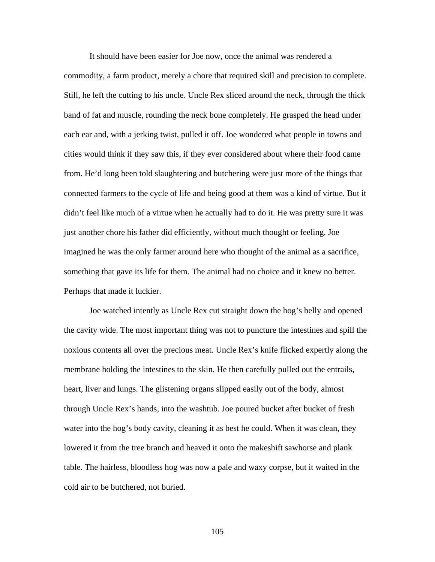It should have been easier for Joe now, once the animal was rendered a commodity, a farm product, merely a chore that required skill and precision to complete. Still, he left the cutting to his uncle. Uncle Rex sliced around the neck, through the thick band of fat and muscle, rounding the neck bone completely. He grasped the head under each ear and, with a jerking twist, pulled it off. Joe wondered what people in towns and cities would think if they saw this, if they ever considered about where their food came from. He'd long been told slaughtering and butchering were just more of the things that connected farmers to the cycle of life and being good at them was a kind of virtue. But it didn't feel like much of a virtue when he actually had to do it. He was pretty sure it was just another chore his father did efficiently, without much thought or feeling. Joe imagined he was the only farmer around here who thought of the animal as a sacrifice, something that gave its life for them. The animal had no choice and it knew no better. Perhaps that made it luckier.

 Joe watched intently as Uncle Rex cut straight down the hog's belly and opened the cavity wide. The most important thing was not to puncture the intestines and spill the noxious contents all over the precious meat. Uncle Rex's knife flicked expertly along the membrane holding the intestines to the skin. He then carefully pulled out the entrails, heart, liver and lungs. The glistening organs slipped easily out of the body, almost through Uncle Rex's hands, into the washtub. Joe poured bucket after bucket of fresh water into the hog's body cavity, cleaning it as best he could. When it was clean, they lowered it from the tree branch and heaved it onto the makeshift sawhorse and plank table. The hairless, bloodless hog was now a pale and waxy corpse, but it waited in the cold air to be butchered, not buried.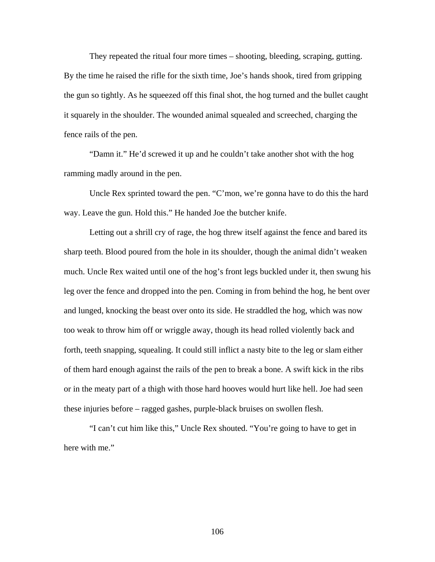They repeated the ritual four more times – shooting, bleeding, scraping, gutting. By the time he raised the rifle for the sixth time, Joe's hands shook, tired from gripping the gun so tightly. As he squeezed off this final shot, the hog turned and the bullet caught it squarely in the shoulder. The wounded animal squealed and screeched, charging the fence rails of the pen.

 "Damn it." He'd screwed it up and he couldn't take another shot with the hog ramming madly around in the pen.

 Uncle Rex sprinted toward the pen. "C'mon, we're gonna have to do this the hard way. Leave the gun. Hold this." He handed Joe the butcher knife.

 Letting out a shrill cry of rage, the hog threw itself against the fence and bared its sharp teeth. Blood poured from the hole in its shoulder, though the animal didn't weaken much. Uncle Rex waited until one of the hog's front legs buckled under it, then swung his leg over the fence and dropped into the pen. Coming in from behind the hog, he bent over and lunged, knocking the beast over onto its side. He straddled the hog, which was now too weak to throw him off or wriggle away, though its head rolled violently back and forth, teeth snapping, squealing. It could still inflict a nasty bite to the leg or slam either of them hard enough against the rails of the pen to break a bone. A swift kick in the ribs or in the meaty part of a thigh with those hard hooves would hurt like hell. Joe had seen these injuries before – ragged gashes, purple-black bruises on swollen flesh.

 "I can't cut him like this," Uncle Rex shouted. "You're going to have to get in here with me."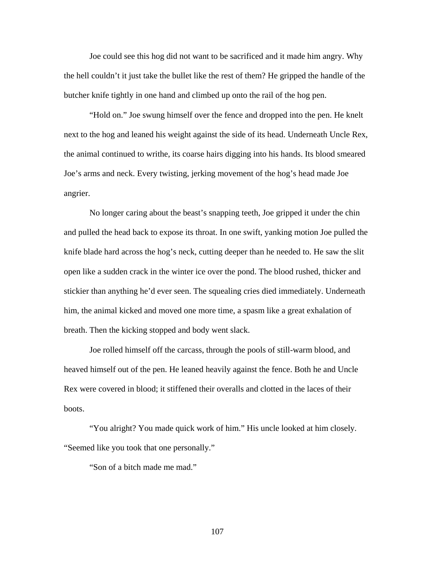Joe could see this hog did not want to be sacrificed and it made him angry. Why the hell couldn't it just take the bullet like the rest of them? He gripped the handle of the butcher knife tightly in one hand and climbed up onto the rail of the hog pen.

 "Hold on." Joe swung himself over the fence and dropped into the pen. He knelt next to the hog and leaned his weight against the side of its head. Underneath Uncle Rex, the animal continued to writhe, its coarse hairs digging into his hands. Its blood smeared Joe's arms and neck. Every twisting, jerking movement of the hog's head made Joe angrier.

 No longer caring about the beast's snapping teeth, Joe gripped it under the chin and pulled the head back to expose its throat. In one swift, yanking motion Joe pulled the knife blade hard across the hog's neck, cutting deeper than he needed to. He saw the slit open like a sudden crack in the winter ice over the pond. The blood rushed, thicker and stickier than anything he'd ever seen. The squealing cries died immediately. Underneath him, the animal kicked and moved one more time, a spasm like a great exhalation of breath. Then the kicking stopped and body went slack.

 Joe rolled himself off the carcass, through the pools of still-warm blood, and heaved himself out of the pen. He leaned heavily against the fence. Both he and Uncle Rex were covered in blood; it stiffened their overalls and clotted in the laces of their boots.

 "You alright? You made quick work of him." His uncle looked at him closely. "Seemed like you took that one personally."

"Son of a bitch made me mad."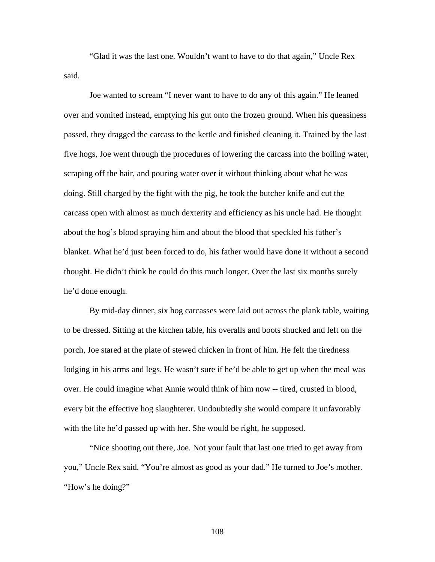"Glad it was the last one. Wouldn't want to have to do that again," Uncle Rex said.

 Joe wanted to scream "I never want to have to do any of this again." He leaned over and vomited instead, emptying his gut onto the frozen ground. When his queasiness passed, they dragged the carcass to the kettle and finished cleaning it. Trained by the last five hogs, Joe went through the procedures of lowering the carcass into the boiling water, scraping off the hair, and pouring water over it without thinking about what he was doing. Still charged by the fight with the pig, he took the butcher knife and cut the carcass open with almost as much dexterity and efficiency as his uncle had. He thought about the hog's blood spraying him and about the blood that speckled his father's blanket. What he'd just been forced to do, his father would have done it without a second thought. He didn't think he could do this much longer. Over the last six months surely he'd done enough.

 By mid-day dinner, six hog carcasses were laid out across the plank table, waiting to be dressed. Sitting at the kitchen table, his overalls and boots shucked and left on the porch, Joe stared at the plate of stewed chicken in front of him. He felt the tiredness lodging in his arms and legs. He wasn't sure if he'd be able to get up when the meal was over. He could imagine what Annie would think of him now -- tired, crusted in blood, every bit the effective hog slaughterer. Undoubtedly she would compare it unfavorably with the life he'd passed up with her. She would be right, he supposed.

 "Nice shooting out there, Joe. Not your fault that last one tried to get away from you," Uncle Rex said. "You're almost as good as your dad." He turned to Joe's mother. "How's he doing?"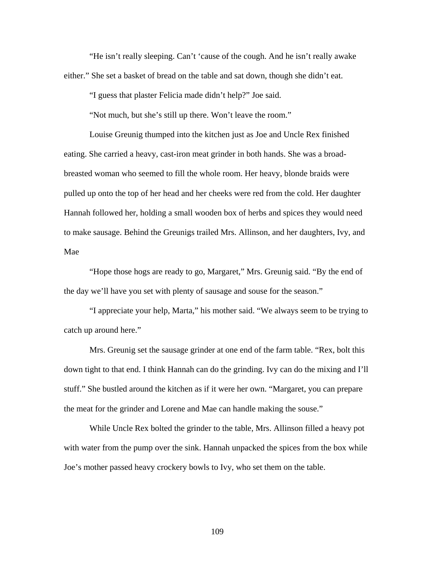"He isn't really sleeping. Can't 'cause of the cough. And he isn't really awake either." She set a basket of bread on the table and sat down, though she didn't eat.

"I guess that plaster Felicia made didn't help?" Joe said.

"Not much, but she's still up there. Won't leave the room."

 Louise Greunig thumped into the kitchen just as Joe and Uncle Rex finished eating. She carried a heavy, cast-iron meat grinder in both hands. She was a broadbreasted woman who seemed to fill the whole room. Her heavy, blonde braids were pulled up onto the top of her head and her cheeks were red from the cold. Her daughter Hannah followed her, holding a small wooden box of herbs and spices they would need to make sausage. Behind the Greunigs trailed Mrs. Allinson, and her daughters, Ivy, and Mae

 "Hope those hogs are ready to go, Margaret," Mrs. Greunig said. "By the end of the day we'll have you set with plenty of sausage and souse for the season."

 "I appreciate your help, Marta," his mother said. "We always seem to be trying to catch up around here."

 Mrs. Greunig set the sausage grinder at one end of the farm table. "Rex, bolt this down tight to that end. I think Hannah can do the grinding. Ivy can do the mixing and I'll stuff." She bustled around the kitchen as if it were her own. "Margaret, you can prepare the meat for the grinder and Lorene and Mae can handle making the souse."

 While Uncle Rex bolted the grinder to the table, Mrs. Allinson filled a heavy pot with water from the pump over the sink. Hannah unpacked the spices from the box while Joe's mother passed heavy crockery bowls to Ivy, who set them on the table.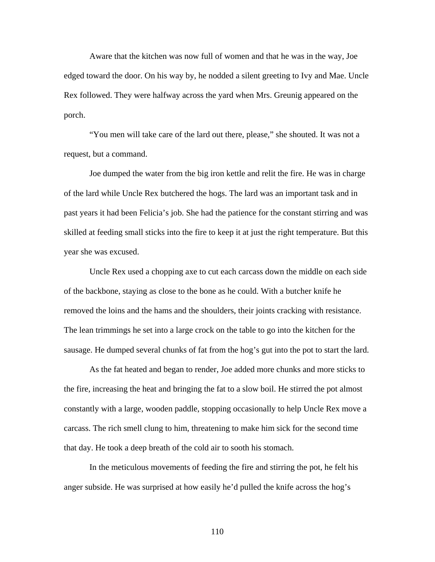Aware that the kitchen was now full of women and that he was in the way, Joe edged toward the door. On his way by, he nodded a silent greeting to Ivy and Mae. Uncle Rex followed. They were halfway across the yard when Mrs. Greunig appeared on the porch.

 "You men will take care of the lard out there, please," she shouted. It was not a request, but a command.

 Joe dumped the water from the big iron kettle and relit the fire. He was in charge of the lard while Uncle Rex butchered the hogs. The lard was an important task and in past years it had been Felicia's job. She had the patience for the constant stirring and was skilled at feeding small sticks into the fire to keep it at just the right temperature. But this year she was excused.

 Uncle Rex used a chopping axe to cut each carcass down the middle on each side of the backbone, staying as close to the bone as he could. With a butcher knife he removed the loins and the hams and the shoulders, their joints cracking with resistance. The lean trimmings he set into a large crock on the table to go into the kitchen for the sausage. He dumped several chunks of fat from the hog's gut into the pot to start the lard.

 As the fat heated and began to render, Joe added more chunks and more sticks to the fire, increasing the heat and bringing the fat to a slow boil. He stirred the pot almost constantly with a large, wooden paddle, stopping occasionally to help Uncle Rex move a carcass. The rich smell clung to him, threatening to make him sick for the second time that day. He took a deep breath of the cold air to sooth his stomach.

 In the meticulous movements of feeding the fire and stirring the pot, he felt his anger subside. He was surprised at how easily he'd pulled the knife across the hog's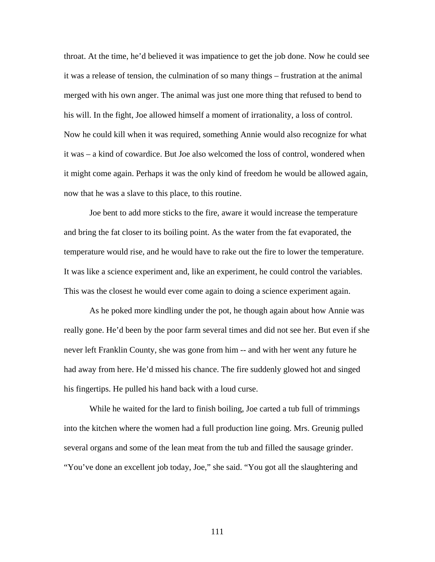throat. At the time, he'd believed it was impatience to get the job done. Now he could see it was a release of tension, the culmination of so many things – frustration at the animal merged with his own anger. The animal was just one more thing that refused to bend to his will. In the fight, Joe allowed himself a moment of irrationality, a loss of control. Now he could kill when it was required, something Annie would also recognize for what it was – a kind of cowardice. But Joe also welcomed the loss of control, wondered when it might come again. Perhaps it was the only kind of freedom he would be allowed again, now that he was a slave to this place, to this routine.

Joe bent to add more sticks to the fire, aware it would increase the temperature and bring the fat closer to its boiling point. As the water from the fat evaporated, the temperature would rise, and he would have to rake out the fire to lower the temperature. It was like a science experiment and, like an experiment, he could control the variables. This was the closest he would ever come again to doing a science experiment again.

 As he poked more kindling under the pot, he though again about how Annie was really gone. He'd been by the poor farm several times and did not see her. But even if she never left Franklin County, she was gone from him -- and with her went any future he had away from here. He'd missed his chance. The fire suddenly glowed hot and singed his fingertips. He pulled his hand back with a loud curse.

While he waited for the lard to finish boiling, Joe carted a tub full of trimmings into the kitchen where the women had a full production line going. Mrs. Greunig pulled several organs and some of the lean meat from the tub and filled the sausage grinder. "You've done an excellent job today, Joe," she said. "You got all the slaughtering and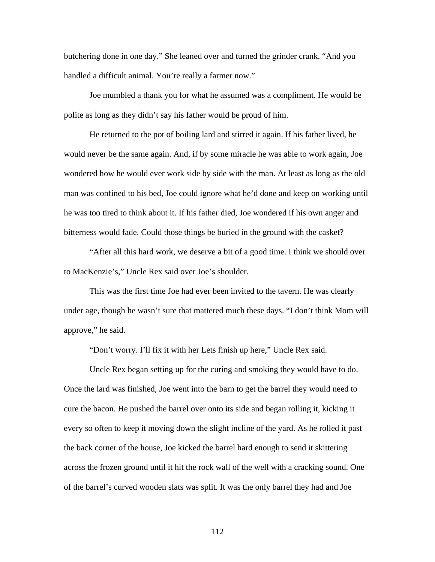butchering done in one day." She leaned over and turned the grinder crank. "And you handled a difficult animal. You're really a farmer now."

Joe mumbled a thank you for what he assumed was a compliment. He would be polite as long as they didn't say his father would be proud of him.

He returned to the pot of boiling lard and stirred it again. If his father lived, he would never be the same again. And, if by some miracle he was able to work again, Joe wondered how he would ever work side by side with the man. At least as long as the old man was confined to his bed, Joe could ignore what he'd done and keep on working until he was too tired to think about it. If his father died, Joe wondered if his own anger and bitterness would fade. Could those things be buried in the ground with the casket?

 "After all this hard work, we deserve a bit of a good time. I think we should over to MacKenzie's," Uncle Rex said over Joe's shoulder.

 This was the first time Joe had ever been invited to the tavern. He was clearly under age, though he wasn't sure that mattered much these days. "I don't think Mom will approve," he said.

"Don't worry. I'll fix it with her Lets finish up here," Uncle Rex said.

Uncle Rex began setting up for the curing and smoking they would have to do. Once the lard was finished, Joe went into the barn to get the barrel they would need to cure the bacon. He pushed the barrel over onto its side and began rolling it, kicking it every so often to keep it moving down the slight incline of the yard. As he rolled it past the back corner of the house, Joe kicked the barrel hard enough to send it skittering across the frozen ground until it hit the rock wall of the well with a cracking sound. One of the barrel's curved wooden slats was split. It was the only barrel they had and Joe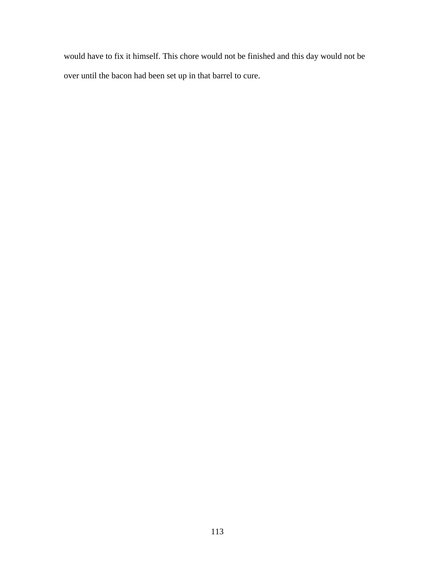would have to fix it himself. This chore would not be finished and this day would not be over until the bacon had been set up in that barrel to cure.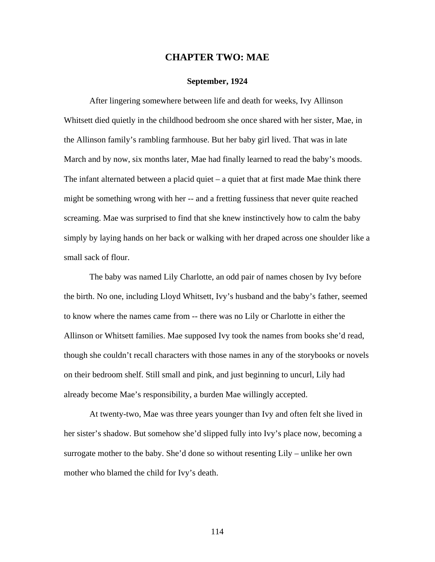## **CHAPTER TWO: MAE**

## **September, 1924**

 After lingering somewhere between life and death for weeks, Ivy Allinson Whitsett died quietly in the childhood bedroom she once shared with her sister, Mae, in the Allinson family's rambling farmhouse. But her baby girl lived. That was in late March and by now, six months later, Mae had finally learned to read the baby's moods. The infant alternated between a placid quiet  $-$  a quiet that at first made Mae think there might be something wrong with her -- and a fretting fussiness that never quite reached screaming. Mae was surprised to find that she knew instinctively how to calm the baby simply by laying hands on her back or walking with her draped across one shoulder like a small sack of flour.

The baby was named Lily Charlotte, an odd pair of names chosen by Ivy before the birth. No one, including Lloyd Whitsett, Ivy's husband and the baby's father, seemed to know where the names came from -- there was no Lily or Charlotte in either the Allinson or Whitsett families. Mae supposed Ivy took the names from books she'd read, though she couldn't recall characters with those names in any of the storybooks or novels on their bedroom shelf. Still small and pink, and just beginning to uncurl, Lily had already become Mae's responsibility, a burden Mae willingly accepted.

At twenty-two, Mae was three years younger than Ivy and often felt she lived in her sister's shadow. But somehow she'd slipped fully into Ivy's place now, becoming a surrogate mother to the baby. She'd done so without resenting Lily – unlike her own mother who blamed the child for Ivy's death.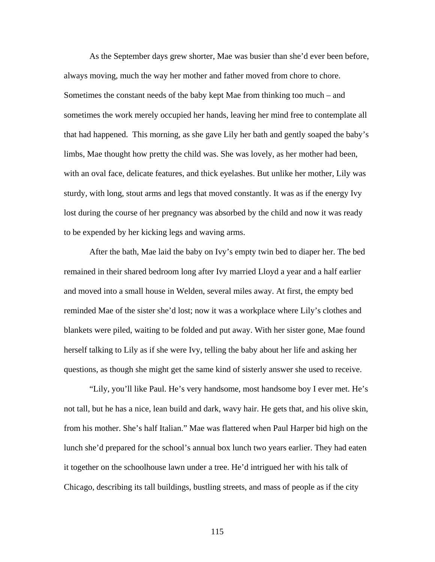As the September days grew shorter, Mae was busier than she'd ever been before, always moving, much the way her mother and father moved from chore to chore. Sometimes the constant needs of the baby kept Mae from thinking too much – and sometimes the work merely occupied her hands, leaving her mind free to contemplate all that had happened. This morning, as she gave Lily her bath and gently soaped the baby's limbs, Mae thought how pretty the child was. She was lovely, as her mother had been, with an oval face, delicate features, and thick eyelashes. But unlike her mother, Lily was sturdy, with long, stout arms and legs that moved constantly. It was as if the energy Ivy lost during the course of her pregnancy was absorbed by the child and now it was ready to be expended by her kicking legs and waving arms.

After the bath, Mae laid the baby on Ivy's empty twin bed to diaper her. The bed remained in their shared bedroom long after Ivy married Lloyd a year and a half earlier and moved into a small house in Welden, several miles away. At first, the empty bed reminded Mae of the sister she'd lost; now it was a workplace where Lily's clothes and blankets were piled, waiting to be folded and put away. With her sister gone, Mae found herself talking to Lily as if she were Ivy, telling the baby about her life and asking her questions, as though she might get the same kind of sisterly answer she used to receive.

"Lily, you'll like Paul. He's very handsome, most handsome boy I ever met. He's not tall, but he has a nice, lean build and dark, wavy hair. He gets that, and his olive skin, from his mother. She's half Italian." Mae was flattered when Paul Harper bid high on the lunch she'd prepared for the school's annual box lunch two years earlier. They had eaten it together on the schoolhouse lawn under a tree. He'd intrigued her with his talk of Chicago, describing its tall buildings, bustling streets, and mass of people as if the city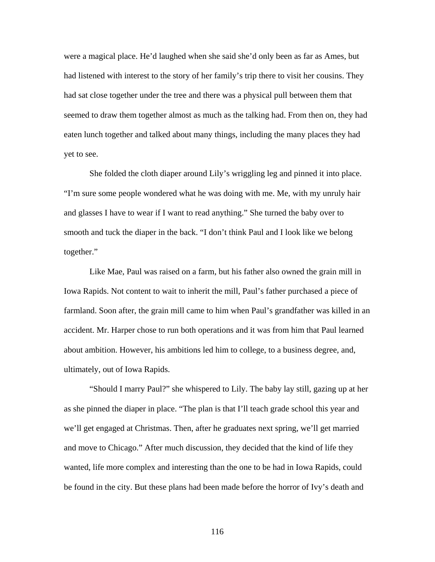were a magical place. He'd laughed when she said she'd only been as far as Ames, but had listened with interest to the story of her family's trip there to visit her cousins. They had sat close together under the tree and there was a physical pull between them that seemed to draw them together almost as much as the talking had. From then on, they had eaten lunch together and talked about many things, including the many places they had yet to see.

She folded the cloth diaper around Lily's wriggling leg and pinned it into place. "I'm sure some people wondered what he was doing with me. Me, with my unruly hair and glasses I have to wear if I want to read anything." She turned the baby over to smooth and tuck the diaper in the back. "I don't think Paul and I look like we belong together."

Like Mae, Paul was raised on a farm, but his father also owned the grain mill in Iowa Rapids. Not content to wait to inherit the mill, Paul's father purchased a piece of farmland. Soon after, the grain mill came to him when Paul's grandfather was killed in an accident. Mr. Harper chose to run both operations and it was from him that Paul learned about ambition. However, his ambitions led him to college, to a business degree, and, ultimately, out of Iowa Rapids.

"Should I marry Paul?" she whispered to Lily. The baby lay still, gazing up at her as she pinned the diaper in place. "The plan is that I'll teach grade school this year and we'll get engaged at Christmas. Then, after he graduates next spring, we'll get married and move to Chicago." After much discussion, they decided that the kind of life they wanted, life more complex and interesting than the one to be had in Iowa Rapids, could be found in the city. But these plans had been made before the horror of Ivy's death and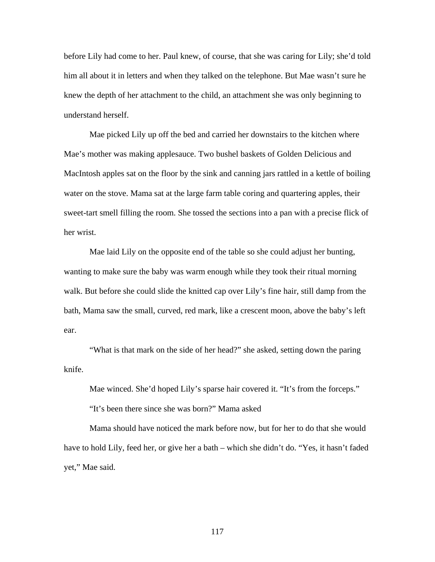before Lily had come to her. Paul knew, of course, that she was caring for Lily; she'd told him all about it in letters and when they talked on the telephone. But Mae wasn't sure he knew the depth of her attachment to the child, an attachment she was only beginning to understand herself.

Mae picked Lily up off the bed and carried her downstairs to the kitchen where Mae's mother was making applesauce. Two bushel baskets of Golden Delicious and MacIntosh apples sat on the floor by the sink and canning jars rattled in a kettle of boiling water on the stove. Mama sat at the large farm table coring and quartering apples, their sweet-tart smell filling the room. She tossed the sections into a pan with a precise flick of her wrist.

Mae laid Lily on the opposite end of the table so she could adjust her bunting, wanting to make sure the baby was warm enough while they took their ritual morning walk. But before she could slide the knitted cap over Lily's fine hair, still damp from the bath, Mama saw the small, curved, red mark, like a crescent moon, above the baby's left ear.

"What is that mark on the side of her head?" she asked, setting down the paring knife.

Mae winced. She'd hoped Lily's sparse hair covered it. "It's from the forceps."

"It's been there since she was born?" Mama asked

Mama should have noticed the mark before now, but for her to do that she would have to hold Lily, feed her, or give her a bath – which she didn't do. "Yes, it hasn't faded yet," Mae said.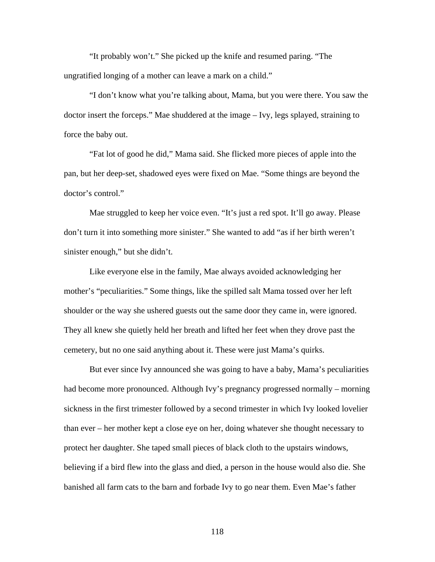"It probably won't." She picked up the knife and resumed paring. "The ungratified longing of a mother can leave a mark on a child."

"I don't know what you're talking about, Mama, but you were there. You saw the doctor insert the forceps." Mae shuddered at the image – Ivy, legs splayed, straining to force the baby out.

"Fat lot of good he did," Mama said. She flicked more pieces of apple into the pan, but her deep-set, shadowed eyes were fixed on Mae. "Some things are beyond the doctor's control."

Mae struggled to keep her voice even. "It's just a red spot. It'll go away. Please don't turn it into something more sinister." She wanted to add "as if her birth weren't sinister enough," but she didn't.

Like everyone else in the family, Mae always avoided acknowledging her mother's "peculiarities." Some things, like the spilled salt Mama tossed over her left shoulder or the way she ushered guests out the same door they came in, were ignored. They all knew she quietly held her breath and lifted her feet when they drove past the cemetery, but no one said anything about it. These were just Mama's quirks.

But ever since Ivy announced she was going to have a baby, Mama's peculiarities had become more pronounced. Although Ivy's pregnancy progressed normally – morning sickness in the first trimester followed by a second trimester in which Ivy looked lovelier than ever – her mother kept a close eye on her, doing whatever she thought necessary to protect her daughter. She taped small pieces of black cloth to the upstairs windows, believing if a bird flew into the glass and died, a person in the house would also die. She banished all farm cats to the barn and forbade Ivy to go near them. Even Mae's father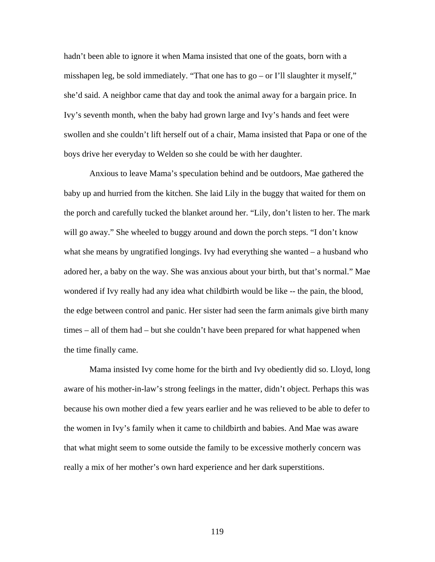hadn't been able to ignore it when Mama insisted that one of the goats, born with a misshapen leg, be sold immediately. "That one has to go – or I'll slaughter it myself," she'd said. A neighbor came that day and took the animal away for a bargain price. In Ivy's seventh month, when the baby had grown large and Ivy's hands and feet were swollen and she couldn't lift herself out of a chair, Mama insisted that Papa or one of the boys drive her everyday to Welden so she could be with her daughter.

Anxious to leave Mama's speculation behind and be outdoors, Mae gathered the baby up and hurried from the kitchen. She laid Lily in the buggy that waited for them on the porch and carefully tucked the blanket around her. "Lily, don't listen to her. The mark will go away." She wheeled to buggy around and down the porch steps. "I don't know what she means by ungratified longings. Ivy had everything she wanted – a husband who adored her, a baby on the way. She was anxious about your birth, but that's normal." Mae wondered if Ivy really had any idea what childbirth would be like -- the pain, the blood, the edge between control and panic. Her sister had seen the farm animals give birth many times – all of them had – but she couldn't have been prepared for what happened when the time finally came.

Mama insisted Ivy come home for the birth and Ivy obediently did so. Lloyd, long aware of his mother-in-law's strong feelings in the matter, didn't object. Perhaps this was because his own mother died a few years earlier and he was relieved to be able to defer to the women in Ivy's family when it came to childbirth and babies. And Mae was aware that what might seem to some outside the family to be excessive motherly concern was really a mix of her mother's own hard experience and her dark superstitions.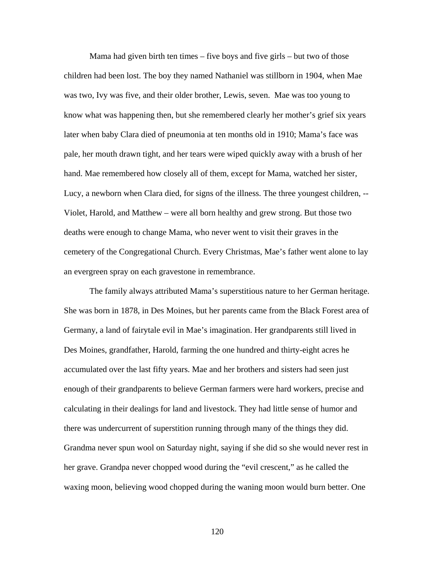Mama had given birth ten times – five boys and five girls – but two of those children had been lost. The boy they named Nathaniel was stillborn in 1904, when Mae was two, Ivy was five, and their older brother, Lewis, seven. Mae was too young to know what was happening then, but she remembered clearly her mother's grief six years later when baby Clara died of pneumonia at ten months old in 1910; Mama's face was pale, her mouth drawn tight, and her tears were wiped quickly away with a brush of her hand. Mae remembered how closely all of them, except for Mama, watched her sister, Lucy, a newborn when Clara died, for signs of the illness. The three youngest children, -- Violet, Harold, and Matthew – were all born healthy and grew strong. But those two deaths were enough to change Mama, who never went to visit their graves in the cemetery of the Congregational Church. Every Christmas, Mae's father went alone to lay an evergreen spray on each gravestone in remembrance.

The family always attributed Mama's superstitious nature to her German heritage. She was born in 1878, in Des Moines, but her parents came from the Black Forest area of Germany, a land of fairytale evil in Mae's imagination. Her grandparents still lived in Des Moines, grandfather, Harold, farming the one hundred and thirty-eight acres he accumulated over the last fifty years. Mae and her brothers and sisters had seen just enough of their grandparents to believe German farmers were hard workers, precise and calculating in their dealings for land and livestock. They had little sense of humor and there was undercurrent of superstition running through many of the things they did. Grandma never spun wool on Saturday night, saying if she did so she would never rest in her grave. Grandpa never chopped wood during the "evil crescent," as he called the waxing moon, believing wood chopped during the waning moon would burn better. One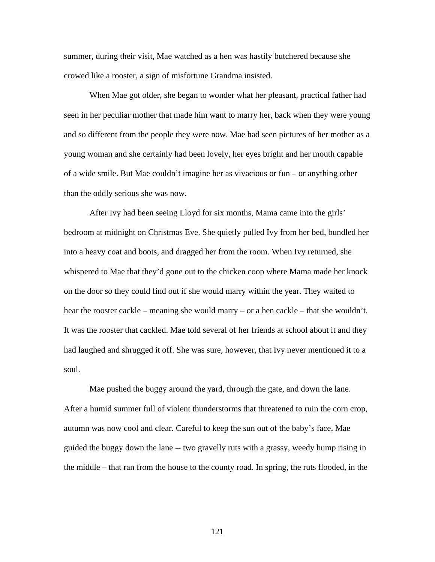summer, during their visit, Mae watched as a hen was hastily butchered because she crowed like a rooster, a sign of misfortune Grandma insisted.

When Mae got older, she began to wonder what her pleasant, practical father had seen in her peculiar mother that made him want to marry her, back when they were young and so different from the people they were now. Mae had seen pictures of her mother as a young woman and she certainly had been lovely, her eyes bright and her mouth capable of a wide smile. But Mae couldn't imagine her as vivacious or fun – or anything other than the oddly serious she was now.

After Ivy had been seeing Lloyd for six months, Mama came into the girls' bedroom at midnight on Christmas Eve. She quietly pulled Ivy from her bed, bundled her into a heavy coat and boots, and dragged her from the room. When Ivy returned, she whispered to Mae that they'd gone out to the chicken coop where Mama made her knock on the door so they could find out if she would marry within the year. They waited to hear the rooster cackle – meaning she would marry – or a hen cackle – that she wouldn't. It was the rooster that cackled. Mae told several of her friends at school about it and they had laughed and shrugged it off. She was sure, however, that Ivy never mentioned it to a soul.

 Mae pushed the buggy around the yard, through the gate, and down the lane. After a humid summer full of violent thunderstorms that threatened to ruin the corn crop, autumn was now cool and clear. Careful to keep the sun out of the baby's face, Mae guided the buggy down the lane -- two gravelly ruts with a grassy, weedy hump rising in the middle – that ran from the house to the county road. In spring, the ruts flooded, in the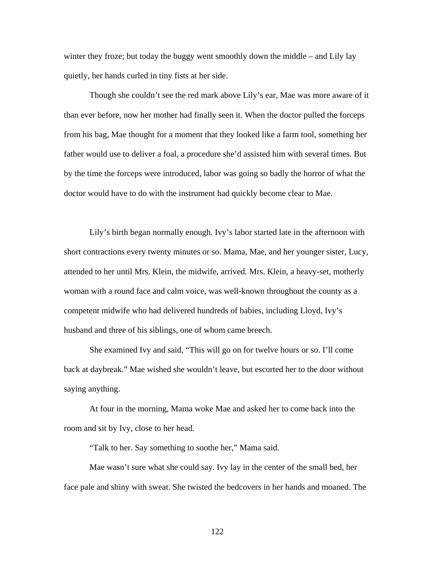winter they froze; but today the buggy went smoothly down the middle – and Lily lay quietly, her hands curled in tiny fists at her side.

Though she couldn't see the red mark above Lily's ear, Mae was more aware of it than ever before, now her mother had finally seen it. When the doctor pulled the forceps from his bag, Mae thought for a moment that they looked like a farm tool, something her father would use to deliver a foal, a procedure she'd assisted him with several times. But by the time the forceps were introduced, labor was going so badly the horror of what the doctor would have to do with the instrument had quickly become clear to Mae.

Lily's birth began normally enough. Ivy's labor started late in the afternoon with short contractions every twenty minutes or so. Mama, Mae, and her younger sister, Lucy, attended to her until Mrs. Klein, the midwife, arrived. Mrs. Klein, a heavy-set, motherly woman with a round face and calm voice, was well-known throughout the county as a competent midwife who had delivered hundreds of babies, including Lloyd, Ivy's husband and three of his siblings, one of whom came breech.

She examined Ivy and said, "This will go on for twelve hours or so. I'll come back at daybreak." Mae wished she wouldn't leave, but escorted her to the door without saying anything.

At four in the morning, Mama woke Mae and asked her to come back into the room and sit by Ivy, close to her head.

"Talk to her. Say something to soothe her," Mama said.

Mae wasn't sure what she could say. Ivy lay in the center of the small bed, her face pale and shiny with sweat. She twisted the bedcovers in her hands and moaned. The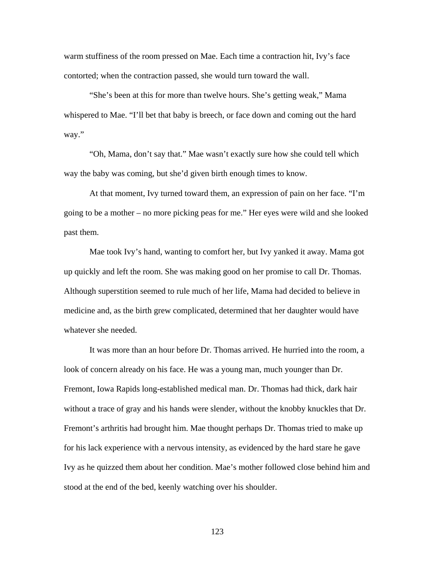warm stuffiness of the room pressed on Mae. Each time a contraction hit, Ivy's face contorted; when the contraction passed, she would turn toward the wall.

"She's been at this for more than twelve hours. She's getting weak," Mama whispered to Mae. "I'll bet that baby is breech, or face down and coming out the hard way."

"Oh, Mama, don't say that." Mae wasn't exactly sure how she could tell which way the baby was coming, but she'd given birth enough times to know.

At that moment, Ivy turned toward them, an expression of pain on her face. "I'm going to be a mother – no more picking peas for me." Her eyes were wild and she looked past them.

Mae took Ivy's hand, wanting to comfort her, but Ivy yanked it away. Mama got up quickly and left the room. She was making good on her promise to call Dr. Thomas. Although superstition seemed to rule much of her life, Mama had decided to believe in medicine and, as the birth grew complicated, determined that her daughter would have whatever she needed.

 It was more than an hour before Dr. Thomas arrived. He hurried into the room, a look of concern already on his face. He was a young man, much younger than Dr. Fremont, Iowa Rapids long-established medical man. Dr. Thomas had thick, dark hair without a trace of gray and his hands were slender, without the knobby knuckles that Dr. Fremont's arthritis had brought him. Mae thought perhaps Dr. Thomas tried to make up for his lack experience with a nervous intensity, as evidenced by the hard stare he gave Ivy as he quizzed them about her condition. Mae's mother followed close behind him and stood at the end of the bed, keenly watching over his shoulder.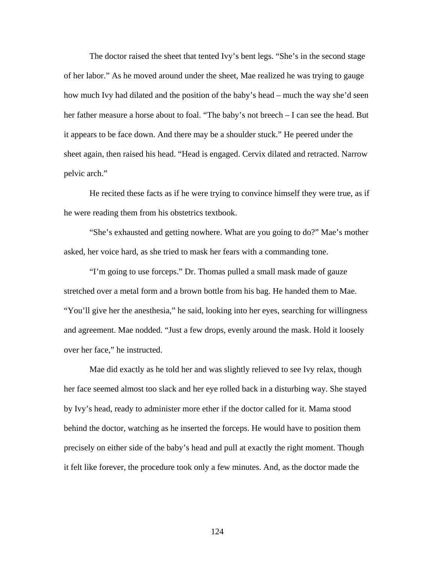The doctor raised the sheet that tented Ivy's bent legs. "She's in the second stage of her labor." As he moved around under the sheet, Mae realized he was trying to gauge how much Ivy had dilated and the position of the baby's head – much the way she'd seen her father measure a horse about to foal. "The baby's not breech – I can see the head. But it appears to be face down. And there may be a shoulder stuck." He peered under the sheet again, then raised his head. "Head is engaged. Cervix dilated and retracted. Narrow pelvic arch."

 He recited these facts as if he were trying to convince himself they were true, as if he were reading them from his obstetrics textbook.

 "She's exhausted and getting nowhere. What are you going to do?" Mae's mother asked, her voice hard, as she tried to mask her fears with a commanding tone.

 "I'm going to use forceps." Dr. Thomas pulled a small mask made of gauze stretched over a metal form and a brown bottle from his bag. He handed them to Mae. "You'll give her the anesthesia," he said, looking into her eyes, searching for willingness and agreement. Mae nodded. "Just a few drops, evenly around the mask. Hold it loosely over her face," he instructed.

 Mae did exactly as he told her and was slightly relieved to see Ivy relax, though her face seemed almost too slack and her eye rolled back in a disturbing way. She stayed by Ivy's head, ready to administer more ether if the doctor called for it. Mama stood behind the doctor, watching as he inserted the forceps. He would have to position them precisely on either side of the baby's head and pull at exactly the right moment. Though it felt like forever, the procedure took only a few minutes. And, as the doctor made the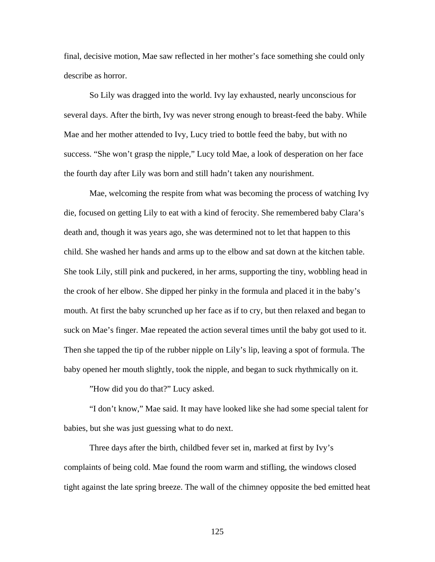final, decisive motion, Mae saw reflected in her mother's face something she could only describe as horror.

 So Lily was dragged into the world. Ivy lay exhausted, nearly unconscious for several days. After the birth, Ivy was never strong enough to breast-feed the baby. While Mae and her mother attended to Ivy, Lucy tried to bottle feed the baby, but with no success. "She won't grasp the nipple," Lucy told Mae, a look of desperation on her face the fourth day after Lily was born and still hadn't taken any nourishment.

Mae, welcoming the respite from what was becoming the process of watching Ivy die, focused on getting Lily to eat with a kind of ferocity. She remembered baby Clara's death and, though it was years ago, she was determined not to let that happen to this child. She washed her hands and arms up to the elbow and sat down at the kitchen table. She took Lily, still pink and puckered, in her arms, supporting the tiny, wobbling head in the crook of her elbow. She dipped her pinky in the formula and placed it in the baby's mouth. At first the baby scrunched up her face as if to cry, but then relaxed and began to suck on Mae's finger. Mae repeated the action several times until the baby got used to it. Then she tapped the tip of the rubber nipple on Lily's lip, leaving a spot of formula. The baby opened her mouth slightly, took the nipple, and began to suck rhythmically on it.

"How did you do that?" Lucy asked.

"I don't know," Mae said. It may have looked like she had some special talent for babies, but she was just guessing what to do next.

Three days after the birth, childbed fever set in, marked at first by Ivy's complaints of being cold. Mae found the room warm and stifling, the windows closed tight against the late spring breeze. The wall of the chimney opposite the bed emitted heat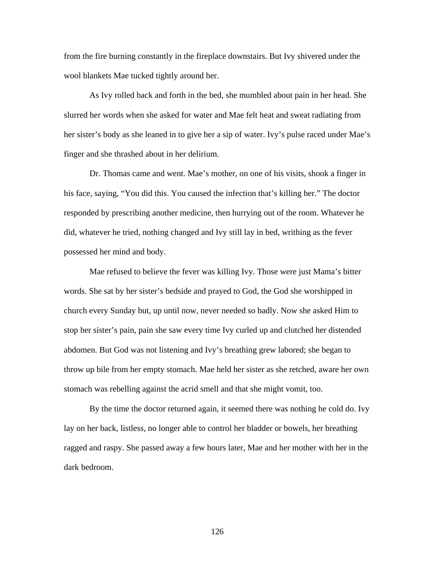from the fire burning constantly in the fireplace downstairs. But Ivy shivered under the wool blankets Mae tucked tightly around her.

 As Ivy rolled back and forth in the bed, she mumbled about pain in her head. She slurred her words when she asked for water and Mae felt heat and sweat radiating from her sister's body as she leaned in to give her a sip of water. Ivy's pulse raced under Mae's finger and she thrashed about in her delirium.

 Dr. Thomas came and went. Mae's mother, on one of his visits, shook a finger in his face, saying, "You did this. You caused the infection that's killing her." The doctor responded by prescribing another medicine, then hurrying out of the room. Whatever he did, whatever he tried, nothing changed and Ivy still lay in bed, writhing as the fever possessed her mind and body.

 Mae refused to believe the fever was killing Ivy. Those were just Mama's bitter words. She sat by her sister's bedside and prayed to God, the God she worshipped in church every Sunday but, up until now, never needed so badly. Now she asked Him to stop her sister's pain, pain she saw every time Ivy curled up and clutched her distended abdomen. But God was not listening and Ivy's breathing grew labored; she began to throw up bile from her empty stomach. Mae held her sister as she retched, aware her own stomach was rebelling against the acrid smell and that she might vomit, too.

 By the time the doctor returned again, it seemed there was nothing he cold do. Ivy lay on her back, listless, no longer able to control her bladder or bowels, her breathing ragged and raspy. She passed away a few hours later, Mae and her mother with her in the dark bedroom.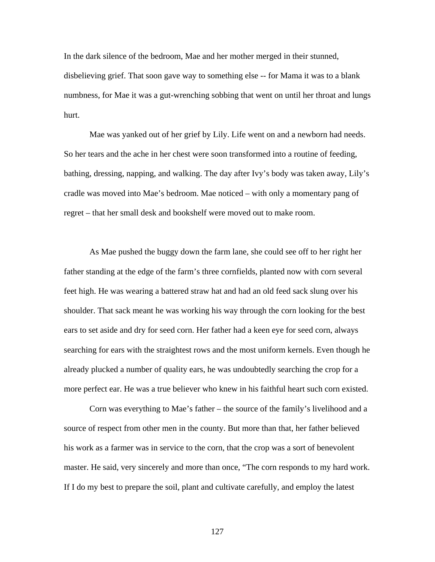In the dark silence of the bedroom, Mae and her mother merged in their stunned, disbelieving grief. That soon gave way to something else -- for Mama it was to a blank numbness, for Mae it was a gut-wrenching sobbing that went on until her throat and lungs hurt.

Mae was yanked out of her grief by Lily. Life went on and a newborn had needs. So her tears and the ache in her chest were soon transformed into a routine of feeding, bathing, dressing, napping, and walking. The day after Ivy's body was taken away, Lily's cradle was moved into Mae's bedroom. Mae noticed – with only a momentary pang of regret – that her small desk and bookshelf were moved out to make room.

As Mae pushed the buggy down the farm lane, she could see off to her right her father standing at the edge of the farm's three cornfields, planted now with corn several feet high. He was wearing a battered straw hat and had an old feed sack slung over his shoulder. That sack meant he was working his way through the corn looking for the best ears to set aside and dry for seed corn. Her father had a keen eye for seed corn, always searching for ears with the straightest rows and the most uniform kernels. Even though he already plucked a number of quality ears, he was undoubtedly searching the crop for a more perfect ear. He was a true believer who knew in his faithful heart such corn existed.

Corn was everything to Mae's father – the source of the family's livelihood and a source of respect from other men in the county. But more than that, her father believed his work as a farmer was in service to the corn, that the crop was a sort of benevolent master. He said, very sincerely and more than once, "The corn responds to my hard work. If I do my best to prepare the soil, plant and cultivate carefully, and employ the latest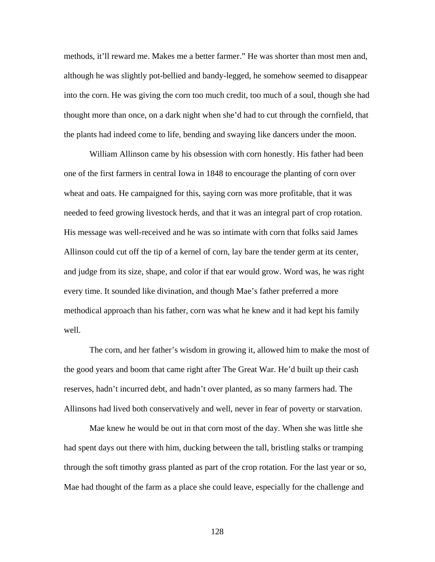methods, it'll reward me. Makes me a better farmer." He was shorter than most men and, although he was slightly pot-bellied and bandy-legged, he somehow seemed to disappear into the corn. He was giving the corn too much credit, too much of a soul, though she had thought more than once, on a dark night when she'd had to cut through the cornfield, that the plants had indeed come to life, bending and swaying like dancers under the moon.

William Allinson came by his obsession with corn honestly. His father had been one of the first farmers in central Iowa in 1848 to encourage the planting of corn over wheat and oats. He campaigned for this, saying corn was more profitable, that it was needed to feed growing livestock herds, and that it was an integral part of crop rotation. His message was well-received and he was so intimate with corn that folks said James Allinson could cut off the tip of a kernel of corn, lay bare the tender germ at its center, and judge from its size, shape, and color if that ear would grow. Word was, he was right every time. It sounded like divination, and though Mae's father preferred a more methodical approach than his father, corn was what he knew and it had kept his family well.

The corn, and her father's wisdom in growing it, allowed him to make the most of the good years and boom that came right after The Great War. He'd built up their cash reserves, hadn't incurred debt, and hadn't over planted, as so many farmers had. The Allinsons had lived both conservatively and well, never in fear of poverty or starvation.

Mae knew he would be out in that corn most of the day. When she was little she had spent days out there with him, ducking between the tall, bristling stalks or tramping through the soft timothy grass planted as part of the crop rotation. For the last year or so, Mae had thought of the farm as a place she could leave, especially for the challenge and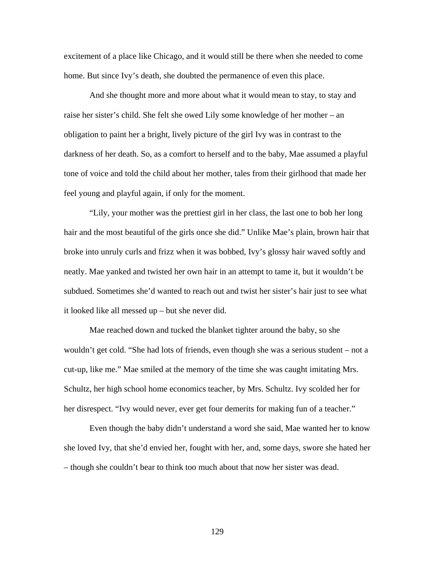excitement of a place like Chicago, and it would still be there when she needed to come home. But since Ivy's death, she doubted the permanence of even this place.

And she thought more and more about what it would mean to stay, to stay and raise her sister's child. She felt she owed Lily some knowledge of her mother – an obligation to paint her a bright, lively picture of the girl Ivy was in contrast to the darkness of her death. So, as a comfort to herself and to the baby, Mae assumed a playful tone of voice and told the child about her mother, tales from their girlhood that made her feel young and playful again, if only for the moment.

"Lily, your mother was the prettiest girl in her class, the last one to bob her long hair and the most beautiful of the girls once she did." Unlike Mae's plain, brown hair that broke into unruly curls and frizz when it was bobbed, Ivy's glossy hair waved softly and neatly. Mae yanked and twisted her own hair in an attempt to tame it, but it wouldn't be subdued. Sometimes she'd wanted to reach out and twist her sister's hair just to see what it looked like all messed up – but she never did.

Mae reached down and tucked the blanket tighter around the baby, so she wouldn't get cold. "She had lots of friends, even though she was a serious student – not a cut-up, like me." Mae smiled at the memory of the time she was caught imitating Mrs. Schultz, her high school home economics teacher, by Mrs. Schultz. Ivy scolded her for her disrespect. "Ivy would never, ever get four demerits for making fun of a teacher."

Even though the baby didn't understand a word she said, Mae wanted her to know she loved Ivy, that she'd envied her, fought with her, and, some days, swore she hated her – though she couldn't bear to think too much about that now her sister was dead.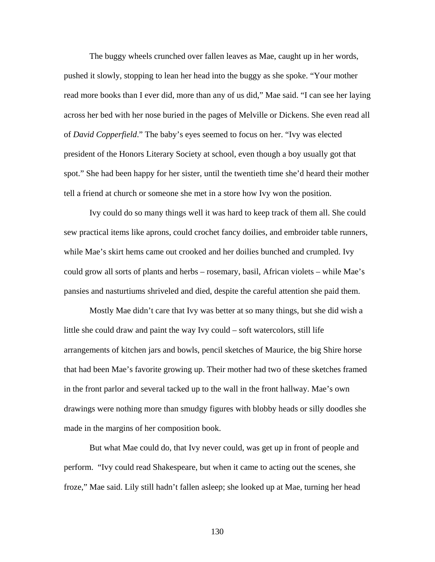The buggy wheels crunched over fallen leaves as Mae, caught up in her words, pushed it slowly, stopping to lean her head into the buggy as she spoke. "Your mother read more books than I ever did, more than any of us did," Mae said. "I can see her laying across her bed with her nose buried in the pages of Melville or Dickens. She even read all of *David Copperfield*." The baby's eyes seemed to focus on her. "Ivy was elected president of the Honors Literary Society at school, even though a boy usually got that spot." She had been happy for her sister, until the twentieth time she'd heard their mother tell a friend at church or someone she met in a store how Ivy won the position.

Ivy could do so many things well it was hard to keep track of them all. She could sew practical items like aprons, could crochet fancy doilies, and embroider table runners, while Mae's skirt hems came out crooked and her doilies bunched and crumpled. Ivy could grow all sorts of plants and herbs – rosemary, basil, African violets – while Mae's pansies and nasturtiums shriveled and died, despite the careful attention she paid them.

Mostly Mae didn't care that Ivy was better at so many things, but she did wish a little she could draw and paint the way Ivy could – soft watercolors, still life arrangements of kitchen jars and bowls, pencil sketches of Maurice, the big Shire horse that had been Mae's favorite growing up. Their mother had two of these sketches framed in the front parlor and several tacked up to the wall in the front hallway. Mae's own drawings were nothing more than smudgy figures with blobby heads or silly doodles she made in the margins of her composition book.

But what Mae could do, that Ivy never could, was get up in front of people and perform. "Ivy could read Shakespeare, but when it came to acting out the scenes, she froze," Mae said. Lily still hadn't fallen asleep; she looked up at Mae, turning her head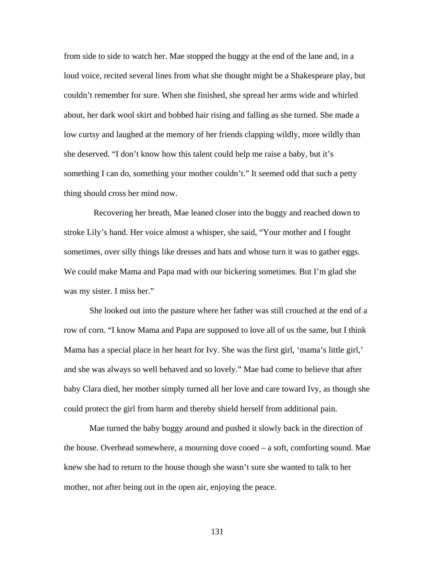from side to side to watch her. Mae stopped the buggy at the end of the lane and, in a loud voice, recited several lines from what she thought might be a Shakespeare play, but couldn't remember for sure. When she finished, she spread her arms wide and whirled about, her dark wool skirt and bobbed hair rising and falling as she turned. She made a low curtsy and laughed at the memory of her friends clapping wildly, more wildly than she deserved. "I don't know how this talent could help me raise a baby, but it's something I can do, something your mother couldn't." It seemed odd that such a petty thing should cross her mind now.

 Recovering her breath, Mae leaned closer into the buggy and reached down to stroke Lily's hand. Her voice almost a whisper, she said, "Your mother and I fought sometimes, over silly things like dresses and hats and whose turn it was to gather eggs. We could make Mama and Papa mad with our bickering sometimes. But I'm glad she was my sister. I miss her."

She looked out into the pasture where her father was still crouched at the end of a row of corn. "I know Mama and Papa are supposed to love all of us the same, but I think Mama has a special place in her heart for Ivy. She was the first girl, 'mama's little girl,' and she was always so well behaved and so lovely." Mae had come to believe that after baby Clara died, her mother simply turned all her love and care toward Ivy, as though she could protect the girl from harm and thereby shield herself from additional pain.

Mae turned the baby buggy around and pushed it slowly back in the direction of the house. Overhead somewhere, a mourning dove cooed – a soft, comforting sound. Mae knew she had to return to the house though she wasn't sure she wanted to talk to her mother, not after being out in the open air, enjoying the peace.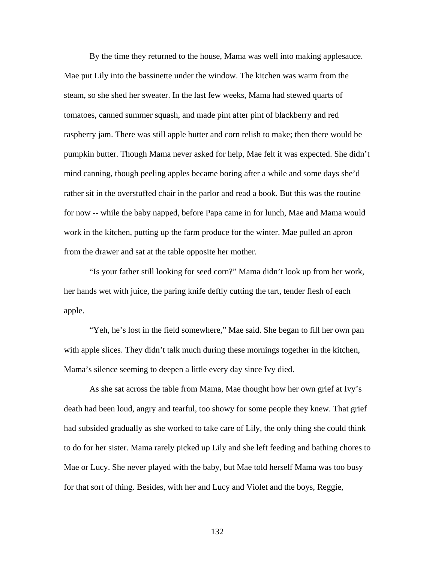By the time they returned to the house, Mama was well into making applesauce. Mae put Lily into the bassinette under the window. The kitchen was warm from the steam, so she shed her sweater. In the last few weeks, Mama had stewed quarts of tomatoes, canned summer squash, and made pint after pint of blackberry and red raspberry jam. There was still apple butter and corn relish to make; then there would be pumpkin butter. Though Mama never asked for help, Mae felt it was expected. She didn't mind canning, though peeling apples became boring after a while and some days she'd rather sit in the overstuffed chair in the parlor and read a book. But this was the routine for now -- while the baby napped, before Papa came in for lunch, Mae and Mama would work in the kitchen, putting up the farm produce for the winter. Mae pulled an apron from the drawer and sat at the table opposite her mother.

"Is your father still looking for seed corn?" Mama didn't look up from her work, her hands wet with juice, the paring knife deftly cutting the tart, tender flesh of each apple.

"Yeh, he's lost in the field somewhere," Mae said. She began to fill her own pan with apple slices. They didn't talk much during these mornings together in the kitchen, Mama's silence seeming to deepen a little every day since Ivy died.

 As she sat across the table from Mama, Mae thought how her own grief at Ivy's death had been loud, angry and tearful, too showy for some people they knew. That grief had subsided gradually as she worked to take care of Lily, the only thing she could think to do for her sister. Mama rarely picked up Lily and she left feeding and bathing chores to Mae or Lucy. She never played with the baby, but Mae told herself Mama was too busy for that sort of thing. Besides, with her and Lucy and Violet and the boys, Reggie,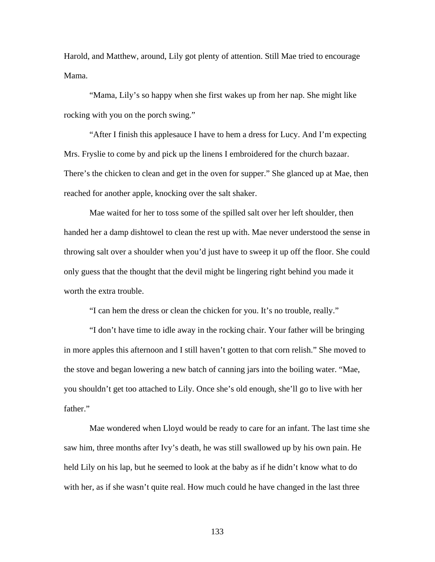Harold, and Matthew, around, Lily got plenty of attention. Still Mae tried to encourage Mama.

 "Mama, Lily's so happy when she first wakes up from her nap. She might like rocking with you on the porch swing."

 "After I finish this applesauce I have to hem a dress for Lucy. And I'm expecting Mrs. Fryslie to come by and pick up the linens I embroidered for the church bazaar. There's the chicken to clean and get in the oven for supper." She glanced up at Mae, then reached for another apple, knocking over the salt shaker.

 Mae waited for her to toss some of the spilled salt over her left shoulder, then handed her a damp dishtowel to clean the rest up with. Mae never understood the sense in throwing salt over a shoulder when you'd just have to sweep it up off the floor. She could only guess that the thought that the devil might be lingering right behind you made it worth the extra trouble.

"I can hem the dress or clean the chicken for you. It's no trouble, really."

"I don't have time to idle away in the rocking chair. Your father will be bringing in more apples this afternoon and I still haven't gotten to that corn relish." She moved to the stove and began lowering a new batch of canning jars into the boiling water. "Mae, you shouldn't get too attached to Lily. Once she's old enough, she'll go to live with her father."

Mae wondered when Lloyd would be ready to care for an infant. The last time she saw him, three months after Ivy's death, he was still swallowed up by his own pain. He held Lily on his lap, but he seemed to look at the baby as if he didn't know what to do with her, as if she wasn't quite real. How much could he have changed in the last three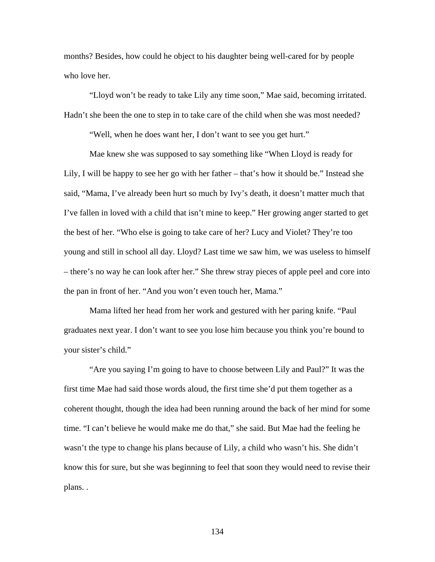months? Besides, how could he object to his daughter being well-cared for by people who love her.

"Lloyd won't be ready to take Lily any time soon," Mae said, becoming irritated. Hadn't she been the one to step in to take care of the child when she was most needed?

"Well, when he does want her, I don't want to see you get hurt."

Mae knew she was supposed to say something like "When Lloyd is ready for Lily, I will be happy to see her go with her father – that's how it should be." Instead she said, "Mama, I've already been hurt so much by Ivy's death, it doesn't matter much that I've fallen in loved with a child that isn't mine to keep." Her growing anger started to get the best of her. "Who else is going to take care of her? Lucy and Violet? They're too young and still in school all day. Lloyd? Last time we saw him, we was useless to himself – there's no way he can look after her." She threw stray pieces of apple peel and core into the pan in front of her. "And you won't even touch her, Mama."

Mama lifted her head from her work and gestured with her paring knife. "Paul graduates next year. I don't want to see you lose him because you think you're bound to your sister's child."

"Are you saying I'm going to have to choose between Lily and Paul?" It was the first time Mae had said those words aloud, the first time she'd put them together as a coherent thought, though the idea had been running around the back of her mind for some time. "I can't believe he would make me do that," she said. But Mae had the feeling he wasn't the type to change his plans because of Lily, a child who wasn't his. She didn't know this for sure, but she was beginning to feel that soon they would need to revise their plans. .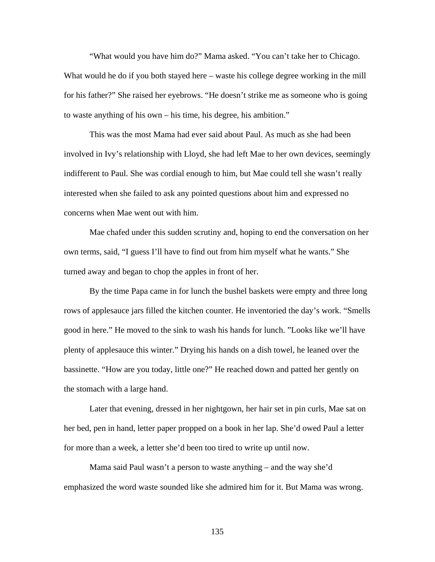"What would you have him do?" Mama asked. "You can't take her to Chicago. What would he do if you both stayed here – waste his college degree working in the mill for his father?" She raised her eyebrows. "He doesn't strike me as someone who is going to waste anything of his own – his time, his degree, his ambition."

 This was the most Mama had ever said about Paul. As much as she had been involved in Ivy's relationship with Lloyd, she had left Mae to her own devices, seemingly indifferent to Paul. She was cordial enough to him, but Mae could tell she wasn't really interested when she failed to ask any pointed questions about him and expressed no concerns when Mae went out with him.

 Mae chafed under this sudden scrutiny and, hoping to end the conversation on her own terms, said, "I guess I'll have to find out from him myself what he wants." She turned away and began to chop the apples in front of her.

By the time Papa came in for lunch the bushel baskets were empty and three long rows of applesauce jars filled the kitchen counter. He inventoried the day's work. "Smells good in here." He moved to the sink to wash his hands for lunch. "Looks like we'll have plenty of applesauce this winter." Drying his hands on a dish towel, he leaned over the bassinette. "How are you today, little one?" He reached down and patted her gently on the stomach with a large hand.

Later that evening, dressed in her nightgown, her hair set in pin curls, Mae sat on her bed, pen in hand, letter paper propped on a book in her lap. She'd owed Paul a letter for more than a week, a letter she'd been too tired to write up until now.

Mama said Paul wasn't a person to waste anything – and the way she'd emphasized the word waste sounded like she admired him for it. But Mama was wrong.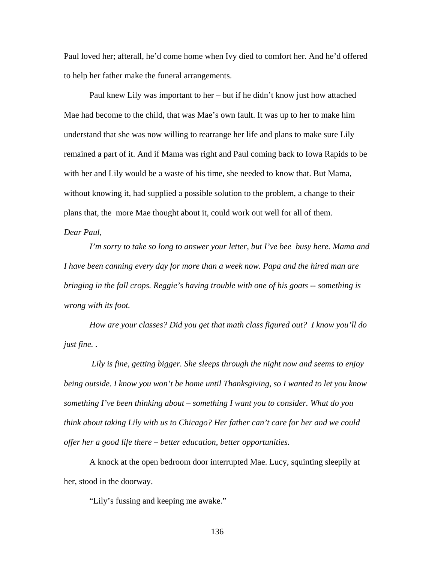Paul loved her; afterall, he'd come home when Ivy died to comfort her. And he'd offered to help her father make the funeral arrangements.

Paul knew Lily was important to her – but if he didn't know just how attached Mae had become to the child, that was Mae's own fault. It was up to her to make him understand that she was now willing to rearrange her life and plans to make sure Lily remained a part of it. And if Mama was right and Paul coming back to Iowa Rapids to be with her and Lily would be a waste of his time, she needed to know that. But Mama, without knowing it, had supplied a possible solution to the problem, a change to their plans that, the more Mae thought about it, could work out well for all of them.

## *Dear Paul,*

*I'm sorry to take so long to answer your letter, but I've bee busy here. Mama and I have been canning every day for more than a week now. Papa and the hired man are bringing in the fall crops. Reggie's having trouble with one of his goats -- something is wrong with its foot.* 

*How are your classes? Did you get that math class figured out? I know you'll do just fine. .* 

 *Lily is fine, getting bigger. She sleeps through the night now and seems to enjoy being outside. I know you won't be home until Thanksgiving, so I wanted to let you know something I've been thinking about – something I want you to consider. What do you think about taking Lily with us to Chicago? Her father can't care for her and we could offer her a good life there – better education, better opportunities.* 

A knock at the open bedroom door interrupted Mae. Lucy, squinting sleepily at her, stood in the doorway.

"Lily's fussing and keeping me awake."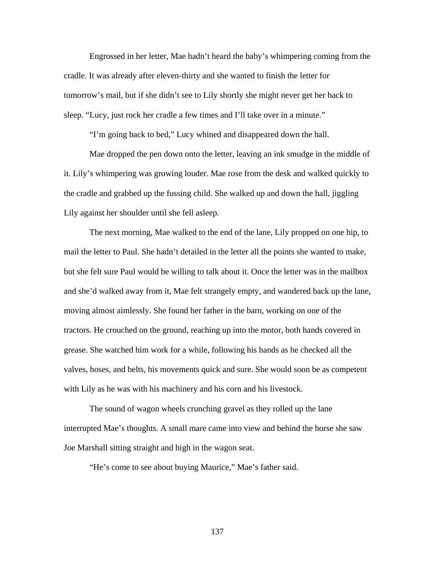Engrossed in her letter, Mae hadn't heard the baby's whimpering coming from the cradle. It was already after eleven-thirty and she wanted to finish the letter for tomorrow's mail, but if she didn't see to Lily shortly she might never get her back to sleep. "Lucy, just rock her cradle a few times and I'll take over in a minute."

"I'm going back to bed," Lucy whined and disappeared down the hall.

Mae dropped the pen down onto the letter, leaving an ink smudge in the middle of it. Lily's whimpering was growing louder. Mae rose from the desk and walked quickly to the cradle and grabbed up the fussing child. She walked up and down the hall, jiggling Lily against her shoulder until she fell asleep.

The next morning, Mae walked to the end of the lane, Lily propped on one hip, to mail the letter to Paul. She hadn't detailed in the letter all the points she wanted to make, but she felt sure Paul would be willing to talk about it. Once the letter was in the mailbox and she'd walked away from it, Mae felt strangely empty, and wandered back up the lane, moving almost aimlessly. She found her father in the barn, working on one of the tractors. He crouched on the ground, reaching up into the motor, both hands covered in grease. She watched him work for a while, following his hands as he checked all the valves, hoses, and belts, his movements quick and sure. She would soon be as competent with Lily as he was with his machinery and his corn and his livestock.

The sound of wagon wheels crunching gravel as they rolled up the lane interrupted Mae's thoughts. A small mare came into view and behind the horse she saw Joe Marshall sitting straight and high in the wagon seat.

"He's come to see about buying Maurice," Mae's father said.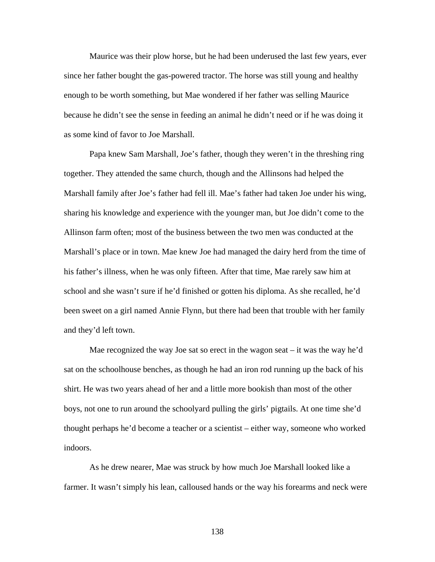Maurice was their plow horse, but he had been underused the last few years, ever since her father bought the gas-powered tractor. The horse was still young and healthy enough to be worth something, but Mae wondered if her father was selling Maurice because he didn't see the sense in feeding an animal he didn't need or if he was doing it as some kind of favor to Joe Marshall.

Papa knew Sam Marshall, Joe's father, though they weren't in the threshing ring together. They attended the same church, though and the Allinsons had helped the Marshall family after Joe's father had fell ill. Mae's father had taken Joe under his wing, sharing his knowledge and experience with the younger man, but Joe didn't come to the Allinson farm often; most of the business between the two men was conducted at the Marshall's place or in town. Mae knew Joe had managed the dairy herd from the time of his father's illness, when he was only fifteen. After that time, Mae rarely saw him at school and she wasn't sure if he'd finished or gotten his diploma. As she recalled, he'd been sweet on a girl named Annie Flynn, but there had been that trouble with her family and they'd left town.

Mae recognized the way Joe sat so erect in the wagon seat – it was the way he'd sat on the schoolhouse benches, as though he had an iron rod running up the back of his shirt. He was two years ahead of her and a little more bookish than most of the other boys, not one to run around the schoolyard pulling the girls' pigtails. At one time she'd thought perhaps he'd become a teacher or a scientist – either way, someone who worked indoors.

As he drew nearer, Mae was struck by how much Joe Marshall looked like a farmer. It wasn't simply his lean, calloused hands or the way his forearms and neck were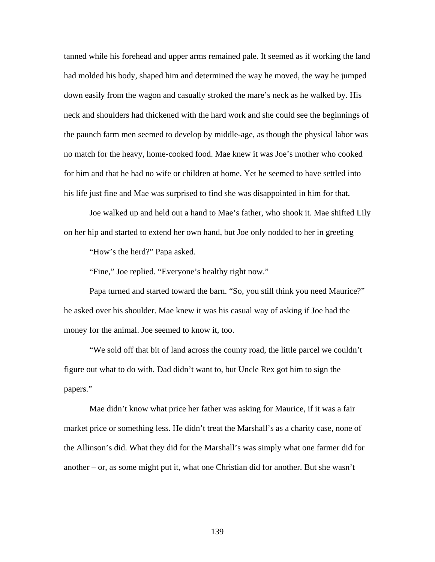tanned while his forehead and upper arms remained pale. It seemed as if working the land had molded his body, shaped him and determined the way he moved, the way he jumped down easily from the wagon and casually stroked the mare's neck as he walked by. His neck and shoulders had thickened with the hard work and she could see the beginnings of the paunch farm men seemed to develop by middle-age, as though the physical labor was no match for the heavy, home-cooked food. Mae knew it was Joe's mother who cooked for him and that he had no wife or children at home. Yet he seemed to have settled into his life just fine and Mae was surprised to find she was disappointed in him for that.

 Joe walked up and held out a hand to Mae's father, who shook it. Mae shifted Lily on her hip and started to extend her own hand, but Joe only nodded to her in greeting

"How's the herd?" Papa asked.

"Fine," Joe replied. "Everyone's healthy right now."

Papa turned and started toward the barn. "So, you still think you need Maurice?" he asked over his shoulder. Mae knew it was his casual way of asking if Joe had the money for the animal. Joe seemed to know it, too.

"We sold off that bit of land across the county road, the little parcel we couldn't figure out what to do with. Dad didn't want to, but Uncle Rex got him to sign the papers."

Mae didn't know what price her father was asking for Maurice, if it was a fair market price or something less. He didn't treat the Marshall's as a charity case, none of the Allinson's did. What they did for the Marshall's was simply what one farmer did for another – or, as some might put it, what one Christian did for another. But she wasn't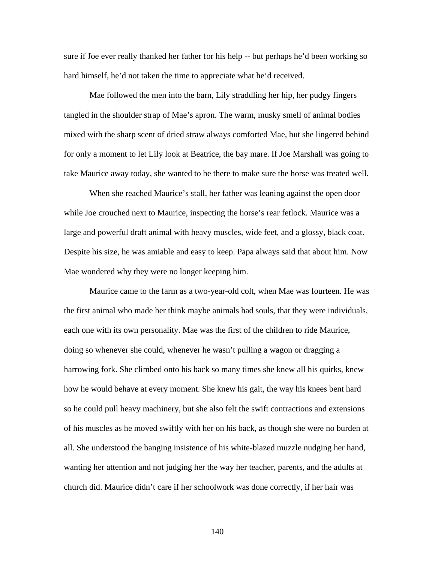sure if Joe ever really thanked her father for his help -- but perhaps he'd been working so hard himself, he'd not taken the time to appreciate what he'd received.

Mae followed the men into the barn, Lily straddling her hip, her pudgy fingers tangled in the shoulder strap of Mae's apron. The warm, musky smell of animal bodies mixed with the sharp scent of dried straw always comforted Mae, but she lingered behind for only a moment to let Lily look at Beatrice, the bay mare. If Joe Marshall was going to take Maurice away today, she wanted to be there to make sure the horse was treated well.

When she reached Maurice's stall, her father was leaning against the open door while Joe crouched next to Maurice, inspecting the horse's rear fetlock. Maurice was a large and powerful draft animal with heavy muscles, wide feet, and a glossy, black coat. Despite his size, he was amiable and easy to keep. Papa always said that about him. Now Mae wondered why they were no longer keeping him.

Maurice came to the farm as a two-year-old colt, when Mae was fourteen. He was the first animal who made her think maybe animals had souls, that they were individuals, each one with its own personality. Mae was the first of the children to ride Maurice, doing so whenever she could, whenever he wasn't pulling a wagon or dragging a harrowing fork. She climbed onto his back so many times she knew all his quirks, knew how he would behave at every moment. She knew his gait, the way his knees bent hard so he could pull heavy machinery, but she also felt the swift contractions and extensions of his muscles as he moved swiftly with her on his back, as though she were no burden at all. She understood the banging insistence of his white-blazed muzzle nudging her hand, wanting her attention and not judging her the way her teacher, parents, and the adults at church did. Maurice didn't care if her schoolwork was done correctly, if her hair was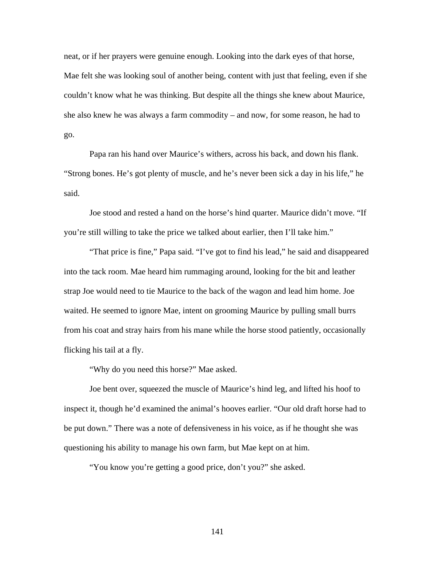neat, or if her prayers were genuine enough. Looking into the dark eyes of that horse, Mae felt she was looking soul of another being, content with just that feeling, even if she couldn't know what he was thinking. But despite all the things she knew about Maurice, she also knew he was always a farm commodity – and now, for some reason, he had to go.

Papa ran his hand over Maurice's withers, across his back, and down his flank. "Strong bones. He's got plenty of muscle, and he's never been sick a day in his life," he said.

Joe stood and rested a hand on the horse's hind quarter. Maurice didn't move. "If you're still willing to take the price we talked about earlier, then I'll take him."

"That price is fine," Papa said. "I've got to find his lead," he said and disappeared into the tack room. Mae heard him rummaging around, looking for the bit and leather strap Joe would need to tie Maurice to the back of the wagon and lead him home. Joe waited. He seemed to ignore Mae, intent on grooming Maurice by pulling small burrs from his coat and stray hairs from his mane while the horse stood patiently, occasionally flicking his tail at a fly.

"Why do you need this horse?" Mae asked.

Joe bent over, squeezed the muscle of Maurice's hind leg, and lifted his hoof to inspect it, though he'd examined the animal's hooves earlier. "Our old draft horse had to be put down." There was a note of defensiveness in his voice, as if he thought she was questioning his ability to manage his own farm, but Mae kept on at him.

"You know you're getting a good price, don't you?" she asked.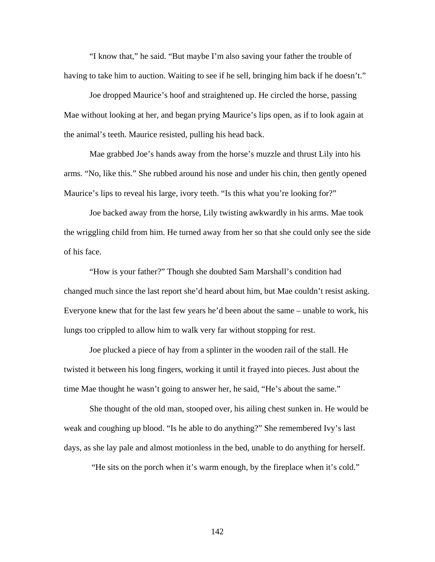"I know that," he said. "But maybe I'm also saving your father the trouble of having to take him to auction. Waiting to see if he sell, bringing him back if he doesn't."

Joe dropped Maurice's hoof and straightened up. He circled the horse, passing Mae without looking at her, and began prying Maurice's lips open, as if to look again at the animal's teeth. Maurice resisted, pulling his head back.

Mae grabbed Joe's hands away from the horse's muzzle and thrust Lily into his arms. "No, like this." She rubbed around his nose and under his chin, then gently opened Maurice's lips to reveal his large, ivory teeth. "Is this what you're looking for?"

Joe backed away from the horse, Lily twisting awkwardly in his arms. Mae took the wriggling child from him. He turned away from her so that she could only see the side of his face.

"How is your father?" Though she doubted Sam Marshall's condition had changed much since the last report she'd heard about him, but Mae couldn't resist asking. Everyone knew that for the last few years he'd been about the same – unable to work, his lungs too crippled to allow him to walk very far without stopping for rest.

Joe plucked a piece of hay from a splinter in the wooden rail of the stall. He twisted it between his long fingers, working it until it frayed into pieces. Just about the time Mae thought he wasn't going to answer her, he said, "He's about the same."

She thought of the old man, stooped over, his ailing chest sunken in. He would be weak and coughing up blood. "Is he able to do anything?" She remembered Ivy's last days, as she lay pale and almost motionless in the bed, unable to do anything for herself.

"He sits on the porch when it's warm enough, by the fireplace when it's cold."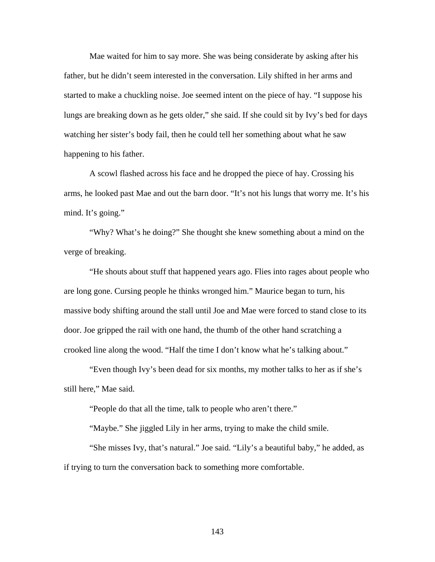Mae waited for him to say more. She was being considerate by asking after his father, but he didn't seem interested in the conversation. Lily shifted in her arms and started to make a chuckling noise. Joe seemed intent on the piece of hay. "I suppose his lungs are breaking down as he gets older," she said. If she could sit by Ivy's bed for days watching her sister's body fail, then he could tell her something about what he saw happening to his father.

A scowl flashed across his face and he dropped the piece of hay. Crossing his arms, he looked past Mae and out the barn door. "It's not his lungs that worry me. It's his mind. It's going."

"Why? What's he doing?" She thought she knew something about a mind on the verge of breaking.

 "He shouts about stuff that happened years ago. Flies into rages about people who are long gone. Cursing people he thinks wronged him." Maurice began to turn, his massive body shifting around the stall until Joe and Mae were forced to stand close to its door. Joe gripped the rail with one hand, the thumb of the other hand scratching a crooked line along the wood. "Half the time I don't know what he's talking about."

"Even though Ivy's been dead for six months, my mother talks to her as if she's still here," Mae said.

"People do that all the time, talk to people who aren't there."

"Maybe." She jiggled Lily in her arms, trying to make the child smile.

"She misses Ivy, that's natural." Joe said. "Lily's a beautiful baby," he added, as if trying to turn the conversation back to something more comfortable.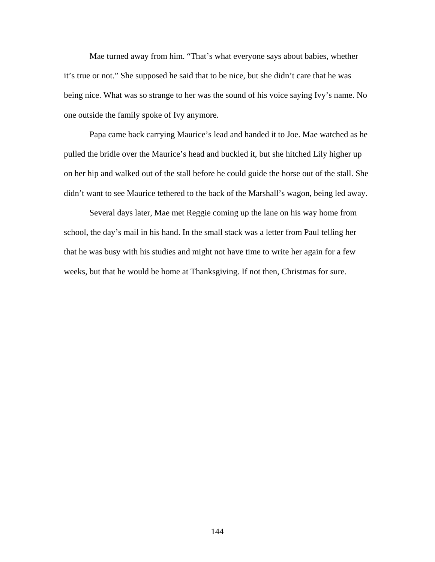Mae turned away from him. "That's what everyone says about babies, whether it's true or not." She supposed he said that to be nice, but she didn't care that he was being nice. What was so strange to her was the sound of his voice saying Ivy's name. No one outside the family spoke of Ivy anymore.

 Papa came back carrying Maurice's lead and handed it to Joe. Mae watched as he pulled the bridle over the Maurice's head and buckled it, but she hitched Lily higher up on her hip and walked out of the stall before he could guide the horse out of the stall. She didn't want to see Maurice tethered to the back of the Marshall's wagon, being led away.

Several days later, Mae met Reggie coming up the lane on his way home from school, the day's mail in his hand. In the small stack was a letter from Paul telling her that he was busy with his studies and might not have time to write her again for a few weeks, but that he would be home at Thanksgiving. If not then, Christmas for sure.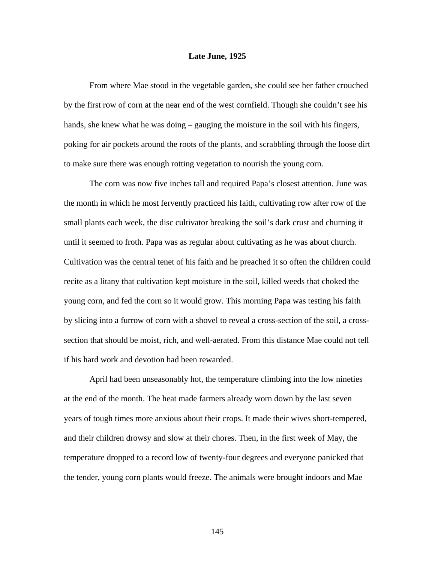## **Late June, 1925**

 From where Mae stood in the vegetable garden, she could see her father crouched by the first row of corn at the near end of the west cornfield. Though she couldn't see his hands, she knew what he was doing – gauging the moisture in the soil with his fingers, poking for air pockets around the roots of the plants, and scrabbling through the loose dirt to make sure there was enough rotting vegetation to nourish the young corn.

 The corn was now five inches tall and required Papa's closest attention. June was the month in which he most fervently practiced his faith, cultivating row after row of the small plants each week, the disc cultivator breaking the soil's dark crust and churning it until it seemed to froth. Papa was as regular about cultivating as he was about church. Cultivation was the central tenet of his faith and he preached it so often the children could recite as a litany that cultivation kept moisture in the soil, killed weeds that choked the young corn, and fed the corn so it would grow. This morning Papa was testing his faith by slicing into a furrow of corn with a shovel to reveal a cross-section of the soil, a crosssection that should be moist, rich, and well-aerated. From this distance Mae could not tell if his hard work and devotion had been rewarded.

April had been unseasonably hot, the temperature climbing into the low nineties at the end of the month. The heat made farmers already worn down by the last seven years of tough times more anxious about their crops. It made their wives short-tempered, and their children drowsy and slow at their chores. Then, in the first week of May, the temperature dropped to a record low of twenty-four degrees and everyone panicked that the tender, young corn plants would freeze. The animals were brought indoors and Mae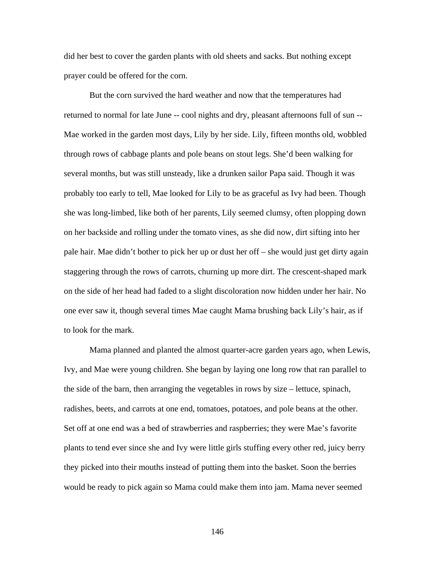did her best to cover the garden plants with old sheets and sacks. But nothing except prayer could be offered for the corn.

But the corn survived the hard weather and now that the temperatures had returned to normal for late June -- cool nights and dry, pleasant afternoons full of sun -- Mae worked in the garden most days, Lily by her side. Lily, fifteen months old, wobbled through rows of cabbage plants and pole beans on stout legs. She'd been walking for several months, but was still unsteady, like a drunken sailor Papa said. Though it was probably too early to tell, Mae looked for Lily to be as graceful as Ivy had been. Though she was long-limbed, like both of her parents, Lily seemed clumsy, often plopping down on her backside and rolling under the tomato vines, as she did now, dirt sifting into her pale hair. Mae didn't bother to pick her up or dust her off – she would just get dirty again staggering through the rows of carrots, churning up more dirt. The crescent-shaped mark on the side of her head had faded to a slight discoloration now hidden under her hair. No one ever saw it, though several times Mae caught Mama brushing back Lily's hair, as if to look for the mark.

Mama planned and planted the almost quarter-acre garden years ago, when Lewis, Ivy, and Mae were young children. She began by laying one long row that ran parallel to the side of the barn, then arranging the vegetables in rows by size – lettuce, spinach, radishes, beets, and carrots at one end, tomatoes, potatoes, and pole beans at the other. Set off at one end was a bed of strawberries and raspberries; they were Mae's favorite plants to tend ever since she and Ivy were little girls stuffing every other red, juicy berry they picked into their mouths instead of putting them into the basket. Soon the berries would be ready to pick again so Mama could make them into jam. Mama never seemed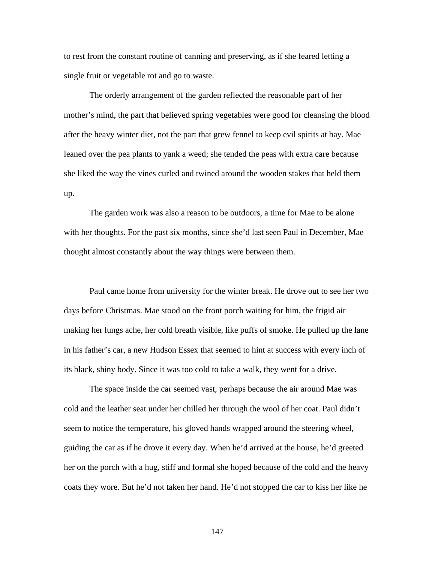to rest from the constant routine of canning and preserving, as if she feared letting a single fruit or vegetable rot and go to waste.

 The orderly arrangement of the garden reflected the reasonable part of her mother's mind, the part that believed spring vegetables were good for cleansing the blood after the heavy winter diet, not the part that grew fennel to keep evil spirits at bay. Mae leaned over the pea plants to yank a weed; she tended the peas with extra care because she liked the way the vines curled and twined around the wooden stakes that held them up.

The garden work was also a reason to be outdoors, a time for Mae to be alone with her thoughts. For the past six months, since she'd last seen Paul in December, Mae thought almost constantly about the way things were between them.

Paul came home from university for the winter break. He drove out to see her two days before Christmas. Mae stood on the front porch waiting for him, the frigid air making her lungs ache, her cold breath visible, like puffs of smoke. He pulled up the lane in his father's car, a new Hudson Essex that seemed to hint at success with every inch of its black, shiny body. Since it was too cold to take a walk, they went for a drive.

The space inside the car seemed vast, perhaps because the air around Mae was cold and the leather seat under her chilled her through the wool of her coat. Paul didn't seem to notice the temperature, his gloved hands wrapped around the steering wheel, guiding the car as if he drove it every day. When he'd arrived at the house, he'd greeted her on the porch with a hug, stiff and formal she hoped because of the cold and the heavy coats they wore. But he'd not taken her hand. He'd not stopped the car to kiss her like he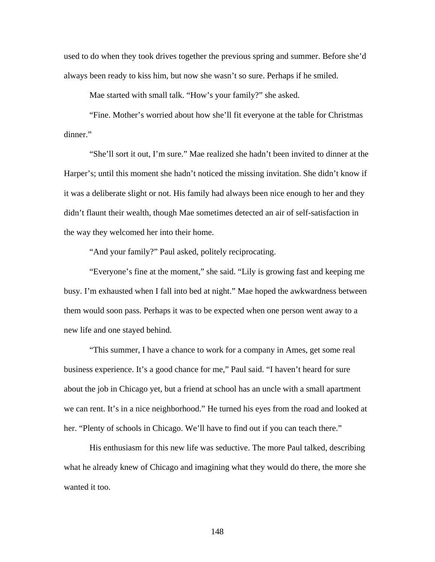used to do when they took drives together the previous spring and summer. Before she'd always been ready to kiss him, but now she wasn't so sure. Perhaps if he smiled.

Mae started with small talk. "How's your family?" she asked.

"Fine. Mother's worried about how she'll fit everyone at the table for Christmas dinner."

"She'll sort it out, I'm sure." Mae realized she hadn't been invited to dinner at the Harper's; until this moment she hadn't noticed the missing invitation. She didn't know if it was a deliberate slight or not. His family had always been nice enough to her and they didn't flaunt their wealth, though Mae sometimes detected an air of self-satisfaction in the way they welcomed her into their home.

"And your family?" Paul asked, politely reciprocating.

"Everyone's fine at the moment," she said. "Lily is growing fast and keeping me busy. I'm exhausted when I fall into bed at night." Mae hoped the awkwardness between them would soon pass. Perhaps it was to be expected when one person went away to a new life and one stayed behind.

 "This summer, I have a chance to work for a company in Ames, get some real business experience. It's a good chance for me," Paul said. "I haven't heard for sure about the job in Chicago yet, but a friend at school has an uncle with a small apartment we can rent. It's in a nice neighborhood." He turned his eyes from the road and looked at her. "Plenty of schools in Chicago. We'll have to find out if you can teach there."

His enthusiasm for this new life was seductive. The more Paul talked, describing what he already knew of Chicago and imagining what they would do there, the more she wanted it too.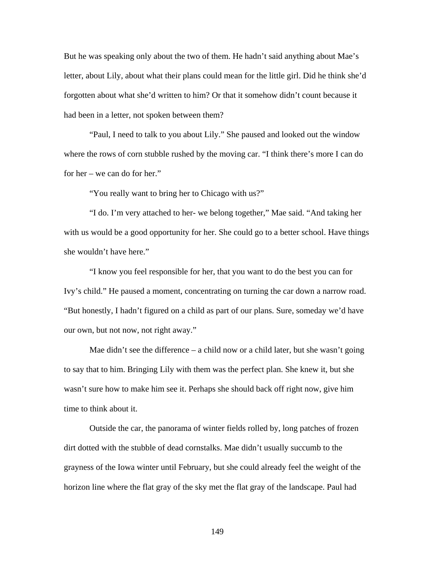But he was speaking only about the two of them. He hadn't said anything about Mae's letter, about Lily, about what their plans could mean for the little girl. Did he think she'd forgotten about what she'd written to him? Or that it somehow didn't count because it had been in a letter, not spoken between them?

"Paul, I need to talk to you about Lily." She paused and looked out the window where the rows of corn stubble rushed by the moving car. "I think there's more I can do for her – we can do for her."

"You really want to bring her to Chicago with us?"

"I do. I'm very attached to her- we belong together," Mae said. "And taking her with us would be a good opportunity for her. She could go to a better school. Have things she wouldn't have here."

"I know you feel responsible for her, that you want to do the best you can for Ivy's child." He paused a moment, concentrating on turning the car down a narrow road. "But honestly, I hadn't figured on a child as part of our plans. Sure, someday we'd have our own, but not now, not right away."

Mae didn't see the difference – a child now or a child later, but she wasn't going to say that to him. Bringing Lily with them was the perfect plan. She knew it, but she wasn't sure how to make him see it. Perhaps she should back off right now, give him time to think about it.

Outside the car, the panorama of winter fields rolled by, long patches of frozen dirt dotted with the stubble of dead cornstalks. Mae didn't usually succumb to the grayness of the Iowa winter until February, but she could already feel the weight of the horizon line where the flat gray of the sky met the flat gray of the landscape. Paul had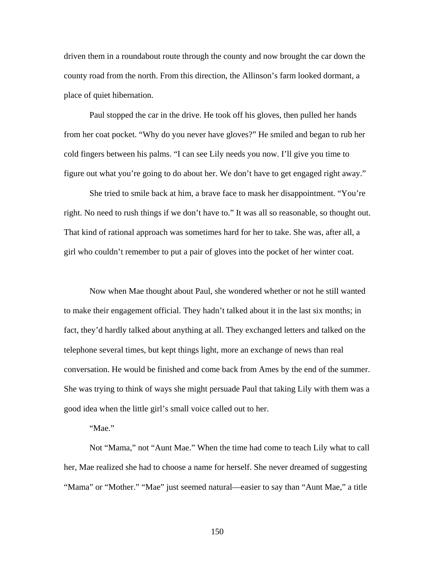driven them in a roundabout route through the county and now brought the car down the county road from the north. From this direction, the Allinson's farm looked dormant, a place of quiet hibernation.

 Paul stopped the car in the drive. He took off his gloves, then pulled her hands from her coat pocket. "Why do you never have gloves?" He smiled and began to rub her cold fingers between his palms. "I can see Lily needs you now. I'll give you time to figure out what you're going to do about her. We don't have to get engaged right away."

She tried to smile back at him, a brave face to mask her disappointment. "You're right. No need to rush things if we don't have to." It was all so reasonable, so thought out. That kind of rational approach was sometimes hard for her to take. She was, after all, a girl who couldn't remember to put a pair of gloves into the pocket of her winter coat.

Now when Mae thought about Paul, she wondered whether or not he still wanted to make their engagement official. They hadn't talked about it in the last six months; in fact, they'd hardly talked about anything at all. They exchanged letters and talked on the telephone several times, but kept things light, more an exchange of news than real conversation. He would be finished and come back from Ames by the end of the summer. She was trying to think of ways she might persuade Paul that taking Lily with them was a good idea when the little girl's small voice called out to her.

## "Mae."

Not "Mama," not "Aunt Mae." When the time had come to teach Lily what to call her, Mae realized she had to choose a name for herself. She never dreamed of suggesting "Mama" or "Mother." "Mae" just seemed natural—easier to say than "Aunt Mae," a title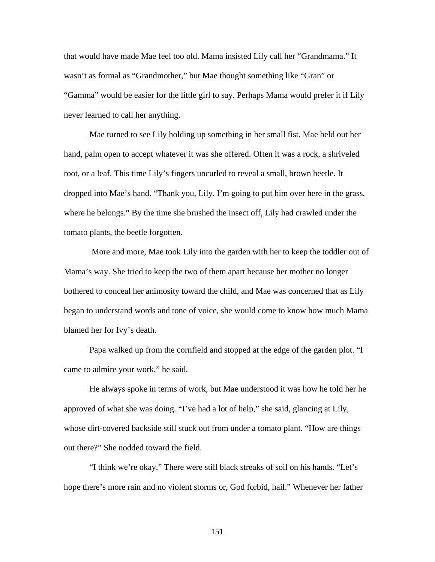that would have made Mae feel too old. Mama insisted Lily call her "Grandmama." It wasn't as formal as "Grandmother," but Mae thought something like "Gran" or "Gamma" would be easier for the little girl to say. Perhaps Mama would prefer it if Lily never learned to call her anything.

 Mae turned to see Lily holding up something in her small fist. Mae held out her hand, palm open to accept whatever it was she offered. Often it was a rock, a shriveled root, or a leaf. This time Lily's fingers uncurled to reveal a small, brown beetle. It dropped into Mae's hand. "Thank you, Lily. I'm going to put him over here in the grass, where he belongs." By the time she brushed the insect off, Lily had crawled under the tomato plants, the beetle forgotten.

 More and more, Mae took Lily into the garden with her to keep the toddler out of Mama's way. She tried to keep the two of them apart because her mother no longer bothered to conceal her animosity toward the child, and Mae was concerned that as Lily began to understand words and tone of voice, she would come to know how much Mama blamed her for Ivy's death.

 Papa walked up from the cornfield and stopped at the edge of the garden plot. "I came to admire your work," he said.

 He always spoke in terms of work, but Mae understood it was how he told her he approved of what she was doing. "I've had a lot of help," she said, glancing at Lily, whose dirt-covered backside still stuck out from under a tomato plant. "How are things out there?" She nodded toward the field.

 "I think we're okay." There were still black streaks of soil on his hands. "Let's hope there's more rain and no violent storms or, God forbid, hail." Whenever her father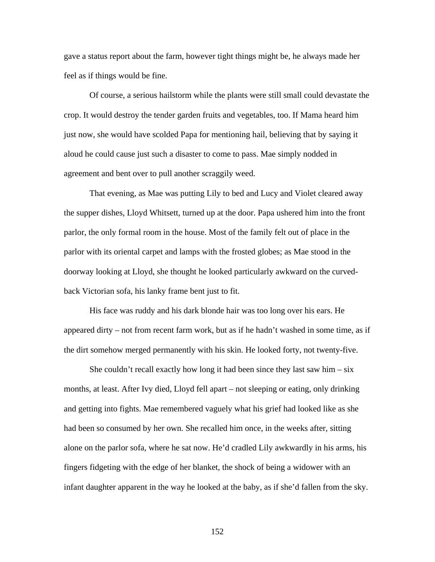gave a status report about the farm, however tight things might be, he always made her feel as if things would be fine.

 Of course, a serious hailstorm while the plants were still small could devastate the crop. It would destroy the tender garden fruits and vegetables, too. If Mama heard him just now, she would have scolded Papa for mentioning hail, believing that by saying it aloud he could cause just such a disaster to come to pass. Mae simply nodded in agreement and bent over to pull another scraggily weed.

That evening, as Mae was putting Lily to bed and Lucy and Violet cleared away the supper dishes, Lloyd Whitsett, turned up at the door. Papa ushered him into the front parlor, the only formal room in the house. Most of the family felt out of place in the parlor with its oriental carpet and lamps with the frosted globes; as Mae stood in the doorway looking at Lloyd, she thought he looked particularly awkward on the curvedback Victorian sofa, his lanky frame bent just to fit.

His face was ruddy and his dark blonde hair was too long over his ears. He appeared dirty – not from recent farm work, but as if he hadn't washed in some time, as if the dirt somehow merged permanently with his skin. He looked forty, not twenty-five.

She couldn't recall exactly how long it had been since they last saw him  $-\text{six}$ months, at least. After Ivy died, Lloyd fell apart – not sleeping or eating, only drinking and getting into fights. Mae remembered vaguely what his grief had looked like as she had been so consumed by her own. She recalled him once, in the weeks after, sitting alone on the parlor sofa, where he sat now. He'd cradled Lily awkwardly in his arms, his fingers fidgeting with the edge of her blanket, the shock of being a widower with an infant daughter apparent in the way he looked at the baby, as if she'd fallen from the sky.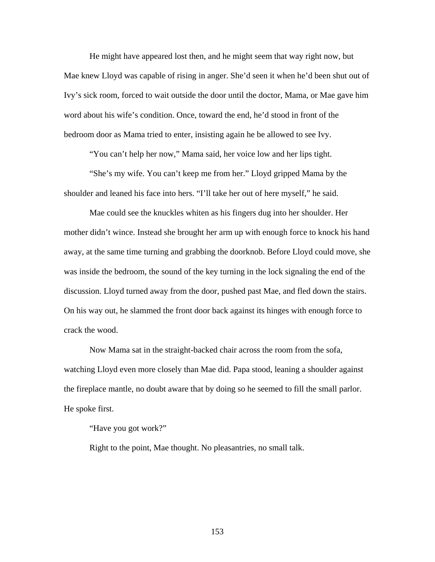He might have appeared lost then, and he might seem that way right now, but Mae knew Lloyd was capable of rising in anger. She'd seen it when he'd been shut out of Ivy's sick room, forced to wait outside the door until the doctor, Mama, or Mae gave him word about his wife's condition. Once, toward the end, he'd stood in front of the bedroom door as Mama tried to enter, insisting again he be allowed to see Ivy.

"You can't help her now," Mama said, her voice low and her lips tight.

"She's my wife. You can't keep me from her." Lloyd gripped Mama by the shoulder and leaned his face into hers. "I'll take her out of here myself," he said.

Mae could see the knuckles whiten as his fingers dug into her shoulder. Her mother didn't wince. Instead she brought her arm up with enough force to knock his hand away, at the same time turning and grabbing the doorknob. Before Lloyd could move, she was inside the bedroom, the sound of the key turning in the lock signaling the end of the discussion. Lloyd turned away from the door, pushed past Mae, and fled down the stairs. On his way out, he slammed the front door back against its hinges with enough force to crack the wood.

 Now Mama sat in the straight-backed chair across the room from the sofa, watching Lloyd even more closely than Mae did. Papa stood, leaning a shoulder against the fireplace mantle, no doubt aware that by doing so he seemed to fill the small parlor. He spoke first.

"Have you got work?"

Right to the point, Mae thought. No pleasantries, no small talk.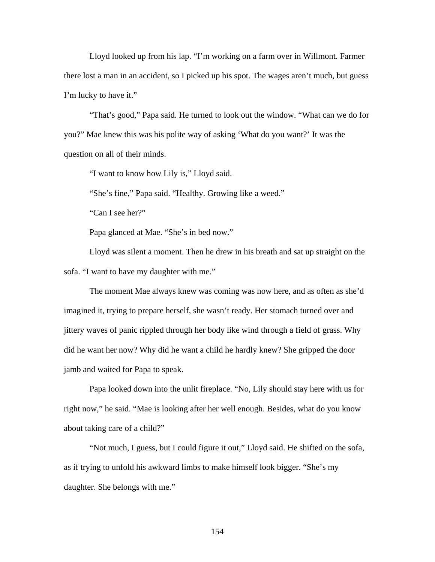Lloyd looked up from his lap. "I'm working on a farm over in Willmont. Farmer there lost a man in an accident, so I picked up his spot. The wages aren't much, but guess I'm lucky to have it."

 "That's good," Papa said. He turned to look out the window. "What can we do for you?" Mae knew this was his polite way of asking 'What do you want?' It was the question on all of their minds.

"I want to know how Lily is," Lloyd said.

"She's fine," Papa said. "Healthy. Growing like a weed."

"Can I see her?"

Papa glanced at Mae. "She's in bed now."

 Lloyd was silent a moment. Then he drew in his breath and sat up straight on the sofa. "I want to have my daughter with me."

 The moment Mae always knew was coming was now here, and as often as she'd imagined it, trying to prepare herself, she wasn't ready. Her stomach turned over and jittery waves of panic rippled through her body like wind through a field of grass. Why did he want her now? Why did he want a child he hardly knew? She gripped the door jamb and waited for Papa to speak.

Papa looked down into the unlit fireplace. "No, Lily should stay here with us for right now," he said. "Mae is looking after her well enough. Besides, what do you know about taking care of a child?"

 "Not much, I guess, but I could figure it out," Lloyd said. He shifted on the sofa, as if trying to unfold his awkward limbs to make himself look bigger. "She's my daughter. She belongs with me."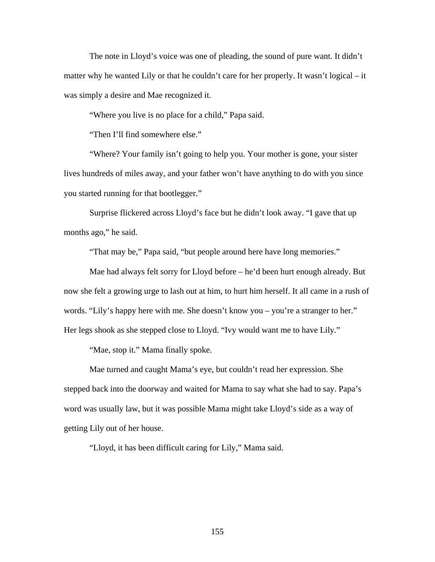The note in Lloyd's voice was one of pleading, the sound of pure want. It didn't matter why he wanted Lily or that he couldn't care for her properly. It wasn't logical – it was simply a desire and Mae recognized it.

"Where you live is no place for a child," Papa said.

"Then I'll find somewhere else."

 "Where? Your family isn't going to help you. Your mother is gone, your sister lives hundreds of miles away, and your father won't have anything to do with you since you started running for that bootlegger."

Surprise flickered across Lloyd's face but he didn't look away. "I gave that up months ago," he said.

"That may be," Papa said, "but people around here have long memories."

 Mae had always felt sorry for Lloyd before – he'd been hurt enough already. But now she felt a growing urge to lash out at him, to hurt him herself. It all came in a rush of words. "Lily's happy here with me. She doesn't know you – you're a stranger to her." Her legs shook as she stepped close to Lloyd. "Ivy would want me to have Lily."

"Mae, stop it." Mama finally spoke.

 Mae turned and caught Mama's eye, but couldn't read her expression. She stepped back into the doorway and waited for Mama to say what she had to say. Papa's word was usually law, but it was possible Mama might take Lloyd's side as a way of getting Lily out of her house.

"Lloyd, it has been difficult caring for Lily," Mama said.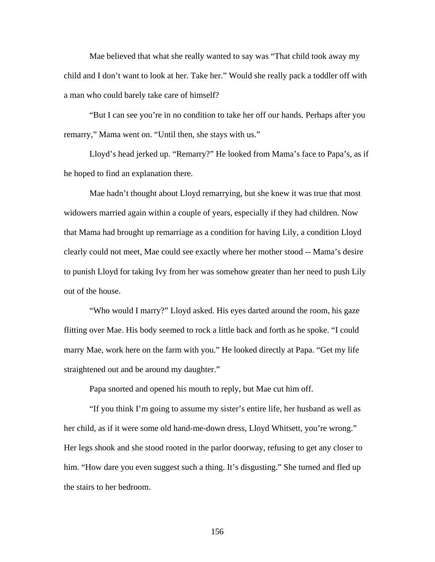Mae believed that what she really wanted to say was "That child took away my child and I don't want to look at her. Take her." Would she really pack a toddler off with a man who could barely take care of himself?

"But I can see you're in no condition to take her off our hands. Perhaps after you remarry," Mama went on. "Until then, she stays with us."

Lloyd's head jerked up. "Remarry?" He looked from Mama's face to Papa's, as if he hoped to find an explanation there.

Mae hadn't thought about Lloyd remarrying, but she knew it was true that most widowers married again within a couple of years, especially if they had children. Now that Mama had brought up remarriage as a condition for having Lily, a condition Lloyd clearly could not meet, Mae could see exactly where her mother stood -- Mama's desire to punish Lloyd for taking Ivy from her was somehow greater than her need to push Lily out of the house.

"Who would I marry?" Lloyd asked. His eyes darted around the room, his gaze flitting over Mae. His body seemed to rock a little back and forth as he spoke. "I could marry Mae, work here on the farm with you." He looked directly at Papa. "Get my life straightened out and be around my daughter."

Papa snorted and opened his mouth to reply, but Mae cut him off.

"If you think I'm going to assume my sister's entire life, her husband as well as her child, as if it were some old hand-me-down dress, Lloyd Whitsett, you're wrong." Her legs shook and she stood rooted in the parlor doorway, refusing to get any closer to him. "How dare you even suggest such a thing. It's disgusting." She turned and fled up the stairs to her bedroom.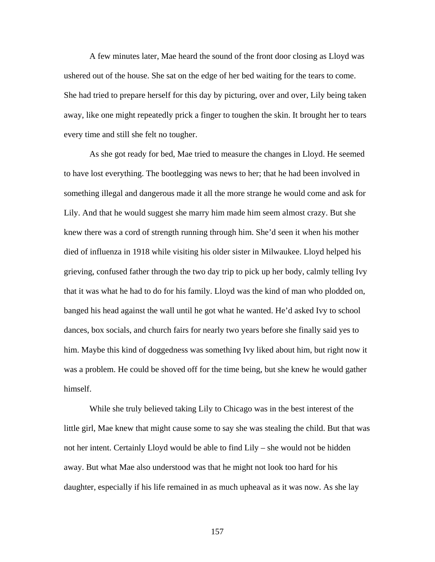A few minutes later, Mae heard the sound of the front door closing as Lloyd was ushered out of the house. She sat on the edge of her bed waiting for the tears to come. She had tried to prepare herself for this day by picturing, over and over, Lily being taken away, like one might repeatedly prick a finger to toughen the skin. It brought her to tears every time and still she felt no tougher.

As she got ready for bed, Mae tried to measure the changes in Lloyd. He seemed to have lost everything. The bootlegging was news to her; that he had been involved in something illegal and dangerous made it all the more strange he would come and ask for Lily. And that he would suggest she marry him made him seem almost crazy. But she knew there was a cord of strength running through him. She'd seen it when his mother died of influenza in 1918 while visiting his older sister in Milwaukee. Lloyd helped his grieving, confused father through the two day trip to pick up her body, calmly telling Ivy that it was what he had to do for his family. Lloyd was the kind of man who plodded on, banged his head against the wall until he got what he wanted. He'd asked Ivy to school dances, box socials, and church fairs for nearly two years before she finally said yes to him. Maybe this kind of doggedness was something Ivy liked about him, but right now it was a problem. He could be shoved off for the time being, but she knew he would gather himself.

While she truly believed taking Lily to Chicago was in the best interest of the little girl, Mae knew that might cause some to say she was stealing the child. But that was not her intent. Certainly Lloyd would be able to find Lily – she would not be hidden away. But what Mae also understood was that he might not look too hard for his daughter, especially if his life remained in as much upheaval as it was now. As she lay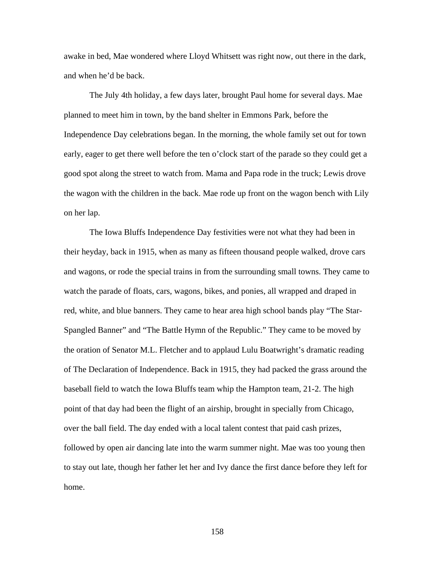awake in bed, Mae wondered where Lloyd Whitsett was right now, out there in the dark, and when he'd be back.

The July 4th holiday, a few days later, brought Paul home for several days. Mae planned to meet him in town, by the band shelter in Emmons Park, before the Independence Day celebrations began. In the morning, the whole family set out for town early, eager to get there well before the ten o'clock start of the parade so they could get a good spot along the street to watch from. Mama and Papa rode in the truck; Lewis drove the wagon with the children in the back. Mae rode up front on the wagon bench with Lily on her lap.

The Iowa Bluffs Independence Day festivities were not what they had been in their heyday, back in 1915, when as many as fifteen thousand people walked, drove cars and wagons, or rode the special trains in from the surrounding small towns. They came to watch the parade of floats, cars, wagons, bikes, and ponies, all wrapped and draped in red, white, and blue banners. They came to hear area high school bands play "The Star-Spangled Banner" and "The Battle Hymn of the Republic." They came to be moved by the oration of Senator M.L. Fletcher and to applaud Lulu Boatwright's dramatic reading of The Declaration of Independence. Back in 1915, they had packed the grass around the baseball field to watch the Iowa Bluffs team whip the Hampton team, 21-2. The high point of that day had been the flight of an airship, brought in specially from Chicago, over the ball field. The day ended with a local talent contest that paid cash prizes, followed by open air dancing late into the warm summer night. Mae was too young then to stay out late, though her father let her and Ivy dance the first dance before they left for home.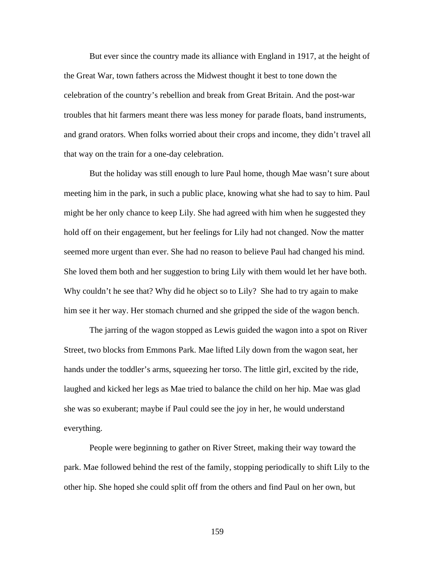But ever since the country made its alliance with England in 1917, at the height of the Great War, town fathers across the Midwest thought it best to tone down the celebration of the country's rebellion and break from Great Britain. And the post-war troubles that hit farmers meant there was less money for parade floats, band instruments, and grand orators. When folks worried about their crops and income, they didn't travel all that way on the train for a one-day celebration.

But the holiday was still enough to lure Paul home, though Mae wasn't sure about meeting him in the park, in such a public place, knowing what she had to say to him. Paul might be her only chance to keep Lily. She had agreed with him when he suggested they hold off on their engagement, but her feelings for Lily had not changed. Now the matter seemed more urgent than ever. She had no reason to believe Paul had changed his mind. She loved them both and her suggestion to bring Lily with them would let her have both. Why couldn't he see that? Why did he object so to Lily? She had to try again to make him see it her way. Her stomach churned and she gripped the side of the wagon bench.

The jarring of the wagon stopped as Lewis guided the wagon into a spot on River Street, two blocks from Emmons Park. Mae lifted Lily down from the wagon seat, her hands under the toddler's arms, squeezing her torso. The little girl, excited by the ride, laughed and kicked her legs as Mae tried to balance the child on her hip. Mae was glad she was so exuberant; maybe if Paul could see the joy in her, he would understand everything.

People were beginning to gather on River Street, making their way toward the park. Mae followed behind the rest of the family, stopping periodically to shift Lily to the other hip. She hoped she could split off from the others and find Paul on her own, but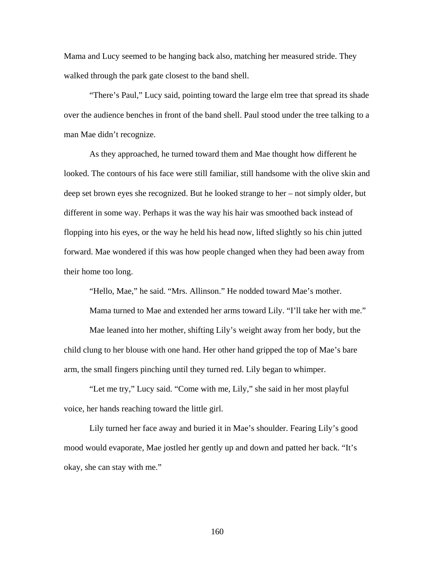Mama and Lucy seemed to be hanging back also, matching her measured stride. They walked through the park gate closest to the band shell.

"There's Paul," Lucy said, pointing toward the large elm tree that spread its shade over the audience benches in front of the band shell. Paul stood under the tree talking to a man Mae didn't recognize.

As they approached, he turned toward them and Mae thought how different he looked. The contours of his face were still familiar, still handsome with the olive skin and deep set brown eyes she recognized. But he looked strange to her – not simply older, but different in some way. Perhaps it was the way his hair was smoothed back instead of flopping into his eyes, or the way he held his head now, lifted slightly so his chin jutted forward. Mae wondered if this was how people changed when they had been away from their home too long.

"Hello, Mae," he said. "Mrs. Allinson." He nodded toward Mae's mother.

Mama turned to Mae and extended her arms toward Lily. "I'll take her with me."

Mae leaned into her mother, shifting Lily's weight away from her body, but the child clung to her blouse with one hand. Her other hand gripped the top of Mae's bare arm, the small fingers pinching until they turned red. Lily began to whimper.

"Let me try," Lucy said. "Come with me, Lily," she said in her most playful voice, her hands reaching toward the little girl.

Lily turned her face away and buried it in Mae's shoulder. Fearing Lily's good mood would evaporate, Mae jostled her gently up and down and patted her back. "It's okay, she can stay with me."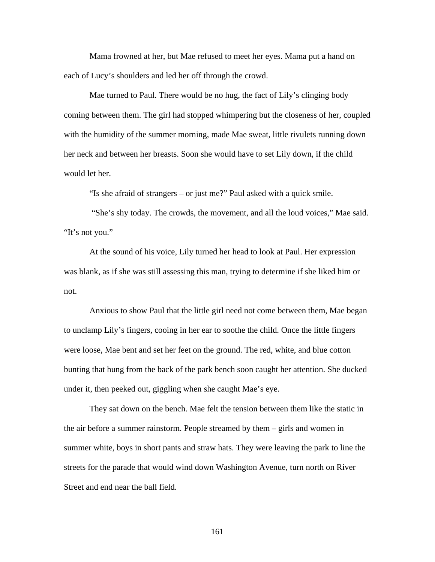Mama frowned at her, but Mae refused to meet her eyes. Mama put a hand on each of Lucy's shoulders and led her off through the crowd.

Mae turned to Paul. There would be no hug, the fact of Lily's clinging body coming between them. The girl had stopped whimpering but the closeness of her, coupled with the humidity of the summer morning, made Mae sweat, little rivulets running down her neck and between her breasts. Soon she would have to set Lily down, if the child would let her.

"Is she afraid of strangers – or just me?" Paul asked with a quick smile.

 "She's shy today. The crowds, the movement, and all the loud voices," Mae said. "It's not you."

At the sound of his voice, Lily turned her head to look at Paul. Her expression was blank, as if she was still assessing this man, trying to determine if she liked him or not.

Anxious to show Paul that the little girl need not come between them, Mae began to unclamp Lily's fingers, cooing in her ear to soothe the child. Once the little fingers were loose, Mae bent and set her feet on the ground. The red, white, and blue cotton bunting that hung from the back of the park bench soon caught her attention. She ducked under it, then peeked out, giggling when she caught Mae's eye.

They sat down on the bench. Mae felt the tension between them like the static in the air before a summer rainstorm. People streamed by them – girls and women in summer white, boys in short pants and straw hats. They were leaving the park to line the streets for the parade that would wind down Washington Avenue, turn north on River Street and end near the ball field.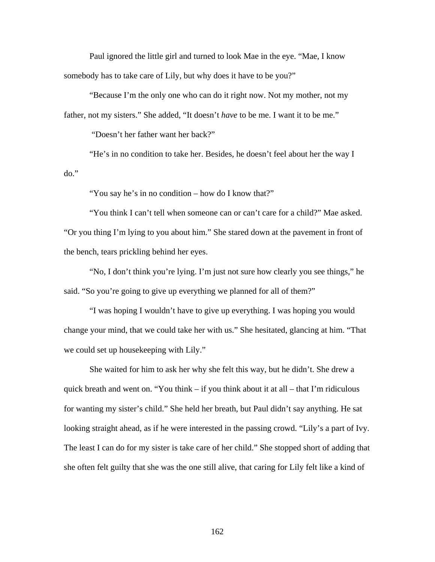Paul ignored the little girl and turned to look Mae in the eye. "Mae, I know somebody has to take care of Lily, but why does it have to be you?"

"Because I'm the only one who can do it right now. Not my mother, not my father, not my sisters." She added, "It doesn't *have* to be me. I want it to be me."

"Doesn't her father want her back?"

"He's in no condition to take her. Besides, he doesn't feel about her the way I do."

"You say he's in no condition – how do I know that?"

"You think I can't tell when someone can or can't care for a child?" Mae asked. "Or you thing I'm lying to you about him." She stared down at the pavement in front of the bench, tears prickling behind her eyes.

"No, I don't think you're lying. I'm just not sure how clearly you see things," he said. "So you're going to give up everything we planned for all of them?"

"I was hoping I wouldn't have to give up everything. I was hoping you would change your mind, that we could take her with us." She hesitated, glancing at him. "That we could set up housekeeping with Lily."

She waited for him to ask her why she felt this way, but he didn't. She drew a quick breath and went on. "You think – if you think about it at all – that I'm ridiculous for wanting my sister's child." She held her breath, but Paul didn't say anything. He sat looking straight ahead, as if he were interested in the passing crowd. "Lily's a part of Ivy. The least I can do for my sister is take care of her child." She stopped short of adding that she often felt guilty that she was the one still alive, that caring for Lily felt like a kind of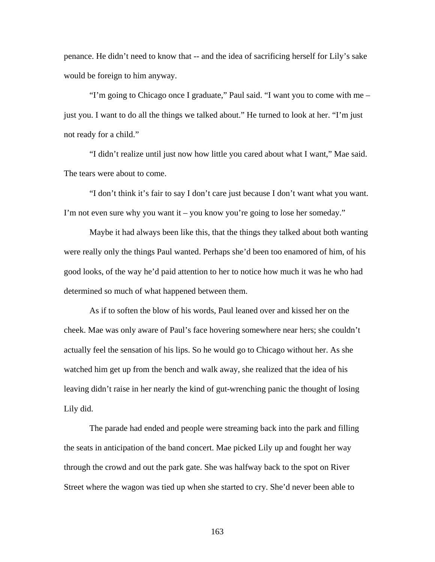penance. He didn't need to know that -- and the idea of sacrificing herself for Lily's sake would be foreign to him anyway.

"I'm going to Chicago once I graduate," Paul said. "I want you to come with me – just you. I want to do all the things we talked about." He turned to look at her. "I'm just not ready for a child."

"I didn't realize until just now how little you cared about what I want," Mae said. The tears were about to come.

"I don't think it's fair to say I don't care just because I don't want what you want. I'm not even sure why you want it – you know you're going to lose her someday."

Maybe it had always been like this, that the things they talked about both wanting were really only the things Paul wanted. Perhaps she'd been too enamored of him, of his good looks, of the way he'd paid attention to her to notice how much it was he who had determined so much of what happened between them.

As if to soften the blow of his words, Paul leaned over and kissed her on the cheek. Mae was only aware of Paul's face hovering somewhere near hers; she couldn't actually feel the sensation of his lips. So he would go to Chicago without her. As she watched him get up from the bench and walk away, she realized that the idea of his leaving didn't raise in her nearly the kind of gut-wrenching panic the thought of losing Lily did.

 The parade had ended and people were streaming back into the park and filling the seats in anticipation of the band concert. Mae picked Lily up and fought her way through the crowd and out the park gate. She was halfway back to the spot on River Street where the wagon was tied up when she started to cry. She'd never been able to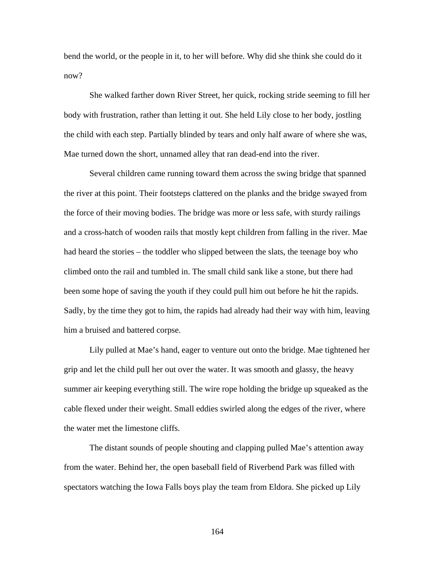bend the world, or the people in it, to her will before. Why did she think she could do it now?

 She walked farther down River Street, her quick, rocking stride seeming to fill her body with frustration, rather than letting it out. She held Lily close to her body, jostling the child with each step. Partially blinded by tears and only half aware of where she was, Mae turned down the short, unnamed alley that ran dead-end into the river.

 Several children came running toward them across the swing bridge that spanned the river at this point. Their footsteps clattered on the planks and the bridge swayed from the force of their moving bodies. The bridge was more or less safe, with sturdy railings and a cross-hatch of wooden rails that mostly kept children from falling in the river. Mae had heard the stories – the toddler who slipped between the slats, the teenage boy who climbed onto the rail and tumbled in. The small child sank like a stone, but there had been some hope of saving the youth if they could pull him out before he hit the rapids. Sadly, by the time they got to him, the rapids had already had their way with him, leaving him a bruised and battered corpse.

 Lily pulled at Mae's hand, eager to venture out onto the bridge. Mae tightened her grip and let the child pull her out over the water. It was smooth and glassy, the heavy summer air keeping everything still. The wire rope holding the bridge up squeaked as the cable flexed under their weight. Small eddies swirled along the edges of the river, where the water met the limestone cliffs.

 The distant sounds of people shouting and clapping pulled Mae's attention away from the water. Behind her, the open baseball field of Riverbend Park was filled with spectators watching the Iowa Falls boys play the team from Eldora. She picked up Lily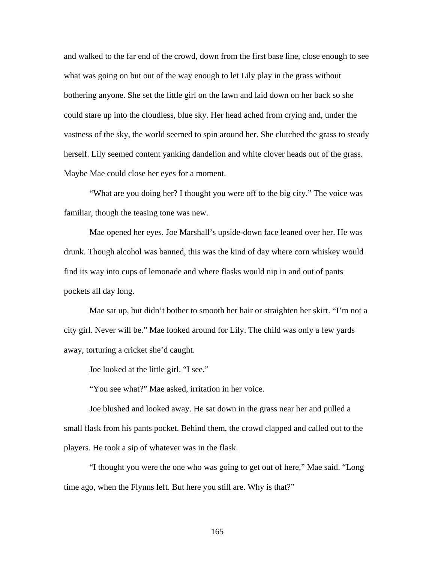and walked to the far end of the crowd, down from the first base line, close enough to see what was going on but out of the way enough to let Lily play in the grass without bothering anyone. She set the little girl on the lawn and laid down on her back so she could stare up into the cloudless, blue sky. Her head ached from crying and, under the vastness of the sky, the world seemed to spin around her. She clutched the grass to steady herself. Lily seemed content yanking dandelion and white clover heads out of the grass. Maybe Mae could close her eyes for a moment.

 "What are you doing her? I thought you were off to the big city." The voice was familiar, though the teasing tone was new.

 Mae opened her eyes. Joe Marshall's upside-down face leaned over her. He was drunk. Though alcohol was banned, this was the kind of day where corn whiskey would find its way into cups of lemonade and where flasks would nip in and out of pants pockets all day long.

 Mae sat up, but didn't bother to smooth her hair or straighten her skirt. "I'm not a city girl. Never will be." Mae looked around for Lily. The child was only a few yards away, torturing a cricket she'd caught.

Joe looked at the little girl. "I see."

"You see what?" Mae asked, irritation in her voice.

 Joe blushed and looked away. He sat down in the grass near her and pulled a small flask from his pants pocket. Behind them, the crowd clapped and called out to the players. He took a sip of whatever was in the flask.

"I thought you were the one who was going to get out of here," Mae said. "Long time ago, when the Flynns left. But here you still are. Why is that?"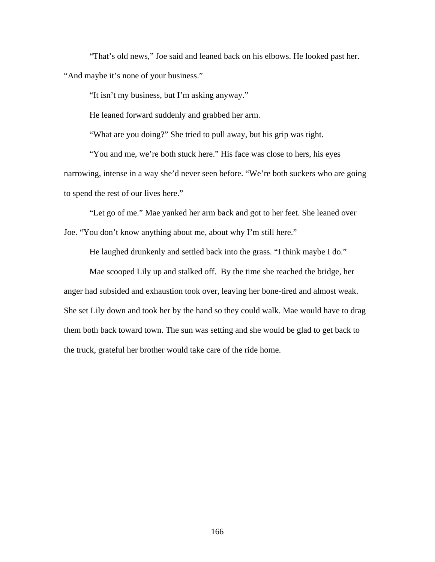"That's old news," Joe said and leaned back on his elbows. He looked past her. "And maybe it's none of your business."

"It isn't my business, but I'm asking anyway."

He leaned forward suddenly and grabbed her arm.

"What are you doing?" She tried to pull away, but his grip was tight.

"You and me, we're both stuck here." His face was close to hers, his eyes narrowing, intense in a way she'd never seen before. "We're both suckers who are going to spend the rest of our lives here."

"Let go of me." Mae yanked her arm back and got to her feet. She leaned over Joe. "You don't know anything about me, about why I'm still here."

He laughed drunkenly and settled back into the grass. "I think maybe I do."

Mae scooped Lily up and stalked off. By the time she reached the bridge, her anger had subsided and exhaustion took over, leaving her bone-tired and almost weak. She set Lily down and took her by the hand so they could walk. Mae would have to drag them both back toward town. The sun was setting and she would be glad to get back to the truck, grateful her brother would take care of the ride home.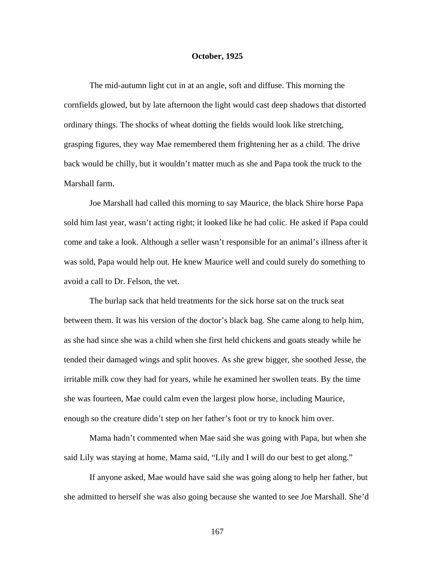## **October, 1925**

The mid-autumn light cut in at an angle, soft and diffuse. This morning the cornfields glowed, but by late afternoon the light would cast deep shadows that distorted ordinary things. The shocks of wheat dotting the fields would look like stretching, grasping figures, they way Mae remembered them frightening her as a child. The drive back would be chilly, but it wouldn't matter much as she and Papa took the truck to the Marshall farm.

Joe Marshall had called this morning to say Maurice, the black Shire horse Papa sold him last year, wasn't acting right; it looked like he had colic. He asked if Papa could come and take a look. Although a seller wasn't responsible for an animal's illness after it was sold, Papa would help out. He knew Maurice well and could surely do something to avoid a call to Dr. Felson, the vet.

The burlap sack that held treatments for the sick horse sat on the truck seat between them. It was his version of the doctor's black bag. She came along to help him, as she had since she was a child when she first held chickens and goats steady while he tended their damaged wings and split hooves. As she grew bigger, she soothed Jesse, the irritable milk cow they had for years, while he examined her swollen teats. By the time she was fourteen, Mae could calm even the largest plow horse, including Maurice, enough so the creature didn't step on her father's foot or try to knock him over.

Mama hadn't commented when Mae said she was going with Papa, but when she said Lily was staying at home, Mama said, "Lily and I will do our best to get along."

If anyone asked, Mae would have said she was going along to help her father, but she admitted to herself she was also going because she wanted to see Joe Marshall. She'd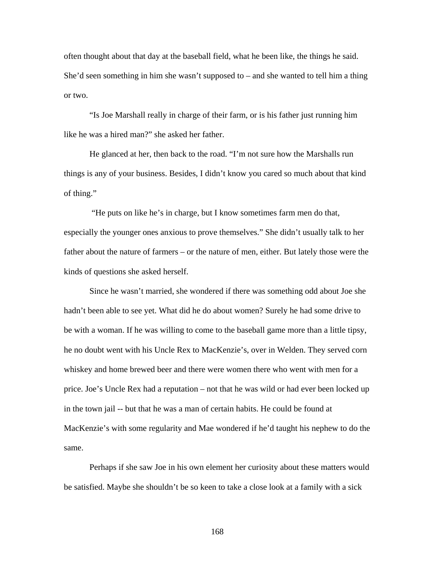often thought about that day at the baseball field, what he been like, the things he said. She'd seen something in him she wasn't supposed to – and she wanted to tell him a thing or two.

"Is Joe Marshall really in charge of their farm, or is his father just running him like he was a hired man?" she asked her father.

He glanced at her, then back to the road. "I'm not sure how the Marshalls run things is any of your business. Besides, I didn't know you cared so much about that kind of thing."

 "He puts on like he's in charge, but I know sometimes farm men do that, especially the younger ones anxious to prove themselves." She didn't usually talk to her father about the nature of farmers – or the nature of men, either. But lately those were the kinds of questions she asked herself.

Since he wasn't married, she wondered if there was something odd about Joe she hadn't been able to see yet. What did he do about women? Surely he had some drive to be with a woman. If he was willing to come to the baseball game more than a little tipsy, he no doubt went with his Uncle Rex to MacKenzie's, over in Welden. They served corn whiskey and home brewed beer and there were women there who went with men for a price. Joe's Uncle Rex had a reputation – not that he was wild or had ever been locked up in the town jail -- but that he was a man of certain habits. He could be found at MacKenzie's with some regularity and Mae wondered if he'd taught his nephew to do the same.

Perhaps if she saw Joe in his own element her curiosity about these matters would be satisfied. Maybe she shouldn't be so keen to take a close look at a family with a sick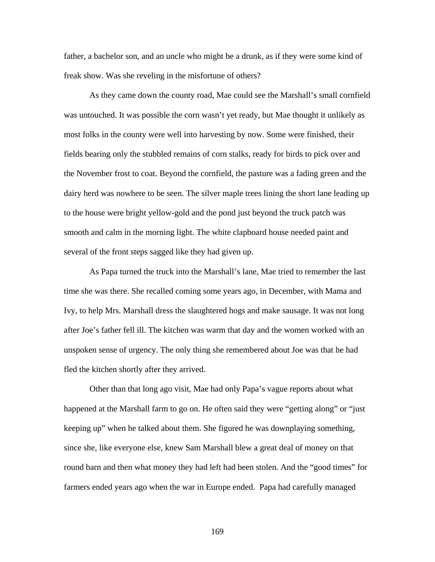father, a bachelor son, and an uncle who might be a drunk, as if they were some kind of freak show. Was she reveling in the misfortune of others?

As they came down the county road, Mae could see the Marshall's small cornfield was untouched. It was possible the corn wasn't yet ready, but Mae thought it unlikely as most folks in the county were well into harvesting by now. Some were finished, their fields bearing only the stubbled remains of corn stalks, ready for birds to pick over and the November frost to coat. Beyond the cornfield, the pasture was a fading green and the dairy herd was nowhere to be seen. The silver maple trees lining the short lane leading up to the house were bright yellow-gold and the pond just beyond the truck patch was smooth and calm in the morning light. The white clapboard house needed paint and several of the front steps sagged like they had given up.

As Papa turned the truck into the Marshall's lane, Mae tried to remember the last time she was there. She recalled coming some years ago, in December, with Mama and Ivy, to help Mrs. Marshall dress the slaughtered hogs and make sausage. It was not long after Joe's father fell ill. The kitchen was warm that day and the women worked with an unspoken sense of urgency. The only thing she remembered about Joe was that he had fled the kitchen shortly after they arrived.

Other than that long ago visit, Mae had only Papa's vague reports about what happened at the Marshall farm to go on. He often said they were "getting along" or "just keeping up" when he talked about them. She figured he was downplaying something, since she, like everyone else, knew Sam Marshall blew a great deal of money on that round barn and then what money they had left had been stolen. And the "good times" for farmers ended years ago when the war in Europe ended. Papa had carefully managed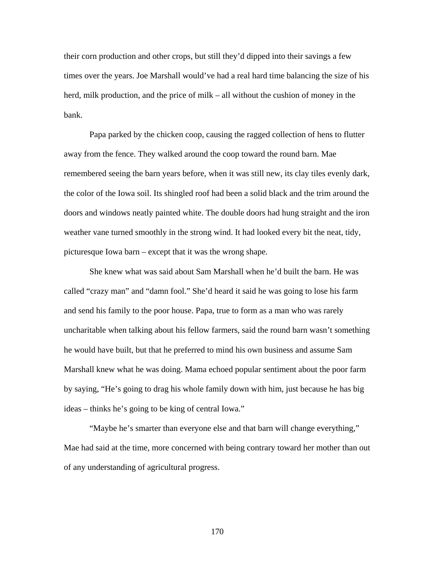their corn production and other crops, but still they'd dipped into their savings a few times over the years. Joe Marshall would've had a real hard time balancing the size of his herd, milk production, and the price of milk – all without the cushion of money in the bank.

Papa parked by the chicken coop, causing the ragged collection of hens to flutter away from the fence. They walked around the coop toward the round barn. Mae remembered seeing the barn years before, when it was still new, its clay tiles evenly dark, the color of the Iowa soil. Its shingled roof had been a solid black and the trim around the doors and windows neatly painted white. The double doors had hung straight and the iron weather vane turned smoothly in the strong wind. It had looked every bit the neat, tidy, picturesque Iowa barn – except that it was the wrong shape.

She knew what was said about Sam Marshall when he'd built the barn. He was called "crazy man" and "damn fool." She'd heard it said he was going to lose his farm and send his family to the poor house. Papa, true to form as a man who was rarely uncharitable when talking about his fellow farmers, said the round barn wasn't something he would have built, but that he preferred to mind his own business and assume Sam Marshall knew what he was doing. Mama echoed popular sentiment about the poor farm by saying, "He's going to drag his whole family down with him, just because he has big ideas – thinks he's going to be king of central Iowa."

"Maybe he's smarter than everyone else and that barn will change everything," Mae had said at the time, more concerned with being contrary toward her mother than out of any understanding of agricultural progress.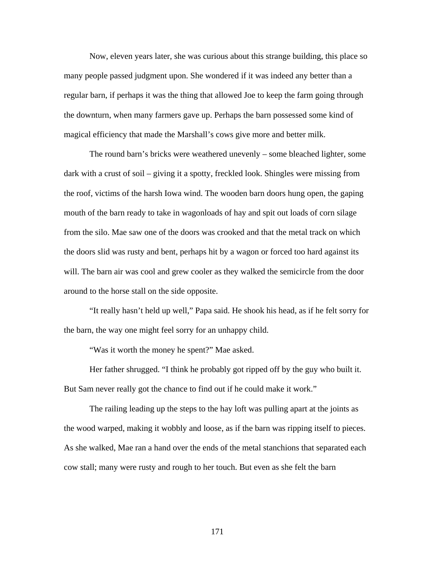Now, eleven years later, she was curious about this strange building, this place so many people passed judgment upon. She wondered if it was indeed any better than a regular barn, if perhaps it was the thing that allowed Joe to keep the farm going through the downturn, when many farmers gave up. Perhaps the barn possessed some kind of magical efficiency that made the Marshall's cows give more and better milk.

The round barn's bricks were weathered unevenly – some bleached lighter, some dark with a crust of soil – giving it a spotty, freckled look. Shingles were missing from the roof, victims of the harsh Iowa wind. The wooden barn doors hung open, the gaping mouth of the barn ready to take in wagonloads of hay and spit out loads of corn silage from the silo. Mae saw one of the doors was crooked and that the metal track on which the doors slid was rusty and bent, perhaps hit by a wagon or forced too hard against its will. The barn air was cool and grew cooler as they walked the semicircle from the door around to the horse stall on the side opposite.

"It really hasn't held up well," Papa said. He shook his head, as if he felt sorry for the barn, the way one might feel sorry for an unhappy child.

"Was it worth the money he spent?" Mae asked.

Her father shrugged. "I think he probably got ripped off by the guy who built it. But Sam never really got the chance to find out if he could make it work."

The railing leading up the steps to the hay loft was pulling apart at the joints as the wood warped, making it wobbly and loose, as if the barn was ripping itself to pieces. As she walked, Mae ran a hand over the ends of the metal stanchions that separated each cow stall; many were rusty and rough to her touch. But even as she felt the barn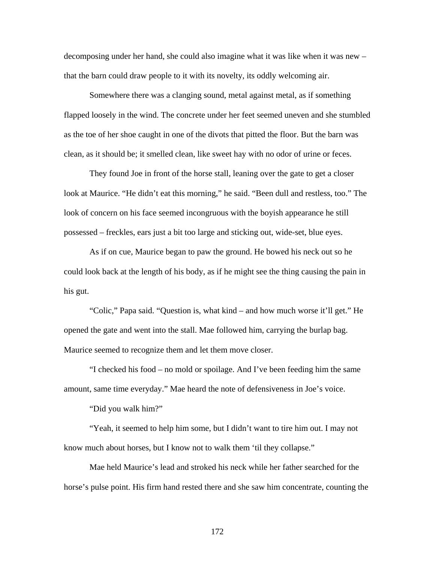decomposing under her hand, she could also imagine what it was like when it was new – that the barn could draw people to it with its novelty, its oddly welcoming air.

Somewhere there was a clanging sound, metal against metal, as if something flapped loosely in the wind. The concrete under her feet seemed uneven and she stumbled as the toe of her shoe caught in one of the divots that pitted the floor. But the barn was clean, as it should be; it smelled clean, like sweet hay with no odor of urine or feces.

They found Joe in front of the horse stall, leaning over the gate to get a closer look at Maurice. "He didn't eat this morning," he said. "Been dull and restless, too." The look of concern on his face seemed incongruous with the boyish appearance he still possessed – freckles, ears just a bit too large and sticking out, wide-set, blue eyes.

As if on cue, Maurice began to paw the ground. He bowed his neck out so he could look back at the length of his body, as if he might see the thing causing the pain in his gut.

"Colic," Papa said. "Question is, what kind – and how much worse it'll get." He opened the gate and went into the stall. Mae followed him, carrying the burlap bag. Maurice seemed to recognize them and let them move closer.

"I checked his food – no mold or spoilage. And I've been feeding him the same amount, same time everyday." Mae heard the note of defensiveness in Joe's voice.

"Did you walk him?"

"Yeah, it seemed to help him some, but I didn't want to tire him out. I may not know much about horses, but I know not to walk them 'til they collapse."

Mae held Maurice's lead and stroked his neck while her father searched for the horse's pulse point. His firm hand rested there and she saw him concentrate, counting the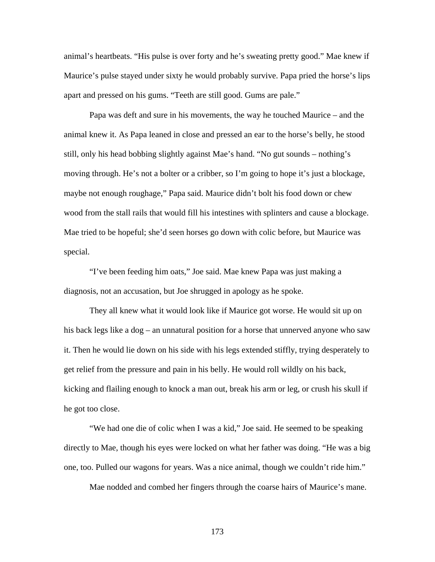animal's heartbeats. "His pulse is over forty and he's sweating pretty good." Mae knew if Maurice's pulse stayed under sixty he would probably survive. Papa pried the horse's lips apart and pressed on his gums. "Teeth are still good. Gums are pale."

Papa was deft and sure in his movements, the way he touched Maurice – and the animal knew it. As Papa leaned in close and pressed an ear to the horse's belly, he stood still, only his head bobbing slightly against Mae's hand. "No gut sounds – nothing's moving through. He's not a bolter or a cribber, so I'm going to hope it's just a blockage, maybe not enough roughage," Papa said. Maurice didn't bolt his food down or chew wood from the stall rails that would fill his intestines with splinters and cause a blockage. Mae tried to be hopeful; she'd seen horses go down with colic before, but Maurice was special.

"I've been feeding him oats," Joe said. Mae knew Papa was just making a diagnosis, not an accusation, but Joe shrugged in apology as he spoke.

They all knew what it would look like if Maurice got worse. He would sit up on his back legs like a dog – an unnatural position for a horse that unnerved anyone who saw it. Then he would lie down on his side with his legs extended stiffly, trying desperately to get relief from the pressure and pain in his belly. He would roll wildly on his back, kicking and flailing enough to knock a man out, break his arm or leg, or crush his skull if he got too close.

"We had one die of colic when I was a kid," Joe said. He seemed to be speaking directly to Mae, though his eyes were locked on what her father was doing. "He was a big one, too. Pulled our wagons for years. Was a nice animal, though we couldn't ride him."

Mae nodded and combed her fingers through the coarse hairs of Maurice's mane.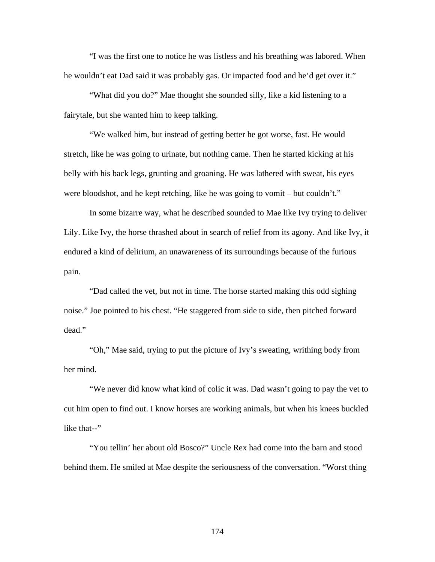"I was the first one to notice he was listless and his breathing was labored. When he wouldn't eat Dad said it was probably gas. Or impacted food and he'd get over it."

 "What did you do?" Mae thought she sounded silly, like a kid listening to a fairytale, but she wanted him to keep talking.

 "We walked him, but instead of getting better he got worse, fast. He would stretch, like he was going to urinate, but nothing came. Then he started kicking at his belly with his back legs, grunting and groaning. He was lathered with sweat, his eyes were bloodshot, and he kept retching, like he was going to vomit – but couldn't."

 In some bizarre way, what he described sounded to Mae like Ivy trying to deliver Lily. Like Ivy, the horse thrashed about in search of relief from its agony. And like Ivy, it endured a kind of delirium, an unawareness of its surroundings because of the furious pain.

 "Dad called the vet, but not in time. The horse started making this odd sighing noise." Joe pointed to his chest. "He staggered from side to side, then pitched forward dead."

"Oh," Mae said, trying to put the picture of Ivy's sweating, writhing body from her mind.

"We never did know what kind of colic it was. Dad wasn't going to pay the vet to cut him open to find out. I know horses are working animals, but when his knees buckled like that--"

"You tellin' her about old Bosco?" Uncle Rex had come into the barn and stood behind them. He smiled at Mae despite the seriousness of the conversation. "Worst thing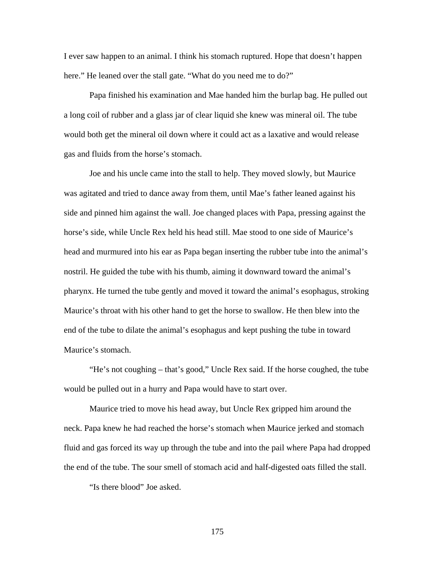I ever saw happen to an animal. I think his stomach ruptured. Hope that doesn't happen here." He leaned over the stall gate. "What do you need me to do?"

Papa finished his examination and Mae handed him the burlap bag. He pulled out a long coil of rubber and a glass jar of clear liquid she knew was mineral oil. The tube would both get the mineral oil down where it could act as a laxative and would release gas and fluids from the horse's stomach.

Joe and his uncle came into the stall to help. They moved slowly, but Maurice was agitated and tried to dance away from them, until Mae's father leaned against his side and pinned him against the wall. Joe changed places with Papa, pressing against the horse's side, while Uncle Rex held his head still. Mae stood to one side of Maurice's head and murmured into his ear as Papa began inserting the rubber tube into the animal's nostril. He guided the tube with his thumb, aiming it downward toward the animal's pharynx. He turned the tube gently and moved it toward the animal's esophagus, stroking Maurice's throat with his other hand to get the horse to swallow. He then blew into the end of the tube to dilate the animal's esophagus and kept pushing the tube in toward Maurice's stomach.

"He's not coughing – that's good," Uncle Rex said. If the horse coughed, the tube would be pulled out in a hurry and Papa would have to start over.

Maurice tried to move his head away, but Uncle Rex gripped him around the neck. Papa knew he had reached the horse's stomach when Maurice jerked and stomach fluid and gas forced its way up through the tube and into the pail where Papa had dropped the end of the tube. The sour smell of stomach acid and half-digested oats filled the stall.

"Is there blood" Joe asked.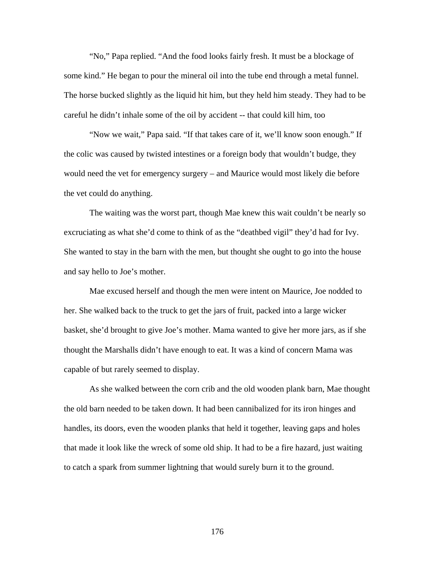"No," Papa replied. "And the food looks fairly fresh. It must be a blockage of some kind." He began to pour the mineral oil into the tube end through a metal funnel. The horse bucked slightly as the liquid hit him, but they held him steady. They had to be careful he didn't inhale some of the oil by accident -- that could kill him, too

"Now we wait," Papa said. "If that takes care of it, we'll know soon enough." If the colic was caused by twisted intestines or a foreign body that wouldn't budge, they would need the vet for emergency surgery – and Maurice would most likely die before the vet could do anything.

The waiting was the worst part, though Mae knew this wait couldn't be nearly so excruciating as what she'd come to think of as the "deathbed vigil" they'd had for Ivy. She wanted to stay in the barn with the men, but thought she ought to go into the house and say hello to Joe's mother.

Mae excused herself and though the men were intent on Maurice, Joe nodded to her. She walked back to the truck to get the jars of fruit, packed into a large wicker basket, she'd brought to give Joe's mother. Mama wanted to give her more jars, as if she thought the Marshalls didn't have enough to eat. It was a kind of concern Mama was capable of but rarely seemed to display.

As she walked between the corn crib and the old wooden plank barn, Mae thought the old barn needed to be taken down. It had been cannibalized for its iron hinges and handles, its doors, even the wooden planks that held it together, leaving gaps and holes that made it look like the wreck of some old ship. It had to be a fire hazard, just waiting to catch a spark from summer lightning that would surely burn it to the ground.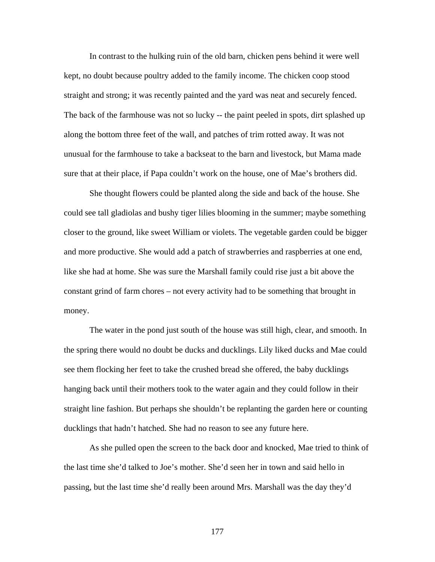In contrast to the hulking ruin of the old barn, chicken pens behind it were well kept, no doubt because poultry added to the family income. The chicken coop stood straight and strong; it was recently painted and the yard was neat and securely fenced. The back of the farmhouse was not so lucky -- the paint peeled in spots, dirt splashed up along the bottom three feet of the wall, and patches of trim rotted away. It was not unusual for the farmhouse to take a backseat to the barn and livestock, but Mama made sure that at their place, if Papa couldn't work on the house, one of Mae's brothers did.

She thought flowers could be planted along the side and back of the house. She could see tall gladiolas and bushy tiger lilies blooming in the summer; maybe something closer to the ground, like sweet William or violets. The vegetable garden could be bigger and more productive. She would add a patch of strawberries and raspberries at one end, like she had at home. She was sure the Marshall family could rise just a bit above the constant grind of farm chores – not every activity had to be something that brought in money.

The water in the pond just south of the house was still high, clear, and smooth. In the spring there would no doubt be ducks and ducklings. Lily liked ducks and Mae could see them flocking her feet to take the crushed bread she offered, the baby ducklings hanging back until their mothers took to the water again and they could follow in their straight line fashion. But perhaps she shouldn't be replanting the garden here or counting ducklings that hadn't hatched. She had no reason to see any future here.

As she pulled open the screen to the back door and knocked, Mae tried to think of the last time she'd talked to Joe's mother. She'd seen her in town and said hello in passing, but the last time she'd really been around Mrs. Marshall was the day they'd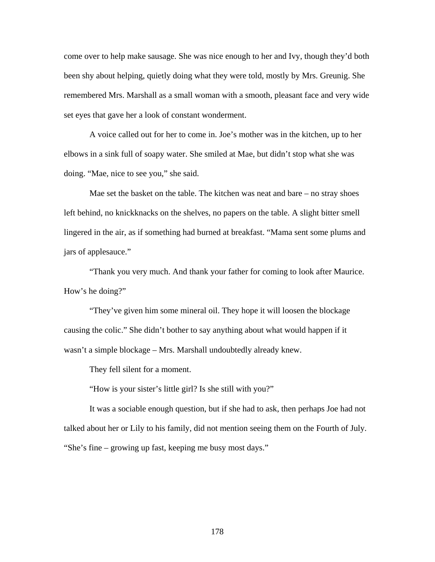come over to help make sausage. She was nice enough to her and Ivy, though they'd both been shy about helping, quietly doing what they were told, mostly by Mrs. Greunig. She remembered Mrs. Marshall as a small woman with a smooth, pleasant face and very wide set eyes that gave her a look of constant wonderment.

A voice called out for her to come in. Joe's mother was in the kitchen, up to her elbows in a sink full of soapy water. She smiled at Mae, but didn't stop what she was doing. "Mae, nice to see you," she said.

Mae set the basket on the table. The kitchen was neat and bare – no stray shoes left behind, no knickknacks on the shelves, no papers on the table. A slight bitter smell lingered in the air, as if something had burned at breakfast. "Mama sent some plums and jars of applesauce."

"Thank you very much. And thank your father for coming to look after Maurice. How's he doing?"

"They've given him some mineral oil. They hope it will loosen the blockage causing the colic." She didn't bother to say anything about what would happen if it wasn't a simple blockage – Mrs. Marshall undoubtedly already knew.

They fell silent for a moment.

"How is your sister's little girl? Is she still with you?"

It was a sociable enough question, but if she had to ask, then perhaps Joe had not talked about her or Lily to his family, did not mention seeing them on the Fourth of July. "She's fine – growing up fast, keeping me busy most days."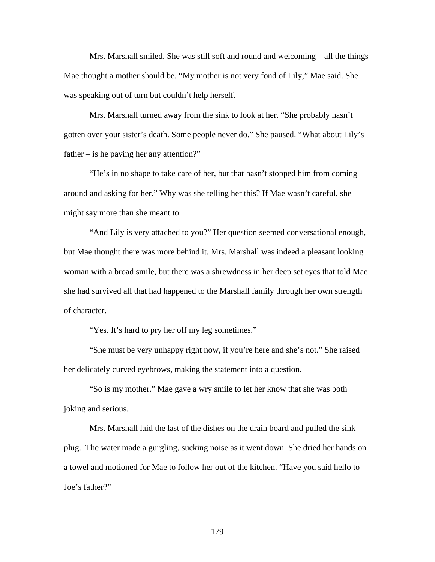Mrs. Marshall smiled. She was still soft and round and welcoming – all the things Mae thought a mother should be. "My mother is not very fond of Lily," Mae said. She was speaking out of turn but couldn't help herself.

Mrs. Marshall turned away from the sink to look at her. "She probably hasn't gotten over your sister's death. Some people never do." She paused. "What about Lily's father – is he paying her any attention?"

"He's in no shape to take care of her, but that hasn't stopped him from coming around and asking for her." Why was she telling her this? If Mae wasn't careful, she might say more than she meant to.

"And Lily is very attached to you?" Her question seemed conversational enough, but Mae thought there was more behind it. Mrs. Marshall was indeed a pleasant looking woman with a broad smile, but there was a shrewdness in her deep set eyes that told Mae she had survived all that had happened to the Marshall family through her own strength of character.

"Yes. It's hard to pry her off my leg sometimes."

"She must be very unhappy right now, if you're here and she's not." She raised her delicately curved eyebrows, making the statement into a question.

"So is my mother." Mae gave a wry smile to let her know that she was both joking and serious.

Mrs. Marshall laid the last of the dishes on the drain board and pulled the sink plug. The water made a gurgling, sucking noise as it went down. She dried her hands on a towel and motioned for Mae to follow her out of the kitchen. "Have you said hello to Joe's father?"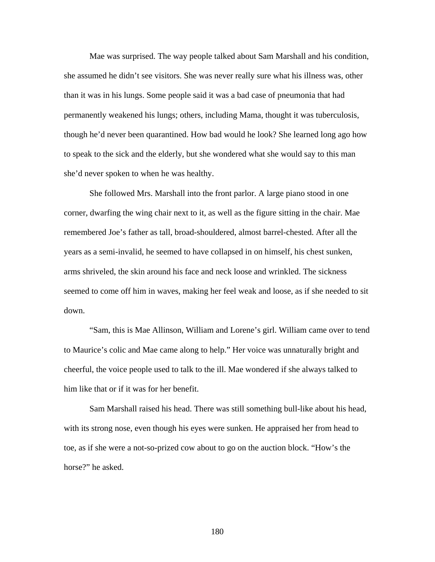Mae was surprised. The way people talked about Sam Marshall and his condition, she assumed he didn't see visitors. She was never really sure what his illness was, other than it was in his lungs. Some people said it was a bad case of pneumonia that had permanently weakened his lungs; others, including Mama, thought it was tuberculosis, though he'd never been quarantined. How bad would he look? She learned long ago how to speak to the sick and the elderly, but she wondered what she would say to this man she'd never spoken to when he was healthy.

She followed Mrs. Marshall into the front parlor. A large piano stood in one corner, dwarfing the wing chair next to it, as well as the figure sitting in the chair. Mae remembered Joe's father as tall, broad-shouldered, almost barrel-chested. After all the years as a semi-invalid, he seemed to have collapsed in on himself, his chest sunken, arms shriveled, the skin around his face and neck loose and wrinkled. The sickness seemed to come off him in waves, making her feel weak and loose, as if she needed to sit down.

"Sam, this is Mae Allinson, William and Lorene's girl. William came over to tend to Maurice's colic and Mae came along to help." Her voice was unnaturally bright and cheerful, the voice people used to talk to the ill. Mae wondered if she always talked to him like that or if it was for her benefit.

Sam Marshall raised his head. There was still something bull-like about his head, with its strong nose, even though his eyes were sunken. He appraised her from head to toe, as if she were a not-so-prized cow about to go on the auction block. "How's the horse?" he asked.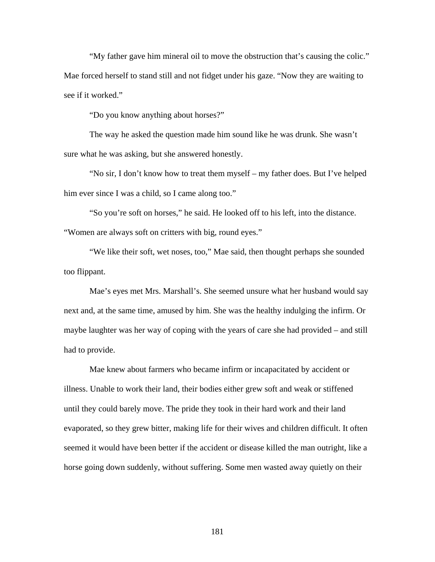"My father gave him mineral oil to move the obstruction that's causing the colic." Mae forced herself to stand still and not fidget under his gaze. "Now they are waiting to see if it worked."

"Do you know anything about horses?"

The way he asked the question made him sound like he was drunk. She wasn't sure what he was asking, but she answered honestly.

"No sir, I don't know how to treat them myself – my father does. But I've helped him ever since I was a child, so I came along too."

"So you're soft on horses," he said. He looked off to his left, into the distance. "Women are always soft on critters with big, round eyes."

"We like their soft, wet noses, too," Mae said, then thought perhaps she sounded too flippant.

Mae's eyes met Mrs. Marshall's. She seemed unsure what her husband would say next and, at the same time, amused by him. She was the healthy indulging the infirm. Or maybe laughter was her way of coping with the years of care she had provided – and still had to provide.

Mae knew about farmers who became infirm or incapacitated by accident or illness. Unable to work their land, their bodies either grew soft and weak or stiffened until they could barely move. The pride they took in their hard work and their land evaporated, so they grew bitter, making life for their wives and children difficult. It often seemed it would have been better if the accident or disease killed the man outright, like a horse going down suddenly, without suffering. Some men wasted away quietly on their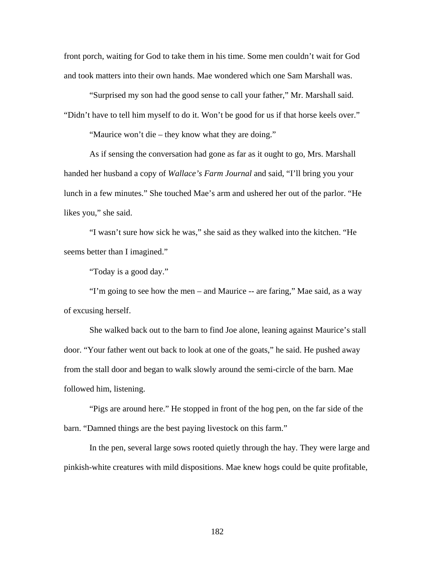front porch, waiting for God to take them in his time. Some men couldn't wait for God and took matters into their own hands. Mae wondered which one Sam Marshall was.

 "Surprised my son had the good sense to call your father," Mr. Marshall said. "Didn't have to tell him myself to do it. Won't be good for us if that horse keels over."

"Maurice won't die – they know what they are doing."

 As if sensing the conversation had gone as far as it ought to go, Mrs. Marshall handed her husband a copy of *Wallace's Farm Journal* and said, "I'll bring you your lunch in a few minutes." She touched Mae's arm and ushered her out of the parlor. "He likes you," she said.

 "I wasn't sure how sick he was," she said as they walked into the kitchen. "He seems better than I imagined."

"Today is a good day."

"I'm going to see how the men – and Maurice -- are faring," Mae said, as a way of excusing herself.

 She walked back out to the barn to find Joe alone, leaning against Maurice's stall door. "Your father went out back to look at one of the goats," he said. He pushed away from the stall door and began to walk slowly around the semi-circle of the barn. Mae followed him, listening.

"Pigs are around here." He stopped in front of the hog pen, on the far side of the barn. "Damned things are the best paying livestock on this farm."

In the pen, several large sows rooted quietly through the hay. They were large and pinkish-white creatures with mild dispositions. Mae knew hogs could be quite profitable,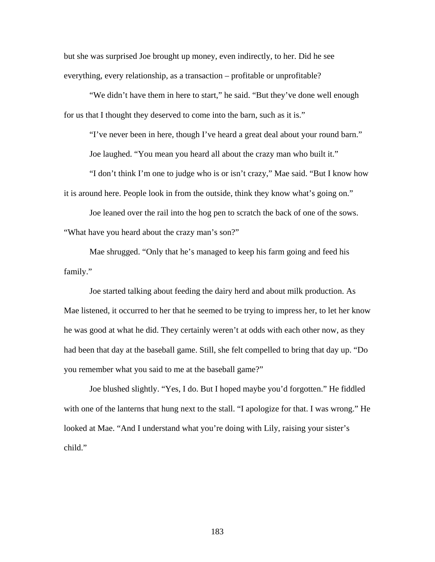but she was surprised Joe brought up money, even indirectly, to her. Did he see everything, every relationship, as a transaction – profitable or unprofitable?

"We didn't have them in here to start," he said. "But they've done well enough for us that I thought they deserved to come into the barn, such as it is."

"I've never been in here, though I've heard a great deal about your round barn."

Joe laughed. "You mean you heard all about the crazy man who built it."

"I don't think I'm one to judge who is or isn't crazy," Mae said. "But I know how it is around here. People look in from the outside, think they know what's going on."

Joe leaned over the rail into the hog pen to scratch the back of one of the sows. "What have you heard about the crazy man's son?"

Mae shrugged. "Only that he's managed to keep his farm going and feed his family."

Joe started talking about feeding the dairy herd and about milk production. As Mae listened, it occurred to her that he seemed to be trying to impress her, to let her know he was good at what he did. They certainly weren't at odds with each other now, as they had been that day at the baseball game. Still, she felt compelled to bring that day up. "Do you remember what you said to me at the baseball game?"

Joe blushed slightly. "Yes, I do. But I hoped maybe you'd forgotten." He fiddled with one of the lanterns that hung next to the stall. "I apologize for that. I was wrong." He looked at Mae. "And I understand what you're doing with Lily, raising your sister's child."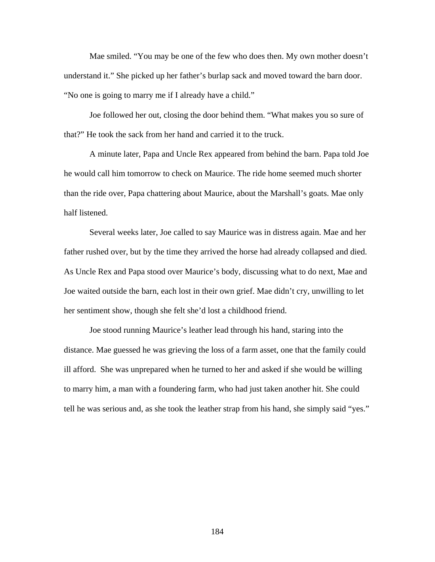Mae smiled. "You may be one of the few who does then. My own mother doesn't understand it." She picked up her father's burlap sack and moved toward the barn door. "No one is going to marry me if I already have a child."

Joe followed her out, closing the door behind them. "What makes you so sure of that?" He took the sack from her hand and carried it to the truck.

A minute later, Papa and Uncle Rex appeared from behind the barn. Papa told Joe he would call him tomorrow to check on Maurice. The ride home seemed much shorter than the ride over, Papa chattering about Maurice, about the Marshall's goats. Mae only half listened.

 Several weeks later, Joe called to say Maurice was in distress again. Mae and her father rushed over, but by the time they arrived the horse had already collapsed and died. As Uncle Rex and Papa stood over Maurice's body, discussing what to do next, Mae and Joe waited outside the barn, each lost in their own grief. Mae didn't cry, unwilling to let her sentiment show, though she felt she'd lost a childhood friend.

Joe stood running Maurice's leather lead through his hand, staring into the distance. Mae guessed he was grieving the loss of a farm asset, one that the family could ill afford. She was unprepared when he turned to her and asked if she would be willing to marry him, a man with a foundering farm, who had just taken another hit. She could tell he was serious and, as she took the leather strap from his hand, she simply said "yes."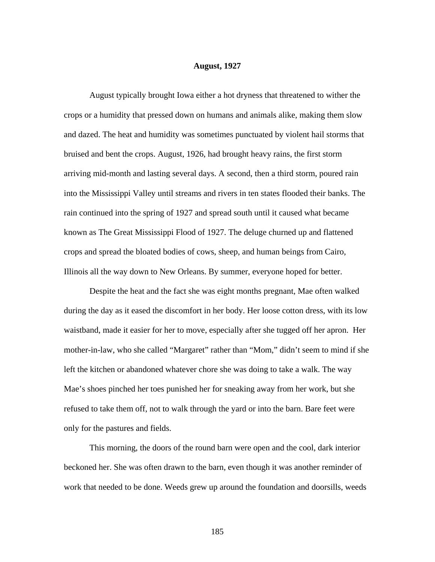## **August, 1927**

August typically brought Iowa either a hot dryness that threatened to wither the crops or a humidity that pressed down on humans and animals alike, making them slow and dazed. The heat and humidity was sometimes punctuated by violent hail storms that bruised and bent the crops. August, 1926, had brought heavy rains, the first storm arriving mid-month and lasting several days. A second, then a third storm, poured rain into the Mississippi Valley until streams and rivers in ten states flooded their banks. The rain continued into the spring of 1927 and spread south until it caused what became known as The Great Mississippi Flood of 1927. The deluge churned up and flattened crops and spread the bloated bodies of cows, sheep, and human beings from Cairo, Illinois all the way down to New Orleans. By summer, everyone hoped for better.

 Despite the heat and the fact she was eight months pregnant, Mae often walked during the day as it eased the discomfort in her body. Her loose cotton dress, with its low waistband, made it easier for her to move, especially after she tugged off her apron. Her mother-in-law, who she called "Margaret" rather than "Mom," didn't seem to mind if she left the kitchen or abandoned whatever chore she was doing to take a walk. The way Mae's shoes pinched her toes punished her for sneaking away from her work, but she refused to take them off, not to walk through the yard or into the barn. Bare feet were only for the pastures and fields.

 This morning, the doors of the round barn were open and the cool, dark interior beckoned her. She was often drawn to the barn, even though it was another reminder of work that needed to be done. Weeds grew up around the foundation and doorsills, weeds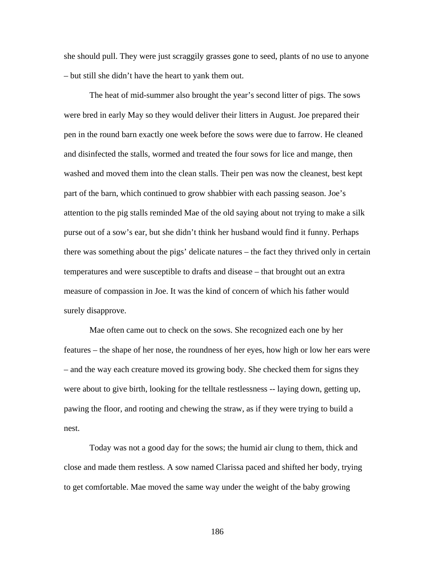she should pull. They were just scraggily grasses gone to seed, plants of no use to anyone – but still she didn't have the heart to yank them out.

The heat of mid-summer also brought the year's second litter of pigs. The sows were bred in early May so they would deliver their litters in August. Joe prepared their pen in the round barn exactly one week before the sows were due to farrow. He cleaned and disinfected the stalls, wormed and treated the four sows for lice and mange, then washed and moved them into the clean stalls. Their pen was now the cleanest, best kept part of the barn, which continued to grow shabbier with each passing season. Joe's attention to the pig stalls reminded Mae of the old saying about not trying to make a silk purse out of a sow's ear, but she didn't think her husband would find it funny. Perhaps there was something about the pigs' delicate natures – the fact they thrived only in certain temperatures and were susceptible to drafts and disease – that brought out an extra measure of compassion in Joe. It was the kind of concern of which his father would surely disapprove.

Mae often came out to check on the sows. She recognized each one by her features – the shape of her nose, the roundness of her eyes, how high or low her ears were – and the way each creature moved its growing body. She checked them for signs they were about to give birth, looking for the telltale restlessness -- laying down, getting up, pawing the floor, and rooting and chewing the straw, as if they were trying to build a nest.

Today was not a good day for the sows; the humid air clung to them, thick and close and made them restless. A sow named Clarissa paced and shifted her body, trying to get comfortable. Mae moved the same way under the weight of the baby growing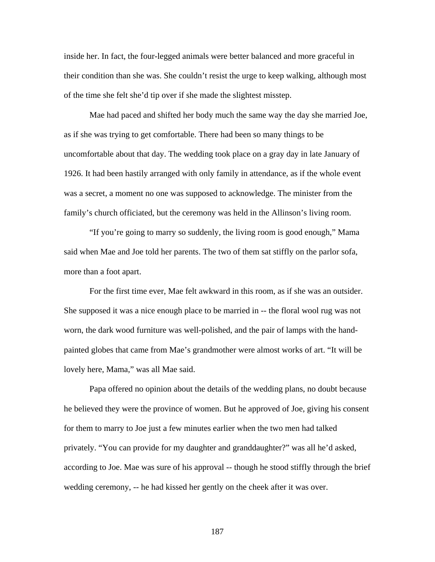inside her. In fact, the four-legged animals were better balanced and more graceful in their condition than she was. She couldn't resist the urge to keep walking, although most of the time she felt she'd tip over if she made the slightest misstep.

Mae had paced and shifted her body much the same way the day she married Joe, as if she was trying to get comfortable. There had been so many things to be uncomfortable about that day. The wedding took place on a gray day in late January of 1926. It had been hastily arranged with only family in attendance, as if the whole event was a secret, a moment no one was supposed to acknowledge. The minister from the family's church officiated, but the ceremony was held in the Allinson's living room.

"If you're going to marry so suddenly, the living room is good enough," Mama said when Mae and Joe told her parents. The two of them sat stiffly on the parlor sofa, more than a foot apart.

For the first time ever, Mae felt awkward in this room, as if she was an outsider. She supposed it was a nice enough place to be married in -- the floral wool rug was not worn, the dark wood furniture was well-polished, and the pair of lamps with the handpainted globes that came from Mae's grandmother were almost works of art. "It will be lovely here, Mama," was all Mae said.

Papa offered no opinion about the details of the wedding plans, no doubt because he believed they were the province of women. But he approved of Joe, giving his consent for them to marry to Joe just a few minutes earlier when the two men had talked privately. "You can provide for my daughter and granddaughter?" was all he'd asked, according to Joe. Mae was sure of his approval -- though he stood stiffly through the brief wedding ceremony, -- he had kissed her gently on the cheek after it was over.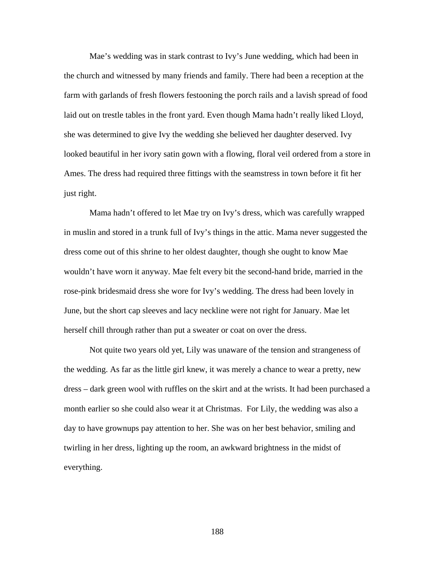Mae's wedding was in stark contrast to Ivy's June wedding, which had been in the church and witnessed by many friends and family. There had been a reception at the farm with garlands of fresh flowers festooning the porch rails and a lavish spread of food laid out on trestle tables in the front yard. Even though Mama hadn't really liked Lloyd, she was determined to give Ivy the wedding she believed her daughter deserved. Ivy looked beautiful in her ivory satin gown with a flowing, floral veil ordered from a store in Ames. The dress had required three fittings with the seamstress in town before it fit her just right.

Mama hadn't offered to let Mae try on Ivy's dress, which was carefully wrapped in muslin and stored in a trunk full of Ivy's things in the attic. Mama never suggested the dress come out of this shrine to her oldest daughter, though she ought to know Mae wouldn't have worn it anyway. Mae felt every bit the second-hand bride, married in the rose-pink bridesmaid dress she wore for Ivy's wedding. The dress had been lovely in June, but the short cap sleeves and lacy neckline were not right for January. Mae let herself chill through rather than put a sweater or coat on over the dress.

Not quite two years old yet, Lily was unaware of the tension and strangeness of the wedding. As far as the little girl knew, it was merely a chance to wear a pretty, new dress – dark green wool with ruffles on the skirt and at the wrists. It had been purchased a month earlier so she could also wear it at Christmas. For Lily, the wedding was also a day to have grownups pay attention to her. She was on her best behavior, smiling and twirling in her dress, lighting up the room, an awkward brightness in the midst of everything.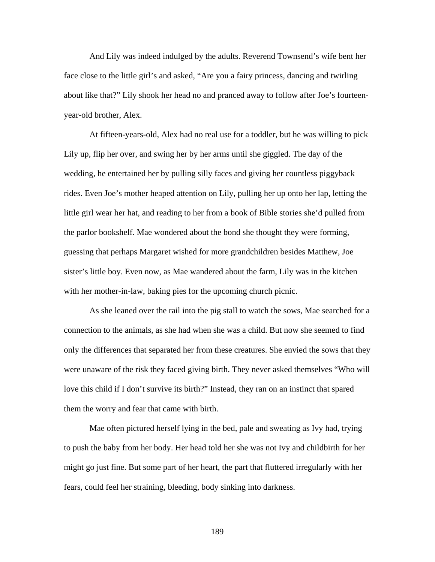And Lily was indeed indulged by the adults. Reverend Townsend's wife bent her face close to the little girl's and asked, "Are you a fairy princess, dancing and twirling about like that?" Lily shook her head no and pranced away to follow after Joe's fourteenyear-old brother, Alex.

At fifteen-years-old, Alex had no real use for a toddler, but he was willing to pick Lily up, flip her over, and swing her by her arms until she giggled. The day of the wedding, he entertained her by pulling silly faces and giving her countless piggyback rides. Even Joe's mother heaped attention on Lily, pulling her up onto her lap, letting the little girl wear her hat, and reading to her from a book of Bible stories she'd pulled from the parlor bookshelf. Mae wondered about the bond she thought they were forming, guessing that perhaps Margaret wished for more grandchildren besides Matthew, Joe sister's little boy. Even now, as Mae wandered about the farm, Lily was in the kitchen with her mother-in-law, baking pies for the upcoming church picnic.

 As she leaned over the rail into the pig stall to watch the sows, Mae searched for a connection to the animals, as she had when she was a child. But now she seemed to find only the differences that separated her from these creatures. She envied the sows that they were unaware of the risk they faced giving birth. They never asked themselves "Who will love this child if I don't survive its birth?" Instead, they ran on an instinct that spared them the worry and fear that came with birth.

Mae often pictured herself lying in the bed, pale and sweating as Ivy had, trying to push the baby from her body. Her head told her she was not Ivy and childbirth for her might go just fine. But some part of her heart, the part that fluttered irregularly with her fears, could feel her straining, bleeding, body sinking into darkness.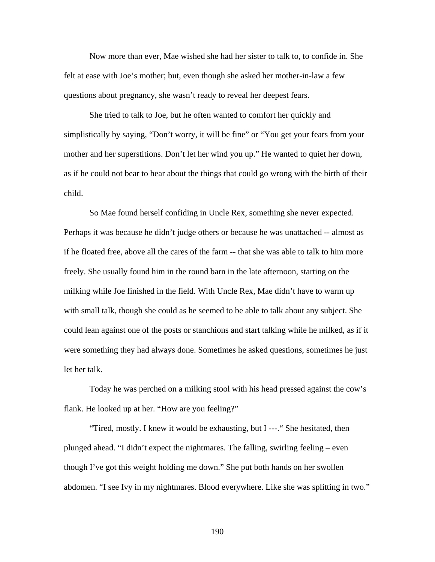Now more than ever, Mae wished she had her sister to talk to, to confide in. She felt at ease with Joe's mother; but, even though she asked her mother-in-law a few questions about pregnancy, she wasn't ready to reveal her deepest fears.

She tried to talk to Joe, but he often wanted to comfort her quickly and simplistically by saying, "Don't worry, it will be fine" or "You get your fears from your mother and her superstitions. Don't let her wind you up." He wanted to quiet her down, as if he could not bear to hear about the things that could go wrong with the birth of their child.

So Mae found herself confiding in Uncle Rex, something she never expected. Perhaps it was because he didn't judge others or because he was unattached -- almost as if he floated free, above all the cares of the farm -- that she was able to talk to him more freely. She usually found him in the round barn in the late afternoon, starting on the milking while Joe finished in the field. With Uncle Rex, Mae didn't have to warm up with small talk, though she could as he seemed to be able to talk about any subject. She could lean against one of the posts or stanchions and start talking while he milked, as if it were something they had always done. Sometimes he asked questions, sometimes he just let her talk.

Today he was perched on a milking stool with his head pressed against the cow's flank. He looked up at her. "How are you feeling?"

"Tired, mostly. I knew it would be exhausting, but I ---." She hesitated, then plunged ahead. "I didn't expect the nightmares. The falling, swirling feeling – even though I've got this weight holding me down." She put both hands on her swollen abdomen. "I see Ivy in my nightmares. Blood everywhere. Like she was splitting in two."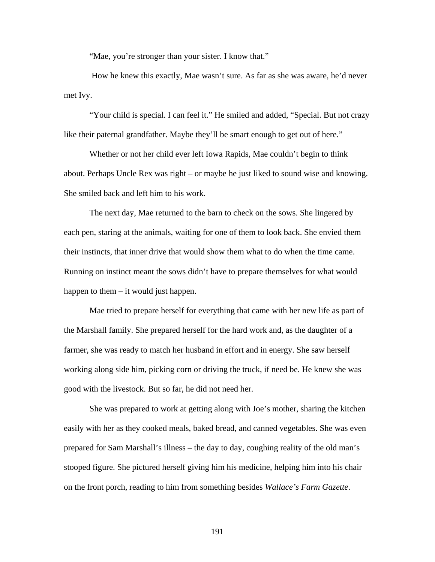"Mae, you're stronger than your sister. I know that."

 How he knew this exactly, Mae wasn't sure. As far as she was aware, he'd never met Ivy.

"Your child is special. I can feel it." He smiled and added, "Special. But not crazy like their paternal grandfather. Maybe they'll be smart enough to get out of here."

Whether or not her child ever left Iowa Rapids, Mae couldn't begin to think about. Perhaps Uncle Rex was right – or maybe he just liked to sound wise and knowing. She smiled back and left him to his work.

The next day, Mae returned to the barn to check on the sows. She lingered by each pen, staring at the animals, waiting for one of them to look back. She envied them their instincts, that inner drive that would show them what to do when the time came. Running on instinct meant the sows didn't have to prepare themselves for what would happen to them – it would just happen.

Mae tried to prepare herself for everything that came with her new life as part of the Marshall family. She prepared herself for the hard work and, as the daughter of a farmer, she was ready to match her husband in effort and in energy. She saw herself working along side him, picking corn or driving the truck, if need be. He knew she was good with the livestock. But so far, he did not need her.

She was prepared to work at getting along with Joe's mother, sharing the kitchen easily with her as they cooked meals, baked bread, and canned vegetables. She was even prepared for Sam Marshall's illness – the day to day, coughing reality of the old man's stooped figure. She pictured herself giving him his medicine, helping him into his chair on the front porch, reading to him from something besides *Wallace's Farm Gazette*.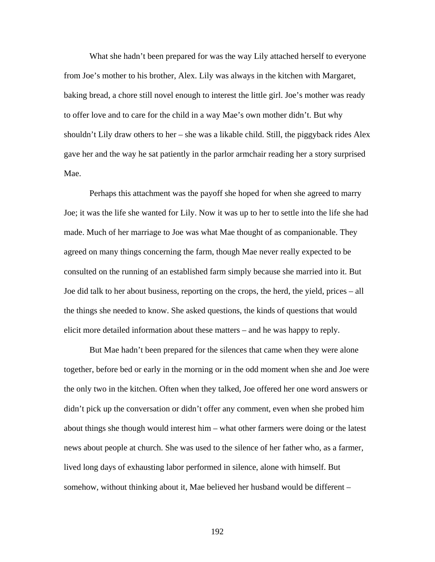What she hadn't been prepared for was the way Lily attached herself to everyone from Joe's mother to his brother, Alex. Lily was always in the kitchen with Margaret, baking bread, a chore still novel enough to interest the little girl. Joe's mother was ready to offer love and to care for the child in a way Mae's own mother didn't. But why shouldn't Lily draw others to her – she was a likable child. Still, the piggyback rides Alex gave her and the way he sat patiently in the parlor armchair reading her a story surprised Mae.

Perhaps this attachment was the payoff she hoped for when she agreed to marry Joe; it was the life she wanted for Lily. Now it was up to her to settle into the life she had made. Much of her marriage to Joe was what Mae thought of as companionable. They agreed on many things concerning the farm, though Mae never really expected to be consulted on the running of an established farm simply because she married into it. But Joe did talk to her about business, reporting on the crops, the herd, the yield, prices – all the things she needed to know. She asked questions, the kinds of questions that would elicit more detailed information about these matters – and he was happy to reply.

But Mae hadn't been prepared for the silences that came when they were alone together, before bed or early in the morning or in the odd moment when she and Joe were the only two in the kitchen. Often when they talked, Joe offered her one word answers or didn't pick up the conversation or didn't offer any comment, even when she probed him about things she though would interest him – what other farmers were doing or the latest news about people at church. She was used to the silence of her father who, as a farmer, lived long days of exhausting labor performed in silence, alone with himself. But somehow, without thinking about it, Mae believed her husband would be different –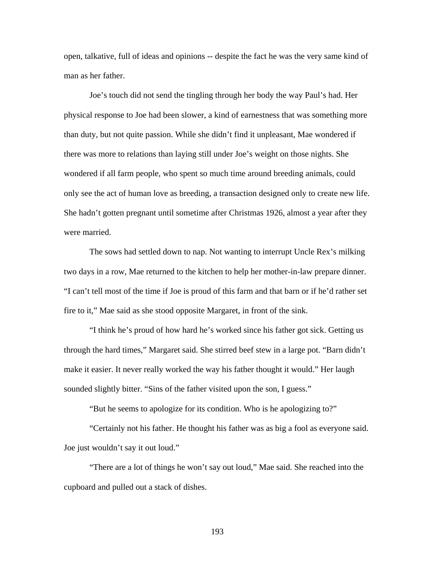open, talkative, full of ideas and opinions -- despite the fact he was the very same kind of man as her father.

Joe's touch did not send the tingling through her body the way Paul's had. Her physical response to Joe had been slower, a kind of earnestness that was something more than duty, but not quite passion. While she didn't find it unpleasant, Mae wondered if there was more to relations than laying still under Joe's weight on those nights. She wondered if all farm people, who spent so much time around breeding animals, could only see the act of human love as breeding, a transaction designed only to create new life. She hadn't gotten pregnant until sometime after Christmas 1926, almost a year after they were married.

The sows had settled down to nap. Not wanting to interrupt Uncle Rex's milking two days in a row, Mae returned to the kitchen to help her mother-in-law prepare dinner. "I can't tell most of the time if Joe is proud of this farm and that barn or if he'd rather set fire to it," Mae said as she stood opposite Margaret, in front of the sink.

"I think he's proud of how hard he's worked since his father got sick. Getting us through the hard times," Margaret said. She stirred beef stew in a large pot. "Barn didn't make it easier. It never really worked the way his father thought it would." Her laugh sounded slightly bitter. "Sins of the father visited upon the son, I guess."

"But he seems to apologize for its condition. Who is he apologizing to?"

"Certainly not his father. He thought his father was as big a fool as everyone said. Joe just wouldn't say it out loud."

"There are a lot of things he won't say out loud," Mae said. She reached into the cupboard and pulled out a stack of dishes.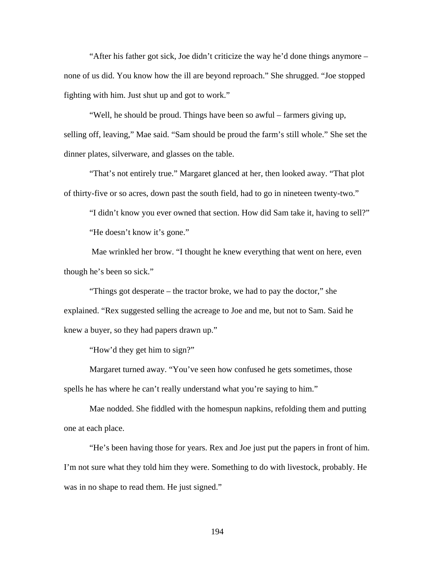"After his father got sick, Joe didn't criticize the way he'd done things anymore – none of us did. You know how the ill are beyond reproach." She shrugged. "Joe stopped fighting with him. Just shut up and got to work."

"Well, he should be proud. Things have been so awful – farmers giving up, selling off, leaving," Mae said. "Sam should be proud the farm's still whole." She set the dinner plates, silverware, and glasses on the table.

"That's not entirely true." Margaret glanced at her, then looked away. "That plot of thirty-five or so acres, down past the south field, had to go in nineteen twenty-two."

"I didn't know you ever owned that section. How did Sam take it, having to sell?" "He doesn't know it's gone."

 Mae wrinkled her brow. "I thought he knew everything that went on here, even though he's been so sick."

"Things got desperate – the tractor broke, we had to pay the doctor," she explained. "Rex suggested selling the acreage to Joe and me, but not to Sam. Said he knew a buyer, so they had papers drawn up."

"How'd they get him to sign?"

Margaret turned away. "You've seen how confused he gets sometimes, those spells he has where he can't really understand what you're saying to him."

Mae nodded. She fiddled with the homespun napkins, refolding them and putting one at each place.

"He's been having those for years. Rex and Joe just put the papers in front of him. I'm not sure what they told him they were. Something to do with livestock, probably. He was in no shape to read them. He just signed."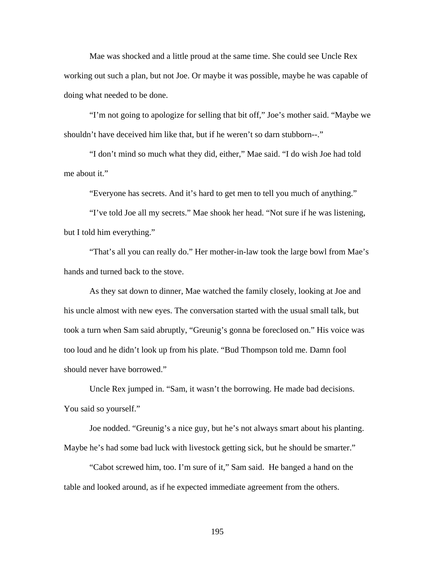Mae was shocked and a little proud at the same time. She could see Uncle Rex working out such a plan, but not Joe. Or maybe it was possible, maybe he was capable of doing what needed to be done.

"I'm not going to apologize for selling that bit off," Joe's mother said. "Maybe we shouldn't have deceived him like that, but if he weren't so darn stubborn--."

"I don't mind so much what they did, either," Mae said. "I do wish Joe had told me about it."

"Everyone has secrets. And it's hard to get men to tell you much of anything."

"I've told Joe all my secrets." Mae shook her head. "Not sure if he was listening, but I told him everything."

"That's all you can really do." Her mother-in-law took the large bowl from Mae's hands and turned back to the stove.

As they sat down to dinner, Mae watched the family closely, looking at Joe and his uncle almost with new eyes. The conversation started with the usual small talk, but took a turn when Sam said abruptly, "Greunig's gonna be foreclosed on." His voice was too loud and he didn't look up from his plate. "Bud Thompson told me. Damn fool should never have borrowed."

 Uncle Rex jumped in. "Sam, it wasn't the borrowing. He made bad decisions. You said so yourself."

 Joe nodded. "Greunig's a nice guy, but he's not always smart about his planting. Maybe he's had some bad luck with livestock getting sick, but he should be smarter."

 "Cabot screwed him, too. I'm sure of it," Sam said. He banged a hand on the table and looked around, as if he expected immediate agreement from the others.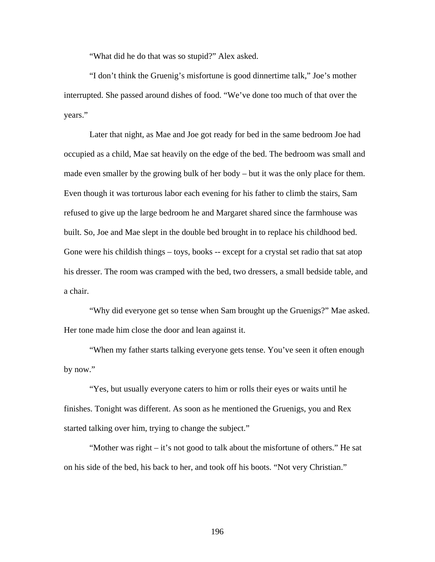"What did he do that was so stupid?" Alex asked.

 "I don't think the Gruenig's misfortune is good dinnertime talk," Joe's mother interrupted. She passed around dishes of food. "We've done too much of that over the years."

Later that night, as Mae and Joe got ready for bed in the same bedroom Joe had occupied as a child, Mae sat heavily on the edge of the bed. The bedroom was small and made even smaller by the growing bulk of her body – but it was the only place for them. Even though it was torturous labor each evening for his father to climb the stairs, Sam refused to give up the large bedroom he and Margaret shared since the farmhouse was built. So, Joe and Mae slept in the double bed brought in to replace his childhood bed. Gone were his childish things – toys, books -- except for a crystal set radio that sat atop his dresser. The room was cramped with the bed, two dressers, a small bedside table, and a chair.

 "Why did everyone get so tense when Sam brought up the Gruenigs?" Mae asked. Her tone made him close the door and lean against it.

 "When my father starts talking everyone gets tense. You've seen it often enough by now."

 "Yes, but usually everyone caters to him or rolls their eyes or waits until he finishes. Tonight was different. As soon as he mentioned the Gruenigs, you and Rex started talking over him, trying to change the subject."

 "Mother was right – it's not good to talk about the misfortune of others." He sat on his side of the bed, his back to her, and took off his boots. "Not very Christian."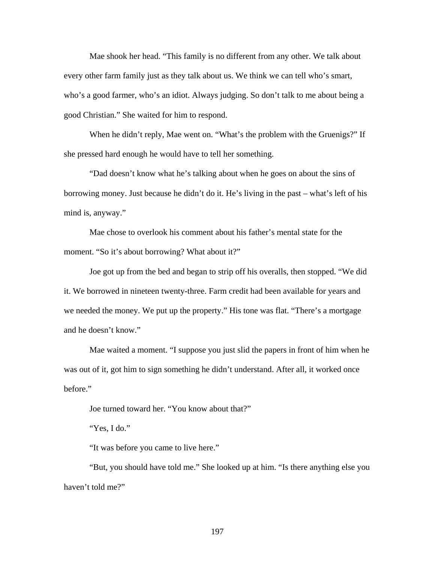Mae shook her head. "This family is no different from any other. We talk about every other farm family just as they talk about us. We think we can tell who's smart, who's a good farmer, who's an idiot. Always judging. So don't talk to me about being a good Christian." She waited for him to respond.

When he didn't reply, Mae went on. "What's the problem with the Gruenigs?" If she pressed hard enough he would have to tell her something.

 "Dad doesn't know what he's talking about when he goes on about the sins of borrowing money. Just because he didn't do it. He's living in the past – what's left of his mind is, anyway."

 Mae chose to overlook his comment about his father's mental state for the moment. "So it's about borrowing? What about it?"

 Joe got up from the bed and began to strip off his overalls, then stopped. "We did it. We borrowed in nineteen twenty-three. Farm credit had been available for years and we needed the money. We put up the property." His tone was flat. "There's a mortgage and he doesn't know."

 Mae waited a moment. "I suppose you just slid the papers in front of him when he was out of it, got him to sign something he didn't understand. After all, it worked once before."

Joe turned toward her. "You know about that?"

"Yes, I do."

"It was before you came to live here."

 "But, you should have told me." She looked up at him. "Is there anything else you haven't told me?"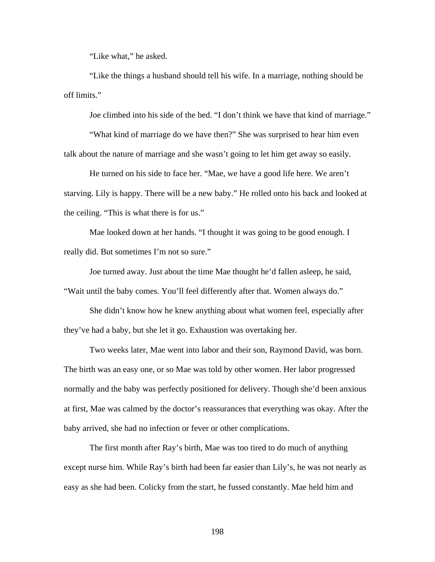"Like what," he asked.

 "Like the things a husband should tell his wife. In a marriage, nothing should be off limits."

Joe climbed into his side of the bed. "I don't think we have that kind of marriage."

 "What kind of marriage do we have then?" She was surprised to hear him even talk about the nature of marriage and she wasn't going to let him get away so easily.

 He turned on his side to face her. "Mae, we have a good life here. We aren't starving. Lily is happy. There will be a new baby." He rolled onto his back and looked at the ceiling. "This is what there is for us."

 Mae looked down at her hands. "I thought it was going to be good enough. I really did. But sometimes I'm not so sure."

 Joe turned away. Just about the time Mae thought he'd fallen asleep, he said, "Wait until the baby comes. You'll feel differently after that. Women always do."

 She didn't know how he knew anything about what women feel, especially after they've had a baby, but she let it go. Exhaustion was overtaking her.

 Two weeks later, Mae went into labor and their son, Raymond David, was born. The birth was an easy one, or so Mae was told by other women. Her labor progressed normally and the baby was perfectly positioned for delivery. Though she'd been anxious at first, Mae was calmed by the doctor's reassurances that everything was okay. After the baby arrived, she had no infection or fever or other complications.

 The first month after Ray's birth, Mae was too tired to do much of anything except nurse him. While Ray's birth had been far easier than Lily's, he was not nearly as easy as she had been. Colicky from the start, he fussed constantly. Mae held him and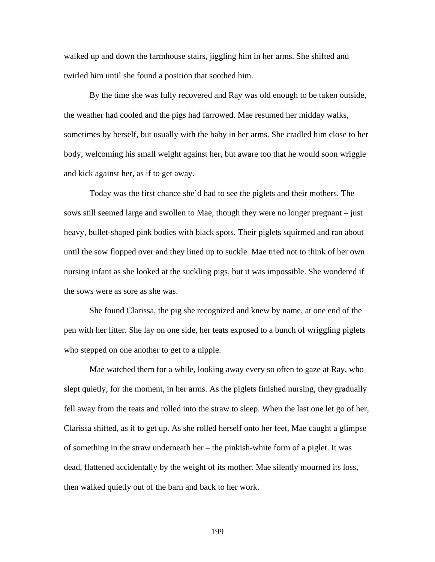walked up and down the farmhouse stairs, jiggling him in her arms. She shifted and twirled him until she found a position that soothed him.

 By the time she was fully recovered and Ray was old enough to be taken outside, the weather had cooled and the pigs had farrowed. Mae resumed her midday walks, sometimes by herself, but usually with the baby in her arms. She cradled him close to her body, welcoming his small weight against her, but aware too that he would soon wriggle and kick against her, as if to get away.

 Today was the first chance she'd had to see the piglets and their mothers. The sows still seemed large and swollen to Mae, though they were no longer pregnant – just heavy, bullet-shaped pink bodies with black spots. Their piglets squirmed and ran about until the sow flopped over and they lined up to suckle. Mae tried not to think of her own nursing infant as she looked at the suckling pigs, but it was impossible. She wondered if the sows were as sore as she was.

 She found Clarissa, the pig she recognized and knew by name, at one end of the pen with her litter. She lay on one side, her teats exposed to a bunch of wriggling piglets who stepped on one another to get to a nipple.

 Mae watched them for a while, looking away every so often to gaze at Ray, who slept quietly, for the moment, in her arms. As the piglets finished nursing, they gradually fell away from the teats and rolled into the straw to sleep. When the last one let go of her, Clarissa shifted, as if to get up. As she rolled herself onto her feet, Mae caught a glimpse of something in the straw underneath her – the pinkish-white form of a piglet. It was dead, flattened accidentally by the weight of its mother. Mae silently mourned its loss, then walked quietly out of the barn and back to her work.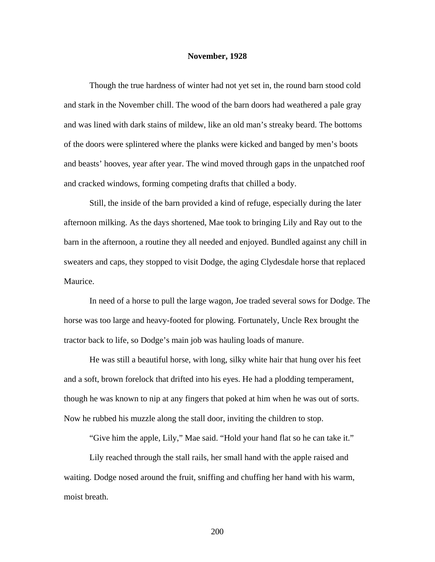## **November, 1928**

 Though the true hardness of winter had not yet set in, the round barn stood cold and stark in the November chill. The wood of the barn doors had weathered a pale gray and was lined with dark stains of mildew, like an old man's streaky beard. The bottoms of the doors were splintered where the planks were kicked and banged by men's boots and beasts' hooves, year after year. The wind moved through gaps in the unpatched roof and cracked windows, forming competing drafts that chilled a body.

 Still, the inside of the barn provided a kind of refuge, especially during the later afternoon milking. As the days shortened, Mae took to bringing Lily and Ray out to the barn in the afternoon, a routine they all needed and enjoyed. Bundled against any chill in sweaters and caps, they stopped to visit Dodge, the aging Clydesdale horse that replaced Maurice.

 In need of a horse to pull the large wagon, Joe traded several sows for Dodge. The horse was too large and heavy-footed for plowing. Fortunately, Uncle Rex brought the tractor back to life, so Dodge's main job was hauling loads of manure.

 He was still a beautiful horse, with long, silky white hair that hung over his feet and a soft, brown forelock that drifted into his eyes. He had a plodding temperament, though he was known to nip at any fingers that poked at him when he was out of sorts. Now he rubbed his muzzle along the stall door, inviting the children to stop.

"Give him the apple, Lily," Mae said. "Hold your hand flat so he can take it."

Lily reached through the stall rails, her small hand with the apple raised and waiting. Dodge nosed around the fruit, sniffing and chuffing her hand with his warm, moist breath.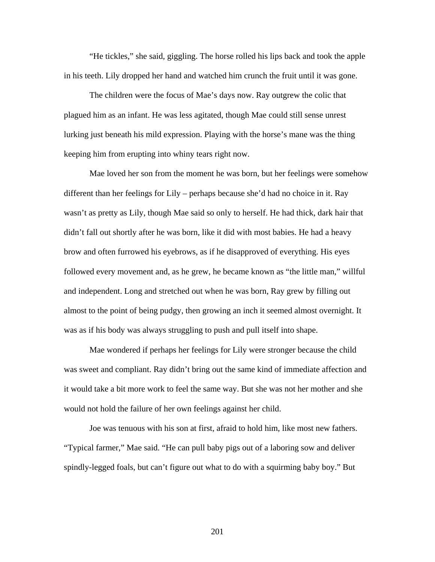"He tickles," she said, giggling. The horse rolled his lips back and took the apple in his teeth. Lily dropped her hand and watched him crunch the fruit until it was gone.

The children were the focus of Mae's days now. Ray outgrew the colic that plagued him as an infant. He was less agitated, though Mae could still sense unrest lurking just beneath his mild expression. Playing with the horse's mane was the thing keeping him from erupting into whiny tears right now.

Mae loved her son from the moment he was born, but her feelings were somehow different than her feelings for Lily – perhaps because she'd had no choice in it. Ray wasn't as pretty as Lily, though Mae said so only to herself. He had thick, dark hair that didn't fall out shortly after he was born, like it did with most babies. He had a heavy brow and often furrowed his eyebrows, as if he disapproved of everything. His eyes followed every movement and, as he grew, he became known as "the little man," willful and independent. Long and stretched out when he was born, Ray grew by filling out almost to the point of being pudgy, then growing an inch it seemed almost overnight. It was as if his body was always struggling to push and pull itself into shape.

Mae wondered if perhaps her feelings for Lily were stronger because the child was sweet and compliant. Ray didn't bring out the same kind of immediate affection and it would take a bit more work to feel the same way. But she was not her mother and she would not hold the failure of her own feelings against her child.

Joe was tenuous with his son at first, afraid to hold him, like most new fathers. "Typical farmer," Mae said. "He can pull baby pigs out of a laboring sow and deliver spindly-legged foals, but can't figure out what to do with a squirming baby boy." But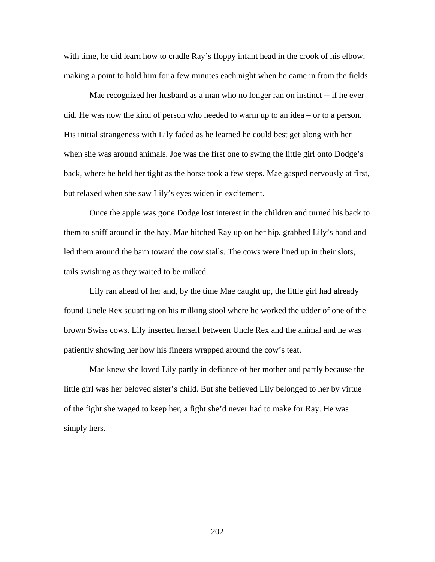with time, he did learn how to cradle Ray's floppy infant head in the crook of his elbow, making a point to hold him for a few minutes each night when he came in from the fields.

Mae recognized her husband as a man who no longer ran on instinct -- if he ever did. He was now the kind of person who needed to warm up to an idea – or to a person. His initial strangeness with Lily faded as he learned he could best get along with her when she was around animals. Joe was the first one to swing the little girl onto Dodge's back, where he held her tight as the horse took a few steps. Mae gasped nervously at first, but relaxed when she saw Lily's eyes widen in excitement.

 Once the apple was gone Dodge lost interest in the children and turned his back to them to sniff around in the hay. Mae hitched Ray up on her hip, grabbed Lily's hand and led them around the barn toward the cow stalls. The cows were lined up in their slots, tails swishing as they waited to be milked.

 Lily ran ahead of her and, by the time Mae caught up, the little girl had already found Uncle Rex squatting on his milking stool where he worked the udder of one of the brown Swiss cows. Lily inserted herself between Uncle Rex and the animal and he was patiently showing her how his fingers wrapped around the cow's teat.

 Mae knew she loved Lily partly in defiance of her mother and partly because the little girl was her beloved sister's child. But she believed Lily belonged to her by virtue of the fight she waged to keep her, a fight she'd never had to make for Ray. He was simply hers.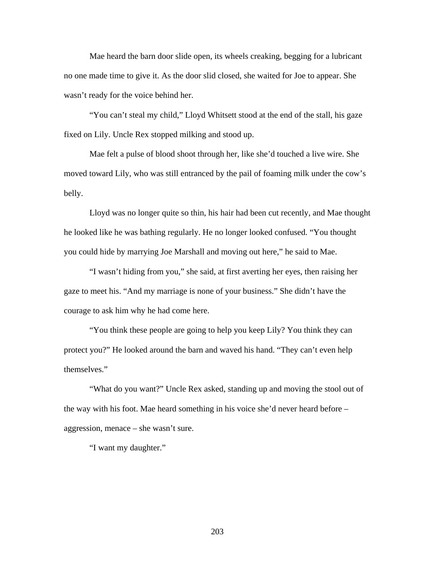Mae heard the barn door slide open, its wheels creaking, begging for a lubricant no one made time to give it. As the door slid closed, she waited for Joe to appear. She wasn't ready for the voice behind her.

 "You can't steal my child," Lloyd Whitsett stood at the end of the stall, his gaze fixed on Lily. Uncle Rex stopped milking and stood up.

 Mae felt a pulse of blood shoot through her, like she'd touched a live wire. She moved toward Lily, who was still entranced by the pail of foaming milk under the cow's belly.

Lloyd was no longer quite so thin, his hair had been cut recently, and Mae thought he looked like he was bathing regularly. He no longer looked confused. "You thought you could hide by marrying Joe Marshall and moving out here," he said to Mae.

 "I wasn't hiding from you," she said, at first averting her eyes, then raising her gaze to meet his. "And my marriage is none of your business." She didn't have the courage to ask him why he had come here.

 "You think these people are going to help you keep Lily? You think they can protect you?" He looked around the barn and waved his hand. "They can't even help themselves."

 "What do you want?" Uncle Rex asked, standing up and moving the stool out of the way with his foot. Mae heard something in his voice she'd never heard before – aggression, menace – she wasn't sure.

"I want my daughter."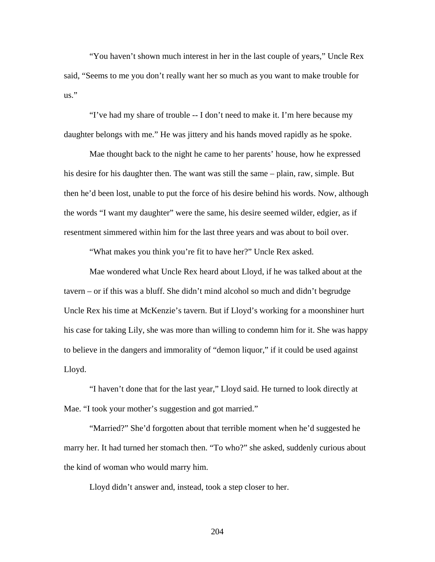"You haven't shown much interest in her in the last couple of years," Uncle Rex said, "Seems to me you don't really want her so much as you want to make trouble for  $\overline{\mathbf{u}}$   $\mathbf{s}$ ."

 "I've had my share of trouble -- I don't need to make it. I'm here because my daughter belongs with me." He was jittery and his hands moved rapidly as he spoke.

 Mae thought back to the night he came to her parents' house, how he expressed his desire for his daughter then. The want was still the same – plain, raw, simple. But then he'd been lost, unable to put the force of his desire behind his words. Now, although the words "I want my daughter" were the same, his desire seemed wilder, edgier, as if resentment simmered within him for the last three years and was about to boil over.

"What makes you think you're fit to have her?" Uncle Rex asked.

 Mae wondered what Uncle Rex heard about Lloyd, if he was talked about at the tavern – or if this was a bluff. She didn't mind alcohol so much and didn't begrudge Uncle Rex his time at McKenzie's tavern. But if Lloyd's working for a moonshiner hurt his case for taking Lily, she was more than willing to condemn him for it. She was happy to believe in the dangers and immorality of "demon liquor," if it could be used against Lloyd.

 "I haven't done that for the last year," Lloyd said. He turned to look directly at Mae. "I took your mother's suggestion and got married."

 "Married?" She'd forgotten about that terrible moment when he'd suggested he marry her. It had turned her stomach then. "To who?" she asked, suddenly curious about the kind of woman who would marry him.

Lloyd didn't answer and, instead, took a step closer to her.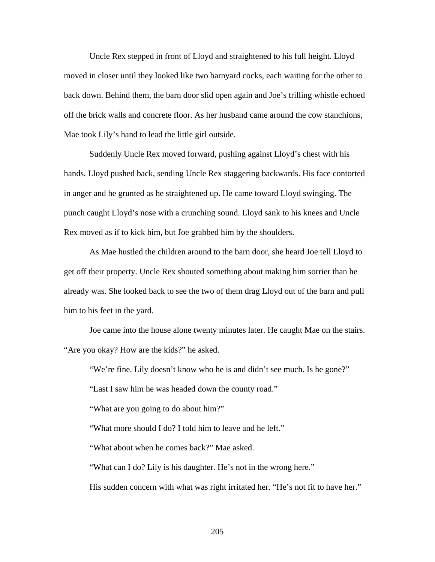Uncle Rex stepped in front of Lloyd and straightened to his full height. Lloyd moved in closer until they looked like two barnyard cocks, each waiting for the other to back down. Behind them, the barn door slid open again and Joe's trilling whistle echoed off the brick walls and concrete floor. As her husband came around the cow stanchions, Mae took Lily's hand to lead the little girl outside.

Suddenly Uncle Rex moved forward, pushing against Lloyd's chest with his hands. Lloyd pushed back, sending Uncle Rex staggering backwards. His face contorted in anger and he grunted as he straightened up. He came toward Lloyd swinging. The punch caught Lloyd's nose with a crunching sound. Lloyd sank to his knees and Uncle Rex moved as if to kick him, but Joe grabbed him by the shoulders.

 As Mae hustled the children around to the barn door, she heard Joe tell Lloyd to get off their property. Uncle Rex shouted something about making him sorrier than he already was. She looked back to see the two of them drag Lloyd out of the barn and pull him to his feet in the yard.

 Joe came into the house alone twenty minutes later. He caught Mae on the stairs. "Are you okay? How are the kids?" he asked.

"We're fine. Lily doesn't know who he is and didn't see much. Is he gone?"

"Last I saw him he was headed down the county road."

"What are you going to do about him?"

"What more should I do? I told him to leave and he left."

"What about when he comes back?" Mae asked.

"What can I do? Lily is his daughter. He's not in the wrong here."

His sudden concern with what was right irritated her. "He's not fit to have her."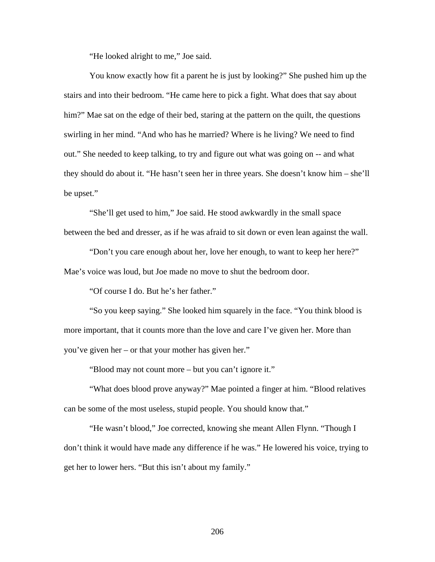"He looked alright to me," Joe said.

 You know exactly how fit a parent he is just by looking?" She pushed him up the stairs and into their bedroom. "He came here to pick a fight. What does that say about him?" Mae sat on the edge of their bed, staring at the pattern on the quilt, the questions swirling in her mind. "And who has he married? Where is he living? We need to find out." She needed to keep talking, to try and figure out what was going on -- and what they should do about it. "He hasn't seen her in three years. She doesn't know him – she'll be upset."

 "She'll get used to him," Joe said. He stood awkwardly in the small space between the bed and dresser, as if he was afraid to sit down or even lean against the wall.

 "Don't you care enough about her, love her enough, to want to keep her here?" Mae's voice was loud, but Joe made no move to shut the bedroom door.

"Of course I do. But he's her father."

 "So you keep saying." She looked him squarely in the face. "You think blood is more important, that it counts more than the love and care I've given her. More than you've given her – or that your mother has given her."

"Blood may not count more – but you can't ignore it."

 "What does blood prove anyway?" Mae pointed a finger at him. "Blood relatives can be some of the most useless, stupid people. You should know that."

 "He wasn't blood," Joe corrected, knowing she meant Allen Flynn. "Though I don't think it would have made any difference if he was." He lowered his voice, trying to get her to lower hers. "But this isn't about my family."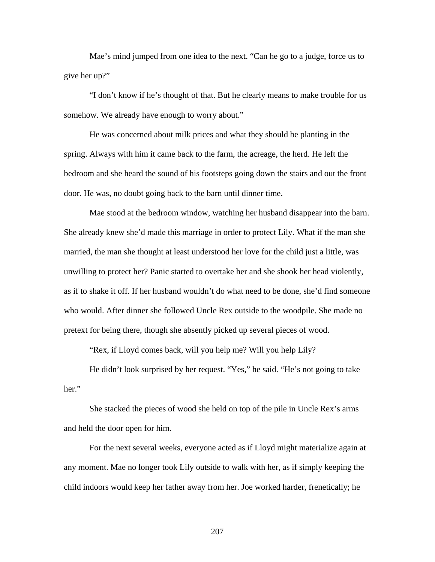Mae's mind jumped from one idea to the next. "Can he go to a judge, force us to give her up?"

 "I don't know if he's thought of that. But he clearly means to make trouble for us somehow. We already have enough to worry about."

 He was concerned about milk prices and what they should be planting in the spring. Always with him it came back to the farm, the acreage, the herd. He left the bedroom and she heard the sound of his footsteps going down the stairs and out the front door. He was, no doubt going back to the barn until dinner time.

 Mae stood at the bedroom window, watching her husband disappear into the barn. She already knew she'd made this marriage in order to protect Lily. What if the man she married, the man she thought at least understood her love for the child just a little, was unwilling to protect her? Panic started to overtake her and she shook her head violently, as if to shake it off. If her husband wouldn't do what need to be done, she'd find someone who would. After dinner she followed Uncle Rex outside to the woodpile. She made no pretext for being there, though she absently picked up several pieces of wood.

"Rex, if Lloyd comes back, will you help me? Will you help Lily?

 He didn't look surprised by her request. "Yes," he said. "He's not going to take her."

She stacked the pieces of wood she held on top of the pile in Uncle Rex's arms and held the door open for him.

For the next several weeks, everyone acted as if Lloyd might materialize again at any moment. Mae no longer took Lily outside to walk with her, as if simply keeping the child indoors would keep her father away from her. Joe worked harder, frenetically; he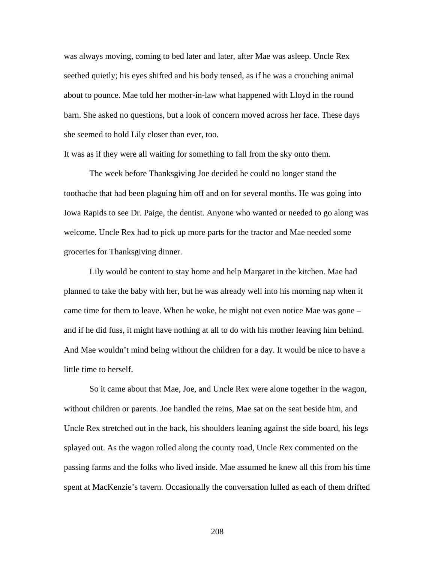was always moving, coming to bed later and later, after Mae was asleep. Uncle Rex seethed quietly; his eyes shifted and his body tensed, as if he was a crouching animal about to pounce. Mae told her mother-in-law what happened with Lloyd in the round barn. She asked no questions, but a look of concern moved across her face. These days she seemed to hold Lily closer than ever, too.

It was as if they were all waiting for something to fall from the sky onto them.

 The week before Thanksgiving Joe decided he could no longer stand the toothache that had been plaguing him off and on for several months. He was going into Iowa Rapids to see Dr. Paige, the dentist. Anyone who wanted or needed to go along was welcome. Uncle Rex had to pick up more parts for the tractor and Mae needed some groceries for Thanksgiving dinner.

 Lily would be content to stay home and help Margaret in the kitchen. Mae had planned to take the baby with her, but he was already well into his morning nap when it came time for them to leave. When he woke, he might not even notice Mae was gone – and if he did fuss, it might have nothing at all to do with his mother leaving him behind. And Mae wouldn't mind being without the children for a day. It would be nice to have a little time to herself.

So it came about that Mae, Joe, and Uncle Rex were alone together in the wagon, without children or parents. Joe handled the reins, Mae sat on the seat beside him, and Uncle Rex stretched out in the back, his shoulders leaning against the side board, his legs splayed out. As the wagon rolled along the county road, Uncle Rex commented on the passing farms and the folks who lived inside. Mae assumed he knew all this from his time spent at MacKenzie's tavern. Occasionally the conversation lulled as each of them drifted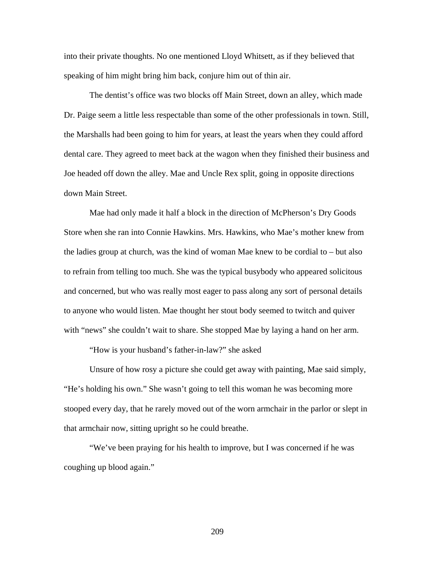into their private thoughts. No one mentioned Lloyd Whitsett, as if they believed that speaking of him might bring him back, conjure him out of thin air.

 The dentist's office was two blocks off Main Street, down an alley, which made Dr. Paige seem a little less respectable than some of the other professionals in town. Still, the Marshalls had been going to him for years, at least the years when they could afford dental care. They agreed to meet back at the wagon when they finished their business and Joe headed off down the alley. Mae and Uncle Rex split, going in opposite directions down Main Street.

Mae had only made it half a block in the direction of McPherson's Dry Goods Store when she ran into Connie Hawkins. Mrs. Hawkins, who Mae's mother knew from the ladies group at church, was the kind of woman Mae knew to be cordial to – but also to refrain from telling too much. She was the typical busybody who appeared solicitous and concerned, but who was really most eager to pass along any sort of personal details to anyone who would listen. Mae thought her stout body seemed to twitch and quiver with "news" she couldn't wait to share. She stopped Mae by laying a hand on her arm.

"How is your husband's father-in-law?" she asked

 Unsure of how rosy a picture she could get away with painting, Mae said simply, "He's holding his own." She wasn't going to tell this woman he was becoming more stooped every day, that he rarely moved out of the worn armchair in the parlor or slept in that armchair now, sitting upright so he could breathe.

 "We've been praying for his health to improve, but I was concerned if he was coughing up blood again."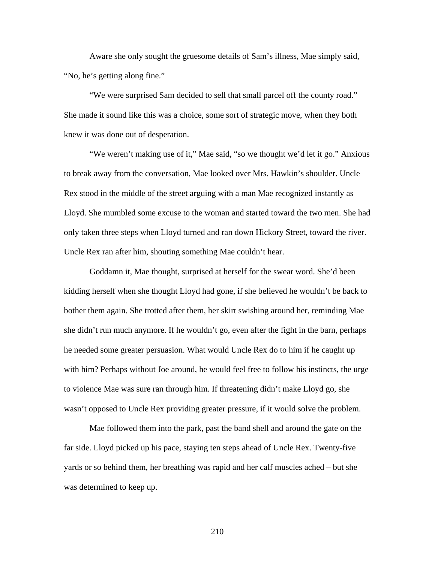Aware she only sought the gruesome details of Sam's illness, Mae simply said, "No, he's getting along fine."

 "We were surprised Sam decided to sell that small parcel off the county road." She made it sound like this was a choice, some sort of strategic move, when they both knew it was done out of desperation.

 "We weren't making use of it," Mae said, "so we thought we'd let it go." Anxious to break away from the conversation, Mae looked over Mrs. Hawkin's shoulder. Uncle Rex stood in the middle of the street arguing with a man Mae recognized instantly as Lloyd. She mumbled some excuse to the woman and started toward the two men. She had only taken three steps when Lloyd turned and ran down Hickory Street, toward the river. Uncle Rex ran after him, shouting something Mae couldn't hear.

 Goddamn it, Mae thought, surprised at herself for the swear word. She'd been kidding herself when she thought Lloyd had gone, if she believed he wouldn't be back to bother them again. She trotted after them, her skirt swishing around her, reminding Mae she didn't run much anymore. If he wouldn't go, even after the fight in the barn, perhaps he needed some greater persuasion. What would Uncle Rex do to him if he caught up with him? Perhaps without Joe around, he would feel free to follow his instincts, the urge to violence Mae was sure ran through him. If threatening didn't make Lloyd go, she wasn't opposed to Uncle Rex providing greater pressure, if it would solve the problem.

 Mae followed them into the park, past the band shell and around the gate on the far side. Lloyd picked up his pace, staying ten steps ahead of Uncle Rex. Twenty-five yards or so behind them, her breathing was rapid and her calf muscles ached – but she was determined to keep up.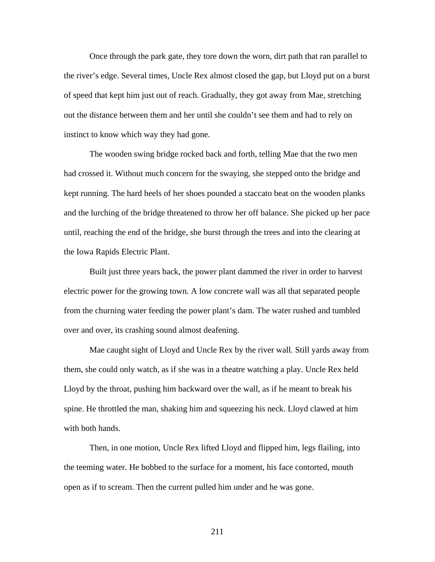Once through the park gate, they tore down the worn, dirt path that ran parallel to the river's edge. Several times, Uncle Rex almost closed the gap, but Lloyd put on a burst of speed that kept him just out of reach. Gradually, they got away from Mae, stretching out the distance between them and her until she couldn't see them and had to rely on instinct to know which way they had gone.

 The wooden swing bridge rocked back and forth, telling Mae that the two men had crossed it. Without much concern for the swaying, she stepped onto the bridge and kept running. The hard heels of her shoes pounded a staccato beat on the wooden planks and the lurching of the bridge threatened to throw her off balance. She picked up her pace until, reaching the end of the bridge, she burst through the trees and into the clearing at the Iowa Rapids Electric Plant.

 Built just three years back, the power plant dammed the river in order to harvest electric power for the growing town. A low concrete wall was all that separated people from the churning water feeding the power plant's dam. The water rushed and tumbled over and over, its crashing sound almost deafening.

Mae caught sight of Lloyd and Uncle Rex by the river wall. Still yards away from them, she could only watch, as if she was in a theatre watching a play. Uncle Rex held Lloyd by the throat, pushing him backward over the wall, as if he meant to break his spine. He throttled the man, shaking him and squeezing his neck. Lloyd clawed at him with both hands.

Then, in one motion, Uncle Rex lifted Lloyd and flipped him, legs flailing, into the teeming water. He bobbed to the surface for a moment, his face contorted, mouth open as if to scream. Then the current pulled him under and he was gone.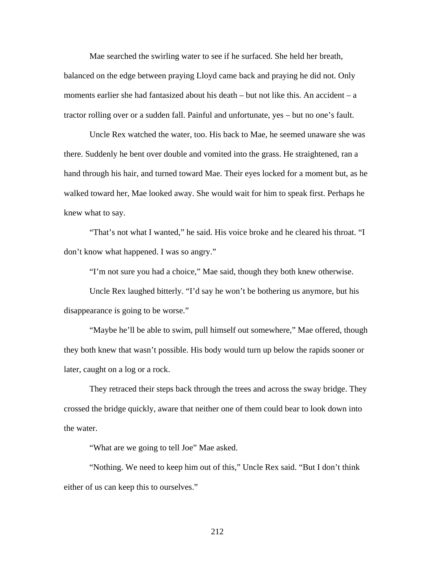Mae searched the swirling water to see if he surfaced. She held her breath,

balanced on the edge between praying Lloyd came back and praying he did not. Only moments earlier she had fantasized about his death – but not like this. An accident – a tractor rolling over or a sudden fall. Painful and unfortunate, yes – but no one's fault.

Uncle Rex watched the water, too. His back to Mae, he seemed unaware she was there. Suddenly he bent over double and vomited into the grass. He straightened, ran a hand through his hair, and turned toward Mae. Their eyes locked for a moment but, as he walked toward her, Mae looked away. She would wait for him to speak first. Perhaps he knew what to say.

 "That's not what I wanted," he said. His voice broke and he cleared his throat. "I don't know what happened. I was so angry."

"I'm not sure you had a choice," Mae said, though they both knew otherwise.

 Uncle Rex laughed bitterly. "I'd say he won't be bothering us anymore, but his disappearance is going to be worse."

 "Maybe he'll be able to swim, pull himself out somewhere," Mae offered, though they both knew that wasn't possible. His body would turn up below the rapids sooner or later, caught on a log or a rock.

 They retraced their steps back through the trees and across the sway bridge. They crossed the bridge quickly, aware that neither one of them could bear to look down into the water.

"What are we going to tell Joe" Mae asked.

 "Nothing. We need to keep him out of this," Uncle Rex said. "But I don't think either of us can keep this to ourselves."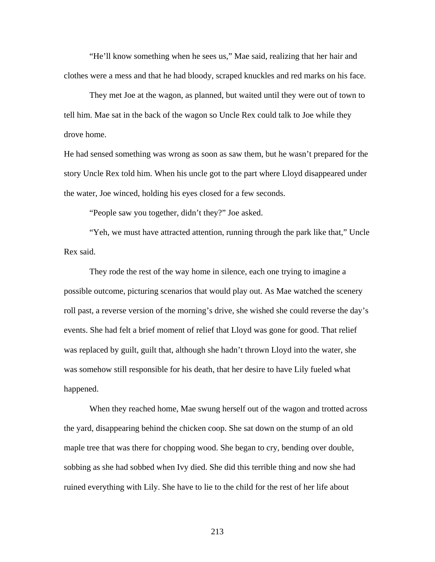"He'll know something when he sees us," Mae said, realizing that her hair and clothes were a mess and that he had bloody, scraped knuckles and red marks on his face.

 They met Joe at the wagon, as planned, but waited until they were out of town to tell him. Mae sat in the back of the wagon so Uncle Rex could talk to Joe while they drove home.

He had sensed something was wrong as soon as saw them, but he wasn't prepared for the story Uncle Rex told him. When his uncle got to the part where Lloyd disappeared under the water, Joe winced, holding his eyes closed for a few seconds.

"People saw you together, didn't they?" Joe asked.

 "Yeh, we must have attracted attention, running through the park like that," Uncle Rex said.

 They rode the rest of the way home in silence, each one trying to imagine a possible outcome, picturing scenarios that would play out. As Mae watched the scenery roll past, a reverse version of the morning's drive, she wished she could reverse the day's events. She had felt a brief moment of relief that Lloyd was gone for good. That relief was replaced by guilt, guilt that, although she hadn't thrown Lloyd into the water, she was somehow still responsible for his death, that her desire to have Lily fueled what happened.

When they reached home, Mae swung herself out of the wagon and trotted across the yard, disappearing behind the chicken coop. She sat down on the stump of an old maple tree that was there for chopping wood. She began to cry, bending over double, sobbing as she had sobbed when Ivy died. She did this terrible thing and now she had ruined everything with Lily. She have to lie to the child for the rest of her life about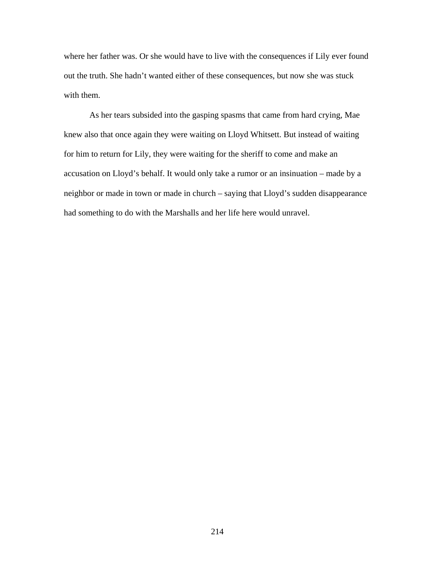where her father was. Or she would have to live with the consequences if Lily ever found out the truth. She hadn't wanted either of these consequences, but now she was stuck with them.

As her tears subsided into the gasping spasms that came from hard crying, Mae knew also that once again they were waiting on Lloyd Whitsett. But instead of waiting for him to return for Lily, they were waiting for the sheriff to come and make an accusation on Lloyd's behalf. It would only take a rumor or an insinuation – made by a neighbor or made in town or made in church – saying that Lloyd's sudden disappearance had something to do with the Marshalls and her life here would unravel.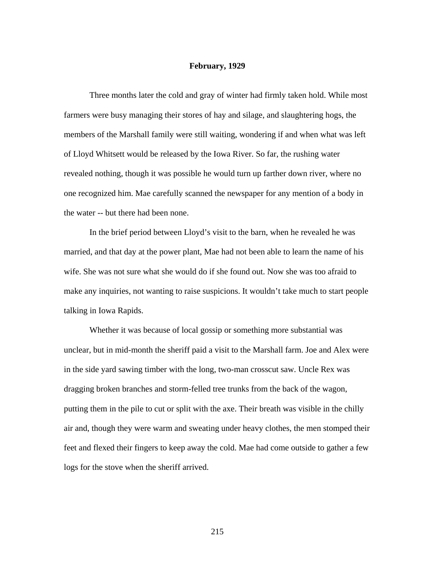## **February, 1929**

Three months later the cold and gray of winter had firmly taken hold. While most farmers were busy managing their stores of hay and silage, and slaughtering hogs, the members of the Marshall family were still waiting, wondering if and when what was left of Lloyd Whitsett would be released by the Iowa River. So far, the rushing water revealed nothing, though it was possible he would turn up farther down river, where no one recognized him. Mae carefully scanned the newspaper for any mention of a body in the water -- but there had been none.

 In the brief period between Lloyd's visit to the barn, when he revealed he was married, and that day at the power plant, Mae had not been able to learn the name of his wife. She was not sure what she would do if she found out. Now she was too afraid to make any inquiries, not wanting to raise suspicions. It wouldn't take much to start people talking in Iowa Rapids.

 Whether it was because of local gossip or something more substantial was unclear, but in mid-month the sheriff paid a visit to the Marshall farm. Joe and Alex were in the side yard sawing timber with the long, two-man crosscut saw. Uncle Rex was dragging broken branches and storm-felled tree trunks from the back of the wagon, putting them in the pile to cut or split with the axe. Their breath was visible in the chilly air and, though they were warm and sweating under heavy clothes, the men stomped their feet and flexed their fingers to keep away the cold. Mae had come outside to gather a few logs for the stove when the sheriff arrived.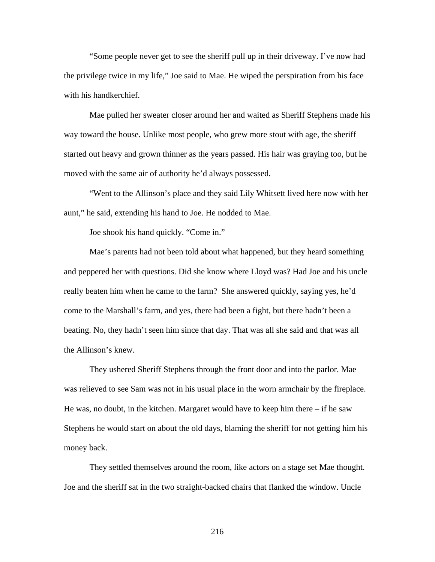"Some people never get to see the sheriff pull up in their driveway. I've now had the privilege twice in my life," Joe said to Mae. He wiped the perspiration from his face with his handkerchief.

Mae pulled her sweater closer around her and waited as Sheriff Stephens made his way toward the house. Unlike most people, who grew more stout with age, the sheriff started out heavy and grown thinner as the years passed. His hair was graying too, but he moved with the same air of authority he'd always possessed.

"Went to the Allinson's place and they said Lily Whitsett lived here now with her aunt," he said, extending his hand to Joe. He nodded to Mae.

Joe shook his hand quickly. "Come in."

Mae's parents had not been told about what happened, but they heard something and peppered her with questions. Did she know where Lloyd was? Had Joe and his uncle really beaten him when he came to the farm? She answered quickly, saying yes, he'd come to the Marshall's farm, and yes, there had been a fight, but there hadn't been a beating. No, they hadn't seen him since that day. That was all she said and that was all the Allinson's knew.

 They ushered Sheriff Stephens through the front door and into the parlor. Mae was relieved to see Sam was not in his usual place in the worn armchair by the fireplace. He was, no doubt, in the kitchen. Margaret would have to keep him there  $-i$  f he saw Stephens he would start on about the old days, blaming the sheriff for not getting him his money back.

 They settled themselves around the room, like actors on a stage set Mae thought. Joe and the sheriff sat in the two straight-backed chairs that flanked the window. Uncle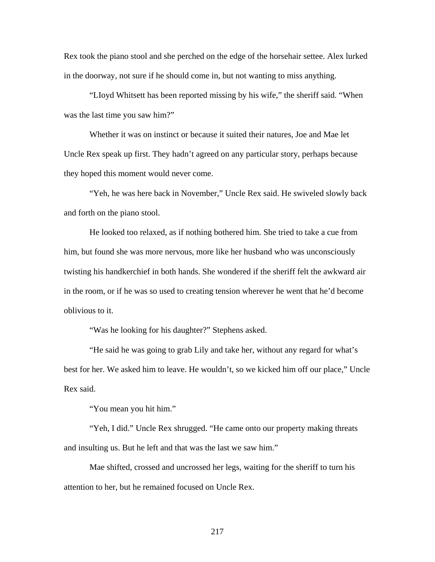Rex took the piano stool and she perched on the edge of the horsehair settee. Alex lurked in the doorway, not sure if he should come in, but not wanting to miss anything.

"LIoyd Whitsett has been reported missing by his wife," the sheriff said. "When was the last time you saw him?"

Whether it was on instinct or because it suited their natures, Joe and Mae let Uncle Rex speak up first. They hadn't agreed on any particular story, perhaps because they hoped this moment would never come.

"Yeh, he was here back in November," Uncle Rex said. He swiveled slowly back and forth on the piano stool.

He looked too relaxed, as if nothing bothered him. She tried to take a cue from him, but found she was more nervous, more like her husband who was unconsciously twisting his handkerchief in both hands. She wondered if the sheriff felt the awkward air in the room, or if he was so used to creating tension wherever he went that he'd become oblivious to it.

"Was he looking for his daughter?" Stephens asked.

 "He said he was going to grab Lily and take her, without any regard for what's best for her. We asked him to leave. He wouldn't, so we kicked him off our place," Uncle Rex said.

"You mean you hit him."

 "Yeh, I did." Uncle Rex shrugged. "He came onto our property making threats and insulting us. But he left and that was the last we saw him."

 Mae shifted, crossed and uncrossed her legs, waiting for the sheriff to turn his attention to her, but he remained focused on Uncle Rex.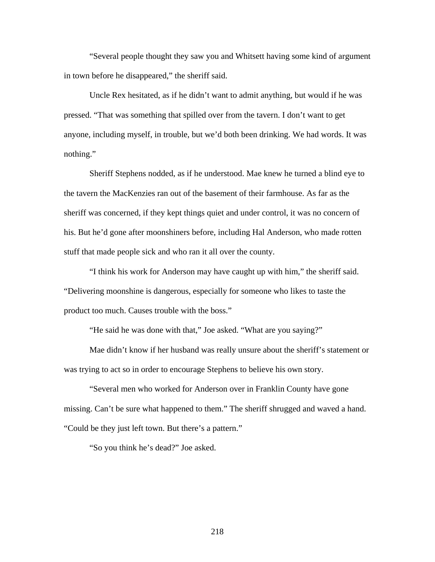"Several people thought they saw you and Whitsett having some kind of argument in town before he disappeared," the sheriff said.

 Uncle Rex hesitated, as if he didn't want to admit anything, but would if he was pressed. "That was something that spilled over from the tavern. I don't want to get anyone, including myself, in trouble, but we'd both been drinking. We had words. It was nothing."

 Sheriff Stephens nodded, as if he understood. Mae knew he turned a blind eye to the tavern the MacKenzies ran out of the basement of their farmhouse. As far as the sheriff was concerned, if they kept things quiet and under control, it was no concern of his. But he'd gone after moonshiners before, including Hal Anderson, who made rotten stuff that made people sick and who ran it all over the county.

 "I think his work for Anderson may have caught up with him," the sheriff said. "Delivering moonshine is dangerous, especially for someone who likes to taste the product too much. Causes trouble with the boss."

"He said he was done with that," Joe asked. "What are you saying?"

 Mae didn't know if her husband was really unsure about the sheriff's statement or was trying to act so in order to encourage Stephens to believe his own story.

 "Several men who worked for Anderson over in Franklin County have gone missing. Can't be sure what happened to them." The sheriff shrugged and waved a hand. "Could be they just left town. But there's a pattern."

"So you think he's dead?" Joe asked.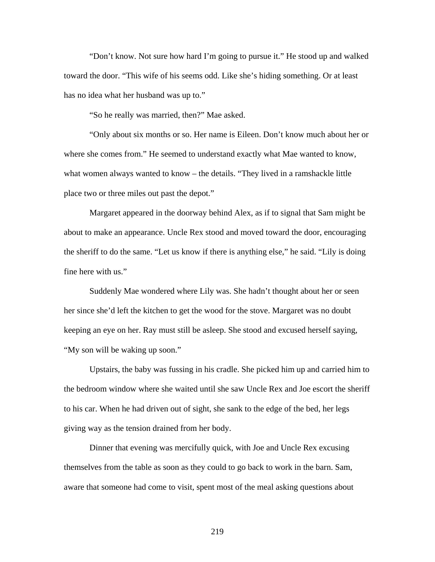"Don't know. Not sure how hard I'm going to pursue it." He stood up and walked toward the door. "This wife of his seems odd. Like she's hiding something. Or at least has no idea what her husband was up to."

"So he really was married, then?" Mae asked.

 "Only about six months or so. Her name is Eileen. Don't know much about her or where she comes from." He seemed to understand exactly what Mae wanted to know, what women always wanted to know – the details. "They lived in a ramshackle little place two or three miles out past the depot."

 Margaret appeared in the doorway behind Alex, as if to signal that Sam might be about to make an appearance. Uncle Rex stood and moved toward the door, encouraging the sheriff to do the same. "Let us know if there is anything else," he said. "Lily is doing fine here with us."

 Suddenly Mae wondered where Lily was. She hadn't thought about her or seen her since she'd left the kitchen to get the wood for the stove. Margaret was no doubt keeping an eye on her. Ray must still be asleep. She stood and excused herself saying, "My son will be waking up soon."

Upstairs, the baby was fussing in his cradle. She picked him up and carried him to the bedroom window where she waited until she saw Uncle Rex and Joe escort the sheriff to his car. When he had driven out of sight, she sank to the edge of the bed, her legs giving way as the tension drained from her body.

 Dinner that evening was mercifully quick, with Joe and Uncle Rex excusing themselves from the table as soon as they could to go back to work in the barn. Sam, aware that someone had come to visit, spent most of the meal asking questions about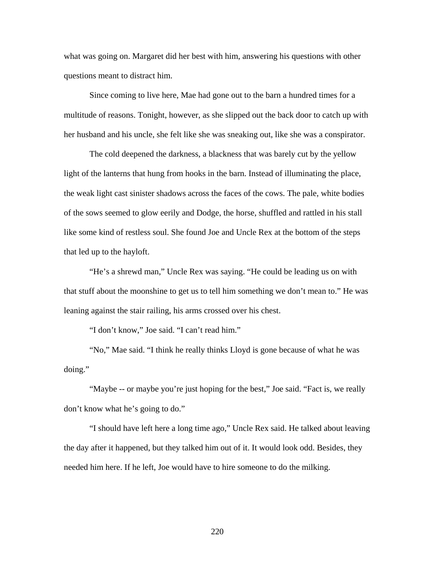what was going on. Margaret did her best with him, answering his questions with other questions meant to distract him.

 Since coming to live here, Mae had gone out to the barn a hundred times for a multitude of reasons. Tonight, however, as she slipped out the back door to catch up with her husband and his uncle, she felt like she was sneaking out, like she was a conspirator.

 The cold deepened the darkness, a blackness that was barely cut by the yellow light of the lanterns that hung from hooks in the barn. Instead of illuminating the place, the weak light cast sinister shadows across the faces of the cows. The pale, white bodies of the sows seemed to glow eerily and Dodge, the horse, shuffled and rattled in his stall like some kind of restless soul. She found Joe and Uncle Rex at the bottom of the steps that led up to the hayloft.

 "He's a shrewd man," Uncle Rex was saying. "He could be leading us on with that stuff about the moonshine to get us to tell him something we don't mean to." He was leaning against the stair railing, his arms crossed over his chest.

"I don't know," Joe said. "I can't read him."

 "No," Mae said. "I think he really thinks Lloyd is gone because of what he was doing."

 "Maybe -- or maybe you're just hoping for the best," Joe said. "Fact is, we really don't know what he's going to do."

 "I should have left here a long time ago," Uncle Rex said. He talked about leaving the day after it happened, but they talked him out of it. It would look odd. Besides, they needed him here. If he left, Joe would have to hire someone to do the milking.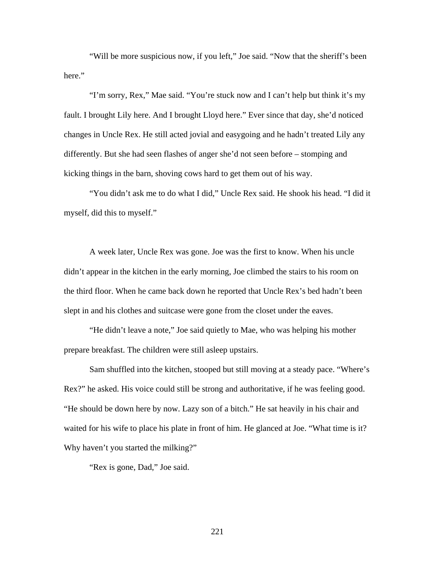"Will be more suspicious now, if you left," Joe said. "Now that the sheriff's been here."

 "I'm sorry, Rex," Mae said. "You're stuck now and I can't help but think it's my fault. I brought Lily here. And I brought Lloyd here." Ever since that day, she'd noticed changes in Uncle Rex. He still acted jovial and easygoing and he hadn't treated Lily any differently. But she had seen flashes of anger she'd not seen before – stomping and kicking things in the barn, shoving cows hard to get them out of his way.

 "You didn't ask me to do what I did," Uncle Rex said. He shook his head. "I did it myself, did this to myself."

 A week later, Uncle Rex was gone. Joe was the first to know. When his uncle didn't appear in the kitchen in the early morning, Joe climbed the stairs to his room on the third floor. When he came back down he reported that Uncle Rex's bed hadn't been slept in and his clothes and suitcase were gone from the closet under the eaves.

 "He didn't leave a note," Joe said quietly to Mae, who was helping his mother prepare breakfast. The children were still asleep upstairs.

 Sam shuffled into the kitchen, stooped but still moving at a steady pace. "Where's Rex?" he asked. His voice could still be strong and authoritative, if he was feeling good. "He should be down here by now. Lazy son of a bitch." He sat heavily in his chair and waited for his wife to place his plate in front of him. He glanced at Joe. "What time is it? Why haven't you started the milking?"

"Rex is gone, Dad," Joe said.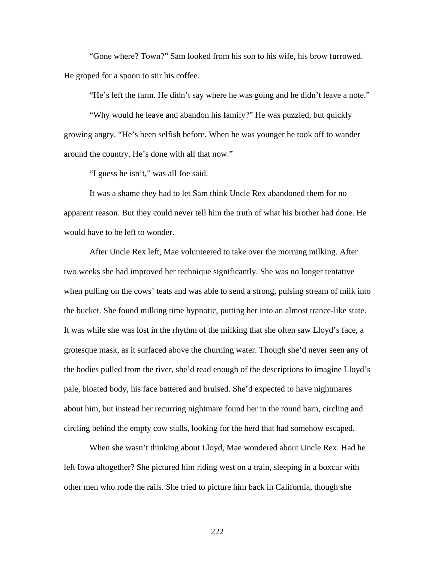"Gone where? Town?" Sam looked from his son to his wife, his brow furrowed. He groped for a spoon to stir his coffee.

"He's left the farm. He didn't say where he was going and he didn't leave a note."

"Why would he leave and abandon his family?" He was puzzled, but quickly growing angry. "He's been selfish before. When he was younger he took off to wander around the country. He's done with all that now."

"I guess he isn't," was all Joe said.

It was a shame they had to let Sam think Uncle Rex abandoned them for no apparent reason. But they could never tell him the truth of what his brother had done. He would have to be left to wonder.

 After Uncle Rex left, Mae volunteered to take over the morning milking. After two weeks she had improved her technique significantly. She was no longer tentative when pulling on the cows' teats and was able to send a strong, pulsing stream of milk into the bucket. She found milking time hypnotic, putting her into an almost trance-like state. It was while she was lost in the rhythm of the milking that she often saw Lloyd's face, a grotesque mask, as it surfaced above the churning water. Though she'd never seen any of the bodies pulled from the river, she'd read enough of the descriptions to imagine Lloyd's pale, bloated body, his face battered and bruised. She'd expected to have nightmares about him, but instead her recurring nightmare found her in the round barn, circling and circling behind the empty cow stalls, looking for the herd that had somehow escaped.

 When she wasn't thinking about Lloyd, Mae wondered about Uncle Rex. Had he left Iowa altogether? She pictured him riding west on a train, sleeping in a boxcar with other men who rode the rails. She tried to picture him back in California, though she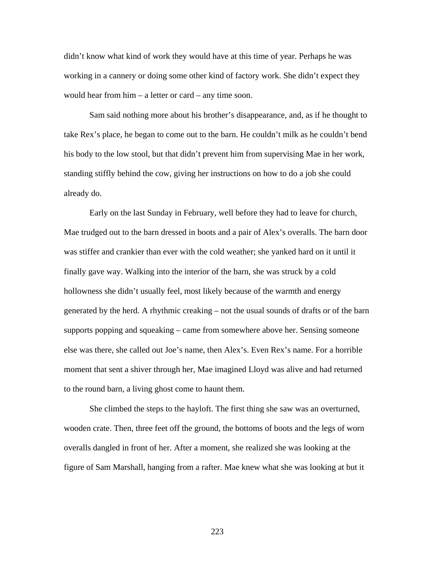didn't know what kind of work they would have at this time of year. Perhaps he was working in a cannery or doing some other kind of factory work. She didn't expect they would hear from him – a letter or card – any time soon.

 Sam said nothing more about his brother's disappearance, and, as if he thought to take Rex's place, he began to come out to the barn. He couldn't milk as he couldn't bend his body to the low stool, but that didn't prevent him from supervising Mae in her work, standing stiffly behind the cow, giving her instructions on how to do a job she could already do.

 Early on the last Sunday in February, well before they had to leave for church, Mae trudged out to the barn dressed in boots and a pair of Alex's overalls. The barn door was stiffer and crankier than ever with the cold weather; she yanked hard on it until it finally gave way. Walking into the interior of the barn, she was struck by a cold hollowness she didn't usually feel, most likely because of the warmth and energy generated by the herd. A rhythmic creaking – not the usual sounds of drafts or of the barn supports popping and squeaking – came from somewhere above her. Sensing someone else was there, she called out Joe's name, then Alex's. Even Rex's name. For a horrible moment that sent a shiver through her, Mae imagined Lloyd was alive and had returned to the round barn, a living ghost come to haunt them.

She climbed the steps to the hayloft. The first thing she saw was an overturned, wooden crate. Then, three feet off the ground, the bottoms of boots and the legs of worn overalls dangled in front of her. After a moment, she realized she was looking at the figure of Sam Marshall, hanging from a rafter. Mae knew what she was looking at but it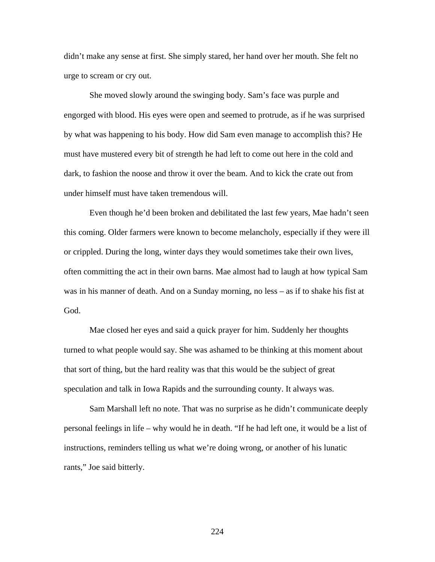didn't make any sense at first. She simply stared, her hand over her mouth. She felt no urge to scream or cry out.

She moved slowly around the swinging body. Sam's face was purple and engorged with blood. His eyes were open and seemed to protrude, as if he was surprised by what was happening to his body. How did Sam even manage to accomplish this? He must have mustered every bit of strength he had left to come out here in the cold and dark, to fashion the noose and throw it over the beam. And to kick the crate out from under himself must have taken tremendous will.

Even though he'd been broken and debilitated the last few years, Mae hadn't seen this coming. Older farmers were known to become melancholy, especially if they were ill or crippled. During the long, winter days they would sometimes take their own lives, often committing the act in their own barns. Mae almost had to laugh at how typical Sam was in his manner of death. And on a Sunday morning, no less – as if to shake his fist at God.

Mae closed her eyes and said a quick prayer for him. Suddenly her thoughts turned to what people would say. She was ashamed to be thinking at this moment about that sort of thing, but the hard reality was that this would be the subject of great speculation and talk in Iowa Rapids and the surrounding county. It always was.

 Sam Marshall left no note. That was no surprise as he didn't communicate deeply personal feelings in life – why would he in death. "If he had left one, it would be a list of instructions, reminders telling us what we're doing wrong, or another of his lunatic rants," Joe said bitterly.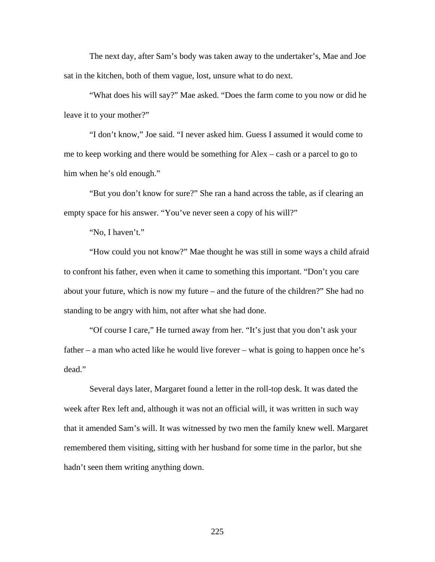The next day, after Sam's body was taken away to the undertaker's, Mae and Joe sat in the kitchen, both of them vague, lost, unsure what to do next.

 "What does his will say?" Mae asked. "Does the farm come to you now or did he leave it to your mother?"

 "I don't know," Joe said. "I never asked him. Guess I assumed it would come to me to keep working and there would be something for Alex – cash or a parcel to go to him when he's old enough."

"But you don't know for sure?" She ran a hand across the table, as if clearing an empty space for his answer. "You've never seen a copy of his will?"

"No, I haven't."

 "How could you not know?" Mae thought he was still in some ways a child afraid to confront his father, even when it came to something this important. "Don't you care about your future, which is now my future – and the future of the children?" She had no standing to be angry with him, not after what she had done.

 "Of course I care," He turned away from her. "It's just that you don't ask your father – a man who acted like he would live forever – what is going to happen once he's dead."

 Several days later, Margaret found a letter in the roll-top desk. It was dated the week after Rex left and, although it was not an official will, it was written in such way that it amended Sam's will. It was witnessed by two men the family knew well. Margaret remembered them visiting, sitting with her husband for some time in the parlor, but she hadn't seen them writing anything down.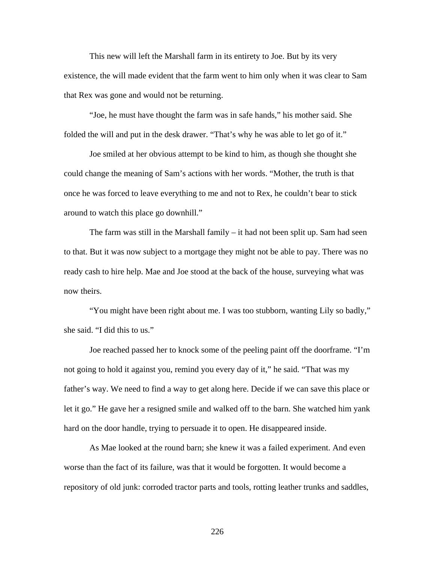This new will left the Marshall farm in its entirety to Joe. But by its very existence, the will made evident that the farm went to him only when it was clear to Sam that Rex was gone and would not be returning.

"Joe, he must have thought the farm was in safe hands," his mother said. She folded the will and put in the desk drawer. "That's why he was able to let go of it."

Joe smiled at her obvious attempt to be kind to him, as though she thought she could change the meaning of Sam's actions with her words. "Mother, the truth is that once he was forced to leave everything to me and not to Rex, he couldn't bear to stick around to watch this place go downhill."

The farm was still in the Marshall family – it had not been split up. Sam had seen to that. But it was now subject to a mortgage they might not be able to pay. There was no ready cash to hire help. Mae and Joe stood at the back of the house, surveying what was now theirs.

"You might have been right about me. I was too stubborn, wanting Lily so badly," she said. "I did this to us."

Joe reached passed her to knock some of the peeling paint off the doorframe. "I'm not going to hold it against you, remind you every day of it," he said. "That was my father's way. We need to find a way to get along here. Decide if we can save this place or let it go." He gave her a resigned smile and walked off to the barn. She watched him yank hard on the door handle, trying to persuade it to open. He disappeared inside.

 As Mae looked at the round barn; she knew it was a failed experiment. And even worse than the fact of its failure, was that it would be forgotten. It would become a repository of old junk: corroded tractor parts and tools, rotting leather trunks and saddles,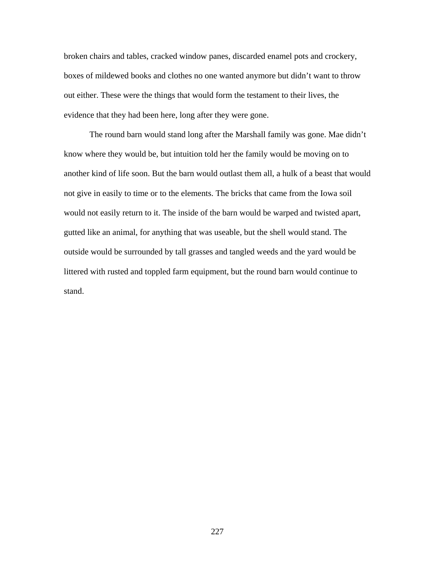broken chairs and tables, cracked window panes, discarded enamel pots and crockery, boxes of mildewed books and clothes no one wanted anymore but didn't want to throw out either. These were the things that would form the testament to their lives, the evidence that they had been here, long after they were gone.

The round barn would stand long after the Marshall family was gone. Mae didn't know where they would be, but intuition told her the family would be moving on to another kind of life soon. But the barn would outlast them all, a hulk of a beast that would not give in easily to time or to the elements. The bricks that came from the Iowa soil would not easily return to it. The inside of the barn would be warped and twisted apart, gutted like an animal, for anything that was useable, but the shell would stand. The outside would be surrounded by tall grasses and tangled weeds and the yard would be littered with rusted and toppled farm equipment, but the round barn would continue to stand.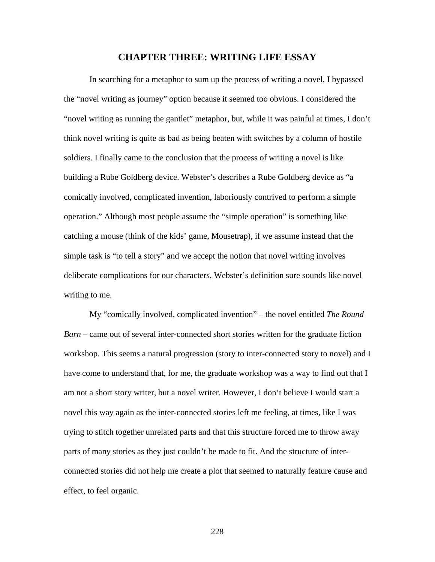## **CHAPTER THREE: WRITING LIFE ESSAY**

In searching for a metaphor to sum up the process of writing a novel, I bypassed the "novel writing as journey" option because it seemed too obvious. I considered the "novel writing as running the gantlet" metaphor, but, while it was painful at times, I don't think novel writing is quite as bad as being beaten with switches by a column of hostile soldiers. I finally came to the conclusion that the process of writing a novel is like building a Rube Goldberg device. Webster's describes a Rube Goldberg device as "a comically involved, complicated invention, laboriously contrived to perform a simple operation." Although most people assume the "simple operation" is something like catching a mouse (think of the kids' game, Mousetrap), if we assume instead that the simple task is "to tell a story" and we accept the notion that novel writing involves deliberate complications for our characters, Webster's definition sure sounds like novel writing to me.

My "comically involved, complicated invention" – the novel entitled *The Round Barn* – came out of several inter-connected short stories written for the graduate fiction workshop. This seems a natural progression (story to inter-connected story to novel) and I have come to understand that, for me, the graduate workshop was a way to find out that I am not a short story writer, but a novel writer. However, I don't believe I would start a novel this way again as the inter-connected stories left me feeling, at times, like I was trying to stitch together unrelated parts and that this structure forced me to throw away parts of many stories as they just couldn't be made to fit. And the structure of interconnected stories did not help me create a plot that seemed to naturally feature cause and effect, to feel organic.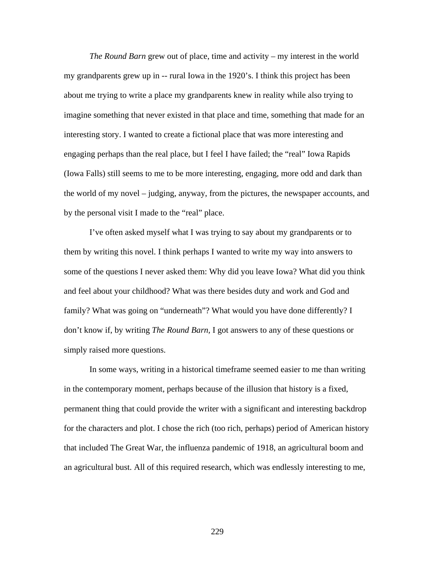*The Round Barn* grew out of place, time and activity – my interest in the world my grandparents grew up in -- rural Iowa in the 1920's. I think this project has been about me trying to write a place my grandparents knew in reality while also trying to imagine something that never existed in that place and time, something that made for an interesting story. I wanted to create a fictional place that was more interesting and engaging perhaps than the real place, but I feel I have failed; the "real" Iowa Rapids (Iowa Falls) still seems to me to be more interesting, engaging, more odd and dark than the world of my novel – judging, anyway, from the pictures, the newspaper accounts, and by the personal visit I made to the "real" place.

I've often asked myself what I was trying to say about my grandparents or to them by writing this novel. I think perhaps I wanted to write my way into answers to some of the questions I never asked them: Why did you leave Iowa? What did you think and feel about your childhood? What was there besides duty and work and God and family? What was going on "underneath"? What would you have done differently? I don't know if, by writing *The Round Barn,* I got answers to any of these questions or simply raised more questions.

 In some ways, writing in a historical timeframe seemed easier to me than writing in the contemporary moment, perhaps because of the illusion that history is a fixed, permanent thing that could provide the writer with a significant and interesting backdrop for the characters and plot. I chose the rich (too rich, perhaps) period of American history that included The Great War, the influenza pandemic of 1918, an agricultural boom and an agricultural bust. All of this required research, which was endlessly interesting to me,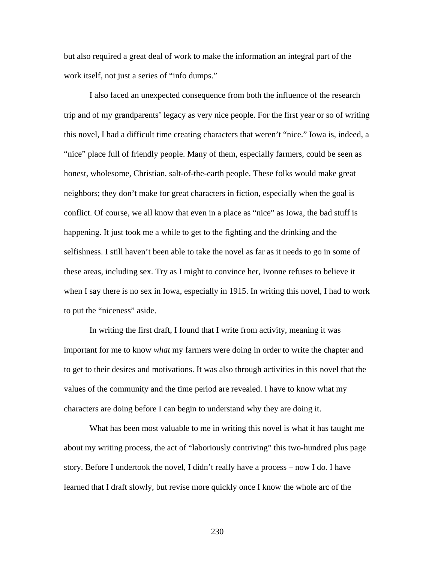but also required a great deal of work to make the information an integral part of the work itself, not just a series of "info dumps."

I also faced an unexpected consequence from both the influence of the research trip and of my grandparents' legacy as very nice people. For the first year or so of writing this novel, I had a difficult time creating characters that weren't "nice." Iowa is, indeed, a "nice" place full of friendly people. Many of them, especially farmers, could be seen as honest, wholesome, Christian, salt-of-the-earth people. These folks would make great neighbors; they don't make for great characters in fiction, especially when the goal is conflict. Of course, we all know that even in a place as "nice" as Iowa, the bad stuff is happening. It just took me a while to get to the fighting and the drinking and the selfishness. I still haven't been able to take the novel as far as it needs to go in some of these areas, including sex. Try as I might to convince her, Ivonne refuses to believe it when I say there is no sex in Iowa, especially in 1915. In writing this novel, I had to work to put the "niceness" aside.

In writing the first draft, I found that I write from activity, meaning it was important for me to know *what* my farmers were doing in order to write the chapter and to get to their desires and motivations. It was also through activities in this novel that the values of the community and the time period are revealed. I have to know what my characters are doing before I can begin to understand why they are doing it.

 What has been most valuable to me in writing this novel is what it has taught me about my writing process, the act of "laboriously contriving" this two-hundred plus page story. Before I undertook the novel, I didn't really have a process – now I do. I have learned that I draft slowly, but revise more quickly once I know the whole arc of the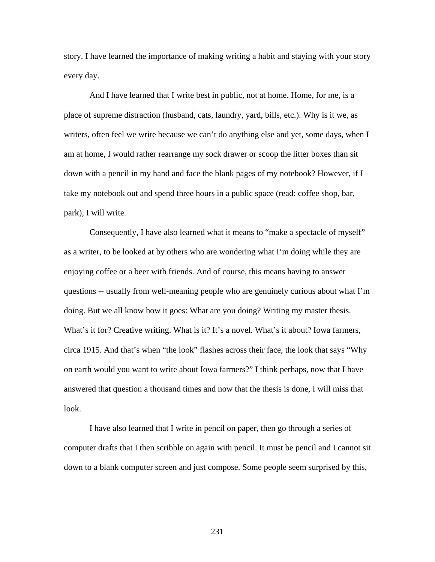story. I have learned the importance of making writing a habit and staying with your story every day.

And I have learned that I write best in public, not at home. Home, for me, is a place of supreme distraction (husband, cats, laundry, yard, bills, etc.). Why is it we, as writers, often feel we write because we can't do anything else and yet, some days, when I am at home, I would rather rearrange my sock drawer or scoop the litter boxes than sit down with a pencil in my hand and face the blank pages of my notebook? However, if I take my notebook out and spend three hours in a public space (read: coffee shop, bar, park), I will write.

Consequently, I have also learned what it means to "make a spectacle of myself" as a writer, to be looked at by others who are wondering what I'm doing while they are enjoying coffee or a beer with friends. And of course, this means having to answer questions -- usually from well-meaning people who are genuinely curious about what I'm doing. But we all know how it goes: What are you doing? Writing my master thesis. What's it for? Creative writing. What is it? It's a novel. What's it about? Iowa farmers, circa 1915. And that's when "the look" flashes across their face, the look that says "Why on earth would you want to write about Iowa farmers?" I think perhaps, now that I have answered that question a thousand times and now that the thesis is done, I will miss that look.

I have also learned that I write in pencil on paper, then go through a series of computer drafts that I then scribble on again with pencil. It must be pencil and I cannot sit down to a blank computer screen and just compose. Some people seem surprised by this,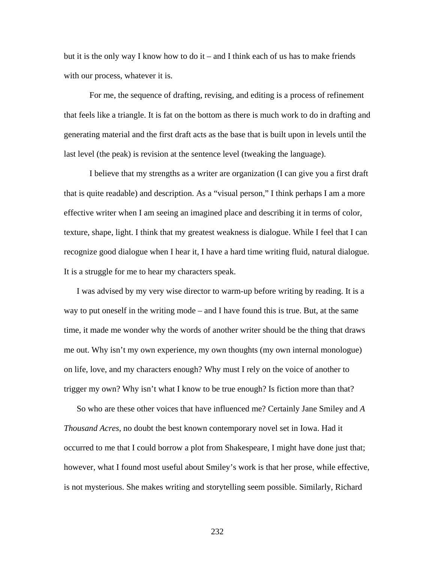but it is the only way I know how to do it – and I think each of us has to make friends with our process, whatever it is.

For me, the sequence of drafting, revising, and editing is a process of refinement that feels like a triangle. It is fat on the bottom as there is much work to do in drafting and generating material and the first draft acts as the base that is built upon in levels until the last level (the peak) is revision at the sentence level (tweaking the language).

I believe that my strengths as a writer are organization (I can give you a first draft that is quite readable) and description. As a "visual person," I think perhaps I am a more effective writer when I am seeing an imagined place and describing it in terms of color, texture, shape, light. I think that my greatest weakness is dialogue. While I feel that I can recognize good dialogue when I hear it, I have a hard time writing fluid, natural dialogue. It is a struggle for me to hear my characters speak.

I was advised by my very wise director to warm-up before writing by reading. It is a way to put oneself in the writing mode – and I have found this is true. But, at the same time, it made me wonder why the words of another writer should be the thing that draws me out. Why isn't my own experience, my own thoughts (my own internal monologue) on life, love, and my characters enough? Why must I rely on the voice of another to trigger my own? Why isn't what I know to be true enough? Is fiction more than that?

So who are these other voices that have influenced me? Certainly Jane Smiley and *A Thousand Acres*, no doubt the best known contemporary novel set in Iowa. Had it occurred to me that I could borrow a plot from Shakespeare, I might have done just that; however, what I found most useful about Smiley's work is that her prose, while effective, is not mysterious. She makes writing and storytelling seem possible. Similarly, Richard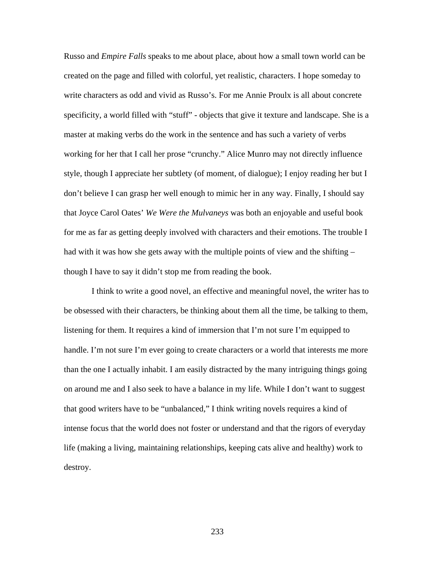Russo and *Empire Falls* speaks to me about place, about how a small town world can be created on the page and filled with colorful, yet realistic, characters. I hope someday to write characters as odd and vivid as Russo's. For me Annie Proulx is all about concrete specificity, a world filled with "stuff" - objects that give it texture and landscape. She is a master at making verbs do the work in the sentence and has such a variety of verbs working for her that I call her prose "crunchy." Alice Munro may not directly influence style, though I appreciate her subtlety (of moment, of dialogue); I enjoy reading her but I don't believe I can grasp her well enough to mimic her in any way. Finally, I should say that Joyce Carol Oates' *We Were the Mulvaneys* was both an enjoyable and useful book for me as far as getting deeply involved with characters and their emotions. The trouble I had with it was how she gets away with the multiple points of view and the shifting – though I have to say it didn't stop me from reading the book.

 I think to write a good novel, an effective and meaningful novel, the writer has to be obsessed with their characters, be thinking about them all the time, be talking to them, listening for them. It requires a kind of immersion that I'm not sure I'm equipped to handle. I'm not sure I'm ever going to create characters or a world that interests me more than the one I actually inhabit. I am easily distracted by the many intriguing things going on around me and I also seek to have a balance in my life. While I don't want to suggest that good writers have to be "unbalanced," I think writing novels requires a kind of intense focus that the world does not foster or understand and that the rigors of everyday life (making a living, maintaining relationships, keeping cats alive and healthy) work to destroy.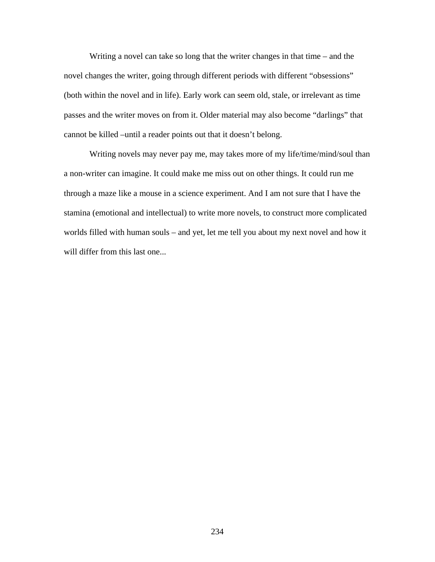Writing a novel can take so long that the writer changes in that time – and the novel changes the writer, going through different periods with different "obsessions" (both within the novel and in life). Early work can seem old, stale, or irrelevant as time passes and the writer moves on from it. Older material may also become "darlings" that cannot be killed –until a reader points out that it doesn't belong.

Writing novels may never pay me, may takes more of my life/time/mind/soul than a non-writer can imagine. It could make me miss out on other things. It could run me through a maze like a mouse in a science experiment. And I am not sure that I have the stamina (emotional and intellectual) to write more novels, to construct more complicated worlds filled with human souls – and yet, let me tell you about my next novel and how it will differ from this last one...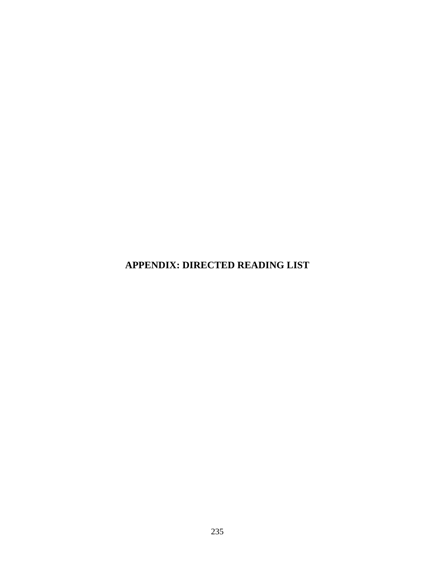**APPENDIX: DIRECTED READING LIST**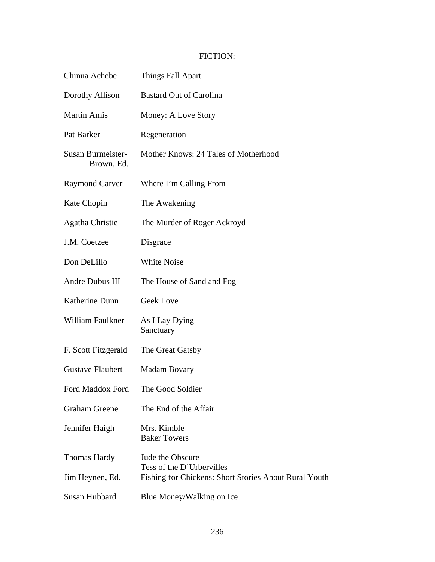## FICTION:

| Chinua Achebe                   | Things Fall Apart                                                                                      |
|---------------------------------|--------------------------------------------------------------------------------------------------------|
| Dorothy Allison                 | <b>Bastard Out of Carolina</b>                                                                         |
| <b>Martin Amis</b>              | Money: A Love Story                                                                                    |
| Pat Barker                      | Regeneration                                                                                           |
| Susan Burmeister-<br>Brown, Ed. | Mother Knows: 24 Tales of Motherhood                                                                   |
| <b>Raymond Carver</b>           | Where I'm Calling From                                                                                 |
| Kate Chopin                     | The Awakening                                                                                          |
| <b>Agatha Christie</b>          | The Murder of Roger Ackroyd                                                                            |
| J.M. Coetzee                    | Disgrace                                                                                               |
| Don DeLillo                     | <b>White Noise</b>                                                                                     |
| Andre Dubus III                 | The House of Sand and Fog                                                                              |
| Katherine Dunn                  | Geek Love                                                                                              |
| William Faulkner                | As I Lay Dying<br>Sanctuary                                                                            |
| F. Scott Fitzgerald             | The Great Gatsby                                                                                       |
| <b>Gustave Flaubert</b>         | <b>Madam Bovary</b>                                                                                    |
| Ford Maddox Ford                | The Good Soldier                                                                                       |
| <b>Graham Greene</b>            | The End of the Affair                                                                                  |
| Jennifer Haigh                  | Mrs. Kimble<br><b>Baker Towers</b>                                                                     |
| Thomas Hardy<br>Jim Heynen, Ed. | Jude the Obscure<br>Tess of the D'Urbervilles<br>Fishing for Chickens: Short Stories About Rural Youth |
| Susan Hubbard                   | Blue Money/Walking on Ice                                                                              |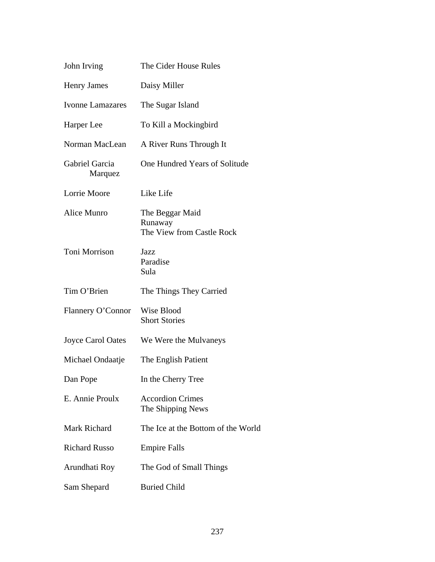| The Cider House Rules                                   |
|---------------------------------------------------------|
| Daisy Miller                                            |
| The Sugar Island                                        |
| To Kill a Mockingbird                                   |
| A River Runs Through It                                 |
| One Hundred Years of Solitude                           |
| Like Life                                               |
| The Beggar Maid<br>Runaway<br>The View from Castle Rock |
| Jazz<br>Paradise<br>Sula                                |
|                                                         |
| The Things They Carried                                 |
| Flannery O'Connor<br>Wise Blood<br><b>Short Stories</b> |
| We Were the Mulvaneys                                   |
| The English Patient                                     |
| In the Cherry Tree                                      |
| <b>Accordion Crimes</b><br>The Shipping News            |
| The Ice at the Bottom of the World                      |
| <b>Empire Falls</b>                                     |
| The God of Small Things                                 |
|                                                         |